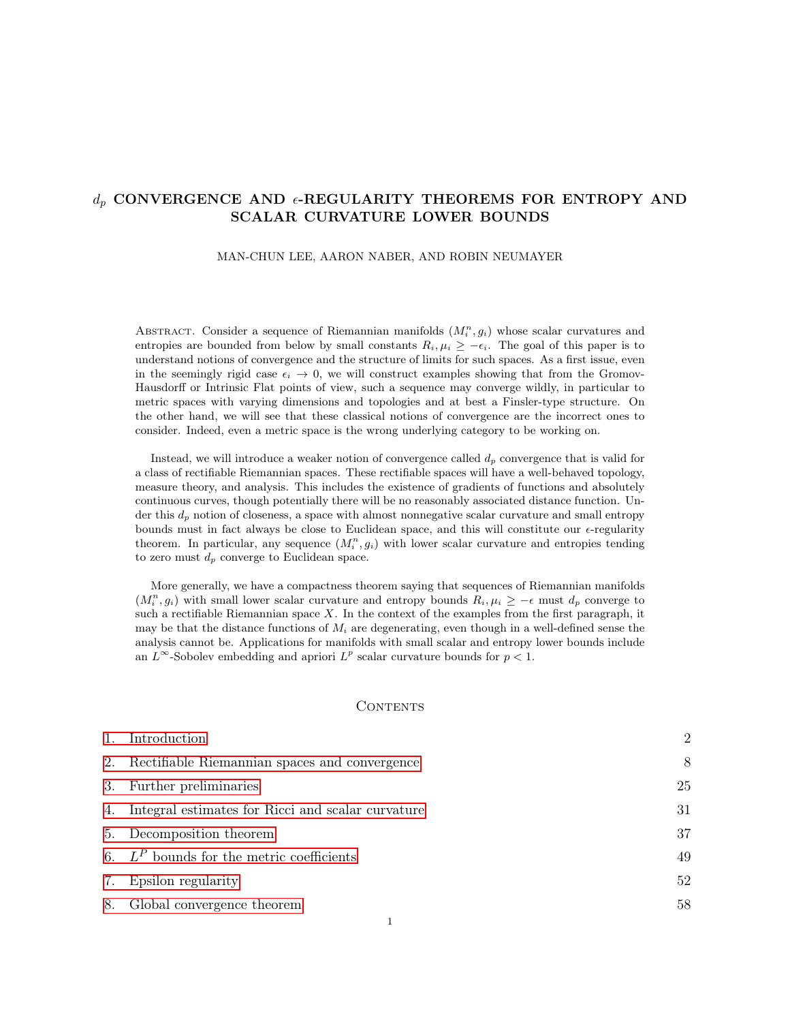# $d_p$  CONVERGENCE AND  $\epsilon$ -REGULARITY THEOREMS FOR ENTROPY AND SCALAR CURVATURE LOWER BOUNDS

MAN-CHUN LEE, AARON NABER, AND ROBIN NEUMAYER

ABSTRACT. Consider a sequence of Riemannian manifolds  $(M_i^n, g_i)$  whose scalar curvatures and entropies are bounded from below by small constants  $R_i, \mu_i \geq -\epsilon_i$ . The goal of this paper is to understand notions of convergence and the structure of limits for such spaces. As a first issue, even in the seemingly rigid case  $\epsilon_i \to 0$ , we will construct examples showing that from the Gromov-Hausdorff or Intrinsic Flat points of view, such a sequence may converge wildly, in particular to metric spaces with varying dimensions and topologies and at best a Finsler-type structure. On the other hand, we will see that these classical notions of convergence are the incorrect ones to consider. Indeed, even a metric space is the wrong underlying category to be working on.

Instead, we will introduce a weaker notion of convergence called  $d_p$  convergence that is valid for a class of rectifiable Riemannian spaces. These rectifiable spaces will have a well-behaved topology, measure theory, and analysis. This includes the existence of gradients of functions and absolutely continuous curves, though potentially there will be no reasonably associated distance function. Under this  $d_p$  notion of closeness, a space with almost nonnegative scalar curvature and small entropy bounds must in fact always be close to Euclidean space, and this will constitute our  $\epsilon$ -regularity theorem. In particular, any sequence  $(M_i^n, g_i)$  with lower scalar curvature and entropies tending to zero must  $d_p$  converge to Euclidean space.

More generally, we have a compactness theorem saying that sequences of Riemannian manifolds  $(M_i^n, g_i)$  with small lower scalar curvature and entropy bounds  $R_i, \mu_i \geq -\epsilon$  must  $d_p$  converge to such a rectifiable Riemannian space  $X$ . In the context of the examples from the first paragraph, it may be that the distance functions of  $M_i$  are degenerating, even though in a well-defined sense the analysis cannot be. Applications for manifolds with small scalar and entropy lower bounds include an  $L^{\infty}$ -Sobolev embedding and apriori  $L^{p}$  scalar curvature bounds for  $p < 1$ .

### CONTENTS

| Introduction                                         | $\overline{2}$ |
|------------------------------------------------------|----------------|
| 2. Rectifiable Riemannian spaces and convergence     | 8              |
| 3. Further preliminaries                             | 25             |
| 4. Integral estimates for Ricci and scalar curvature | 31             |
| 5. Decomposition theorem                             | 37             |
| 6. $L^P$ bounds for the metric coefficients          | 49             |
| 7. Epsilon regularity                                | 52             |
| 8. Global convergence theorem                        | 58             |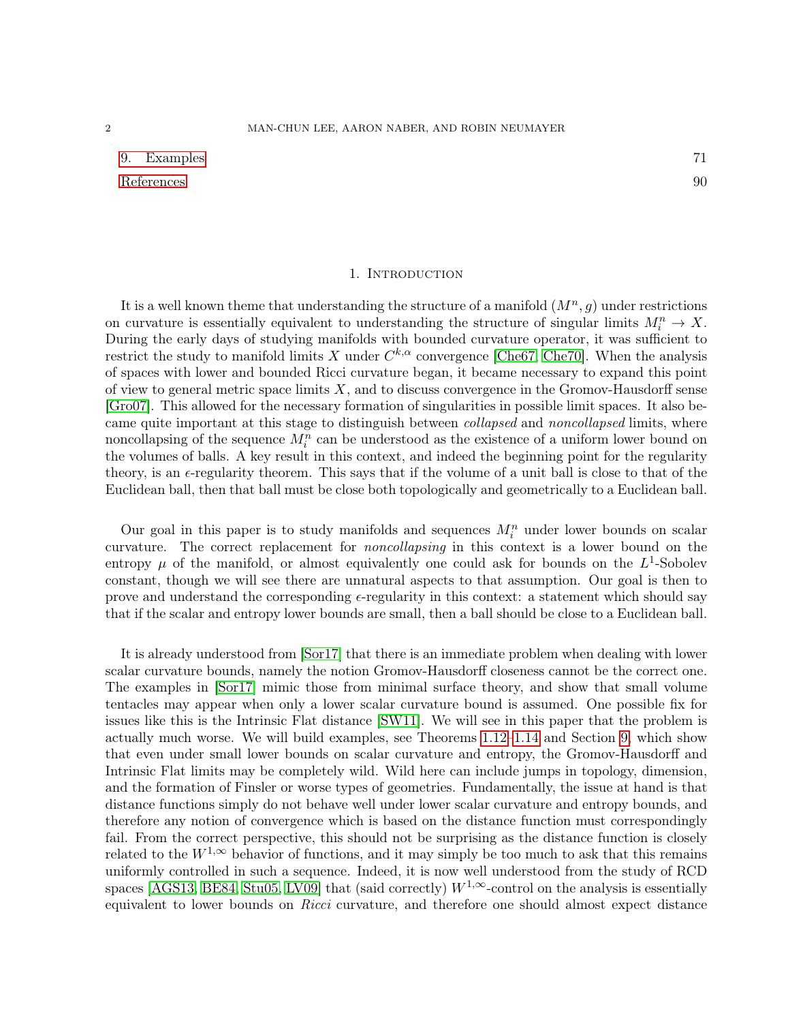- [9. Examples](#page-70-0) 71
- [References](#page-89-0) 90

#### 1. Introduction

<span id="page-1-0"></span>It is a well known theme that understanding the structure of a manifold  $(M^n, g)$  under restrictions on curvature is essentially equivalent to understanding the structure of singular limits  $M_i^n \to X$ . During the early days of studying manifolds with bounded curvature operator, it was sufficient to restrict the study to manifold limits X under  $C^{k,\alpha}$  convergence [\[Che67,](#page-89-1) [Che70\]](#page-89-2). When the analysis of spaces with lower and bounded Ricci curvature began, it became necessary to expand this point of view to general metric space limits  $X$ , and to discuss convergence in the Gromov-Hausdorff sense [\[Gro07\]](#page-90-0). This allowed for the necessary formation of singularities in possible limit spaces. It also became quite important at this stage to distinguish between *collapsed* and *noncollapsed* limits, where noncollapsing of the sequence  $M_i^n$  can be understood as the existence of a uniform lower bound on the volumes of balls. A key result in this context, and indeed the beginning point for the regularity theory, is an  $\epsilon$ -regularity theorem. This says that if the volume of a unit ball is close to that of the Euclidean ball, then that ball must be close both topologically and geometrically to a Euclidean ball.

Our goal in this paper is to study manifolds and sequences  $M_i^n$  under lower bounds on scalar curvature. The correct replacement for noncollapsing in this context is a lower bound on the entropy  $\mu$  of the manifold, or almost equivalently one could ask for bounds on the  $L^1$ -Sobolev constant, though we will see there are unnatural aspects to that assumption. Our goal is then to prove and understand the corresponding  $\epsilon$ -regularity in this context: a statement which should say that if the scalar and entropy lower bounds are small, then a ball should be close to a Euclidean ball.

It is already understood from [\[Sor17\]](#page-90-1) that there is an immediate problem when dealing with lower scalar curvature bounds, namely the notion Gromov-Hausdorff closeness cannot be the correct one. The examples in [\[Sor17\]](#page-90-1) mimic those from minimal surface theory, and show that small volume tentacles may appear when only a lower scalar curvature bound is assumed. One possible fix for issues like this is the Intrinsic Flat distance [\[SW11\]](#page-90-2). We will see in this paper that the problem is actually much worse. We will build examples, see Theorems [1.12](#page-5-0)[–1.14](#page-5-1) and Section [9,](#page-70-0) which show that even under small lower bounds on scalar curvature and entropy, the Gromov-Hausdorff and Intrinsic Flat limits may be completely wild. Wild here can include jumps in topology, dimension, and the formation of Finsler or worse types of geometries. Fundamentally, the issue at hand is that distance functions simply do not behave well under lower scalar curvature and entropy bounds, and therefore any notion of convergence which is based on the distance function must correspondingly fail. From the correct perspective, this should not be surprising as the distance function is closely related to the  $W^{1,\infty}$  behavior of functions, and it may simply be too much to ask that this remains uniformly controlled in such a sequence. Indeed, it is now well understood from the study of RCD spaces [\[AGS13,](#page-89-3) [BE84,](#page-89-4) [Stu05,](#page-90-3) [LV09\]](#page-90-4) that (said correctly)  $W^{1,\infty}$ -control on the analysis is essentially equivalent to lower bounds on Ricci curvature, and therefore one should almost expect distance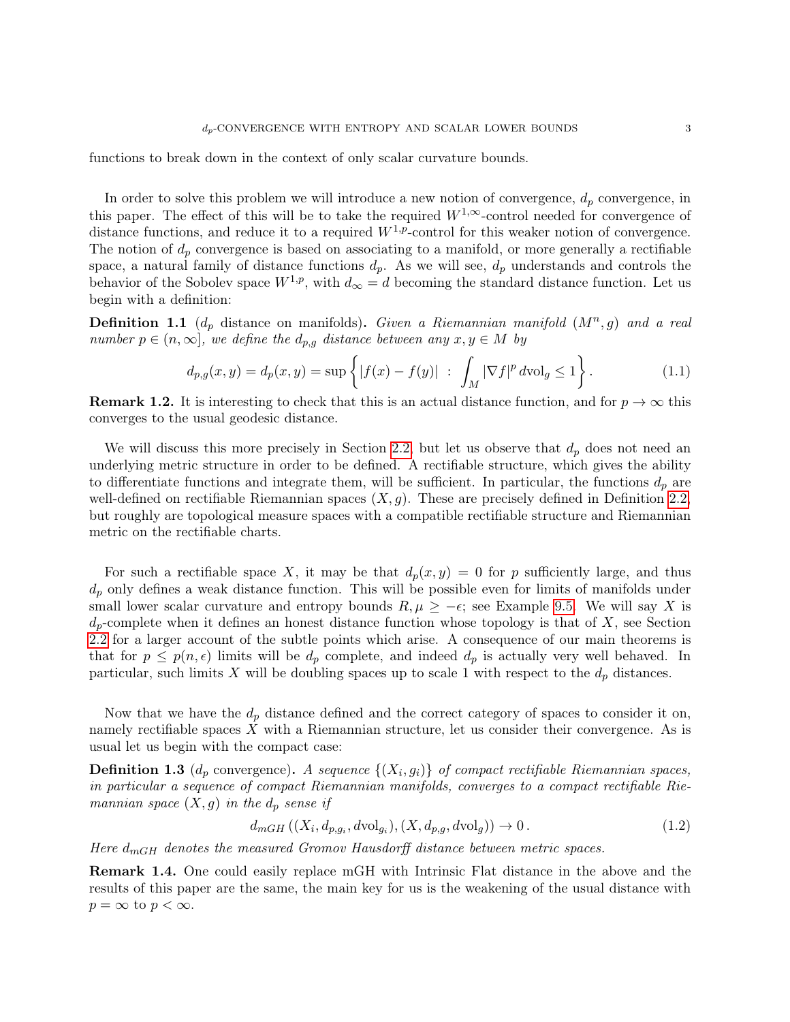functions to break down in the context of only scalar curvature bounds.

In order to solve this problem we will introduce a new notion of convergence,  $d_p$  convergence, in this paper. The effect of this will be to take the required  $W^{1,\infty}$ -control needed for convergence of distance functions, and reduce it to a required  $W^{1,p}$ -control for this weaker notion of convergence. The notion of  $d_p$  convergence is based on associating to a manifold, or more generally a rectifiable space, a natural family of distance functions  $d_p$ . As we will see,  $d_p$  understands and controls the behavior of the Sobolev space  $W^{1,p}$ , with  $d_{\infty} = d$  becoming the standard distance function. Let us begin with a definition:

**Definition 1.1** ( $d_p$  distance on manifolds). Given a Riemannian manifold  $(M^n, g)$  and a real number  $p \in (n, \infty]$ , we define the  $d_{p,q}$  distance between any  $x, y \in M$  by

$$
d_{p,g}(x,y) = d_p(x,y) = \sup \left\{ |f(x) - f(y)| \ : \ \int_M |\nabla f|^p \, d\text{vol}_g \le 1 \right\}.
$$
 (1.1)

**Remark 1.2.** It is interesting to check that this is an actual distance function, and for  $p \to \infty$  this converges to the usual geodesic distance.

We will discuss this more precisely in Section [2.2,](#page-17-0) but let us observe that  $d_p$  does not need an underlying metric structure in order to be defined. A rectifiable structure, which gives the ability to differentiate functions and integrate them, will be sufficient. In particular, the functions  $d_p$  are well-defined on rectifiable Riemannian spaces  $(X, g)$ . These are precisely defined in Definition [2.2,](#page-8-0) but roughly are topological measure spaces with a compatible rectifiable structure and Riemannian metric on the rectifiable charts.

For such a rectifiable space X, it may be that  $d_p(x, y) = 0$  for p sufficiently large, and thus  $d_p$  only defines a weak distance function. This will be possible even for limits of manifolds under small lower scalar curvature and entropy bounds  $R, \mu \geq -\epsilon$ ; see Example [9.5.](#page-73-0) We will say X is  $d_p$ -complete when it defines an honest distance function whose topology is that of  $X$ , see Section [2.2](#page-17-0) for a larger account of the subtle points which arise. A consequence of our main theorems is that for  $p \leq p(n, \epsilon)$  limits will be  $d_p$  complete, and indeed  $d_p$  is actually very well behaved. In particular, such limits X will be doubling spaces up to scale 1 with respect to the  $d_p$  distances.

Now that we have the  $d_p$  distance defined and the correct category of spaces to consider it on, namely rectifiable spaces  $X$  with a Riemannian structure, let us consider their convergence. As is usual let us begin with the compact case:

**Definition 1.3** ( $d_p$  convergence). A sequence  $\{(X_i, g_i)\}\$  of compact rectifiable Riemannian spaces, in particular a sequence of compact Riemannian manifolds, converges to a compact rectifiable Riemannian space  $(X, g)$  in the  $d_p$  sense if

$$
d_{mGH}((X_i, d_{p,g_i}, d\text{vol}_{g_i}), (X, d_{p,g}, d\text{vol}_g)) \to 0.
$$
\n
$$
(1.2)
$$

Here  $d_{mGH}$  denotes the measured Gromov Hausdorff distance between metric spaces.

Remark 1.4. One could easily replace mGH with Intrinsic Flat distance in the above and the results of this paper are the same, the main key for us is the weakening of the usual distance with  $p = \infty$  to  $p < \infty$ .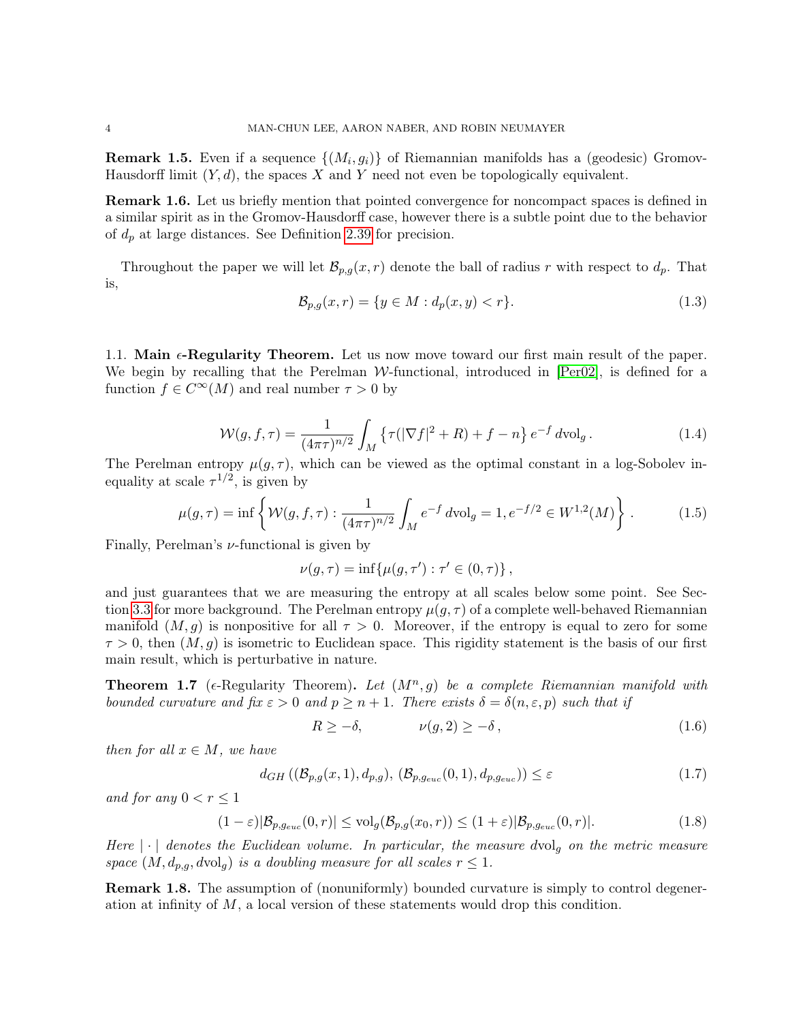**Remark 1.5.** Even if a sequence  $\{(M_i, g_i)\}\$  of Riemannian manifolds has a (geodesic) Gromov-Hausdorff limit  $(Y, d)$ , the spaces X and Y need not even be topologically equivalent.

**Remark 1.6.** Let us briefly mention that pointed convergence for noncompact spaces is defined in a similar spirit as in the Gromov-Hausdorff case, however there is a subtle point due to the behavior of  $d_p$  at large distances. See Definition [2.39](#page-21-0) for precision.

Throughout the paper we will let  $\mathcal{B}_{p,q}(x,r)$  denote the ball of radius r with respect to  $d_p$ . That is,

$$
\mathcal{B}_{p,q}(x,r) = \{ y \in M : d_p(x,y) < r \}. \tag{1.3}
$$

1.1. Main  $\epsilon$ -Regularity Theorem. Let us now move toward our first main result of the paper. We begin by recalling that the Perelman  $W$ -functional, introduced in [\[Per02\]](#page-90-5), is defined for a function  $f \in C^{\infty}(M)$  and real number  $\tau > 0$  by

<span id="page-3-2"></span>
$$
\mathcal{W}(g, f, \tau) = \frac{1}{(4\pi\tau)^{n/2}} \int_M \left\{ \tau(|\nabla f|^2 + R) + f - n \right\} e^{-f} d\text{vol}_g.
$$
 (1.4)

The Perelman entropy  $\mu(g, \tau)$ , which can be viewed as the optimal constant in a log-Sobolev inequality at scale  $\tau^{1/2}$ , is given by

<span id="page-3-3"></span>
$$
\mu(g,\tau) = \inf \left\{ \mathcal{W}(g,f,\tau) : \frac{1}{(4\pi\tau)^{n/2}} \int_M e^{-f} d\mathrm{vol}_g = 1, e^{-f/2} \in W^{1,2}(M) \right\}.
$$
 (1.5)

Finally, Perelman's  $\nu$ -functional is given by

$$
\nu(g,\tau)=\inf\{\mu(g,\tau'):\tau'\in(0,\tau)\}\,
$$

and just guarantees that we are measuring the entropy at all scales below some point. See Sec-tion [3.3](#page-26-0) for more background. The Perelman entropy  $\mu(g, \tau)$  of a complete well-behaved Riemannian manifold  $(M, g)$  is nonpositive for all  $\tau > 0$ . Moreover, if the entropy is equal to zero for some  $\tau > 0$ , then  $(M, g)$  is isometric to Euclidean space. This rigidity statement is the basis of our first main result, which is perturbative in nature.

<span id="page-3-0"></span>**Theorem 1.7** ( $\epsilon$ -Regularity Theorem). Let  $(M^n, g)$  be a complete Riemannian manifold with bounded curvature and fix  $\varepsilon > 0$  and  $p \ge n + 1$ . There exists  $\delta = \delta(n, \varepsilon, p)$  such that if

<span id="page-3-1"></span>
$$
R \ge -\delta, \qquad \nu(g, 2) \ge -\delta \,, \tag{1.6}
$$

then for all  $x \in M$ , we have

$$
d_{GH}((\mathcal{B}_{p,g}(x,1),d_{p,g}), (\mathcal{B}_{p,g_{euc}}(0,1),d_{p,g_{euc}})) \leq \varepsilon
$$
\n(1.7)

and for any  $0 < r < 1$ 

$$
(1 - \varepsilon)|\mathcal{B}_{p,g_{euc}}(0,r)| \le \text{vol}_g(\mathcal{B}_{p,g}(x_0,r)) \le (1 + \varepsilon)|\mathcal{B}_{p,g_{euc}}(0,r)|. \tag{1.8}
$$

Here  $|\cdot|$  denotes the Euclidean volume. In particular, the measure dvol<sub>g</sub> on the metric measure space  $(M, d_{p,q}, d\text{vol}_q)$  is a doubling measure for all scales  $r \leq 1$ .

**Remark 1.8.** The assumption of (nonuniformly) bounded curvature is simply to control degeneration at infinity of  $M$ , a local version of these statements would drop this condition.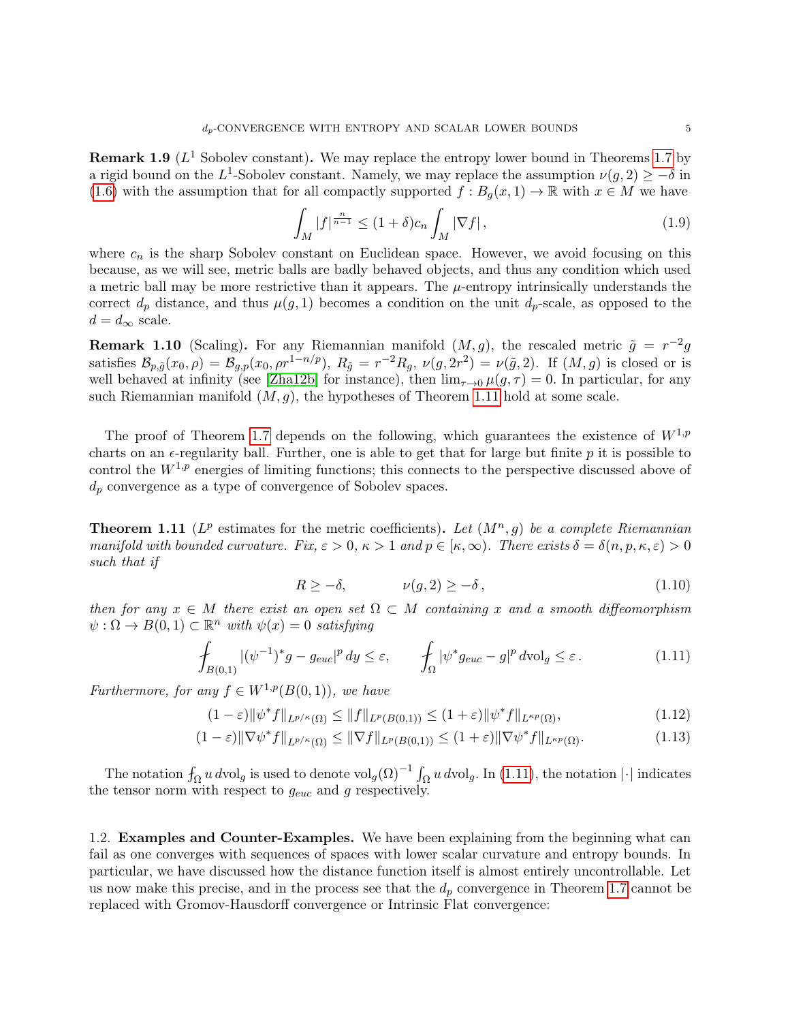**Remark 1.9** ( $L^1$  Sobolev constant). We may replace the entropy lower bound in Theorems [1.7](#page-3-0) by a rigid bound on the L<sup>1</sup>-Sobolev constant. Namely, we may replace the assumption  $\nu(g, 2) \geq -\delta$  in [\(1.6\)](#page-3-1) with the assumption that for all compactly supported  $f : B_q(x, 1) \to \mathbb{R}$  with  $x \in M$  we have

$$
\int_{M} |f|^{\frac{n}{n-1}} \le (1+\delta)c_n \int_{M} |\nabla f|,
$$
\n(1.9)

where  $c_n$  is the sharp Sobolev constant on Euclidean space. However, we avoid focusing on this because, as we will see, metric balls are badly behaved objects, and thus any condition which used a metric ball may be more restrictive than it appears. The  $\mu$ -entropy intrinsically understands the correct  $d_p$  distance, and thus  $\mu(g, 1)$  becomes a condition on the unit  $d_p$ -scale, as opposed to the  $d = d_{\infty}$  scale.

**Remark 1.10** (Scaling). For any Riemannian manifold  $(M, g)$ , the rescaled metric  $\tilde{g} = r^{-2}g$ satisfies  $\mathcal{B}_{p,\tilde{g}}(x_0,\rho) = \mathcal{B}_{g,p}(x_0,\rho r^{1-n/p}), R_{\tilde{g}} = r^{-2}R_g, \nu(g,2r^2) = \nu(\tilde{g},2).$  If  $(M,g)$  is closed or is well behaved at infinity (see [\[Zha12b\]](#page-91-0) for instance), then  $\lim_{\tau\to 0} \mu(g,\tau) = 0$ . In particular, for any such Riemannian manifold  $(M, q)$ , the hypotheses of Theorem [1.11](#page-4-0) hold at some scale.

The proof of Theorem [1.7](#page-3-0) depends on the following, which guarantees the existence of  $W^{1,p}$ charts on an  $\epsilon$ -regularity ball. Further, one is able to get that for large but finite p it is possible to control the  $W^{1,p}$  energies of limiting functions; this connects to the perspective discussed above of  $d_p$  convergence as a type of convergence of Sobolev spaces.

<span id="page-4-0"></span>**Theorem 1.11** ( $L^p$  estimates for the metric coefficients). Let  $(M^n, g)$  be a complete Riemannian manifold with bounded curvature. Fix,  $\varepsilon > 0$ ,  $\kappa > 1$  and  $p \in [\kappa, \infty)$ . There exists  $\delta = \delta(n, p, \kappa, \varepsilon) > 0$ such that if

<span id="page-4-1"></span>
$$
R \ge -\delta, \qquad \nu(g, 2) \ge -\delta \,, \tag{1.10}
$$

then for any  $x \in M$  there exist an open set  $\Omega \subset M$  containing x and a smooth diffeomorphism  $\psi : \Omega \to B(0,1) \subset \mathbb{R}^n$  with  $\psi(x) = 0$  satisfying

$$
\int_{B(0,1)} |(\psi^{-1})^* g - g_{euc}|^p dy \le \varepsilon, \qquad \int_{\Omega} |\psi^* g_{euc} - g|^p dvol_g \le \varepsilon. \tag{1.11}
$$

Furthermore, for any  $f \in W^{1,p}(B(0,1))$ , we have

$$
(1 - \varepsilon) \|\psi^* f\|_{L^{p/\kappa}(\Omega)} \le \|f\|_{L^p(B(0,1))} \le (1 + \varepsilon) \|\psi^* f\|_{L^{\kappa p}(\Omega)},\tag{1.12}
$$

$$
(1 - \varepsilon) \|\nabla \psi^* f\|_{L^{p/\kappa}(\Omega)} \le \|\nabla f\|_{L^p(B(0,1))} \le (1 + \varepsilon) \|\nabla \psi^* f\|_{L^{\kappa p}(\Omega)}.
$$
\n(1.13)

The notation  $f_{\Omega} u dvol_g$  is used to denote  $vol_g(\Omega)^{-1} \int_{\Omega} u dvol_g$ . In [\(1.11\)](#page-4-1), the notation | $\cdot$ | indicates the tensor norm with respect to  $g_{euc}$  and g respectively.

1.2. **Examples and Counter-Examples.** We have been explaining from the beginning what can fail as one converges with sequences of spaces with lower scalar curvature and entropy bounds. In particular, we have discussed how the distance function itself is almost entirely uncontrollable. Let us now make this precise, and in the process see that the  $d_p$  convergence in Theorem [1.7](#page-3-0) cannot be replaced with Gromov-Hausdorff convergence or Intrinsic Flat convergence: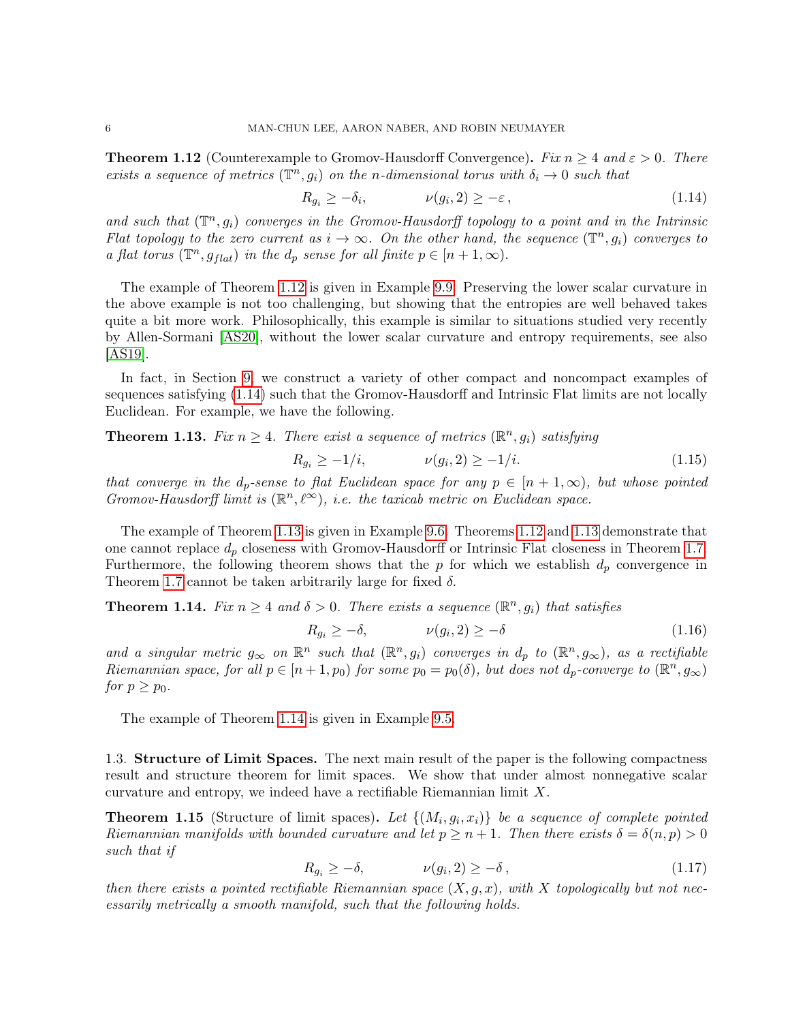<span id="page-5-0"></span>**Theorem 1.12** (Counterexample to Gromov-Hausdorff Convergence). Fix  $n \geq 4$  and  $\varepsilon > 0$ . There exists a sequence of metrics  $(\mathbb{T}^n, g_i)$  on the n-dimensional torus with  $\delta_i \to 0$  such that

<span id="page-5-2"></span>
$$
R_{g_i} \geq -\delta_i, \qquad \nu(g_i, 2) \geq -\varepsilon, \qquad (1.14)
$$

and such that  $(\mathbb{T}^n, g_i)$  converges in the Gromov-Hausdorff topology to a point and in the Intrinsic Flat topology to the zero current as  $i \to \infty$ . On the other hand, the sequence  $(\mathbb{T}^n, g_i)$  converges to a flat torus  $(\mathbb{T}^n, g_{flat})$  in the  $d_p$  sense for all finite  $p \in [n+1, \infty)$ .

The example of Theorem [1.12](#page-5-0) is given in Example [9.9.](#page-76-0) Preserving the lower scalar curvature in the above example is not too challenging, but showing that the entropies are well behaved takes quite a bit more work. Philosophically, this example is similar to situations studied very recently by Allen-Sormani [\[AS20\]](#page-89-5), without the lower scalar curvature and entropy requirements, see also [\[AS19\]](#page-89-6).

In fact, in Section [9,](#page-70-0) we construct a variety of other compact and noncompact examples of sequences satisfying [\(1.14\)](#page-5-2) such that the Gromov-Hausdorff and Intrinsic Flat limits are not locally Euclidean. For example, we have the following.

<span id="page-5-3"></span>**Theorem 1.13.** Fix  $n \geq 4$ . There exist a sequence of metrics  $(\mathbb{R}^n, g_i)$  satisfying

$$
R_{g_i} \ge -1/i, \qquad \nu(g_i, 2) \ge -1/i. \tag{1.15}
$$

that converge in the  $d_p$ -sense to flat Euclidean space for any  $p \in [n+1,\infty)$ , but whose pointed Gromov-Hausdorff limit is  $(\mathbb{R}^n, \ell^{\infty})$ , i.e. the taxicab metric on Euclidean space.

The example of Theorem [1.13](#page-5-3) is given in Example [9.6.](#page-73-1) Theorems [1.12](#page-5-0) and [1.13](#page-5-3) demonstrate that one cannot replace  $d_p$  closeness with Gromov-Hausdorff or Intrinsic Flat closeness in Theorem [1.7.](#page-3-0) Furthermore, the following theorem shows that the p for which we establish  $d_p$  convergence in Theorem [1.7](#page-3-0) cannot be taken arbitrarily large for fixed  $\delta$ .

<span id="page-5-1"></span>**Theorem 1.14.** Fix  $n \geq 4$  and  $\delta > 0$ . There exists a sequence  $(\mathbb{R}^n, g_i)$  that satisfies

$$
R_{g_i} \ge -\delta, \qquad \nu(g_i, 2) \ge -\delta \tag{1.16}
$$

and a singular metric  $g_{\infty}$  on  $\mathbb{R}^n$  such that  $(\mathbb{R}^n, g_i)$  converges in  $d_p$  to  $(\mathbb{R}^n, g_{\infty})$ , as a rectifiable Riemannian space, for all  $p \in [n+1, p_0)$  for some  $p_0 = p_0(\delta)$ , but does not  $d_p$ -converge to  $(\mathbb{R}^n, g_{\infty})$ for  $p \geq p_0$ .

The example of Theorem [1.14](#page-5-1) is given in Example [9.5.](#page-73-0)

1.3. **Structure of Limit Spaces.** The next main result of the paper is the following compactness result and structure theorem for limit spaces. We show that under almost nonnegative scalar curvature and entropy, we indeed have a rectifiable Riemannian limit  $X$ .

<span id="page-5-4"></span>**Theorem 1.15** (Structure of limit spaces). Let  $\{(M_i, g_i, x_i)\}\$  be a sequence of complete pointed Riemannian manifolds with bounded curvature and let  $p \geq n+1$ . Then there exists  $\delta = \delta(n, p) > 0$ such that if

$$
R_{g_i} \ge -\delta, \qquad \nu(g_i, 2) \ge -\delta \,, \tag{1.17}
$$

then there exists a pointed rectifiable Riemannian space  $(X, q, x)$ , with X topologically but not necessarily metrically a smooth manifold, such that the following holds.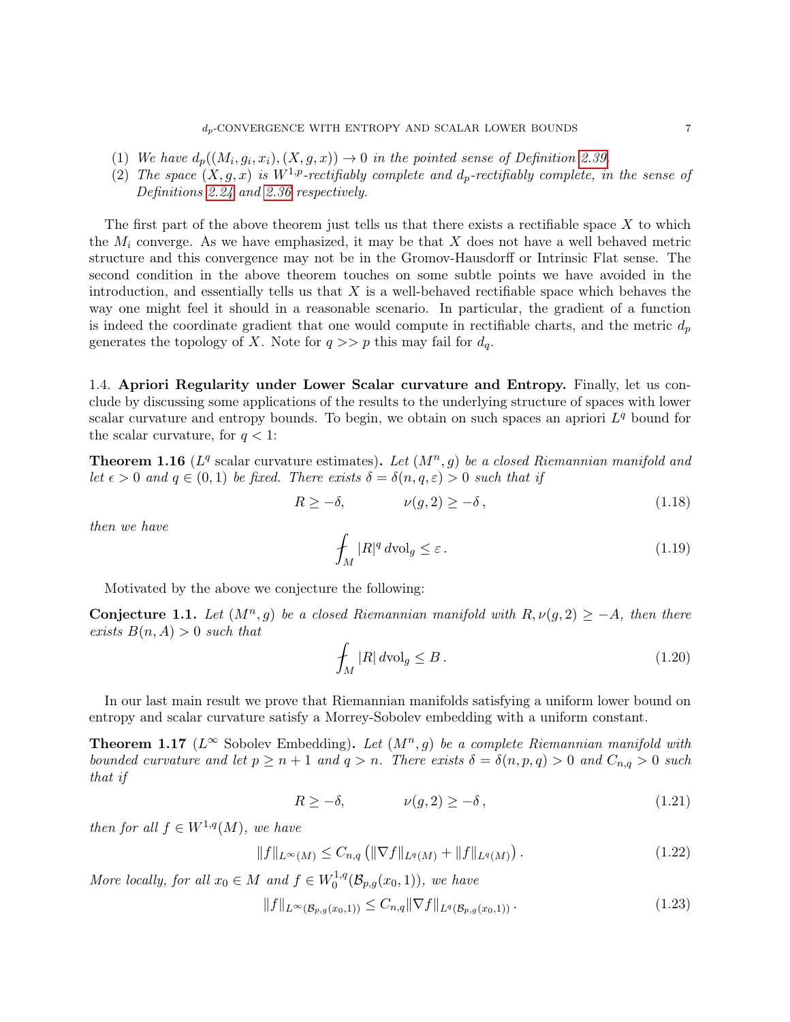- (1) We have  $d_p((M_i, g_i, x_i), (X, g, x)) \to 0$  in the pointed sense of Definition [2.39.](#page-21-0)
- (2) The space  $(X, g, x)$  is  $W^{1,p}$ -rectifiably complete and  $d_p$ -rectifiably complete, in the sense of Definitions [2.24](#page-17-1) and [2.36](#page-20-0) respectively.

The first part of the above theorem just tells us that there exists a rectifiable space  $X$  to which the  $M_i$  converge. As we have emphasized, it may be that X does not have a well behaved metric structure and this convergence may not be in the Gromov-Hausdorff or Intrinsic Flat sense. The second condition in the above theorem touches on some subtle points we have avoided in the introduction, and essentially tells us that  $X$  is a well-behaved rectifiable space which behaves the way one might feel it should in a reasonable scenario. In particular, the gradient of a function is indeed the coordinate gradient that one would compute in rectifiable charts, and the metric  $d_p$ generates the topology of X. Note for  $q \gg p$  this may fail for  $d_q$ .

1.4. Apriori Regularity under Lower Scalar curvature and Entropy. Finally, let us conclude by discussing some applications of the results to the underlying structure of spaces with lower scalar curvature and entropy bounds. To begin, we obtain on such spaces an apriori  $L^q$  bound for the scalar curvature, for  $q < 1$ :

<span id="page-6-1"></span>**Theorem 1.16** ( $L^q$  scalar curvature estimates). Let  $(M^n, g)$  be a closed Riemannian manifold and let  $\epsilon > 0$  and  $q \in (0,1)$  be fixed. There exists  $\delta = \delta(n,q,\epsilon) > 0$  such that if

$$
R \ge -\delta, \qquad \qquad \nu(g, 2) \ge -\delta \,, \tag{1.18}
$$

then we have

$$
\int_{M} |R|^{q} \, d\text{vol}_{g} \le \varepsilon \,. \tag{1.19}
$$

Motivated by the above we conjecture the following:

**Conjecture 1.1.** Let  $(M^n, g)$  be a closed Riemannian manifold with  $R, \nu(g, 2) \geq -A$ , then there exists  $B(n, A) > 0$  such that

$$
\int_{M} |R| \, d\text{vol}_g \leq B \,. \tag{1.20}
$$

In our last main result we prove that Riemannian manifolds satisfying a uniform lower bound on entropy and scalar curvature satisfy a Morrey-Sobolev embedding with a uniform constant.

**Theorem 1.17** ( $L^{\infty}$  Sobolev Embedding). Let  $(M^n, g)$  be a complete Riemannian manifold with bounded curvature and let  $p \ge n+1$  and  $q > n$ . There exists  $\delta = \delta(n, p, q) > 0$  and  $C_{n,q} > 0$  such that if

$$
R \ge -\delta, \qquad \nu(g, 2) \ge -\delta \tag{1.21}
$$

then for all  $f \in W^{1,q}(M)$ , we have

$$
||f||_{L^{\infty}(M)} \leq C_{n,q} (||\nabla f||_{L^{q}(M)} + ||f||_{L^{q}(M)}).
$$
\n(1.22)

More locally, for all  $x_0 \in M$  and  $f \in W_0^{1,q}$  $b_0^{1,q}(\mathcal{B}_{p,g}(x_0,1)),$  we have

<span id="page-6-0"></span>
$$
||f||_{L^{\infty}(\mathcal{B}_{p,g}(x_0,1))} \leq C_{n,q} ||\nabla f||_{L^q(\mathcal{B}_{p,g}(x_0,1))}.
$$
\n(1.23)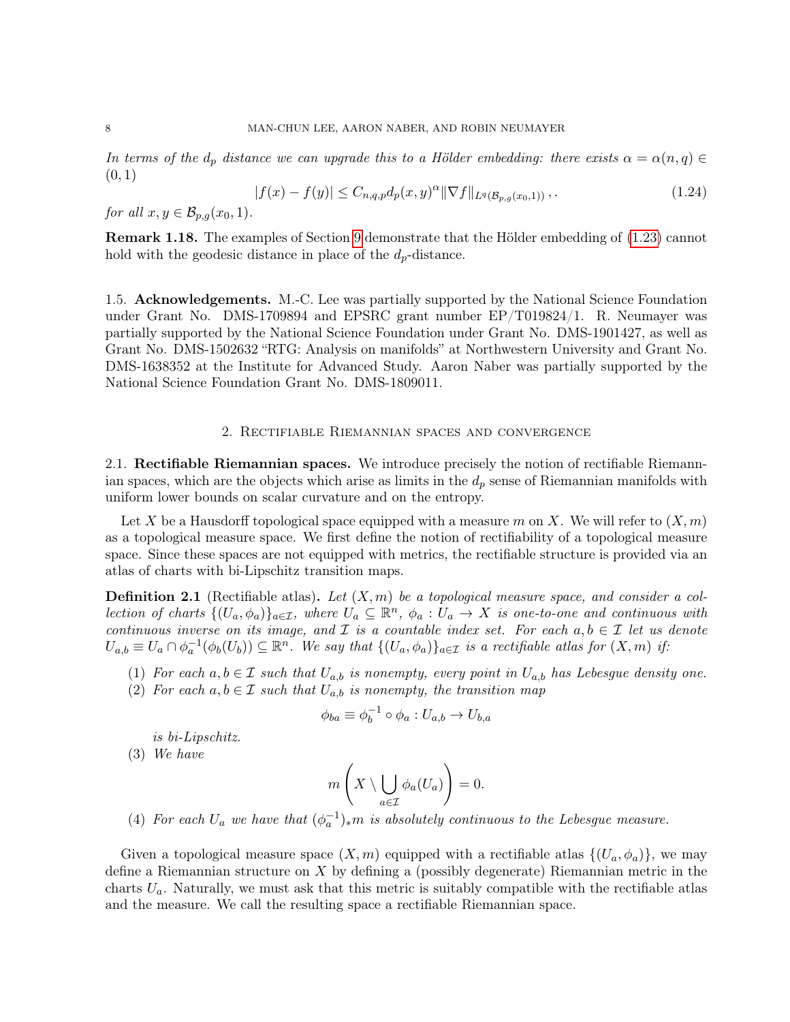In terms of the  $d_p$  distance we can upgrade this to a Hölder embedding: there exists  $\alpha = \alpha(n,q) \in$  $(0, 1)$ 

$$
|f(x) - f(y)| \le C_{n,q,p} d_p(x,y)^{\alpha} \|\nabla f\|_{L^q(\mathcal{B}_{p,g}(x_0,1))},
$$
\n(1.24)

for all  $x, y \in \mathcal{B}_{p,q}(x_0, 1)$ .

Remark 1.18. The examples of Section [9](#page-70-0) demonstrate that the Hölder embedding of [\(1.23\)](#page-6-0) cannot hold with the geodesic distance in place of the  $d_p$ -distance.

1.5. **Acknowledgements.** M.-C. Lee was partially supported by the National Science Foundation under Grant No. DMS-1709894 and EPSRC grant number EP/T019824/1. R. Neumayer was partially supported by the National Science Foundation under Grant No. DMS-1901427, as well as Grant No. DMS-1502632 "RTG: Analysis on manifolds" at Northwestern University and Grant No. DMS-1638352 at the Institute for Advanced Study. Aaron Naber was partially supported by the National Science Foundation Grant No. DMS-1809011.

## 2. Rectifiable Riemannian spaces and convergence

<span id="page-7-0"></span>2.1. Rectifiable Riemannian spaces. We introduce precisely the notion of rectifiable Riemannian spaces, which are the objects which arise as limits in the  $d_p$  sense of Riemannian manifolds with uniform lower bounds on scalar curvature and on the entropy.

Let X be a Hausdorff topological space equipped with a measure m on X. We will refer to  $(X, m)$ as a topological measure space. We first define the notion of rectifiability of a topological measure space. Since these spaces are not equipped with metrics, the rectifiable structure is provided via an atlas of charts with bi-Lipschitz transition maps.

**Definition 2.1** (Rectifiable atlas). Let  $(X, m)$  be a topological measure space, and consider a collection of charts  $\{(U_a,\phi_a)\}_{a\in\mathcal{I}}$ , where  $U_a\subseteq\mathbb{R}^n$ ,  $\phi_a:U_a\to X$  is one-to-one and continuous with continuous inverse on its image, and  $\mathcal I$  is a countable index set. For each  $a, b \in \mathcal I$  let us denote  $U_{a,b} \equiv U_a \cap \phi_a^{-1}(\phi_b(U_b)) \subseteq \mathbb{R}^n$ . We say that  $\{(U_a, \phi_a)\}_{a \in \mathcal{I}}$  is a rectifiable atlas for  $(X, m)$  if:

- (1) For each  $a, b \in \mathcal{I}$  such that  $U_{a,b}$  is nonempty, every point in  $U_{a,b}$  has Lebesgue density one.
- (2) For each  $a, b \in \mathcal{I}$  such that  $U_{a,b}$  is nonempty, the transition map

$$
\phi_{ba} \equiv \phi_b^{-1} \circ \phi_a : U_{a,b} \to U_{b,a}
$$

is bi-Lipschitz.

(3) We have

$$
m\left(X\setminus\bigcup_{a\in\mathcal{I}}\phi_a(U_a)\right)=0.
$$

(4) For each  $U_a$  we have that  $(\phi_a^{-1})_*m$  is absolutely continuous to the Lebesgue measure.

Given a topological measure space  $(X, m)$  equipped with a rectifiable atlas  $\{(U_a, \phi_a)\}\)$ , we may define a Riemannian structure on X by defining a (possibly degenerate) Riemannian metric in the charts  $U_a$ . Naturally, we must ask that this metric is suitably compatible with the rectifiable atlas and the measure. We call the resulting space a rectifiable Riemannian space.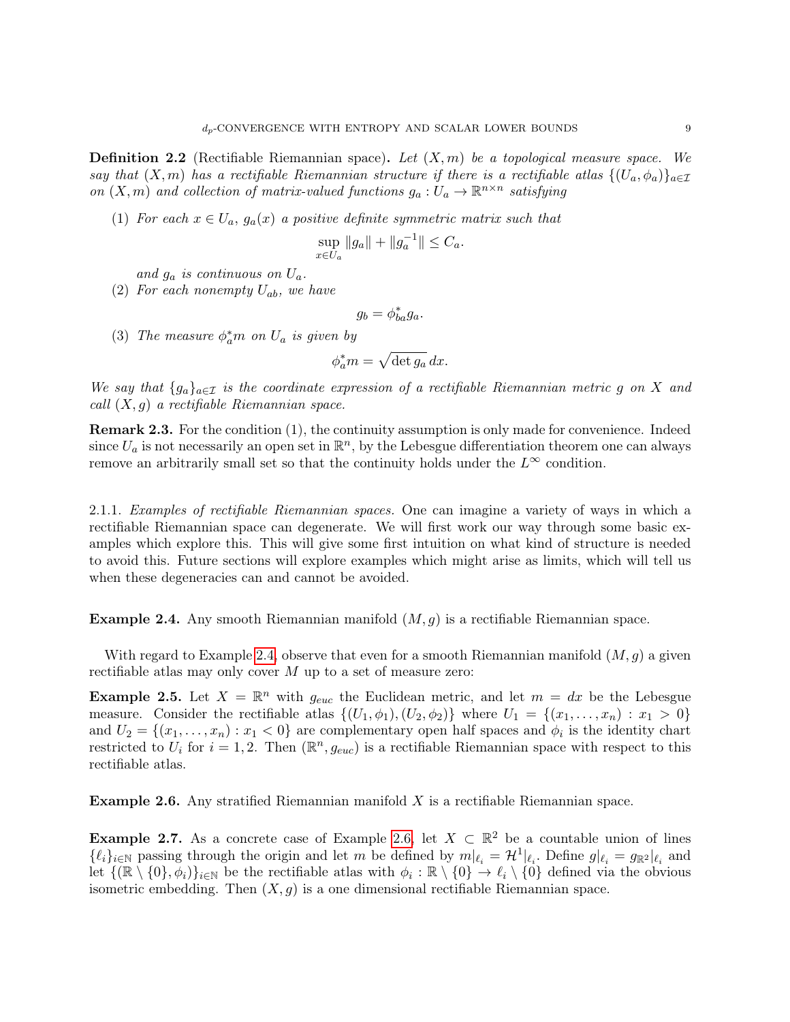<span id="page-8-0"></span>**Definition 2.2** (Rectifiable Riemannian space). Let  $(X, m)$  be a topological measure space. We say that  $(X, m)$  has a rectifiable Riemannian structure if there is a rectifiable atlas  $\{(U_a, \phi_a)\}_{a \in \mathcal{I}}$ on  $(X, m)$  and collection of matrix-valued functions  $g_a: U_a \to \mathbb{R}^{n \times n}$  satisfying

(1) For each  $x \in U_a$ ,  $g_a(x)$  a positive definite symmetric matrix such that

$$
\sup_{x \in U_a} \|g_a\| + \|g_a^{-1}\| \le C_a.
$$

and  $g_a$  is continuous on  $U_a$ .

(2) For each nonempty  $U_{ab}$ , we have

$$
g_b=\phi_{ba}^*g_a.
$$

(3) The measure  $\phi_a^*m$  on  $U_a$  is given by

$$
\phi_a^* m = \sqrt{\det g_a} \, dx.
$$

We say that  ${g_a}_{a \in \mathcal{I}}$  is the coordinate expression of a rectifiable Riemannian metric g on X and call  $(X, g)$  a rectifiable Riemannian space.

**Remark 2.3.** For the condition (1), the continuity assumption is only made for convenience. Indeed since  $U_a$  is not necessarily an open set in  $\mathbb{R}^n$ , by the Lebesgue differentiation theorem one can always remove an arbitrarily small set so that the continuity holds under the  $L^{\infty}$  condition.

2.1.1. Examples of rectifiable Riemannian spaces. One can imagine a variety of ways in which a rectifiable Riemannian space can degenerate. We will first work our way through some basic examples which explore this. This will give some first intuition on what kind of structure is needed to avoid this. Future sections will explore examples which might arise as limits, which will tell us when these degeneracies can and cannot be avoided.

<span id="page-8-1"></span>**Example 2.4.** Any smooth Riemannian manifold  $(M, g)$  is a rectifiable Riemannian space.

With regard to Example [2.4,](#page-8-1) observe that even for a smooth Riemannian manifold  $(M, g)$  a given rectifiable atlas may only cover  $M$  up to a set of measure zero:

<span id="page-8-3"></span>**Example 2.5.** Let  $X = \mathbb{R}^n$  with  $g_{euc}$  the Euclidean metric, and let  $m = dx$  be the Lebesgue measure. Consider the rectifiable atlas  $\{(U_1, \phi_1), (U_2, \phi_2)\}\$  where  $U_1 = \{(x_1, \ldots, x_n) : x_1 > 0\}\$ and  $U_2 = \{(x_1, \ldots, x_n) : x_1 < 0\}$  are complementary open half spaces and  $\phi_i$  is the identity chart restricted to  $U_i$  for  $i = 1, 2$ . Then  $(\mathbb{R}^n, g_{euc})$  is a rectifiable Riemannian space with respect to this rectifiable atlas.

<span id="page-8-2"></span>**Example 2.6.** Any stratified Riemannian manifold  $X$  is a rectifiable Riemannian space.

<span id="page-8-4"></span>**Example 2.7.** As a concrete case of Example [2.6,](#page-8-2) let  $X \subset \mathbb{R}^2$  be a countable union of lines  $\{\ell_i\}_{i\in\mathbb{N}}$  passing through the origin and let m be defined by  $m|_{\ell_i} = \mathcal{H}^1|_{\ell_i}$ . Define  $g|_{\ell_i} = g_{\mathbb{R}^2}|_{\ell_i}$  and let  $\{(\mathbb{R} \setminus \{0\}, \phi_i)\}_{i \in \mathbb{N}}$  be the rectifiable atlas with  $\phi_i : \mathbb{R} \setminus \{0\} \to \ell_i \setminus \{0\}$  defined via the obvious isometric embedding. Then  $(X, q)$  is a one dimensional rectifiable Riemannian space.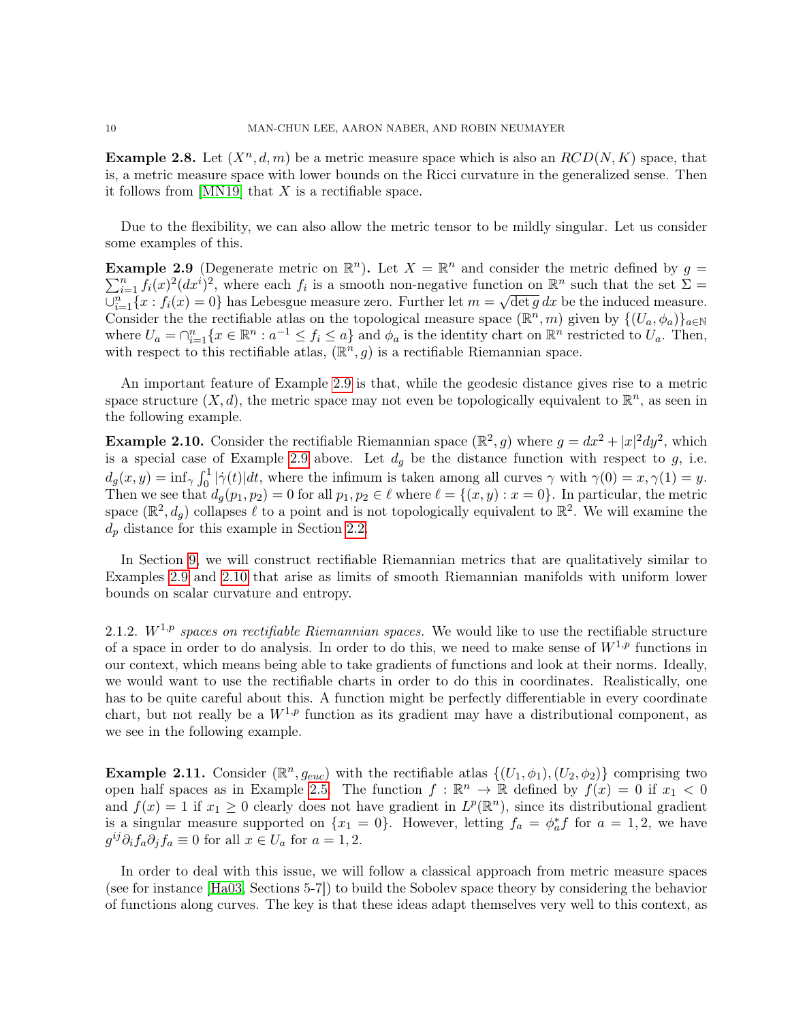**Example 2.8.** Let  $(X^n, d, m)$  be a metric measure space which is also an  $RCD(N, K)$  space, that is, a metric measure space with lower bounds on the Ricci curvature in the generalized sense. Then it follows from [\[MN19\]](#page-90-6) that  $X$  is a rectifiable space.

Due to the flexibility, we can also allow the metric tensor to be mildly singular. Let us consider some examples of this.

<span id="page-9-0"></span>**Example 2.9** (Degenerate metric on  $\mathbb{R}^n$ ). Let  $X = \mathbb{R}^n$  and consider the metric defined by  $g =$  $\sum_{i=1}^n \tilde{f}_i(x)^2 (dx^i)^2$ , where each  $f_i$  is a smooth non-negative function on  $\mathbb{R}^n$  such that the set  $\Sigma =$  $\cup_{i=1}^n \{x : f_i(x) = 0\}$  has Lebesgue measure zero. Further let  $m = \sqrt{\det g} dx$  be the induced measure. Consider the the rectifiable atlas on the topological measure space  $(\mathbb{R}^n, m)$  given by  $\{(U_a, \phi_a)\}_{a \in \mathbb{N}}$ where  $U_a = \bigcap_{i=1}^n \{x \in \mathbb{R}^n : a^{-1} \le f_i \le a\}$  and  $\phi_a$  is the identity chart on  $\mathbb{R}^n$  restricted to  $U_a$ . Then, with respect to this rectifiable atlas,  $(\mathbb{R}^n, g)$  is a rectifiable Riemannian space.

An important feature of Example [2.9](#page-9-0) is that, while the geodesic distance gives rise to a metric space structure  $(X, d)$ , the metric space may not even be topologically equivalent to  $\mathbb{R}^n$ , as seen in the following example.

<span id="page-9-1"></span>**Example 2.10.** Consider the rectifiable Riemannian space  $(\mathbb{R}^2, g)$  where  $g = dx^2 + |x|^2 dy^2$ , which is a special case of Example [2.9](#page-9-0) above. Let  $d_g$  be the distance function with respect to g, i.e.  $d_g(x, y) = \inf_{\gamma} \int_0^1 |\dot{\gamma}(t)| dt$ , where the infimum is taken among all curves  $\gamma$  with  $\gamma(0) = x, \gamma(1) = y$ . Then we see that  $d_g(p_1, p_2) = 0$  for all  $p_1, p_2 \in \ell$  where  $\ell = \{(x, y) : x = 0\}$ . In particular, the metric space  $(\mathbb{R}^2, d_g)$  collapses  $\ell$  to a point and is not topologically equivalent to  $\mathbb{R}^2$ . We will examine the  $d_p$  distance for this example in Section [2.2.](#page-17-0)

In Section [9,](#page-70-0) we will construct rectifiable Riemannian metrics that are qualitatively similar to Examples [2.9](#page-9-0) and [2.10](#page-9-1) that arise as limits of smooth Riemannian manifolds with uniform lower bounds on scalar curvature and entropy.

2.1.2.  $W^{1,p}$  spaces on rectifiable Riemannian spaces. We would like to use the rectifiable structure of a space in order to do analysis. In order to do this, we need to make sense of  $W^{1,p}$  functions in our context, which means being able to take gradients of functions and look at their norms. Ideally, we would want to use the rectifiable charts in order to do this in coordinates. Realistically, one has to be quite careful about this. A function might be perfectly differentiable in every coordinate chart, but not really be a  $W^{1,p}$  function as its gradient may have a distributional component, as we see in the following example.

<span id="page-9-2"></span>**Example 2.11.** Consider  $(\mathbb{R}^n, g_{euc})$  with the rectifiable atlas  $\{(U_1, \phi_1), (U_2, \phi_2)\}\)$  comprising two open half spaces as in Example [2.5.](#page-8-3) The function  $f : \mathbb{R}^n \to \mathbb{R}$  defined by  $f(x) = 0$  if  $x_1 < 0$ and  $f(x) = 1$  if  $x_1 \geq 0$  clearly does not have gradient in  $L^p(\mathbb{R}^n)$ , since its distributional gradient is a singular measure supported on  $\{x_1 = 0\}$ . However, letting  $f_a = \phi_a^* f$  for  $a = 1, 2$ , we have  $g^{ij}\partial_i f_a \partial_j f_a \equiv 0$  for all  $x \in U_a$  for  $a = 1, 2$ .

In order to deal with this issue, we will follow a classical approach from metric measure spaces (see for instance [\[Ha03,](#page-90-7) Sections 5-7]) to build the Sobolev space theory by considering the behavior of functions along curves. The key is that these ideas adapt themselves very well to this context, as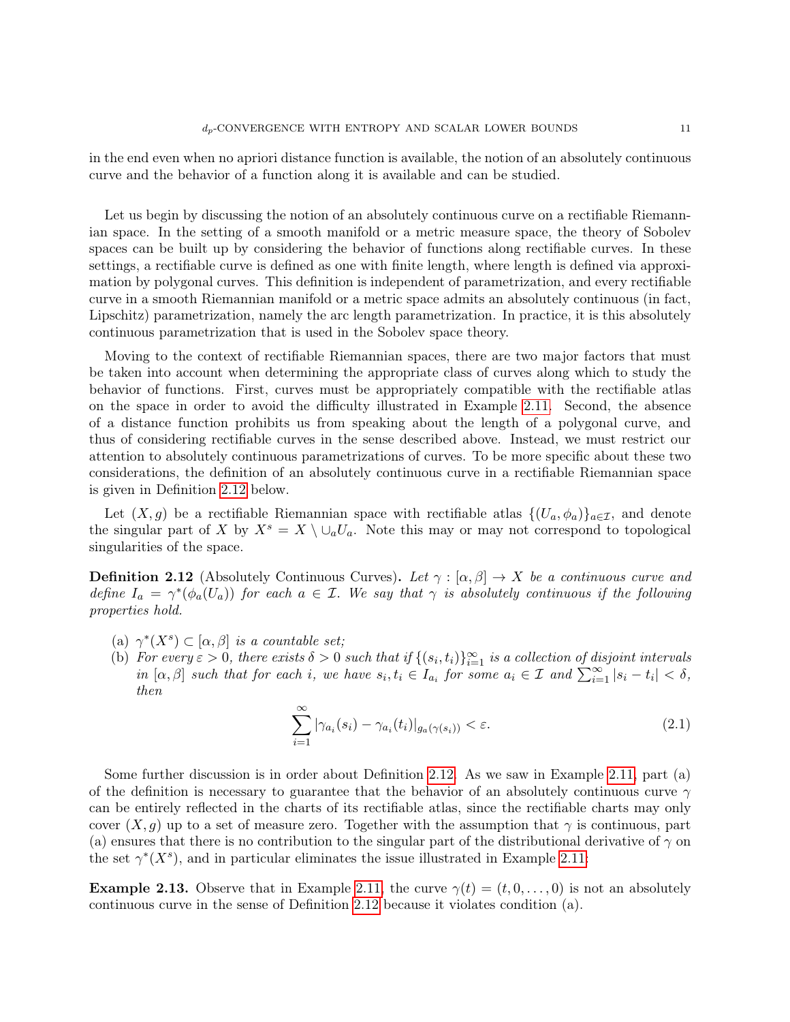in the end even when no apriori distance function is available, the notion of an absolutely continuous curve and the behavior of a function along it is available and can be studied.

Let us begin by discussing the notion of an absolutely continuous curve on a rectifiable Riemannian space. In the setting of a smooth manifold or a metric measure space, the theory of Sobolev spaces can be built up by considering the behavior of functions along rectifiable curves. In these settings, a rectifiable curve is defined as one with finite length, where length is defined via approximation by polygonal curves. This definition is independent of parametrization, and every rectifiable curve in a smooth Riemannian manifold or a metric space admits an absolutely continuous (in fact, Lipschitz) parametrization, namely the arc length parametrization. In practice, it is this absolutely continuous parametrization that is used in the Sobolev space theory.

Moving to the context of rectifiable Riemannian spaces, there are two major factors that must be taken into account when determining the appropriate class of curves along which to study the behavior of functions. First, curves must be appropriately compatible with the rectifiable atlas on the space in order to avoid the difficulty illustrated in Example [2.11.](#page-9-2) Second, the absence of a distance function prohibits us from speaking about the length of a polygonal curve, and thus of considering rectifiable curves in the sense described above. Instead, we must restrict our attention to absolutely continuous parametrizations of curves. To be more specific about these two considerations, the definition of an absolutely continuous curve in a rectifiable Riemannian space is given in Definition [2.12](#page-10-0) below.

Let  $(X, g)$  be a rectifiable Riemannian space with rectifiable atlas  $\{(U_a, \phi_a)\}_{a \in \mathcal{I}}$ , and denote the singular part of X by  $X^s = X \setminus \cup_a U_a$ . Note this may or may not correspond to topological singularities of the space.

<span id="page-10-0"></span>**Definition 2.12** (Absolutely Continuous Curves). Let  $\gamma : [\alpha, \beta] \to X$  be a continuous curve and define  $I_a = \gamma^*(\phi_a(U_a))$  for each  $a \in \mathcal{I}$ . We say that  $\gamma$  is absolutely continuous if the following properties hold.

- (a)  $\gamma^*(X^s) \subset [\alpha, \beta]$  is a countable set;
- (b) For every  $\varepsilon > 0$ , there exists  $\delta > 0$  such that if  $\{(s_i, t_i)\}_{i=1}^{\infty}$  is a collection of disjoint intervals in  $[\alpha, \beta]$  such that for each i, we have  $s_i, t_i \in I_{a_i}$  for some  $a_i \in \mathcal{I}$  and  $\sum_{i=1}^{\infty} |s_i - t_i| < \delta$ , then

<span id="page-10-1"></span>
$$
\sum_{i=1}^{\infty} |\gamma_{a_i}(s_i) - \gamma_{a_i}(t_i)|_{g_a(\gamma(s_i))} < \varepsilon.
$$
\n(2.1)

Some further discussion is in order about Definition [2.12.](#page-10-0) As we saw in Example [2.11,](#page-9-2) part (a) of the definition is necessary to guarantee that the behavior of an absolutely continuous curve  $\gamma$ can be entirely reflected in the charts of its rectifiable atlas, since the rectifiable charts may only cover  $(X, g)$  up to a set of measure zero. Together with the assumption that  $\gamma$  is continuous, part (a) ensures that there is no contribution to the singular part of the distributional derivative of  $\gamma$  on the set  $\gamma^*(X^s)$ , and in particular eliminates the issue illustrated in Example [2.11:](#page-9-2)

**Example 2.13.** Observe that in Example [2.11,](#page-9-2) the curve  $\gamma(t) = (t, 0, \ldots, 0)$  is not an absolutely continuous curve in the sense of Definition [2.12](#page-10-0) because it violates condition (a).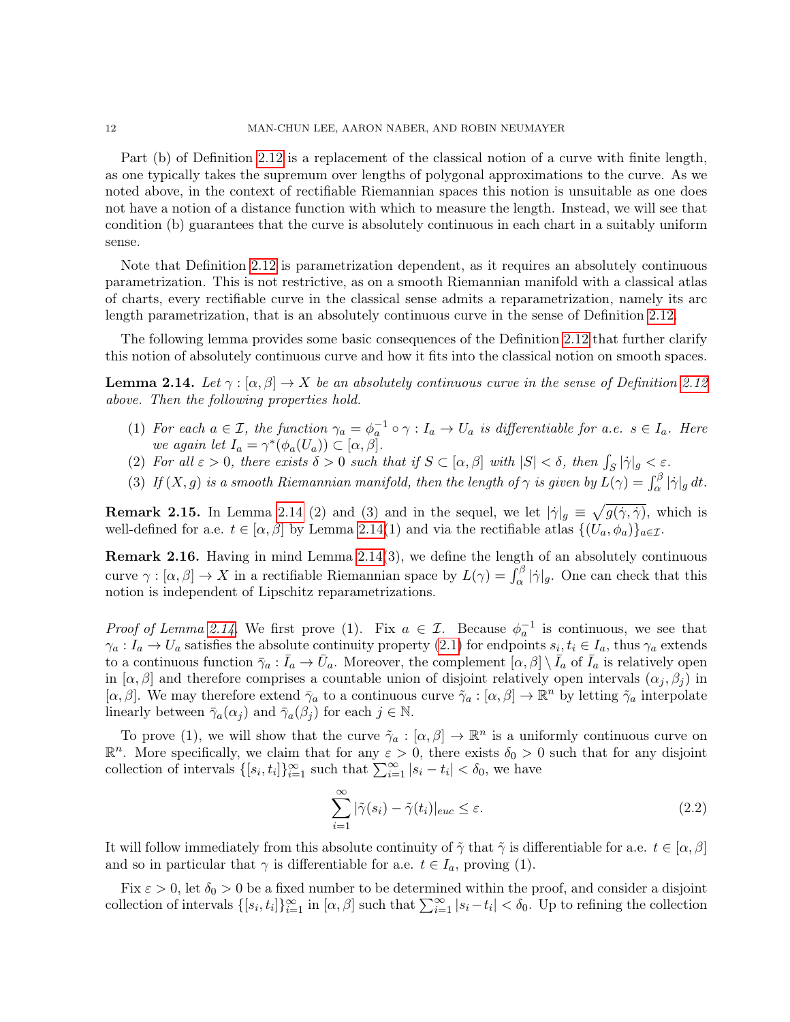Part (b) of Definition [2.12](#page-10-0) is a replacement of the classical notion of a curve with finite length, as one typically takes the supremum over lengths of polygonal approximations to the curve. As we noted above, in the context of rectifiable Riemannian spaces this notion is unsuitable as one does not have a notion of a distance function with which to measure the length. Instead, we will see that condition (b) guarantees that the curve is absolutely continuous in each chart in a suitably uniform sense.

Note that Definition [2.12](#page-10-0) is parametrization dependent, as it requires an absolutely continuous parametrization. This is not restrictive, as on a smooth Riemannian manifold with a classical atlas of charts, every rectifiable curve in the classical sense admits a reparametrization, namely its arc length parametrization, that is an absolutely continuous curve in the sense of Definition [2.12.](#page-10-0)

The following lemma provides some basic consequences of the Definition [2.12](#page-10-0) that further clarify this notion of absolutely continuous curve and how it fits into the classical notion on smooth spaces.

<span id="page-11-0"></span>**Lemma 2.14.** Let  $\gamma : [\alpha, \beta] \to X$  be an absolutely continuous curve in the sense of Definition [2.12](#page-10-0) above. Then the following properties hold.

- (1) For each  $a \in \mathcal{I}$ , the function  $\gamma_a = \phi_a^{-1} \circ \gamma : I_a \to U_a$  is differentiable for a.e.  $s \in I_a$ . Here we again let  $I_a = \gamma^*(\phi_a(U_a)) \subset [\alpha, \beta].$
- (2) For all  $\varepsilon > 0$ , there exists  $\delta > 0$  such that if  $S \subset [\alpha, \beta]$  with  $|S| < \delta$ , then  $\int_S |\dot{\gamma}|_g < \varepsilon$ .
- (3) If  $(X, g)$  is a smooth Riemannian manifold, then the length of  $\gamma$  is given by  $L(\gamma) = \int_{\alpha}^{\beta} |\dot{\gamma}|_g dt$ .

**Remark 2.15.** In Lemma [2.14](#page-11-0) (2) and (3) and in the sequel, we let  $|\dot{\gamma}|_g \equiv \sqrt{g(\dot{\gamma}, \dot{\gamma})}$ , which is well-defined for a.e.  $t \in [\alpha, \beta]$  by Lemma [2.14\(](#page-11-0)1) and via the rectifiable atlas  $\{(U_a, \phi_a)\}_{a \in \mathcal{I}}$ .

Remark 2.16. Having in mind Lemma [2.14\(](#page-11-0)3), we define the length of an absolutely continuous curve  $\gamma : [\alpha, \beta] \to X$  in a rectifiable Riemannian space by  $L(\gamma) = \int_{\alpha}^{\beta} |\dot{\gamma}|_g$ . One can check that this notion is independent of Lipschitz reparametrizations.

*Proof of Lemma [2.14.](#page-11-0)* We first prove (1). Fix  $a \in \mathcal{I}$ . Because  $\phi_a^{-1}$  is continuous, we see that  $\gamma_a: I_a \to U_a$  satisfies the absolute continuity property [\(2.1\)](#page-10-1) for endpoints  $s_i, t_i \in I_a$ , thus  $\gamma_a$  extends to a continuous function  $\bar{\gamma}_a : \bar{I}_a \to \bar{U}_a$ . Moreover, the complement  $[\alpha, \beta] \setminus \bar{I}_a$  of  $\bar{I}_a$  is relatively open in  $[\alpha, \beta]$  and therefore comprises a countable union of disjoint relatively open intervals  $(\alpha_j, \beta_j)$  in  $[\alpha, \beta]$ . We may therefore extend  $\bar{\gamma}_a$  to a continuous curve  $\bar{\gamma}_a : [\alpha, \beta] \to \mathbb{R}^n$  by letting  $\tilde{\gamma}_a$  interpolate linearly between  $\bar{\gamma}_a(\alpha_j)$  and  $\bar{\gamma}_a(\beta_j)$  for each  $j \in \mathbb{N}$ .

To prove (1), we will show that the curve  $\tilde{\gamma}_a : [\alpha, \beta] \to \mathbb{R}^n$  is a uniformly continuous curve on  $\mathbb{R}^n$ . More specifically, we claim that for any  $\varepsilon > 0$ , there exists  $\delta_0 > 0$  such that for any disjoint collection of intervals  $\{[s_i, t_i]\}_{i=1}^{\infty}$  such that  $\sum_{i=1}^{\infty} |s_i - t_i| < \delta_0$ , we have

<span id="page-11-1"></span>
$$
\sum_{i=1}^{\infty} |\tilde{\gamma}(s_i) - \tilde{\gamma}(t_i)|_{euc} \le \varepsilon.
$$
\n(2.2)

It will follow immediately from this absolute continuity of  $\tilde{\gamma}$  that  $\tilde{\gamma}$  is differentiable for a.e.  $t \in [\alpha, \beta]$ and so in particular that  $\gamma$  is differentiable for a.e.  $t \in I_a$ , proving (1).

Fix  $\varepsilon > 0$ , let  $\delta_0 > 0$  be a fixed number to be determined within the proof, and consider a disjoint collection of intervals  $\{[s_i, t_i]\}_{i=1}^{\infty}$  in  $[\alpha, \beta]$  such that  $\sum_{i=1}^{\infty} |s_i - t_i| < \delta_0$ . Up to refining the collection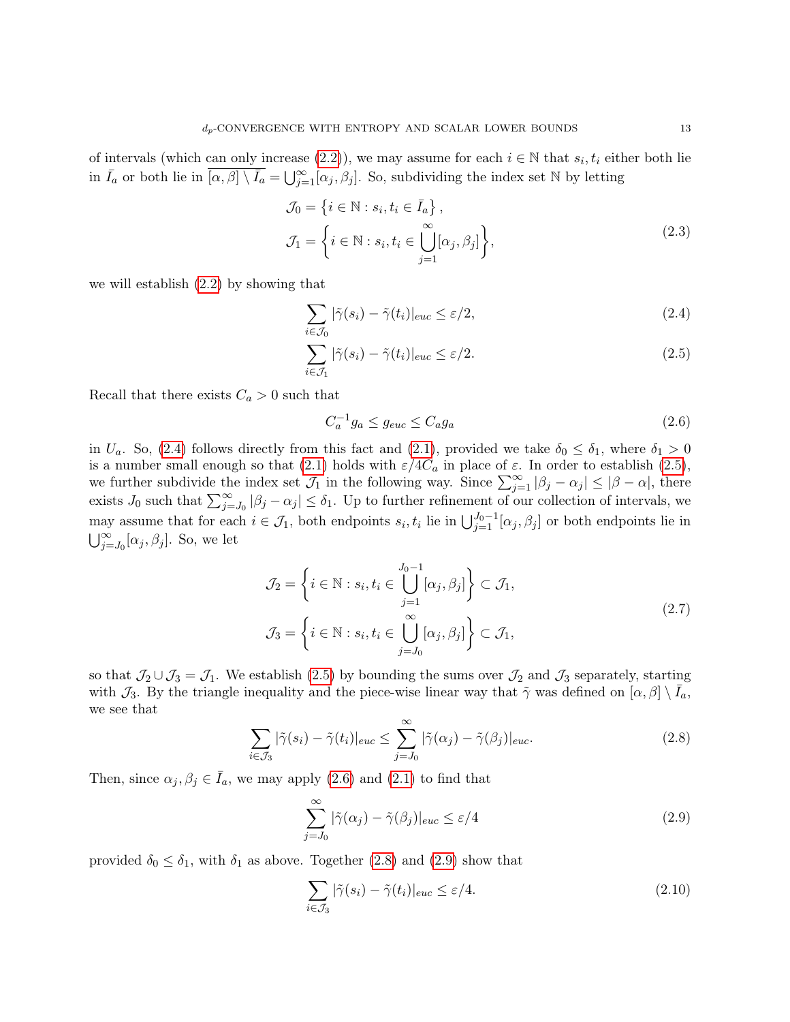of intervals (which can only increase  $(2.2)$ ), we may assume for each  $i \in \mathbb{N}$  that  $s_i, t_i$  either both lie in  $\bar{I}_a$  or both lie in  $\overline{[\alpha,\beta]\setminus\bar{I}_a} = \bigcup_{j=1}^{\infty} [\alpha_j,\beta_j]$ . So, subdividing the index set N by letting

$$
\mathcal{J}_0 = \left\{ i \in \mathbb{N} : s_i, t_i \in \bar{I}_a \right\},\
$$

$$
\mathcal{J}_1 = \left\{ i \in \mathbb{N} : s_i, t_i \in \bigcup_{j=1}^{\infty} [\alpha_j, \beta_j] \right\},\
$$
(2.3)

we will establish [\(2.2\)](#page-11-1) by showing that

$$
\sum_{i \in \mathcal{J}_0} |\tilde{\gamma}(s_i) - \tilde{\gamma}(t_i)|_{euc} \le \varepsilon/2,
$$
\n(2.4)

$$
\sum_{i \in \mathcal{J}_1} |\tilde{\gamma}(s_i) - \tilde{\gamma}(t_i)|_{euc} \le \varepsilon/2. \tag{2.5}
$$

Recall that there exists  $C_a > 0$  such that

<span id="page-12-2"></span><span id="page-12-1"></span><span id="page-12-0"></span>
$$
C_a^{-1}g_a \le g_{euc} \le C_a g_a \tag{2.6}
$$

in  $U_a$ . So, [\(2.4\)](#page-12-0) follows directly from this fact and [\(2.1\)](#page-10-1), provided we take  $\delta_0 \leq \delta_1$ , where  $\delta_1 > 0$ is a number small enough so that [\(2.1\)](#page-10-1) holds with  $\varepsilon/4C_a$  in place of  $\varepsilon$ . In order to establish [\(2.5\)](#page-12-1), we further subdivide the index set  $\mathcal{J}_1$  in the following way. Since  $\sum_{j=1}^{\infty} |\beta_j - \alpha_j| \leq |\beta - \alpha|$ , there exists  $J_0$  such that  $\sum_{j=J_0}^{\infty} |\beta_j - \alpha_j| \leq \delta_1$ . Up to further refinement of our collection of intervals, we may assume that for each  $i \in \mathcal{J}_1$ , both endpoints  $s_i, t_i$  lie in  $\bigcup_{j=1}^{J_0-1} [\alpha_j, \beta_j]$  or both endpoints lie in  $\bigcup_{j=J_0}^{\infty} [\alpha_j, \beta_j]$ . So, we let

$$
\mathcal{J}_2 = \left\{ i \in \mathbb{N} : s_i, t_i \in \bigcup_{j=1}^{J_0 - 1} [\alpha_j, \beta_j] \right\} \subset \mathcal{J}_1,
$$
  

$$
\mathcal{J}_3 = \left\{ i \in \mathbb{N} : s_i, t_i \in \bigcup_{j=J_0}^{\infty} [\alpha_j, \beta_j] \right\} \subset \mathcal{J}_1,
$$
\n(2.7)

so that  $\mathcal{J}_2 \cup \mathcal{J}_3 = \mathcal{J}_1$ . We establish [\(2.5\)](#page-12-1) by bounding the sums over  $\mathcal{J}_2$  and  $\mathcal{J}_3$  separately, starting with  $\mathcal{J}_3$ . By the triangle inequality and the piece-wise linear way that  $\tilde{\gamma}$  was defined on  $[\alpha, \beta] \setminus \overline{I_\alpha}$ , we see that

<span id="page-12-3"></span>
$$
\sum_{i \in \mathcal{J}_3} |\tilde{\gamma}(s_i) - \tilde{\gamma}(t_i)|_{euc} \le \sum_{j=J_0}^{\infty} |\tilde{\gamma}(\alpha_j) - \tilde{\gamma}(\beta_j)|_{euc}.
$$
\n(2.8)

Then, since  $\alpha_j, \beta_j \in \bar{I}_a$ , we may apply [\(2.6\)](#page-12-2) and [\(2.1\)](#page-10-1) to find that

<span id="page-12-4"></span>
$$
\sum_{j=J_0}^{\infty} |\tilde{\gamma}(\alpha_j) - \tilde{\gamma}(\beta_j)|_{euc} \le \varepsilon/4
$$
\n(2.9)

provided  $\delta_0 \leq \delta_1$ , with  $\delta_1$  as above. Together [\(2.8\)](#page-12-3) and [\(2.9\)](#page-12-4) show that

<span id="page-12-5"></span>
$$
\sum_{i \in \mathcal{J}_3} |\tilde{\gamma}(s_i) - \tilde{\gamma}(t_i)|_{euc} \le \varepsilon/4. \tag{2.10}
$$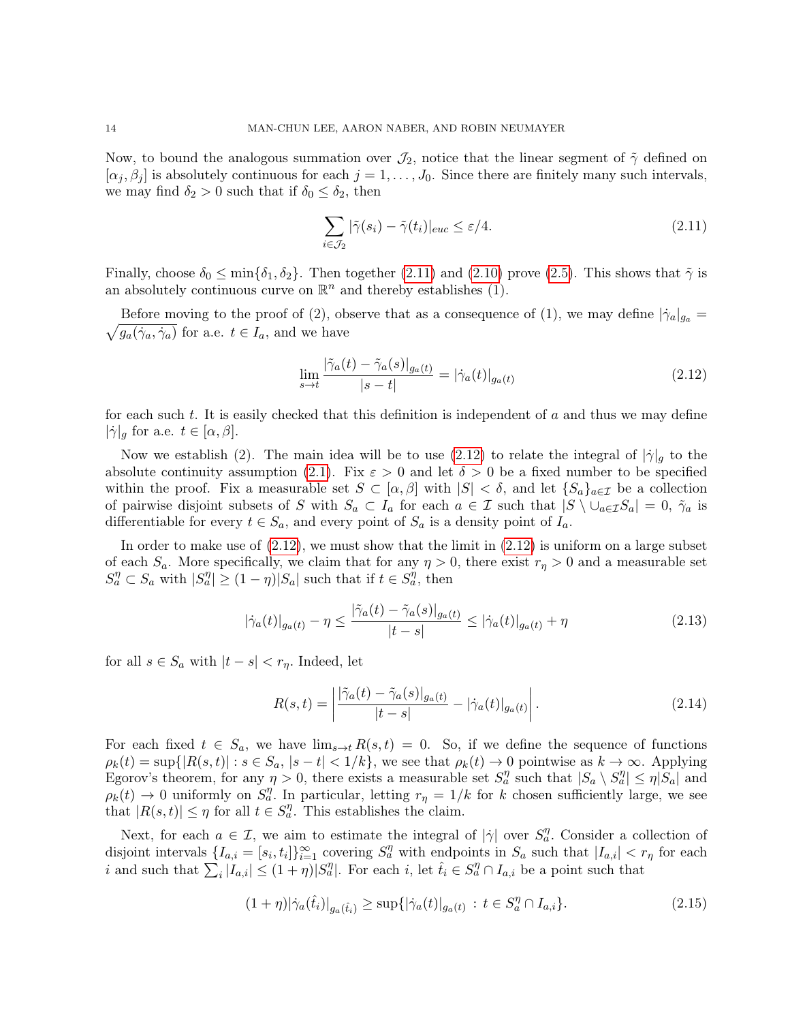Now, to bound the analogous summation over  $\mathcal{J}_2$ , notice that the linear segment of  $\tilde{\gamma}$  defined on  $[\alpha_j, \beta_j]$  is absolutely continuous for each  $j = 1, \ldots, J_0$ . Since there are finitely many such intervals, we may find  $\delta_2 > 0$  such that if  $\delta_0 \leq \delta_2$ , then

<span id="page-13-0"></span>
$$
\sum_{i \in \mathcal{J}_2} |\tilde{\gamma}(s_i) - \tilde{\gamma}(t_i)|_{euc} \le \varepsilon/4. \tag{2.11}
$$

Finally, choose  $\delta_0 \le \min{\delta_1, \delta_2}$ . Then together [\(2.11\)](#page-13-0) and [\(2.10\)](#page-12-5) prove [\(2.5\)](#page-12-1). This shows that  $\tilde{\gamma}$  is an absolutely continuous curve on  $\mathbb{R}^n$  and thereby establishes (1).

 $\sqrt{g_a(\dot{\gamma}_a, \dot{\gamma}_a)}$  for a.e.  $t \in I_a$ , and we have Before moving to the proof of (2), observe that as a consequence of (1), we may define  $|\dot{\gamma}_a|_{q_a} =$ 

<span id="page-13-1"></span>
$$
\lim_{s \to t} \frac{|\tilde{\gamma}_a(t) - \tilde{\gamma}_a(s)|_{g_a(t)}}{|s - t|} = |\dot{\gamma}_a(t)|_{g_a(t)} \tag{2.12}
$$

for each such t. It is easily checked that this definition is independent of a and thus we may define  $|\dot{\gamma}|_g$  for a.e.  $t \in [\alpha, \beta]$ .

Now we establish (2). The main idea will be to use [\(2.12\)](#page-13-1) to relate the integral of  $|\dot{\gamma}|_q$  to the absolute continuity assumption [\(2.1\)](#page-10-1). Fix  $\varepsilon > 0$  and let  $\delta > 0$  be a fixed number to be specified within the proof. Fix a measurable set  $S \subset [\alpha, \beta]$  with  $|S| < \delta$ , and let  $\{S_a\}_{a \in \mathcal{I}}$  be a collection of pairwise disjoint subsets of S with  $S_a \subset I_a$  for each  $a \in \mathcal{I}$  such that  $|S \setminus \cup_{a \in \mathcal{I}} S_a| = 0, \tilde{\gamma}_a$  is differentiable for every  $t \in S_a$ , and every point of  $S_a$  is a density point of  $I_a$ .

In order to make use of  $(2.12)$ , we must show that the limit in  $(2.12)$  is uniform on a large subset of each  $S_a$ . More specifically, we claim that for any  $\eta > 0$ , there exist  $r_\eta > 0$  and a measurable set  $S_a^{\eta} \subset S_a$  with  $|S_a^{\eta}| \ge (1 - \eta)|S_a|$  such that if  $t \in S_a^{\eta}$ , then

<span id="page-13-2"></span>
$$
|\dot{\gamma}_a(t)|_{g_a(t)} - \eta \le \frac{|\tilde{\gamma}_a(t) - \tilde{\gamma}_a(s)|_{g_a(t)}}{|t - s|} \le |\dot{\gamma}_a(t)|_{g_a(t)} + \eta
$$
\n(2.13)

for all  $s \in S_a$  with  $|t - s| < r_n$ . Indeed, let

$$
R(s,t) = \left| \frac{|\tilde{\gamma}_a(t) - \tilde{\gamma}_a(s)|_{g_a(t)}}{|t - s|} - |\dot{\gamma}_a(t)|_{g_a(t)} \right|.
$$
 (2.14)

For each fixed  $t \in S_a$ , we have  $\lim_{s \to t} R(s,t) = 0$ . So, if we define the sequence of functions  $\rho_k(t) = \sup\{|R(s,t)| : s \in S_a, |s-t| < 1/k\},\$ we see that  $\rho_k(t) \to 0$  pointwise as  $k \to \infty$ . Applying Egorov's theorem, for any  $\eta > 0$ , there exists a measurable set  $S_a^{\eta}$  such that  $|S_a \setminus S_a^{\eta}| \leq \eta |S_a|$  and  $\rho_k(t) \to 0$  uniformly on  $S_a^{\eta}$ . In particular, letting  $r_{\eta} = 1/k$  for k chosen sufficiently large, we see that  $|R(s,t)| \leq \eta$  for all  $t \in S_n^{\eta}$ . This establishes the claim.

Next, for each  $a \in \mathcal{I}$ , we aim to estimate the integral of  $|\dot{\gamma}|$  over  $S_a^{\eta}$ . Consider a collection of disjoint intervals  $\{I_{a,i} = [s_i, t_i]\}_{i=1}^{\infty}$  covering  $S_a^{\eta}$  with endpoints in  $S_a$  such that  $|I_{a,i}| < r_{\eta}$  for each i and such that  $\sum_i |I_{a,i}| \leq (1+\eta)|S_a^{\eta}|$ . For each i, let  $\hat{t}_i \in S_a^{\eta} \cap I_{a,i}$  be a point such that

$$
(1+\eta)|\dot{\gamma}_a(\hat{t}_i)|_{g_a(\hat{t}_i)} \ge \sup\{|\dot{\gamma}_a(t)|_{g_a(t)} : t \in S_a^{\eta} \cap I_{a,i}\}.
$$
\n(2.15)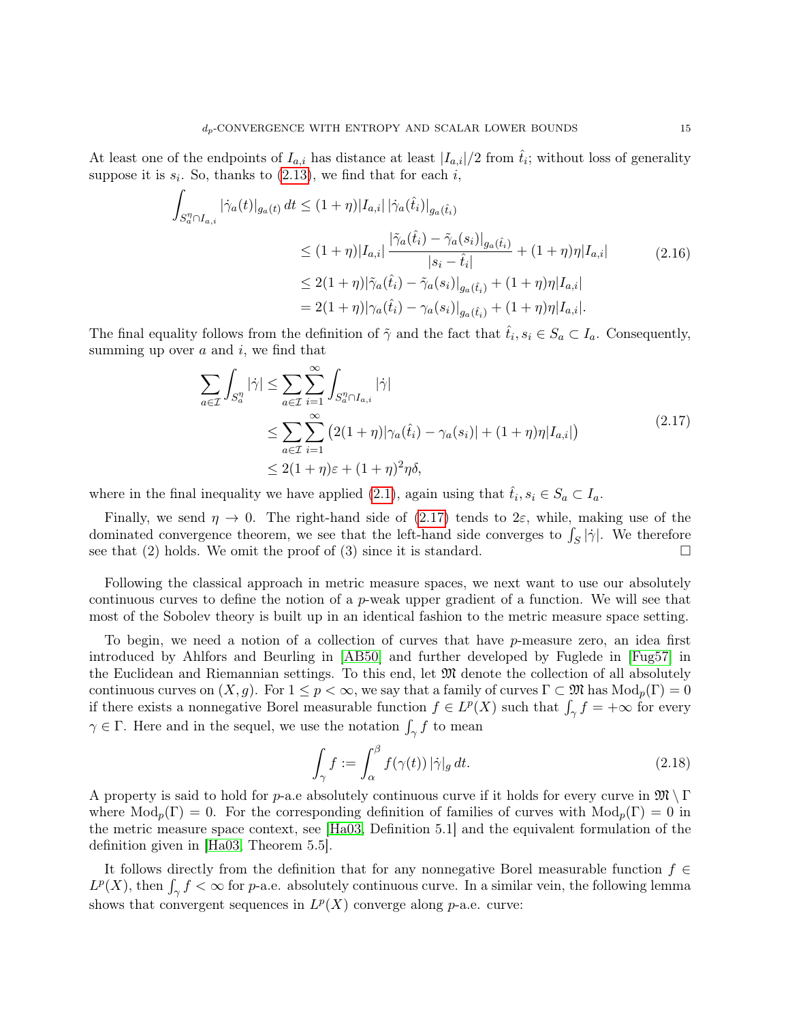At least one of the endpoints of  $I_{a,i}$  has distance at least  $|I_{a,i}|/2$  from  $\hat{t}_i$ ; without loss of generality suppose it is  $s_i$ . So, thanks to  $(2.13)$ , we find that for each i,

$$
\int_{S_a^{\eta} \cap I_{a,i}} |\dot{\gamma}_a(t)|_{g_a(t)} dt \le (1+\eta)|I_{a,i}| |\dot{\gamma}_a(\hat{t}_i)|_{g_a(\hat{t}_i)}
$$
\n
$$
\le (1+\eta)|I_{a,i}| \frac{|\tilde{\gamma}_a(\hat{t}_i) - \tilde{\gamma}_a(s_i)|_{g_a(\hat{t}_i)}}{|s_i - \hat{t}_i|} + (1+\eta)\eta|I_{a,i}|
$$
\n
$$
\le 2(1+\eta)|\tilde{\gamma}_a(\hat{t}_i) - \tilde{\gamma}_a(s_i)|_{g_a(\hat{t}_i)} + (1+\eta)\eta|I_{a,i}|
$$
\n
$$
= 2(1+\eta)|\gamma_a(\hat{t}_i) - \gamma_a(s_i)|_{g_a(\hat{t}_i)} + (1+\eta)\eta|I_{a,i}|.
$$
\n(2.16)

The final equality follows from the definition of  $\tilde{\gamma}$  and the fact that  $\hat{t}_i, s_i \in S_a \subset I_a$ . Consequently, summing up over  $a$  and  $i$ , we find that

$$
\sum_{a\in\mathcal{I}}\int_{S_a^{\eta}}|\dot{\gamma}| \leq \sum_{a\in\mathcal{I}}\sum_{i=1}^{\infty}\int_{S_a^{\eta}\cap I_{a,i}}|\dot{\gamma}|
$$
\n
$$
\leq \sum_{a\in\mathcal{I}}\sum_{i=1}^{\infty}\left(2(1+\eta)|\gamma_a(\hat{t}_i) - \gamma_a(s_i)| + (1+\eta)\eta|I_{a,i}|\right)
$$
\n
$$
\leq 2(1+\eta)\varepsilon + (1+\eta)^2\eta\delta,
$$
\n(2.17)

<span id="page-14-0"></span>where in the final inequality we have applied [\(2.1\)](#page-10-1), again using that  $\hat{t}_i, s_i \in S_a \subset I_a$ .

Finally, we send  $\eta \to 0$ . The right-hand side of [\(2.17\)](#page-14-0) tends to  $2\varepsilon$ , while, making use of the dominated convergence theorem, we see that the left-hand side converges to  $\int_S |\dot{\gamma}|$ . We therefore see that (2) holds. We omit the proof of (3) since it is standard.  $\square$ 

Following the classical approach in metric measure spaces, we next want to use our absolutely continuous curves to define the notion of a  $p$ -weak upper gradient of a function. We will see that most of the Sobolev theory is built up in an identical fashion to the metric measure space setting.

To begin, we need a notion of a collection of curves that have p-measure zero, an idea first introduced by Ahlfors and Beurling in [\[AB50\]](#page-89-7) and further developed by Fuglede in [\[Fug57\]](#page-90-8) in the Euclidean and Riemannian settings. To this end, let  $\mathfrak{M}$  denote the collection of all absolutely continuous curves on  $(X, g)$ . For  $1 \leq p < \infty$ , we say that a family of curves  $\Gamma \subset \mathfrak{M}$  has  $\text{Mod}_p(\Gamma) = 0$ if there exists a nonnegative Borel measurable function  $f \in L^p(X)$  such that  $\int_{\gamma} f = +\infty$  for every  $\gamma \in \Gamma$ . Here and in the sequel, we use the notation  $\int_{\gamma} f$  to mean

$$
\int_{\gamma} f := \int_{\alpha}^{\beta} f(\gamma(t)) |\dot{\gamma}|_{g} dt.
$$
\n(2.18)

A property is said to hold for p-a.e absolutely continuous curve if it holds for every curve in  $\mathfrak{M} \setminus \Gamma$ where  $Mod_p(\Gamma) = 0$ . For the corresponding definition of families of curves with  $Mod_p(\Gamma) = 0$  in the metric measure space context, see [\[Ha03,](#page-90-7) Definition 5.1] and the equivalent formulation of the definition given in [\[Ha03,](#page-90-7) Theorem 5.5].

It follows directly from the definition that for any nonnegative Borel measurable function  $f \in$  $L^p(X)$ , then  $\int_{\gamma} f < \infty$  for *p*-a.e. absolutely continuous curve. In a similar vein, the following lemma shows that convergent sequences in  $L^p(X)$  converge along p-a.e. curve: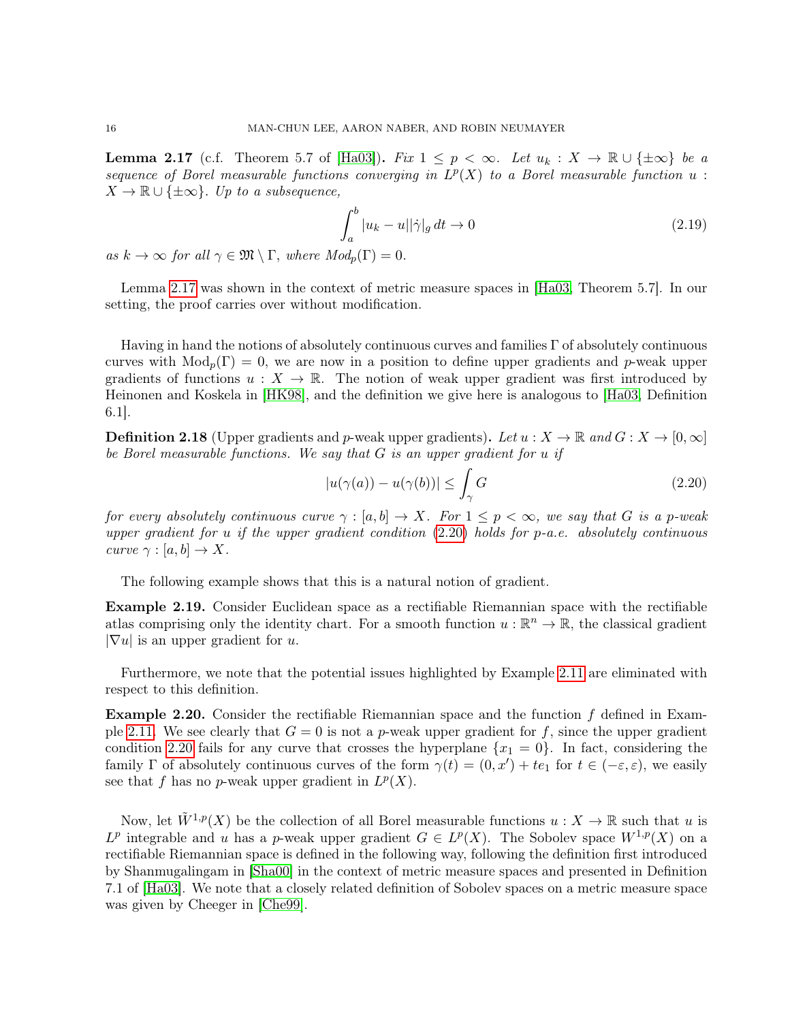<span id="page-15-0"></span>**Lemma 2.17** (c.f. Theorem 5.7 of [\[Ha03\]](#page-90-7)). Fix  $1 \leq p \leq \infty$ . Let  $u_k : X \to \mathbb{R} \cup \{\pm \infty\}$  be a sequence of Borel measurable functions converging in  $L^p(X)$  to a Borel measurable function  $u$ :  $X \to \mathbb{R} \cup \{\pm \infty\}$ . Up to a subsequence,

$$
\int_{a}^{b} |u_k - u||\dot{\gamma}|_g dt \to 0
$$
\n(2.19)

as  $k \to \infty$  for all  $\gamma \in \mathfrak{M} \setminus \Gamma$ , where  $Mod_p(\Gamma) = 0$ .

Lemma [2.17](#page-15-0) was shown in the context of metric measure spaces in [\[Ha03,](#page-90-7) Theorem 5.7]. In our setting, the proof carries over without modification.

Having in hand the notions of absolutely continuous curves and families  $\Gamma$  of absolutely continuous curves with  $Mod_p(\Gamma) = 0$ , we are now in a position to define upper gradients and p-weak upper gradients of functions  $u : X \to \mathbb{R}$ . The notion of weak upper gradient was first introduced by Heinonen and Koskela in [\[HK98\]](#page-90-9), and the definition we give here is analogous to [\[Ha03,](#page-90-7) Definition 6.1].

**Definition 2.18** (Upper gradients and p-weak upper gradients). Let  $u : X \to \mathbb{R}$  and  $G : X \to [0, \infty]$ be Borel measurable functions. We say that  $G$  is an upper gradient for  $u$  if

<span id="page-15-1"></span>
$$
|u(\gamma(a)) - u(\gamma(b))| \le \int_{\gamma} G \tag{2.20}
$$

for every absolutely continuous curve  $\gamma : [a, b] \to X$ . For  $1 \leq p < \infty$ , we say that G is a p-weak upper gradient for u if the upper gradient condition  $(2.20)$  holds for p-a.e. absolutely continuous curve  $\gamma : [a, b] \to X$ .

The following example shows that this is a natural notion of gradient.

Example 2.19. Consider Euclidean space as a rectifiable Riemannian space with the rectifiable atlas comprising only the identity chart. For a smooth function  $u : \mathbb{R}^n \to \mathbb{R}$ , the classical gradient  $|\nabla u|$  is an upper gradient for u.

Furthermore, we note that the potential issues highlighted by Example [2.11](#page-9-2) are eliminated with respect to this definition.

**Example 2.20.** Consider the rectifiable Riemannian space and the function  $f$  defined in Exam-ple [2.11.](#page-9-2) We see clearly that  $G = 0$  is not a p-weak upper gradient for f, since the upper gradient condition [2.20](#page-15-1) fails for any curve that crosses the hyperplane  ${x_1 = 0}$ . In fact, considering the family  $\Gamma$  of absolutely continuous curves of the form  $\gamma(t) = (0, x') + te_1$  for  $t \in (-\varepsilon, \varepsilon)$ , we easily see that f has no p-weak upper gradient in  $L^p(X)$ .

Now, let  $W^{1,p}(X)$  be the collection of all Borel measurable functions  $u : X \to \mathbb{R}$  such that u is  $L^p$  integrable and u has a p-weak upper gradient  $G \in L^p(X)$ . The Sobolev space  $W^{1,p}(X)$  on a rectifiable Riemannian space is defined in the following way, following the definition first introduced by Shanmugalingam in [\[Sha00\]](#page-90-10) in the context of metric measure spaces and presented in Definition 7.1 of [\[Ha03\]](#page-90-7). We note that a closely related definition of Sobolev spaces on a metric measure space was given by Cheeger in [\[Che99\]](#page-89-8).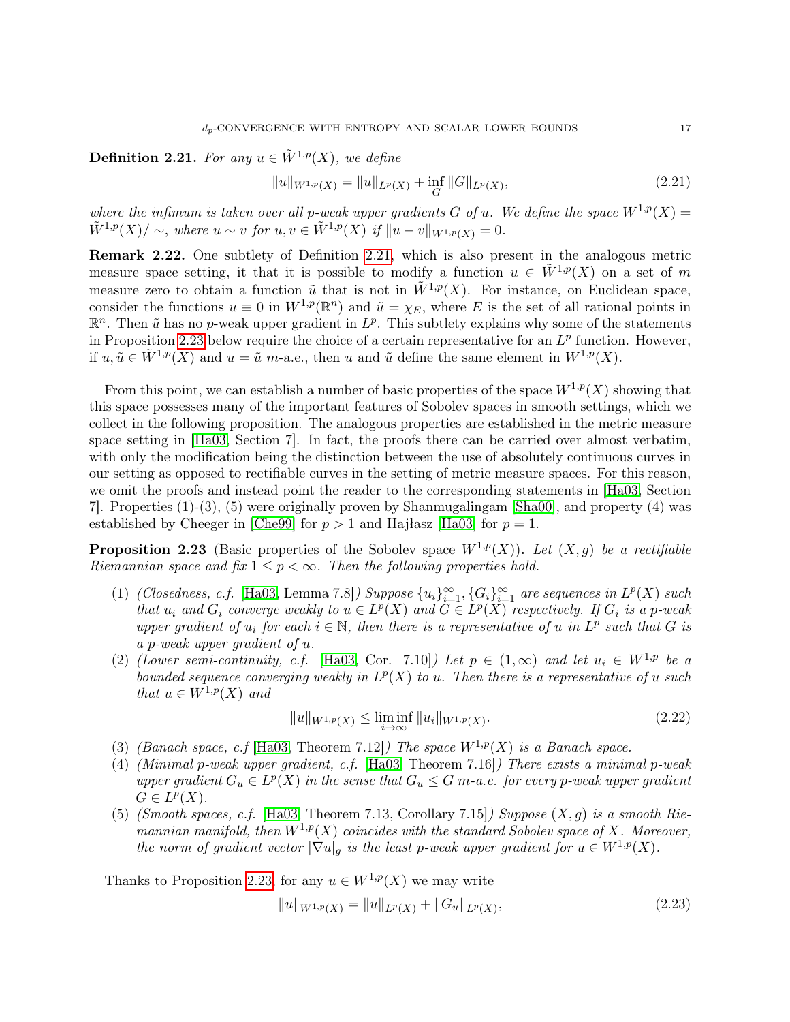<span id="page-16-0"></span>**Definition 2.21.** For any  $u \in \tilde{W}^{1,p}(X)$ , we define

$$
||u||_{W^{1,p}(X)} = ||u||_{L^p(X)} + \inf_{G} ||G||_{L^p(X)},
$$
\n(2.21)

where the infimum is taken over all p-weak upper gradients G of u. We define the space  $W^{1,p}(X) =$  $\tilde{W}^{1,p}(X)/\sim$ , where  $u\sim v$  for  $u, v \in \tilde{W}^{1,p}(X)$  if  $||u-v||_{W^{1,p}(X)}=0$ .

Remark 2.22. One subtlety of Definition [2.21,](#page-16-0) which is also present in the analogous metric measure space setting, it that it is possible to modify a function  $u \in \tilde{W}^{1,p}(X)$  on a set of m measure zero to obtain a function  $\tilde{u}$  that is not in  $\tilde{W}^{1,p}(X)$ . For instance, on Euclidean space, consider the functions  $u \equiv 0$  in  $W^{1,p}(\mathbb{R}^n)$  and  $\tilde{u} = \chi_E$ , where E is the set of all rational points in  $\mathbb{R}^n$ . Then  $\tilde{u}$  has no p-weak upper gradient in  $L^p$ . This subtlety explains why some of the statements in Proposition [2.23](#page-16-1) below require the choice of a certain representative for an  $L^p$  function. However, if  $u, \tilde{u} \in \tilde{W}^{1,p}(X)$  and  $u = \tilde{u}$  m-a.e., then u and  $\tilde{u}$  define the same element in  $W^{1,p}(X)$ .

From this point, we can establish a number of basic properties of the space  $W^{1,p}(X)$  showing that this space possesses many of the important features of Sobolev spaces in smooth settings, which we collect in the following proposition. The analogous properties are established in the metric measure space setting in [\[Ha03,](#page-90-7) Section 7]. In fact, the proofs there can be carried over almost verbatim, with only the modification being the distinction between the use of absolutely continuous curves in our setting as opposed to rectifiable curves in the setting of metric measure spaces. For this reason, we omit the proofs and instead point the reader to the corresponding statements in [\[Ha03,](#page-90-7) Section 7]. Properties (1)-(3), (5) were originally proven by Shanmugalingam [\[Sha00\]](#page-90-10), and property (4) was established by Cheeger in [\[Che99\]](#page-89-8) for  $p > 1$  and Hajłasz [\[Ha03\]](#page-90-7) for  $p = 1$ .

<span id="page-16-1"></span>**Proposition 2.23** (Basic properties of the Sobolev space  $W^{1,p}(X)$ ). Let  $(X,g)$  be a rectifiable Riemannian space and fix  $1 \leq p < \infty$ . Then the following properties hold.

- (1) (Closedness, c.f. [\[Ha03,](#page-90-7) Lemma 7.8]) Suppose  $\{u_i\}_{i=1}^{\infty}, \{G_i\}_{i=1}^{\infty}$  are sequences in  $L^p(X)$  such that  $u_i$  and  $G_i$  converge weakly to  $u \in L^p(X)$  and  $G \in L^p(X)$  respectively. If  $G_i$  is a p-weak upper gradient of  $u_i$  for each  $i \in \mathbb{N}$ , then there is a representative of u in  $L^p$  such that G is a p-weak upper gradient of u.
- (2) (Lower semi-continuity, c.f. [\[Ha03,](#page-90-7) Cor. 7.10]) Let  $p \in (1,\infty)$  and let  $u_i \in W^{1,p}$  be a bounded sequence converging weakly in  $L^p(X)$  to u. Then there is a representative of u such that  $u \in W^{1,p}(X)$  and

$$
||u||_{W^{1,p}(X)} \le \liminf_{i \to \infty} ||u_i||_{W^{1,p}(X)}.
$$
\n(2.22)

- (3) (Banach space, c.f [\[Ha03,](#page-90-7) Theorem 7.12]) The space  $W^{1,p}(X)$  is a Banach space.
- (4) (Minimal p-weak upper gradient, c.f. [\[Ha03,](#page-90-7) Theorem 7.16]) There exists a minimal p-weak upper gradient  $G_u \in L^p(X)$  in the sense that  $G_u \leq G$  m-a.e. for every p-weak upper gradient  $G \in L^p(X)$ .
- (5) (Smooth spaces, c.f. [\[Ha03,](#page-90-7) Theorem 7.13, Corollary 7.15]) Suppose  $(X, q)$  is a smooth Riemannian manifold, then  $W^{1,p}(X)$  coincides with the standard Sobolev space of X. Moreover, the norm of gradient vector  $|\nabla u|_g$  is the least p-weak upper gradient for  $u \in W^{1,p}(X)$ .

Thanks to Proposition [2.23,](#page-16-1) for any  $u \in W^{1,p}(X)$  we may write

$$
||u||_{W^{1,p}(X)} = ||u||_{L^p(X)} + ||G_u||_{L^p(X)},
$$
\n(2.23)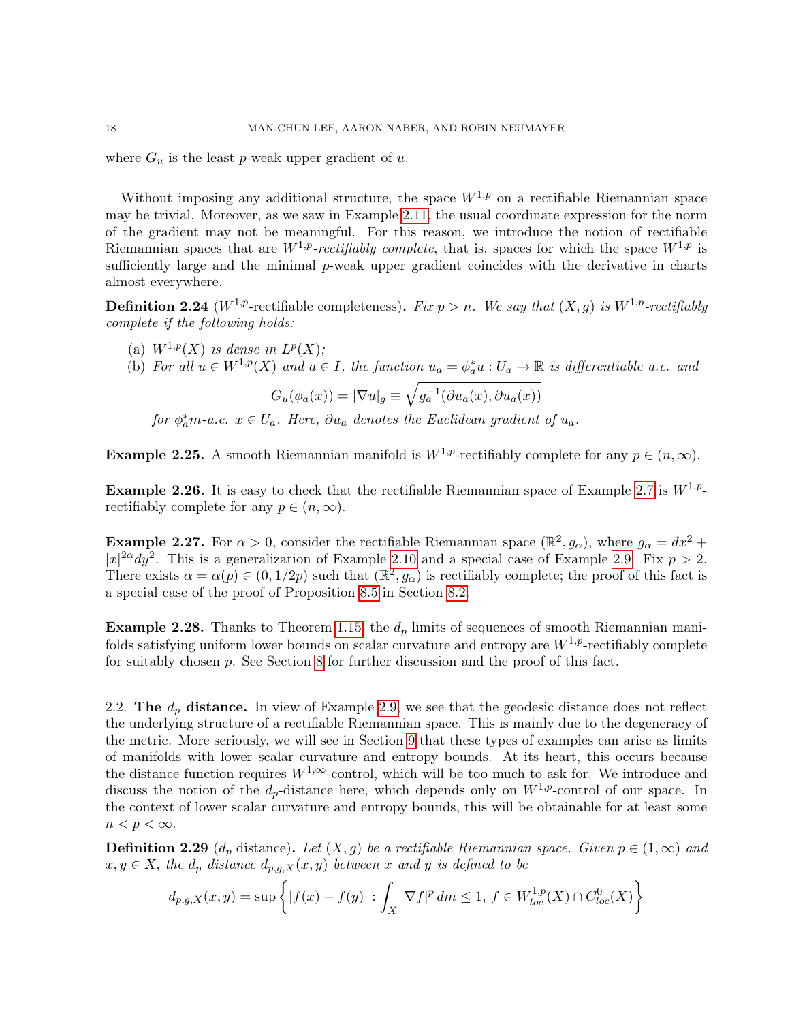where  $G_u$  is the least p-weak upper gradient of u.

Without imposing any additional structure, the space  $W^{1,p}$  on a rectifiable Riemannian space may be trivial. Moreover, as we saw in Example [2.11,](#page-9-2) the usual coordinate expression for the norm of the gradient may not be meaningful. For this reason, we introduce the notion of rectifiable Riemannian spaces that are  $W^{1,p}$ -rectifiably complete, that is, spaces for which the space  $W^{1,p}$  is sufficiently large and the minimal p-weak upper gradient coincides with the derivative in charts almost everywhere.

<span id="page-17-1"></span>**Definition 2.24** (W<sup>1,p</sup>-rectifiable completeness). Fix  $p > n$ . We say that  $(X, q)$  is  $W^{1,p}$ -rectifiably complete if the following holds:

- (a)  $W^{1,p}(X)$  is dense in  $L^p(X)$ ;
- (b) For all  $u \in W^{1,p}(X)$  and  $a \in I$ , the function  $u_a = \phi_a^* u : U_a \to \mathbb{R}$  is differentiable a.e. and

$$
G_u(\phi_a(x)) = |\nabla u|_g \equiv \sqrt{g_a^{-1}(\partial u_a(x), \partial u_a(x))}
$$

for  $\phi_a^*$ m-a.e.  $x \in U_a$ . Here,  $\partial u_a$  denotes the Euclidean gradient of  $u_a$ .

**Example 2.25.** A smooth Riemannian manifold is  $W^{1,p}$ -rectifiably complete for any  $p \in (n, \infty)$ .

**Example 2.26.** It is easy to check that the rectifiable Riemannian space of Example [2.7](#page-8-4) is  $W^{1,p}$ . rectifiably complete for any  $p \in (n, \infty)$ .

**Example 2.27.** For  $\alpha > 0$ , consider the rectifiable Riemannian space  $(\mathbb{R}^2, g_{\alpha})$ , where  $g_{\alpha} = dx^2 +$  $|x|^{2\alpha}dy^2$ . This is a generalization of Example [2.10](#page-9-1) and a special case of Example [2.9.](#page-9-0) Fix  $p > 2$ . There exists  $\alpha = \alpha(p) \in (0, 1/2p)$  such that  $(\mathbb{R}^2, g_{\alpha})$  is rectifiably complete; the proof of this fact is a special case of the proof of Proposition [8.5](#page-60-0) in Section [8.2.](#page-59-0)

**Example 2.28.** Thanks to Theorem [1.15,](#page-5-4) the  $d_p$  limits of sequences of smooth Riemannian manifolds satisfying uniform lower bounds on scalar curvature and entropy are  $W^{1,p}$ -rectifiably complete for suitably chosen p. See Section [8](#page-57-0) for further discussion and the proof of this fact.

<span id="page-17-0"></span>2.2. The  $d_p$  distance. In view of Example [2.9,](#page-9-0) we see that the geodesic distance does not reflect the underlying structure of a rectifiable Riemannian space. This is mainly due to the degeneracy of the metric. More seriously, we will see in Section [9](#page-70-0) that these types of examples can arise as limits of manifolds with lower scalar curvature and entropy bounds. At its heart, this occurs because the distance function requires  $W^{1,\infty}$ -control, which will be too much to ask for. We introduce and discuss the notion of the  $d_p$ -distance here, which depends only on  $W^{1,p}$ -control of our space. In the context of lower scalar curvature and entropy bounds, this will be obtainable for at least some  $n < p < \infty$ .

**Definition 2.29** ( $d_p$  distance). Let  $(X, g)$  be a rectifiable Riemannian space. Given  $p \in (1, \infty)$  and  $x, y \in X$ , the  $d_p$  distance  $d_{p,q,X}(x, y)$  between x and y is defined to be

$$
d_{p,g,X}(x,y) = \sup \left\{ |f(x) - f(y)| : \int_X |\nabla f|^p \, dm \le 1, \, f \in W^{1,p}_{loc}(X) \cap C^0_{loc}(X) \right\}
$$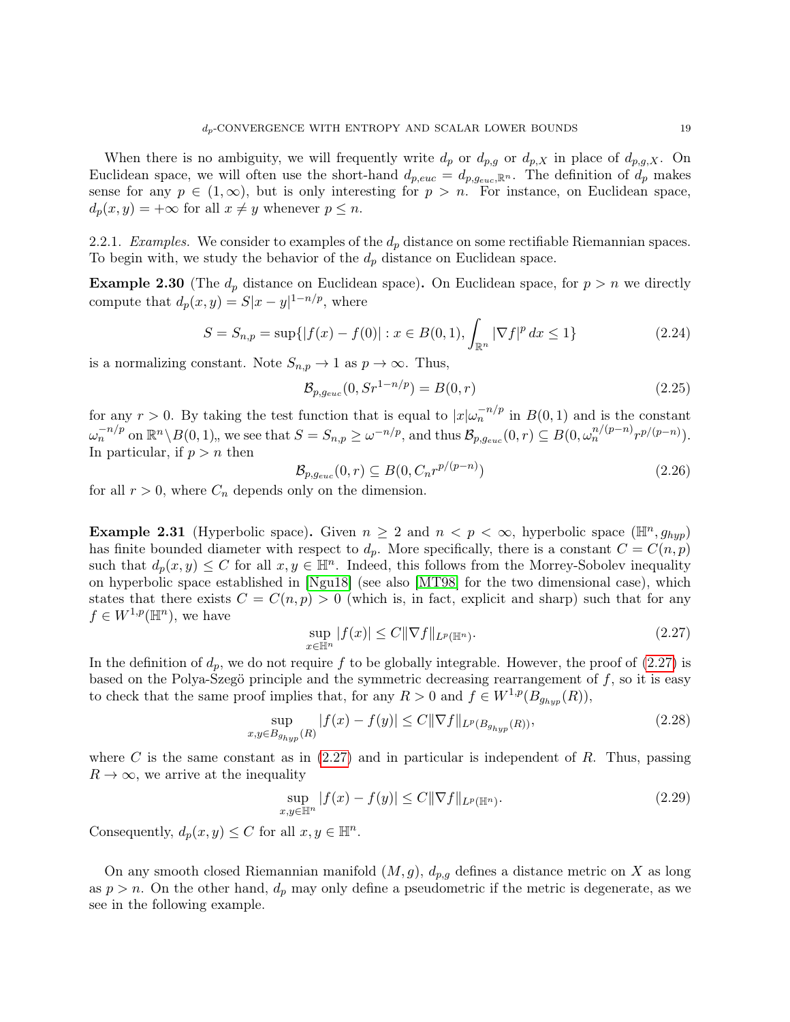When there is no ambiguity, we will frequently write  $d_p$  or  $d_{p,q}$  or  $d_{p,X}$  in place of  $d_{p,q,X}$ . On Euclidean space, we will often use the short-hand  $d_{p, euc} = d_{p, g_{euc}, \mathbb{R}^n}$ . The definition of  $d_p$  makes sense for any  $p \in (1,\infty)$ , but is only interesting for  $p > n$ . For instance, on Euclidean space,  $d_p(x, y) = +\infty$  for all  $x \neq y$  whenever  $p \leq n$ .

2.2.1. Examples. We consider to examples of the  $d_p$  distance on some rectifiable Riemannian spaces. To begin with, we study the behavior of the  $d_p$  distance on Euclidean space.

**Example 2.30** (The  $d_p$  distance on Euclidean space). On Euclidean space, for  $p > n$  we directly compute that  $d_p(x, y) = S|x - y|^{1 - n/p}$ , where

$$
S = S_{n,p} = \sup\{|f(x) - f(0)| : x \in B(0,1), \int_{\mathbb{R}^n} |\nabla f|^p dx \le 1\}
$$
 (2.24)

is a normalizing constant. Note  $S_{n,p} \to 1$  as  $p \to \infty$ . Thus,

$$
\mathcal{B}_{p, g_{euc}}(0, Sr^{1-n/p}) = B(0, r) \tag{2.25}
$$

for any  $r > 0$ . By taking the test function that is equal to  $|x|\omega_n^{-n/p}$  in  $B(0,1)$  and is the constant  $\omega_n^{-n/p}$  on  $\mathbb{R}^n \setminus B(0, 1)$ , we see that  $S = S_{n,p} \ge \omega^{-n/p}$ , and thus  $\mathcal{B}_{p, geuc}(0,r) \subseteq B(0, \omega_n^{n/(p-n)} r^{p/(p-n)})$ . In particular, if  $p > n$  then

$$
\mathcal{B}_{p,g_{euc}}(0,r) \subseteq B(0,C_n r^{p/(p-n)})
$$
\n
$$
(2.26)
$$

for all  $r > 0$ , where  $C_n$  depends only on the dimension.

<span id="page-18-1"></span>**Example 2.31** (Hyperbolic space). Given  $n \geq 2$  and  $n < p < \infty$ , hyperbolic space  $(\mathbb{H}^n, g_{hyp})$ has finite bounded diameter with respect to  $d_p$ . More specifically, there is a constant  $C = C(n, p)$ such that  $d_p(x, y) \leq C$  for all  $x, y \in \mathbb{H}^n$ . Indeed, this follows from the Morrey-Sobolev inequality on hyperbolic space established in [\[Ngu18\]](#page-90-11) (see also [\[MT98\]](#page-90-12) for the two dimensional case), which states that there exists  $C = C(n, p) > 0$  (which is, in fact, explicit and sharp) such that for any  $f \in W^{1,p}(\mathbb{H}^n)$ , we have

<span id="page-18-0"></span>
$$
\sup_{x \in \mathbb{H}^n} |f(x)| \le C \|\nabla f\|_{L^p(\mathbb{H}^n)}.
$$
\n(2.27)

In the definition of  $d_p$ , we do not require f to be globally integrable. However, the proof of  $(2.27)$  is based on the Polya-Szegö principle and the symmetric decreasing rearrangement of  $f$ , so it is easy to check that the same proof implies that, for any  $R > 0$  and  $f \in W^{1,p}(B_{g_{h\nu\nu}}(R)),$ 

$$
\sup_{x,y \in B_{g_{hyp}}(R)} |f(x) - f(y)| \le C \|\nabla f\|_{L^p(B_{g_{hyp}}(R))},\tag{2.28}
$$

where C is the same constant as in  $(2.27)$  and in particular is independent of R. Thus, passing  $R \to \infty$ , we arrive at the inequality

$$
\sup_{x,y \in \mathbb{H}^n} |f(x) - f(y)| \le C \|\nabla f\|_{L^p(\mathbb{H}^n)}.
$$
\n(2.29)

Consequently,  $d_p(x, y) \leq C$  for all  $x, y \in \mathbb{H}^n$ .

On any smooth closed Riemannian manifold  $(M, g)$ ,  $d_{p,g}$  defines a distance metric on X as long as  $p > n$ . On the other hand,  $d_p$  may only define a pseudometric if the metric is degenerate, as we see in the following example.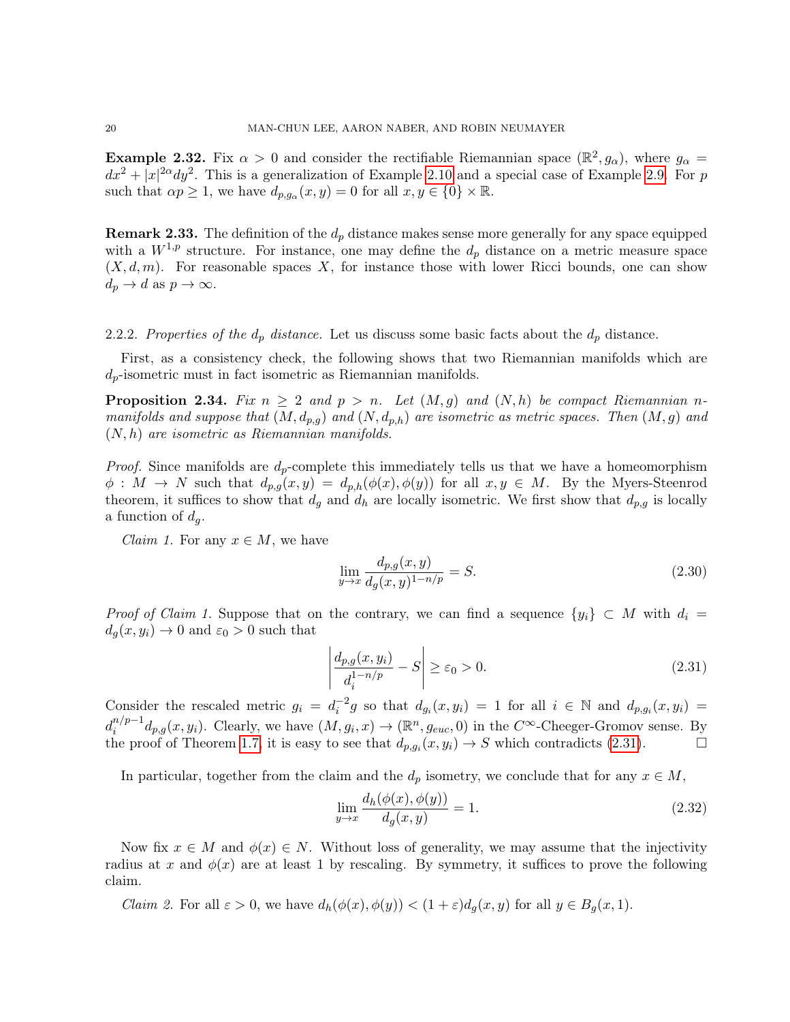<span id="page-19-2"></span>**Example 2.32.** Fix  $\alpha > 0$  and consider the rectifiable Riemannian space  $(\mathbb{R}^2, g_{\alpha})$ , where  $g_{\alpha} =$  $dx^{2} + |x|^{2\alpha} dy^{2}$ . This is a generalization of Example [2.10](#page-9-1) and a special case of Example [2.9.](#page-9-0) For p such that  $\alpha p \geq 1$ , we have  $d_{p,g_\alpha}(x,y) = 0$  for all  $x, y \in \{0\} \times \mathbb{R}$ .

**Remark 2.33.** The definition of the  $d_p$  distance makes sense more generally for any space equipped with a  $W^{1,p}$  structure. For instance, one may define the  $d_p$  distance on a metric measure space  $(X, d, m)$ . For reasonable spaces X, for instance those with lower Ricci bounds, one can show  $d_p \to d$  as  $p \to \infty$ .

## 2.2.2. Properties of the  $d_p$  distance. Let us discuss some basic facts about the  $d_p$  distance.

First, as a consistency check, the following shows that two Riemannian manifolds which are  $d_p$ -isometric must in fact isometric as Riemannian manifolds.

**Proposition 2.34.** Fix  $n \geq 2$  and  $p > n$ . Let  $(M, g)$  and  $(N, h)$  be compact Riemannian nmanifolds and suppose that  $(M, d_{p,q})$  and  $(N, d_{p,h})$  are isometric as metric spaces. Then  $(M, g)$  and  $(N, h)$  are isometric as Riemannian manifolds.

*Proof.* Since manifolds are  $d_p$ -complete this immediately tells us that we have a homeomorphism  $\phi: M \to N$  such that  $d_{p,q}(x, y) = d_{p,h}(\phi(x), \phi(y))$  for all  $x, y \in M$ . By the Myers-Steenrod theorem, it suffices to show that  $d_g$  and  $d_h$  are locally isometric. We first show that  $d_{p,g}$  is locally a function of  $d_g$ .

*Claim 1.* For any  $x \in M$ , we have

$$
\lim_{y \to x} \frac{d_{p,q}(x, y)}{d_q(x, y)^{1 - n/p}} = S.
$$
\n(2.30)

*Proof of Claim 1.* Suppose that on the contrary, we can find a sequence  $\{y_i\} \subset M$  with  $d_i =$  $d_q(x, y_i) \to 0$  and  $\varepsilon_0 > 0$  such that

<span id="page-19-0"></span>
$$
\left| \frac{d_{p,g}(x, y_i)}{d_i^{1 - n/p}} - S \right| \ge \varepsilon_0 > 0. \tag{2.31}
$$

Consider the rescaled metric  $g_i = d_i^{-2}g$  so that  $d_{g_i}(x, y_i) = 1$  for all  $i \in \mathbb{N}$  and  $d_{p,g_i}(x, y_i) =$  $d_i^{n/p-1}$  $a_i^{n/p-1}d_{p,q}(x,y_i)$ . Clearly, we have  $(M,g_i,x) \to (\mathbb{R}^n,g_{euc},0)$  in the  $C^{\infty}$ -Cheeger-Gromov sense. By the proof of Theorem [1.7,](#page-3-0) it is easy to see that  $d_{p,q_i}(x,y_i) \to S$  which contradicts [\(2.31\)](#page-19-0).

In particular, together from the claim and the  $d_p$  isometry, we conclude that for any  $x \in M$ ,

<span id="page-19-1"></span>
$$
\lim_{y \to x} \frac{d_h(\phi(x), \phi(y))}{d_g(x, y)} = 1.
$$
\n(2.32)

Now fix  $x \in M$  and  $\phi(x) \in N$ . Without loss of generality, we may assume that the injectivity radius at x and  $\phi(x)$  are at least 1 by rescaling. By symmetry, it suffices to prove the following claim.

*Claim 2.* For all  $\varepsilon > 0$ , we have  $d_h(\phi(x), \phi(y)) < (1 + \varepsilon) d_q(x, y)$  for all  $y \in B_q(x, 1)$ .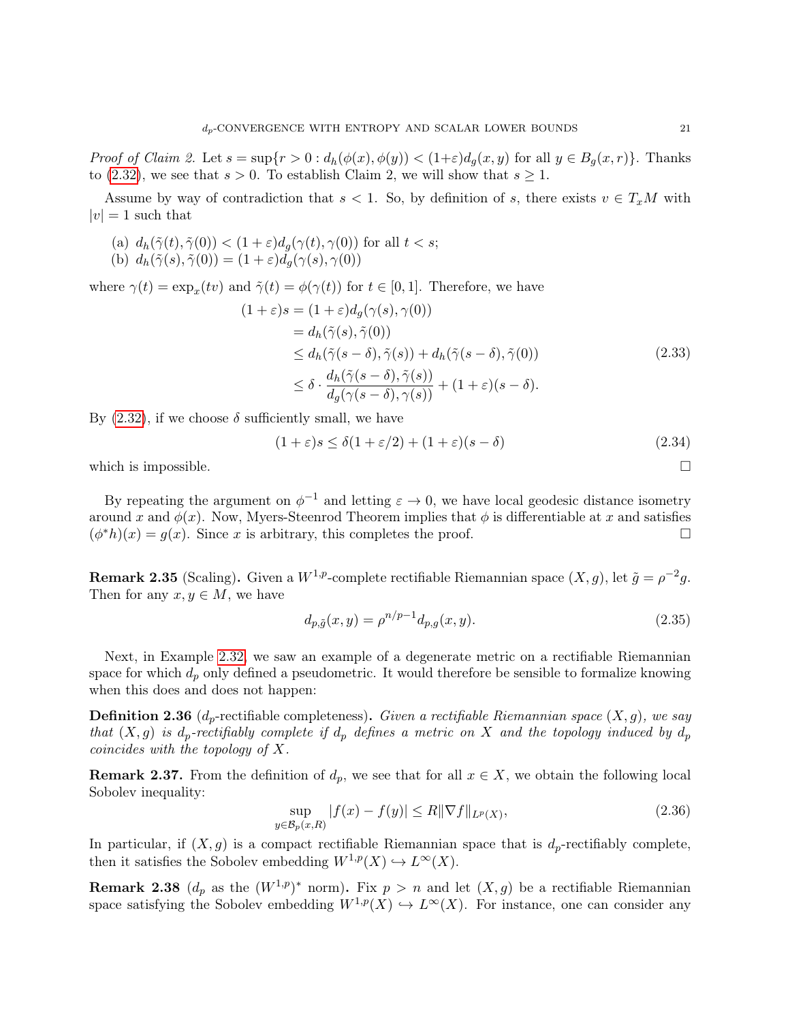*Proof of Claim 2.* Let  $s = \sup\{r > 0 : d_h(\phi(x), \phi(y)) < (1+\varepsilon)d_q(x, y) \text{ for all } y \in B_q(x, r)\}.$  Thanks to [\(2.32\)](#page-19-1), we see that  $s > 0$ . To establish Claim 2, we will show that  $s \geq 1$ .

Assume by way of contradiction that  $s < 1$ . So, by definition of s, there exists  $v \in T_xM$  with  $|v| = 1$  such that

(a)  $d_h(\tilde{\gamma}(t), \tilde{\gamma}(0)) < (1 + \varepsilon) d_g(\gamma(t), \gamma(0))$  for all  $t < s$ ; (b)  $d_h(\tilde{\gamma}(s), \tilde{\gamma}(0)) = (1 + \varepsilon) d_g(\gamma(s), \gamma(0))$ 

where  $\gamma(t) = \exp_x(tv)$  and  $\tilde{\gamma}(t) = \phi(\gamma(t))$  for  $t \in [0, 1]$ . Therefore, we have

$$
(1+\varepsilon)s = (1+\varepsilon)d_g(\gamma(s), \gamma(0))
$$
  
=  $d_h(\tilde{\gamma}(s), \tilde{\gamma}(0))$   

$$
\leq d_h(\tilde{\gamma}(s-\delta), \tilde{\gamma}(s)) + d_h(\tilde{\gamma}(s-\delta), \tilde{\gamma}(0))
$$
  

$$
\leq \delta \cdot \frac{d_h(\tilde{\gamma}(s-\delta), \tilde{\gamma}(s))}{d_g(\gamma(s-\delta), \gamma(s))} + (1+\varepsilon)(s-\delta).
$$
 (2.33)

By  $(2.32)$ , if we choose  $\delta$  sufficiently small, we have

$$
(1+\varepsilon)s \le \delta(1+\varepsilon/2) + (1+\varepsilon)(s-\delta)
$$
\n(2.34)

which is impossible.  $\Box$ 

By repeating the argument on  $\phi^{-1}$  and letting  $\varepsilon \to 0$ , we have local geodesic distance isometry around x and  $\phi(x)$ . Now, Myers-Steenrod Theorem implies that  $\phi$  is differentiable at x and satisfies  $(\phi^*h)(x) = g(x)$ . Since x is arbitrary, this completes the proof.

**Remark 2.35** (Scaling). Given a  $W^{1,p}$ -complete rectifiable Riemannian space  $(X, g)$ , let  $\tilde{g} = \rho^{-2}g$ . Then for any  $x, y \in M$ , we have

$$
d_{p,\tilde{g}}(x,y) = \rho^{n/p-1} d_{p,g}(x,y).
$$
\n(2.35)

Next, in Example [2.32,](#page-19-2) we saw an example of a degenerate metric on a rectifiable Riemannian space for which  $d_p$  only defined a pseudometric. It would therefore be sensible to formalize knowing when this does and does not happen:

<span id="page-20-0"></span>**Definition 2.36** ( $d_p$ -rectifiable completeness). Given a rectifiable Riemannian space  $(X, g)$ , we say that  $(X, g)$  is  $d_p$ -rectifiably complete if  $d_p$  defines a metric on X and the topology induced by  $d_p$ coincides with the topology of X.

<span id="page-20-1"></span>**Remark 2.37.** From the definition of  $d_p$ , we see that for all  $x \in X$ , we obtain the following local Sobolev inequality:

$$
\sup_{y \in \mathcal{B}_p(x,R)} |f(x) - f(y)| \le R \|\nabla f\|_{L^p(X)},\tag{2.36}
$$

In particular, if  $(X, g)$  is a compact rectifiable Riemannian space that is  $d_p$ -rectifiably complete, then it satisfies the Sobolev embedding  $W^{1,p}(X) \hookrightarrow L^{\infty}(X)$ .

**Remark 2.38** ( $d_p$  as the  $(W^{1,p})^*$  norm). Fix  $p > n$  and let  $(X,g)$  be a rectifiable Riemannian space satisfying the Sobolev embedding  $W^{1,p}(X) \hookrightarrow L^{\infty}(X)$ . For instance, one can consider any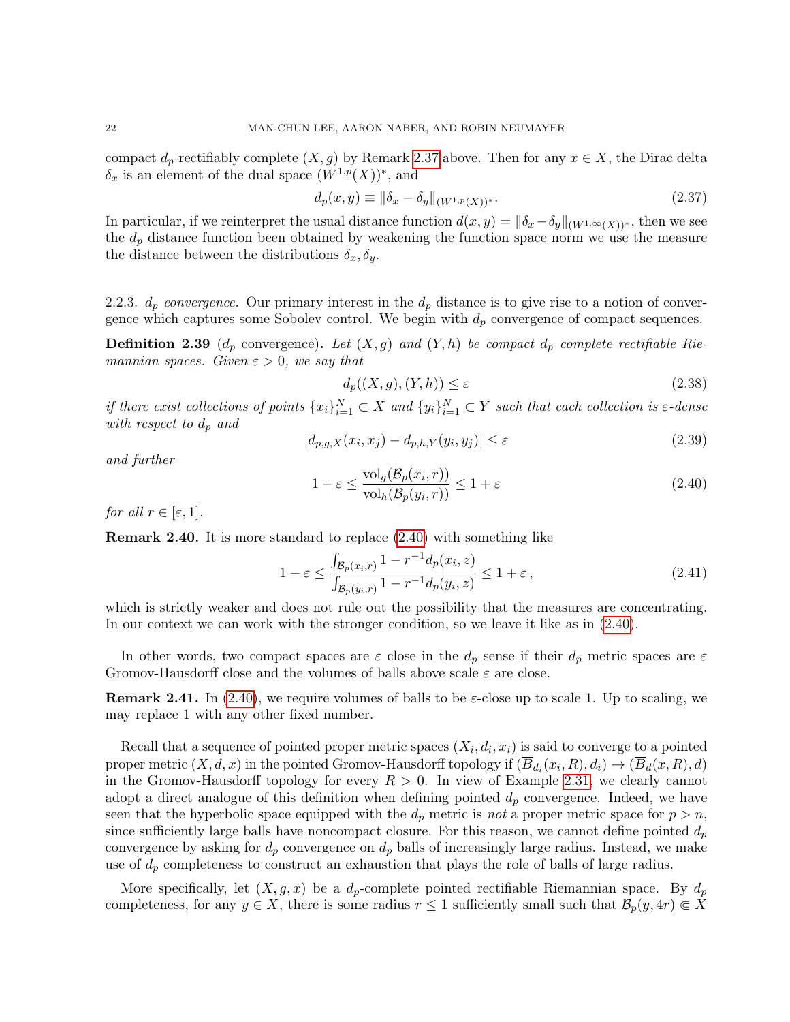compact  $d_p$ -rectifiably complete  $(X, g)$  by Remark [2.37](#page-20-1) above. Then for any  $x \in X$ , the Dirac delta  $\delta_x$  is an element of the dual space  $(W^{1,p}(X))^*$ , and

$$
d_p(x, y) \equiv \|\delta_x - \delta_y\|_{(W^{1,p}(X))^*}.
$$
\n(2.37)

In particular, if we reinterpret the usual distance function  $d(x, y) = ||\delta_x - \delta_y||_{(W^{1,\infty}(X))^*}$ , then we see the  $d_p$  distance function been obtained by weakening the function space norm we use the measure the distance between the distributions  $\delta_x, \delta_y$ .

2.2.3.  $d_p$  convergence. Our primary interest in the  $d_p$  distance is to give rise to a notion of convergence which captures some Sobolev control. We begin with  $d_p$  convergence of compact sequences.

<span id="page-21-0"></span>**Definition 2.39** ( $d_p$  convergence). Let  $(X, g)$  and  $(Y, h)$  be compact  $d_p$  complete rectifiable Riemannian spaces. Given  $\varepsilon > 0$ , we say that

$$
d_p((X, g), (Y, h)) \le \varepsilon \tag{2.38}
$$

if there exist collections of points  $\{x_i\}_{i=1}^N \subset X$  and  $\{y_i\}_{i=1}^N \subset Y$  such that each collection is  $\varepsilon$ -dense with respect to  $d_p$  and

$$
|d_{p,g,X}(x_i, x_j) - d_{p,h,Y}(y_i, y_j)| \le \varepsilon \tag{2.39}
$$

and further

<span id="page-21-1"></span>
$$
1 - \varepsilon \le \frac{\text{vol}_g(\mathcal{B}_p(x_i, r))}{\text{vol}_h(\mathcal{B}_p(y_i, r))} \le 1 + \varepsilon
$$
\n(2.40)

for all  $r \in [\varepsilon, 1]$ .

Remark 2.40. It is more standard to replace [\(2.40\)](#page-21-1) with something like

$$
1 - \varepsilon \le \frac{\int_{\mathcal{B}_p(x_i, r)} 1 - r^{-1} d_p(x_i, z)}{\int_{\mathcal{B}_p(y_i, r)} 1 - r^{-1} d_p(y_i, z)} \le 1 + \varepsilon, \tag{2.41}
$$

which is strictly weaker and does not rule out the possibility that the measures are concentrating. In our context we can work with the stronger condition, so we leave it like as in [\(2.40\)](#page-21-1).

In other words, two compact spaces are  $\varepsilon$  close in the  $d_p$  sense if their  $d_p$  metric spaces are  $\varepsilon$ Gromov-Hausdorff close and the volumes of balls above scale  $\varepsilon$  are close.

**Remark 2.41.** In [\(2.40\)](#page-21-1), we require volumes of balls to be  $\varepsilon$ -close up to scale 1. Up to scaling, we may replace 1 with any other fixed number.

Recall that a sequence of pointed proper metric spaces  $(X_i, d_i, x_i)$  is said to converge to a pointed proper metric  $(X, d, x)$  in the pointed Gromov-Hausdorff topology if  $(B_{d_i}(x_i, R), d_i) \to (B_d(x, R), d)$ in the Gromov-Hausdorff topology for every  $R > 0$ . In view of Example [2.31,](#page-18-1) we clearly cannot adopt a direct analogue of this definition when defining pointed  $d_p$  convergence. Indeed, we have seen that the hyperbolic space equipped with the  $d_p$  metric is not a proper metric space for  $p > n$ , since sufficiently large balls have noncompact closure. For this reason, we cannot define pointed  $d_p$ convergence by asking for  $d_p$  convergence on  $d_p$  balls of increasingly large radius. Instead, we make use of  $d_p$  completeness to construct an exhaustion that plays the role of balls of large radius.

More specifically, let  $(X, g, x)$  be a  $d_p$ -complete pointed rectifiable Riemannian space. By  $d_p$ completeness, for any  $y \in X$ , there is some radius  $r \leq 1$  sufficiently small such that  $\mathcal{B}_p(y, 4r) \subseteq X$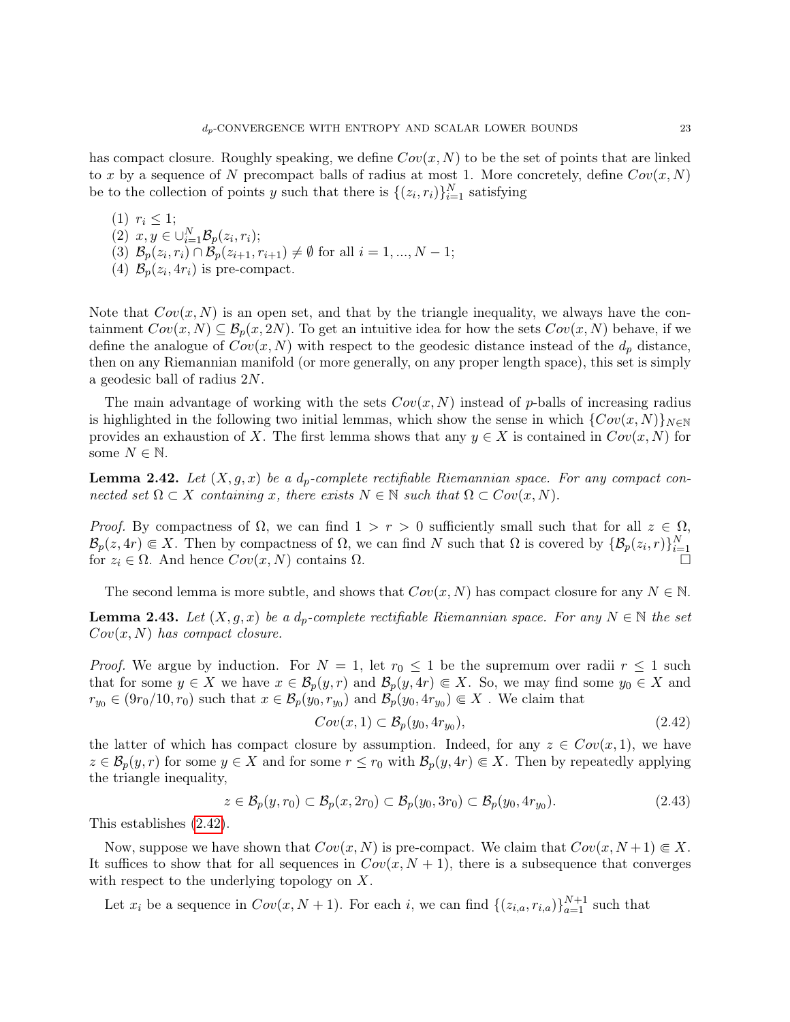has compact closure. Roughly speaking, we define  $Cov(x, N)$  to be the set of points that are linked to x by a sequence of N precompact balls of radius at most 1. More concretely, define  $Cov(x, N)$ be to the collection of points y such that there is  $\{(z_i, r_i)\}_{i=1}^N$  satisfying

(1)  $r_i \leq 1;$ (2)  $x, y \in \bigcup_{i=1}^{N} \mathcal{B}_p(z_i, r_i);$ (3)  $\mathcal{B}_p(z_i, r_i) \cap \mathcal{B}_p(z_{i+1}, r_{i+1}) \neq \emptyset$  for all  $i = 1, ..., N - 1;$ (4)  $\mathcal{B}_p(z_i, 4r_i)$  is pre-compact.

Note that  $Cov(x, N)$  is an open set, and that by the triangle inequality, we always have the containment  $Cov(x, N) \subseteq B_p(x, 2N)$ . To get an intuitive idea for how the sets  $Cov(x, N)$  behave, if we define the analogue of  $Cov(x, N)$  with respect to the geodesic distance instead of the  $d_p$  distance, then on any Riemannian manifold (or more generally, on any proper length space), this set is simply a geodesic ball of radius 2N.

The main advantage of working with the sets  $Cov(x, N)$  instead of p-balls of increasing radius is highlighted in the following two initial lemmas, which show the sense in which  $\{Cov(x, N)\}_{N\in\mathbb{N}}$ provides an exhaustion of X. The first lemma shows that any  $y \in X$  is contained in  $Cov(x, N)$  for some  $N \in \mathbb{N}$ .

**Lemma 2.42.** Let  $(X, g, x)$  be a  $d_p$ -complete rectifiable Riemannian space. For any compact connected set  $\Omega \subset X$  containing x, there exists  $N \in \mathbb{N}$  such that  $\Omega \subset Cov(x, N)$ .

*Proof.* By compactness of  $\Omega$ , we can find  $1 > r > 0$  sufficiently small such that for all  $z \in \Omega$ ,  $\mathcal{B}_p(z, 4r) \in X$ . Then by compactness of  $\Omega$ , we can find N such that  $\Omega$  is covered by  $\{\mathcal{B}_p(z_i, r)\}_{i=1}^N$ for  $z_i \in \Omega$ . And hence  $Cov(x, N)$  contains  $\Omega$ .

The second lemma is more subtle, and shows that  $Cov(x, N)$  has compact closure for any  $N \in \mathbb{N}$ .

**Lemma 2.43.** Let  $(X, g, x)$  be a  $d_p$ -complete rectifiable Riemannian space. For any  $N \in \mathbb{N}$  the set  $Cov(x, N)$  has compact closure.

*Proof.* We argue by induction. For  $N = 1$ , let  $r_0 \leq 1$  be the supremum over radii  $r \leq 1$  such that for some  $y \in X$  we have  $x \in \mathcal{B}_p(y,r)$  and  $\mathcal{B}_p(y,4r) \in X$ . So, we may find some  $y_0 \in X$  and  $r_{y_0} \in (9r_0/10, r_0)$  such that  $x \in \mathcal{B}_p(y_0, r_{y_0})$  and  $\mathcal{B}_p(y_0, 4r_{y_0}) \Subset X$ . We claim that

<span id="page-22-0"></span>
$$
Cov(x,1) \subset \mathcal{B}_p(y_0, 4r_{y_0}),\tag{2.42}
$$

the latter of which has compact closure by assumption. Indeed, for any  $z \in Cov(x, 1)$ , we have  $z \in \mathcal{B}_p(y,r)$  for some  $y \in X$  and for some  $r \leq r_0$  with  $\mathcal{B}_p(y,4r) \in X$ . Then by repeatedly applying the triangle inequality,

$$
z \in \mathcal{B}_p(y, r_0) \subset \mathcal{B}_p(x, 2r_0) \subset \mathcal{B}_p(y_0, 3r_0) \subset \mathcal{B}_p(y_0, 4r_{y_0}).\tag{2.43}
$$

This establishes [\(2.42\)](#page-22-0).

Now, suppose we have shown that  $Cov(x, N)$  is pre-compact. We claim that  $Cov(x, N+1) \in X$ . It suffices to show that for all sequences in  $Cov(x, N + 1)$ , there is a subsequence that converges with respect to the underlying topology on X.

Let  $x_i$  be a sequence in  $Cov(x, N + 1)$ . For each i, we can find  $\{(z_{i,a}, r_{i,a})\}_{a=1}^{N+1}$  such that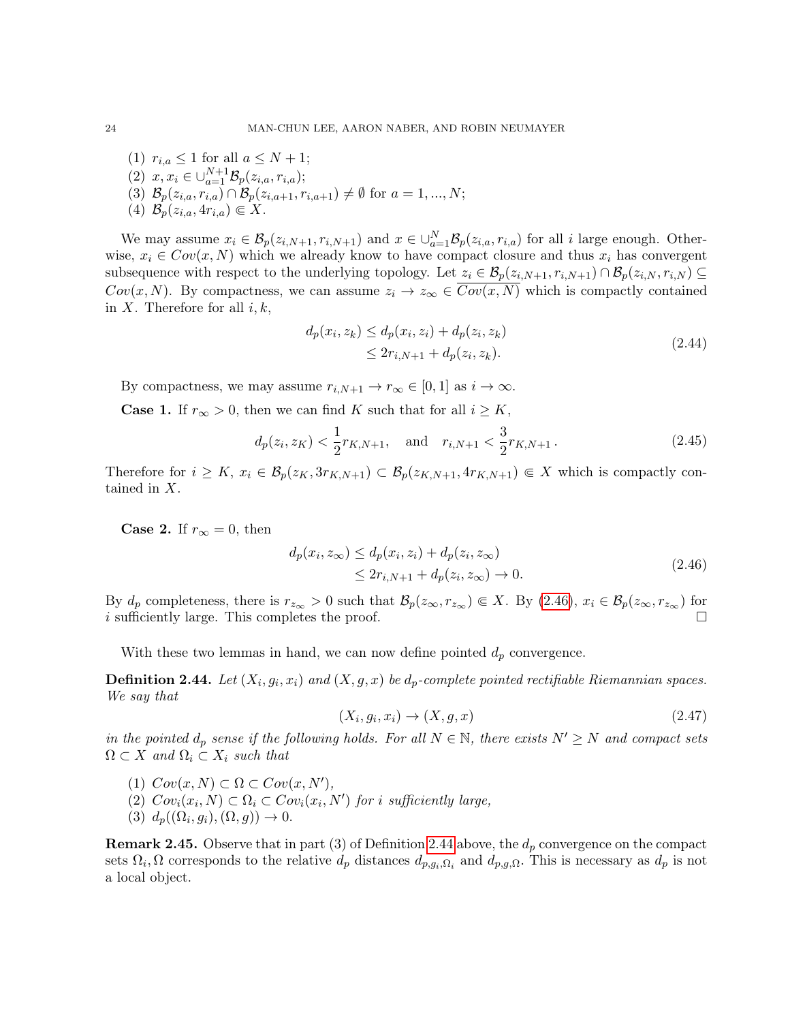(1)  $r_{i,a} \leq 1$  for all  $a \leq N+1$ ; (2)  $x, x_i \in \bigcup_{a=1}^{N+1} \mathcal{B}_p(z_{i,a}, r_{i,a});$ (3)  $\mathcal{B}_p(z_{i,a}, r_{i,a}) \cap \mathcal{B}_p(z_{i,a+1}, r_{i,a+1}) \neq \emptyset$  for  $a = 1, ..., N$ ; (4)  $\mathcal{B}_p(z_{i,a}, 4r_{i,a}) \in X$ .

We may assume  $x_i \in \mathcal{B}_p(z_{i,N+1}, r_{i,N+1})$  and  $x \in \bigcup_{a=1}^N \mathcal{B}_p(z_{i,a}, r_{i,a})$  for all i large enough. Otherwise,  $x_i \in Cov(x, N)$  which we already know to have compact closure and thus  $x_i$  has convergent subsequence with respect to the underlying topology. Let  $z_i \in \mathcal{B}_p(z_{i,N+1}, r_{i,N+1}) \cap \mathcal{B}_p(z_{i,N}, r_{i,N}) \subseteq$  $Cov(x, N)$ . By compactness, we can assume  $z_i \to z_\infty \in \overline{Cov(x, N)}$  which is compactly contained in X. Therefore for all  $i, k$ ,

$$
d_p(x_i, z_k) \le d_p(x_i, z_i) + d_p(z_i, z_k)
$$
  
\n
$$
\le 2r_{i,N+1} + d_p(z_i, z_k).
$$
\n(2.44)

By compactness, we may assume  $r_{i,N+1} \to r_\infty \in [0,1]$  as  $i \to \infty$ .

**Case 1.** If  $r_{\infty} > 0$ , then we can find K such that for all  $i \geq K$ ,

$$
d_p(z_i, z_K) < \frac{1}{2} r_{K, N+1}, \quad \text{and} \quad r_{i, N+1} < \frac{3}{2} r_{K, N+1} \,. \tag{2.45}
$$

Therefore for  $i \geq K$ ,  $x_i \in \mathcal{B}_p(z_K, 3r_{K,N+1}) \subset \mathcal{B}_p(z_{K,N+1}, 4r_{K,N+1}) \subseteq X$  which is compactly contained in X.

<span id="page-23-0"></span>**Case 2.** If  $r_{\infty} = 0$ , then

$$
d_p(x_i, z_{\infty}) \le d_p(x_i, z_i) + d_p(z_i, z_{\infty})
$$
  
\n
$$
\le 2r_{i,N+1} + d_p(z_i, z_{\infty}) \to 0.
$$
\n(2.46)

By  $d_p$  completeness, there is  $r_{z_{\infty}} > 0$  such that  $\mathcal{B}_p(z_{\infty}, r_{z_{\infty}}) \in X$ . By [\(2.46\)](#page-23-0),  $x_i \in \mathcal{B}_p(z_{\infty}, r_{z_{\infty}})$  for i sufficiently large. This completes the proof.  $\square$ 

With these two lemmas in hand, we can now define pointed  $d_p$  convergence.

<span id="page-23-1"></span>**Definition 2.44.** Let  $(X_i, g_i, x_i)$  and  $(X, g, x)$  be  $d_p$ -complete pointed rectifiable Riemannian spaces. We say that

$$
(X_i, g_i, x_i) \rightarrow (X, g, x) \tag{2.47}
$$

in the pointed  $d_p$  sense if the following holds. For all  $N \in \mathbb{N}$ , there exists  $N' \geq N$  and compact sets  $\Omega \subset X$  and  $\Omega_i \subset X_i$  such that

- (1)  $Cov(x, N) \subset \Omega \subset Cov(x, N'),$
- (2)  $Cov_i(x_i, N) \subset \Omega_i \subset Cov_i(x_i, N')$  for i sufficiently large,
- (3)  $d_p((\Omega_i, g_i), (\Omega, g)) \to 0.$

**Remark 2.45.** Observe that in part (3) of Definition [2.44](#page-23-1) above, the  $d_p$  convergence on the compact sets  $\Omega_i, \Omega$  corresponds to the relative  $d_p$  distances  $d_{p,g_i,\Omega_i}$  and  $d_{p,g_i,\Omega_i}$ . This is necessary as  $d_p$  is not a local object.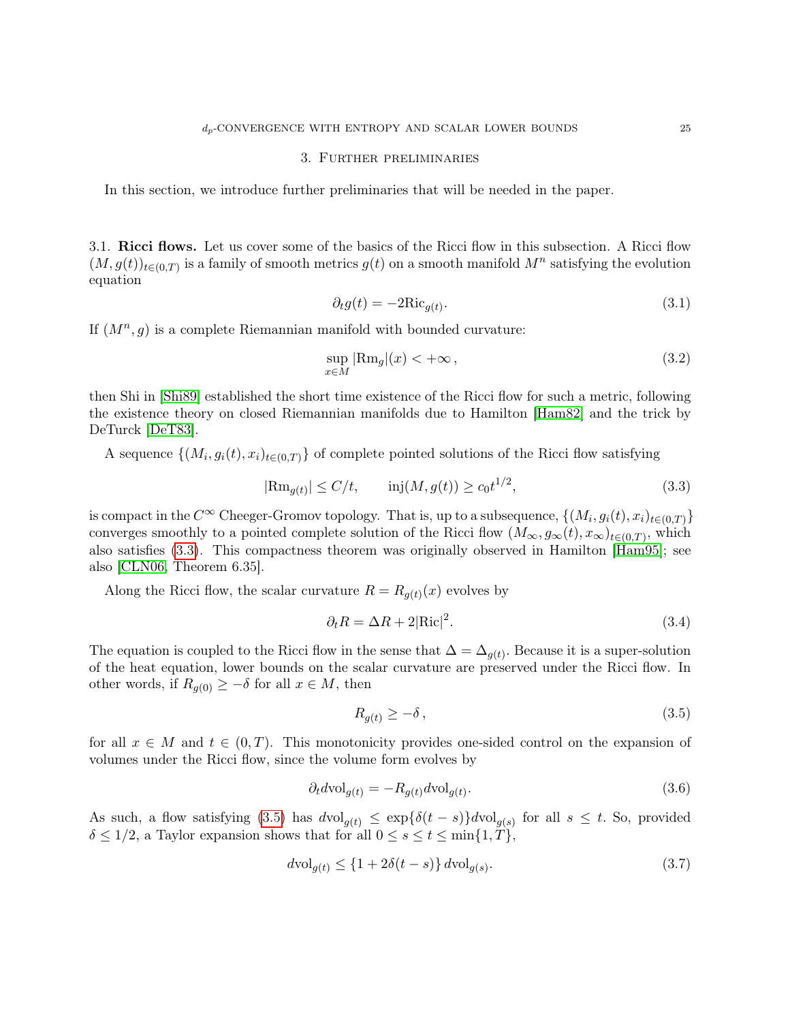### 3. Further preliminaries

<span id="page-24-0"></span>In this section, we introduce further preliminaries that will be needed in the paper.

3.1. Ricci flows. Let us cover some of the basics of the Ricci flow in this subsection. A Ricci flow  $(M, g(t))_{t \in (0,T)}$  is a family of smooth metrics  $g(t)$  on a smooth manifold  $M^n$  satisfying the evolution equation

$$
\partial_t g(t) = -2Ric_{g(t)}.\tag{3.1}
$$

If  $(M^n, g)$  is a complete Riemannian manifold with bounded curvature:

<span id="page-24-1"></span>
$$
\sup_{x \in M} |\text{Rm}_g|(x) < +\infty \,,\tag{3.2}
$$

then Shi in [\[Shi89\]](#page-90-13) established the short time existence of the Ricci flow for such a metric, following the existence theory on closed Riemannian manifolds due to Hamilton [\[Ham82\]](#page-90-14) and the trick by DeTurck [\[DeT83\]](#page-90-15).

A sequence  $\{(M_i, g_i(t), x_i)_{t \in (0,T)}\}$  of complete pointed solutions of the Ricci flow satisfying

$$
|\text{Rm}_{g(t)}| \le C/t, \qquad \text{inj}(M, g(t)) \ge c_0 t^{1/2}, \tag{3.3}
$$

is compact in the  $C^{\infty}$  Cheeger-Gromov topology. That is, up to a subsequence,  $\{(M_i, g_i(t), x_i)_{t \in (0,T)}\}$ converges smoothly to a pointed complete solution of the Ricci flow  $(M_{\infty}, g_{\infty}(t), x_{\infty})_{t \in (0,T)}$ , which also satisfies [\(3.3\)](#page-24-1). This compactness theorem was originally observed in Hamilton [\[Ham95\]](#page-90-16); see also [\[CLN06,](#page-90-17) Theorem 6.35].

Along the Ricci flow, the scalar curvature  $R = R_{g(t)}(x)$  evolves by

<span id="page-24-4"></span>
$$
\partial_t R = \Delta R + 2|\text{Ric}|^2. \tag{3.4}
$$

The equation is coupled to the Ricci flow in the sense that  $\Delta = \Delta_{g(t)}$ . Because it is a super-solution of the heat equation, lower bounds on the scalar curvature are preserved under the Ricci flow. In other words, if  $R_{g(0)} \geq -\delta$  for all  $x \in M$ , then

<span id="page-24-2"></span>
$$
R_{g(t)} \ge -\delta \,,\tag{3.5}
$$

for all  $x \in M$  and  $t \in (0,T)$ . This monotonicity provides one-sided control on the expansion of volumes under the Ricci flow, since the volume form evolves by

$$
\partial_t d\text{vol}_{g(t)} = -R_{g(t)} d\text{vol}_{g(t)}.
$$
\n(3.6)

As such, a flow satisfying [\(3.5\)](#page-24-2) has  $dvol_{g(t)} \leq exp{\{\delta(t-s)\}}dvol_{g(s)}$  for all  $s \leq t$ . So, provided  $\delta \leq 1/2$ , a Taylor expansion shows that for all  $0 \leq s \leq t \leq \min\{1, T\},$ 

<span id="page-24-3"></span>
$$
d\text{vol}_{g(t)} \le \{1 + 2\delta(t - s)\} \, d\text{vol}_{g(s)}.\tag{3.7}
$$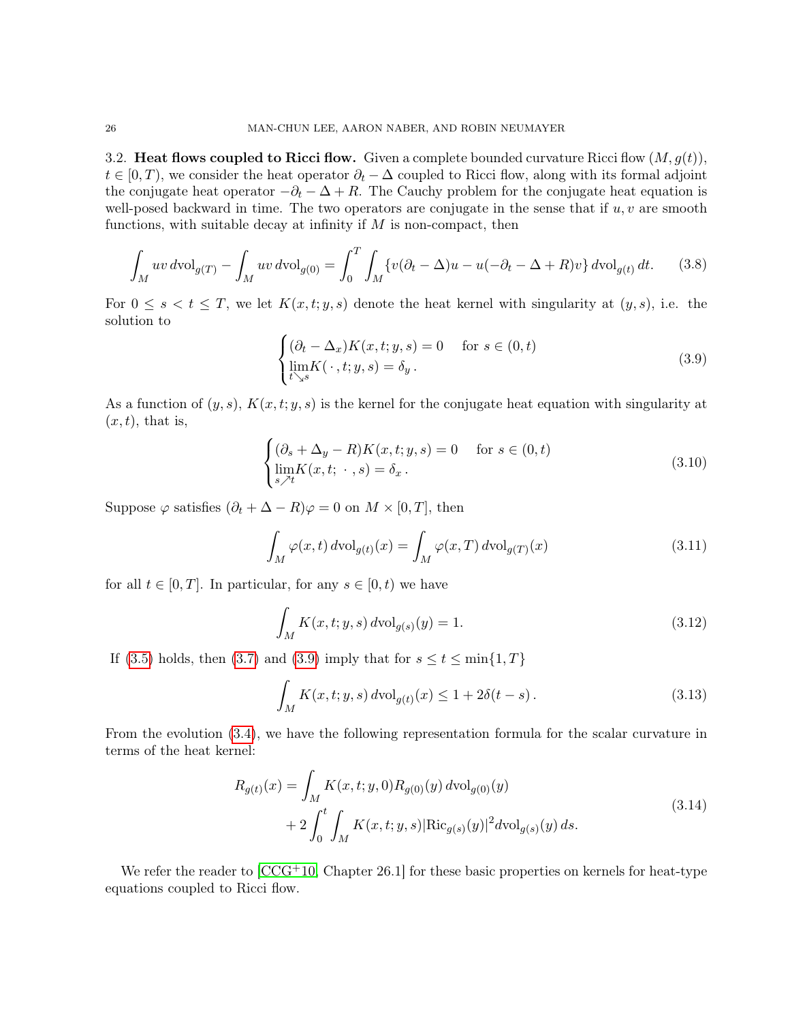3.2. Heat flows coupled to Ricci flow. Given a complete bounded curvature Ricci flow  $(M, g(t))$ ,  $t \in [0, T)$ , we consider the heat operator  $\partial_t - \Delta$  coupled to Ricci flow, along with its formal adjoint the conjugate heat operator  $-\partial_t - \Delta + R$ . The Cauchy problem for the conjugate heat equation is well-posed backward in time. The two operators are conjugate in the sense that if  $u, v$  are smooth functions, with suitable decay at infinity if  $M$  is non-compact, then

<span id="page-25-1"></span>
$$
\int_M uv \, d\text{vol}_{g(T)} - \int_M uv \, d\text{vol}_{g(0)} = \int_0^T \int_M \{v(\partial_t - \Delta)u - u(-\partial_t - \Delta + R)v\} \, d\text{vol}_{g(t)} \, dt. \tag{3.8}
$$

For  $0 \leq s < t \leq T$ , we let  $K(x, t; y, s)$  denote the heat kernel with singularity at  $(y, s)$ , i.e. the solution to

<span id="page-25-0"></span>
$$
\begin{cases} (\partial_t - \Delta_x) K(x, t; y, s) = 0 & \text{for } s \in (0, t) \\ \lim_{t \searrow s} K(\cdot, t; y, s) = \delta_y. \end{cases}
$$
 (3.9)

As a function of  $(y, s)$ ,  $K(x, t; y, s)$  is the kernel for the conjugate heat equation with singularity at  $(x, t)$ , that is,

$$
\begin{cases} (\partial_s + \Delta_y - R)K(x, t; y, s) = 0 & \text{for } s \in (0, t) \\ \lim_{s \nearrow t} K(x, t; \cdot , s) = \delta_x. \end{cases}
$$
 (3.10)

Suppose  $\varphi$  satisfies  $(\partial_t + \Delta - R)\varphi = 0$  on  $M \times [0, T]$ , then

<span id="page-25-2"></span>
$$
\int_{M} \varphi(x, t) dvol_{g(t)}(x) = \int_{M} \varphi(x, T) dvol_{g(T)}(x)
$$
\n(3.11)

for all  $t \in [0, T]$ . In particular, for any  $s \in [0, t)$  we have

$$
\int_{M} K(x, t; y, s) \, d\text{vol}_{g(s)}(y) = 1.
$$
\n(3.12)

If [\(3.5\)](#page-24-2) holds, then [\(3.7\)](#page-24-3) and [\(3.9\)](#page-25-0) imply that for  $s \le t \le \min\{1, T\}$ 

$$
\int_M K(x, t; y, s) d\text{vol}_{g(t)}(x) \le 1 + 2\delta(t - s).
$$
\n(3.13)

From the evolution [\(3.4\)](#page-24-4), we have the following representation formula for the scalar curvature in terms of the heat kernel:

$$
R_{g(t)}(x) = \int_M K(x, t; y, 0) R_{g(0)}(y) \, d\text{vol}_{g(0)}(y)
$$
  
+ 
$$
2 \int_0^t \int_M K(x, t; y, s) |\text{Ric}_{g(s)}(y)|^2 d\text{vol}_{g(s)}(y) ds.
$$
 (3.14)

We refer the reader to  $[CCG<sup>+</sup>10, Chapter 26.1]$  $[CCG<sup>+</sup>10, Chapter 26.1]$  for these basic properties on kernels for heat-type equations coupled to Ricci flow.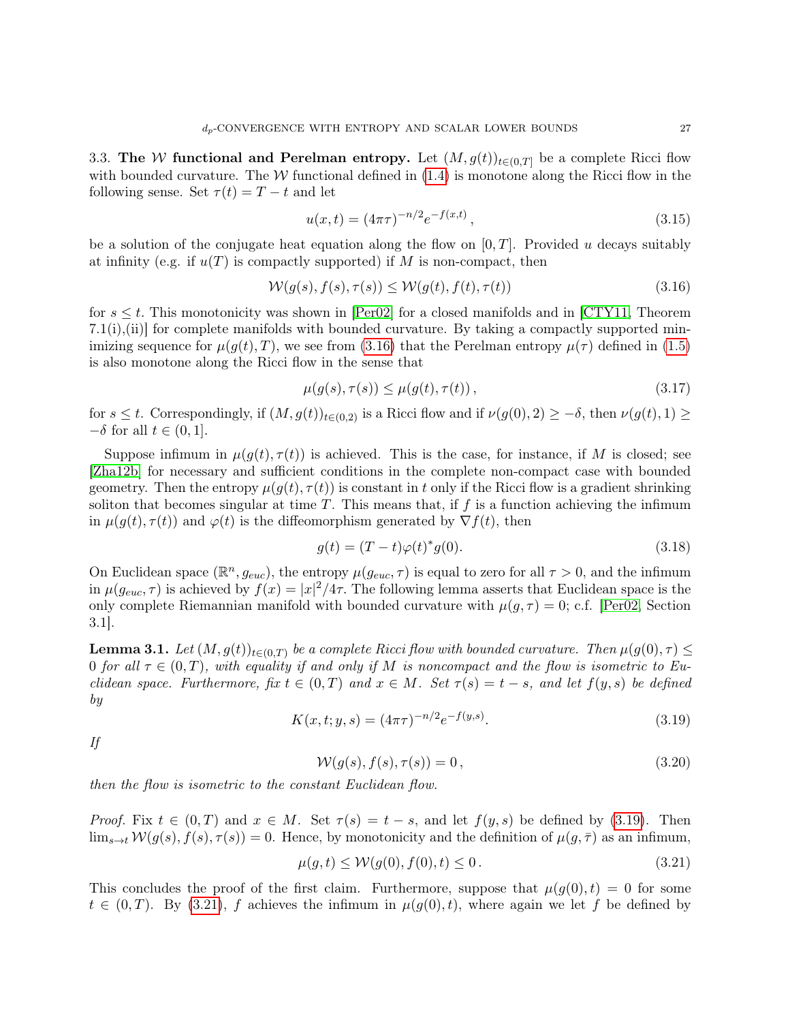<span id="page-26-0"></span>3.3. The W functional and Perelman entropy. Let  $(M, g(t))_{t\in(0,T]}$  be a complete Ricci flow with bounded curvature. The  $W$  functional defined in  $(1.4)$  is monotone along the Ricci flow in the following sense. Set  $\tau(t) = T - t$  and let

$$
u(x,t) = (4\pi\tau)^{-n/2} e^{-f(x,t)},
$$
\n(3.15)

be a solution of the conjugate heat equation along the flow on  $[0, T]$ . Provided u decays suitably at infinity (e.g. if  $u(T)$  is compactly supported) if M is non-compact, then

<span id="page-26-1"></span>
$$
\mathcal{W}(g(s), f(s), \tau(s)) \le \mathcal{W}(g(t), f(t), \tau(t))\tag{3.16}
$$

for  $s \leq t$ . This monotonicity was shown in [\[Per02\]](#page-90-5) for a closed manifolds and in [\[CTY11,](#page-90-18) Theorem  $7.1(i), (ii)$  for complete manifolds with bounded curvature. By taking a compactly supported minimizing sequence for  $\mu(g(t), T)$ , we see from [\(3.16\)](#page-26-1) that the Perelman entropy  $\mu(\tau)$  defined in [\(1.5\)](#page-3-3) is also monotone along the Ricci flow in the sense that

$$
\mu(g(s), \tau(s)) \le \mu(g(t), \tau(t)),\tag{3.17}
$$

for  $s \leq t$ . Correspondingly, if  $(M, g(t))_{t \in (0,2)}$  is a Ricci flow and if  $\nu(g(0), 2) \geq -\delta$ , then  $\nu(g(t), 1) \geq$  $-\delta$  for all  $t \in (0,1].$ 

Suppose infimum in  $\mu(g(t), \tau(t))$  is achieved. This is the case, for instance, if M is closed; see [\[Zha12b\]](#page-91-0) for necessary and sufficient conditions in the complete non-compact case with bounded geometry. Then the entropy  $\mu(g(t), \tau(t))$  is constant in t only if the Ricci flow is a gradient shrinking soliton that becomes singular at time  $T$ . This means that, if  $f$  is a function achieving the infimum in  $\mu(q(t), \tau(t))$  and  $\varphi(t)$  is the diffeomorphism generated by  $\nabla f(t)$ , then

<span id="page-26-4"></span>
$$
g(t) = (T - t)\varphi(t)^* g(0).
$$
 (3.18)

On Euclidean space  $(\mathbb{R}^n, g_{euc})$ , the entropy  $\mu(g_{euc}, \tau)$  is equal to zero for all  $\tau > 0$ , and the infimum in  $\mu(g_{euc}, \tau)$  is achieved by  $f(x) = |x|^2/4\tau$ . The following lemma asserts that Euclidean space is the only complete Riemannian manifold with bounded curvature with  $\mu(g, \tau) = 0$ ; c.f. [\[Per02,](#page-90-5) Section 3.1].

<span id="page-26-5"></span>**Lemma 3.1.** Let  $(M, g(t))_{t\in(0,T)}$  be a complete Ricci flow with bounded curvature. Then  $\mu(g(0), \tau) \leq$ 0 for all  $\tau \in (0,T)$ , with equality if and only if M is noncompact and the flow is isometric to Euclidean space. Furthermore, fix  $t \in (0,T)$  and  $x \in M$ . Set  $\tau(s) = t - s$ , and let  $f(y, s)$  be defined by

<span id="page-26-2"></span>
$$
K(x,t;y,s) = (4\pi\tau)^{-n/2} e^{-f(y,s)}.
$$
\n(3.19)

If

$$
\mathcal{W}(g(s), f(s), \tau(s)) = 0, \qquad (3.20)
$$

then the flow is isometric to the constant Euclidean flow.

*Proof.* Fix  $t \in (0,T)$  and  $x \in M$ . Set  $\tau(s) = t - s$ , and let  $f(y, s)$  be defined by [\(3.19\)](#page-26-2). Then  $\lim_{s\to t} \mathcal{W}(g(s), f(s), \tau(s)) = 0$ . Hence, by monotonicity and the definition of  $\mu(g,\bar{\tau})$  as an infimum,

<span id="page-26-3"></span>
$$
\mu(g, t) \le \mathcal{W}(g(0), f(0), t) \le 0. \tag{3.21}
$$

This concludes the proof of the first claim. Furthermore, suppose that  $\mu(q(0), t) = 0$  for some  $t \in (0,T)$ . By [\(3.21\)](#page-26-3), f achieves the infimum in  $\mu(q(0), t)$ , where again we let f be defined by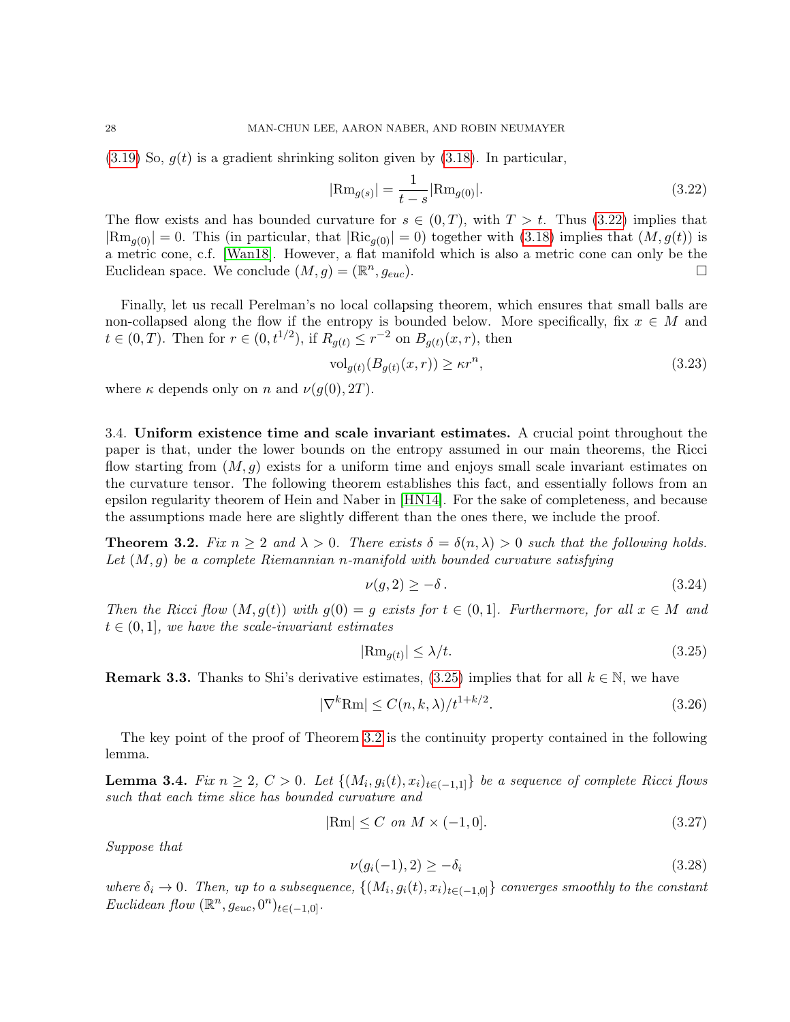$(3.19)$  So,  $g(t)$  is a gradient shrinking soliton given by  $(3.18)$ . In particular,

<span id="page-27-0"></span>
$$
|\text{Rm}_{g(s)}| = \frac{1}{t-s} |\text{Rm}_{g(0)}|.
$$
\n(3.22)

The flow exists and has bounded curvature for  $s \in (0,T)$ , with  $T > t$ . Thus [\(3.22\)](#page-27-0) implies that  $|\text{Rm}_{q(0)}| = 0$ . This (in particular, that  $|\text{Ric}_{q(0)}| = 0$ ) together with [\(3.18\)](#page-26-4) implies that  $(M, g(t))$  is a metric cone, c.f. [\[Wan18\]](#page-90-19). However, a flat manifold which is also a metric cone can only be the Euclidean space. We conclude  $(M, g) = (\mathbb{R}^n, g_{euc})$ .

Finally, let us recall Perelman's no local collapsing theorem, which ensures that small balls are non-collapsed along the flow if the entropy is bounded below. More specifically, fix  $x \in M$  and  $t \in (0,T)$ . Then for  $r \in (0,t^{1/2})$ , if  $R_{g(t)} \le r^{-2}$  on  $B_{g(t)}(x,r)$ , then

<span id="page-27-3"></span>
$$
\text{vol}_{g(t)}(B_{g(t)}(x,r)) \ge \kappa r^n,\tag{3.23}
$$

where  $\kappa$  depends only on n and  $\nu(g(0), 2T)$ .

3.4. Uniform existence time and scale invariant estimates. A crucial point throughout the paper is that, under the lower bounds on the entropy assumed in our main theorems, the Ricci flow starting from  $(M, g)$  exists for a uniform time and enjoys small scale invariant estimates on the curvature tensor. The following theorem establishes this fact, and essentially follows from an epsilon regularity theorem of Hein and Naber in [\[HN14\]](#page-90-20). For the sake of completeness, and because the assumptions made here are slightly different than the ones there, we include the proof.

<span id="page-27-2"></span>**Theorem 3.2.** Fix  $n \geq 2$  and  $\lambda > 0$ . There exists  $\delta = \delta(n, \lambda) > 0$  such that the following holds. Let  $(M, g)$  be a complete Riemannian n-manifold with bounded curvature satisfying

<span id="page-27-7"></span>
$$
\nu(g, 2) \ge -\delta. \tag{3.24}
$$

Then the Ricci flow  $(M, g(t))$  with  $g(0) = g$  exists for  $t \in (0, 1]$ . Furthermore, for all  $x \in M$  and  $t \in (0,1]$ , we have the scale-invariant estimates

<span id="page-27-1"></span>
$$
|\text{Rm}_{g(t)}| \le \lambda/t. \tag{3.25}
$$

**Remark 3.3.** Thanks to Shi's derivative estimates, [\(3.25\)](#page-27-1) implies that for all  $k \in \mathbb{N}$ , we have

$$
|\nabla^k \text{Rm}| \le C(n, k, \lambda) / t^{1 + k/2}.
$$
\n(3.26)

The key point of the proof of Theorem [3.2](#page-27-2) is the continuity property contained in the following lemma.

<span id="page-27-6"></span>**Lemma 3.4.** Fix  $n \geq 2$ ,  $C > 0$ . Let  $\{(M_i, g_i(t), x_i)_{t \in (-1,1]}\}$  be a sequence of complete Ricci flows such that each time slice has bounded curvature and

<span id="page-27-4"></span>
$$
|\text{Rm}| \le C \text{ on } M \times (-1,0]. \tag{3.27}
$$

Suppose that

<span id="page-27-5"></span>
$$
\nu(g_i(-1), 2) \ge -\delta_i \tag{3.28}
$$

where  $\delta_i \to 0$ . Then, up to a subsequence,  $\{(M_i, g_i(t), x_i)_{t \in (-1,0]}\}$  converges smoothly to the constant Euclidean flow  $(\mathbb{R}^n, g_{euc}, 0^n)_{t \in (-1,0]}.$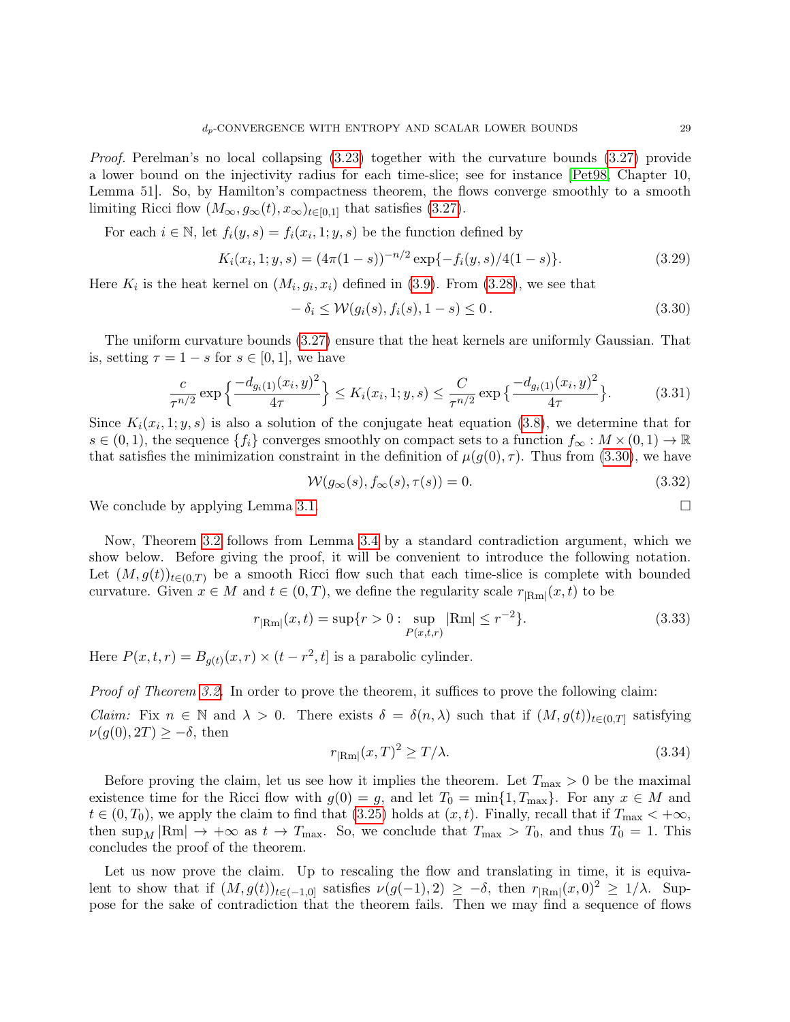Proof. Perelman's no local collapsing [\(3.23\)](#page-27-3) together with the curvature bounds [\(3.27\)](#page-27-4) provide a lower bound on the injectivity radius for each time-slice; see for instance [\[Pet98,](#page-90-21) Chapter 10, Lemma 51]. So, by Hamilton's compactness theorem, the flows converge smoothly to a smooth limiting Ricci flow  $(M_{\infty}, g_{\infty}(t), x_{\infty})_{t\in[0,1]}$  that satisfies [\(3.27\)](#page-27-4).

For each  $i \in \mathbb{N}$ , let  $f_i(y, s) = f_i(x_i, 1; y, s)$  be the function defined by

$$
K_i(x_i, 1; y, s) = (4\pi(1 - s))^{-n/2} \exp\{-f_i(y, s)/4(1 - s)\}.
$$
\n(3.29)

Here  $K_i$  is the heat kernel on  $(M_i, g_i, x_i)$  defined in [\(3.9\)](#page-25-0). From [\(3.28\)](#page-27-5), we see that

<span id="page-28-0"></span>
$$
-\delta_i \le \mathcal{W}(g_i(s), f_i(s), 1-s) \le 0. \tag{3.30}
$$

The uniform curvature bounds [\(3.27\)](#page-27-4) ensure that the heat kernels are uniformly Gaussian. That is, setting  $\tau = 1 - s$  for  $s \in [0, 1]$ , we have

$$
\frac{c}{\tau^{n/2}} \exp\left\{\frac{-d_{g_i(1)}(x_i, y)^2}{4\tau}\right\} \le K_i(x_i, 1; y, s) \le \frac{C}{\tau^{n/2}} \exp\left\{\frac{-d_{g_i(1)}(x_i, y)^2}{4\tau}\right\}.
$$
 (3.31)

Since  $K_i(x_i, 1; y, s)$  is also a solution of the conjugate heat equation [\(3.8\)](#page-25-1), we determine that for  $s \in (0,1)$ , the sequence  $\{f_i\}$  converges smoothly on compact sets to a function  $f_\infty: M \times (0,1) \to \mathbb{R}$ that satisfies the minimization constraint in the definition of  $\mu(q(0), \tau)$ . Thus from [\(3.30\)](#page-28-0), we have

$$
\mathcal{W}(g_{\infty}(s), f_{\infty}(s), \tau(s)) = 0.
$$
\n(3.32)

We conclude by applying Lemma [3.1.](#page-26-5)

Now, Theorem [3.2](#page-27-2) follows from Lemma [3.4](#page-27-6) by a standard contradiction argument, which we show below. Before giving the proof, it will be convenient to introduce the following notation. Let  $(M, g(t))_{t\in(0,T)}$  be a smooth Ricci flow such that each time-slice is complete with bounded curvature. Given  $x \in M$  and  $t \in (0, T)$ , we define the regularity scale  $r_{\mathcal{R}m}(x, t)$  to be

$$
r_{|\text{Rm}|}(x,t) = \sup\{r > 0 : \sup_{P(x,t,r)} |\text{Rm}| \le r^{-2}\}.\tag{3.33}
$$

Here  $P(x,t,r) = B_{g(t)}(x,r) \times (t - r^2, t]$  is a parabolic cylinder.

*Proof of Theorem [3.2.](#page-27-2)* In order to prove the theorem, it suffices to prove the following claim:

*Claim:* Fix  $n \in \mathbb{N}$  and  $\lambda > 0$ . There exists  $\delta = \delta(n, \lambda)$  such that if  $(M, g(t))_{t \in (0, T]}$  satisfying  $\nu(q(0), 2T) \geq -\delta$ , then

$$
r_{\rm |Rm|}(x,T)^2 \ge T/\lambda. \tag{3.34}
$$

Before proving the claim, let us see how it implies the theorem. Let  $T_{\text{max}} > 0$  be the maximal existence time for the Ricci flow with  $g(0) = g$ , and let  $T_0 = \min\{1, T_{\text{max}}\}$ . For any  $x \in M$  and  $t \in (0, T_0)$ , we apply the claim to find that  $(3.25)$  holds at  $(x, t)$ . Finally, recall that if  $T_{\text{max}} < +\infty$ , then sup<sub>M</sub>  $|\text{Rm}| \to +\infty$  as  $t \to T_{\text{max}}$ . So, we conclude that  $T_{\text{max}} > T_0$ , and thus  $T_0 = 1$ . This concludes the proof of the theorem.

Let us now prove the claim. Up to rescaling the flow and translating in time, it is equivalent to show that if  $(M, g(t))_{t \in (-1,0]}$  satisfies  $\nu(g(-1), 2) \geq -\delta$ , then  $r_{\text{Rm}}(x, 0)^2 \geq 1/\lambda$ . Suppose for the sake of contradiction that the theorem fails. Then we may find a sequence of flows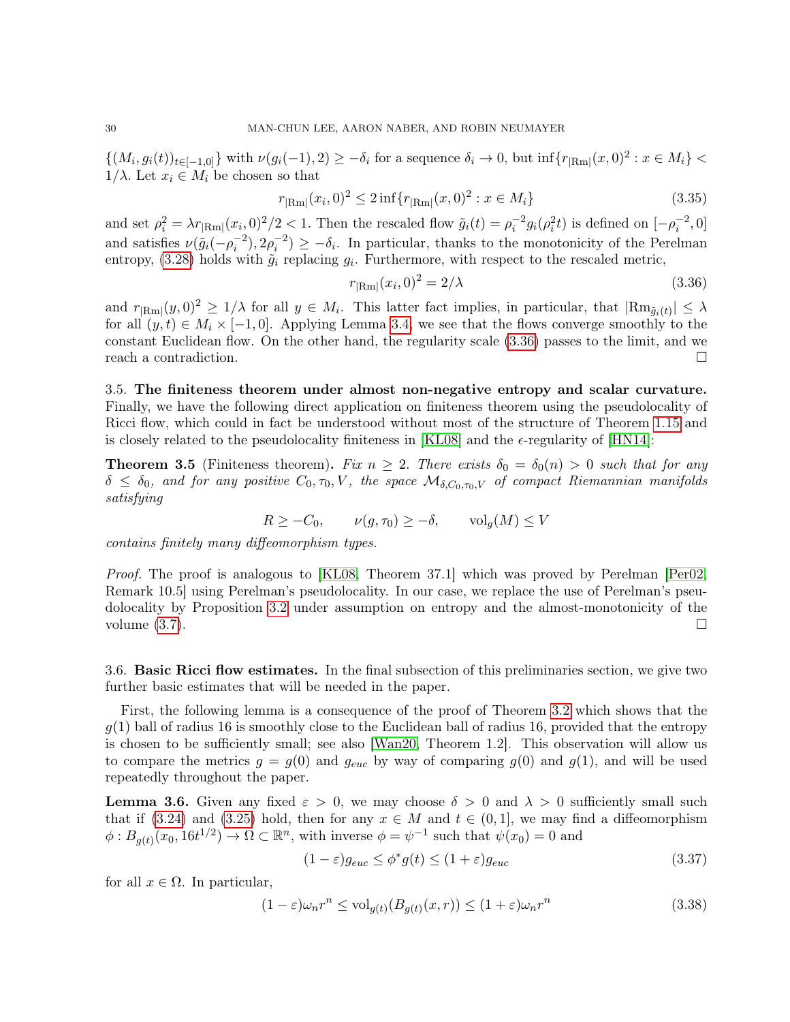$\{(M_i, g_i(t))_{t\in[-1,0]}\}\n\text{ with } \nu(g_i(-1), 2) \geq -\delta_i \text{ for a sequence } \delta_i \to 0, \text{ but } \inf\{r_{|\text{Rm}|}(x,0)^2 : x \in M_i\}$  $1/\lambda$ . Let  $x_i \in M_i$  be chosen so that

$$
r_{|\text{Rm}|}(x_i, 0)^2 \le 2\inf\{r_{|\text{Rm}|}(x, 0)^2 : x \in M_i\} \tag{3.35}
$$

and set  $\rho_i^2 = \lambda r_{\text{Rm}}(x_i, 0)^2/2 < 1$ . Then the rescaled flow  $\tilde{g}_i(t) = \rho_i^{-2} g_i(\rho_i^2 t)$  is defined on  $[-\rho_i^{-2}, 0]$ and satisfies  $\nu(\tilde{g}_i(-\rho_i^{-2}), 2\rho_i^{-2}) \geq -\delta_i$ . In particular, thanks to the monotonicity of the Perelman entropy, [\(3.28\)](#page-27-5) holds with  $\tilde{g}_i$  replacing  $g_i$ . Furthermore, with respect to the rescaled metric,

<span id="page-29-0"></span>
$$
r_{\rm |Rm|}(x_i, 0)^2 = 2/\lambda \tag{3.36}
$$

and  $r_{\text{Rm}}(y,0)^2 \ge 1/\lambda$  for all  $y \in M_i$ . This latter fact implies, in particular, that  $|\text{Rm}_{\tilde{g}_i(t)}| \le \lambda$ for all  $(y, t) \in M_i \times [-1, 0]$ . Applying Lemma [3.4,](#page-27-6) we see that the flows converge smoothly to the constant Euclidean flow. On the other hand, the regularity scale [\(3.36\)](#page-29-0) passes to the limit, and we reach a contradiction.

3.5. The finiteness theorem under almost non-negative entropy and scalar curvature. Finally, we have the following direct application on finiteness theorem using the pseudolocality of Ricci flow, which could in fact be understood without most of the structure of Theorem [1.15](#page-5-4) and is closely related to the pseudolocality finiteness in [\[KL08\]](#page-90-22) and the  $\epsilon$ -regularity of [\[HN14\]](#page-90-20):

**Theorem 3.5** (Finiteness theorem). Fix  $n \geq 2$ . There exists  $\delta_0 = \delta_0(n) > 0$  such that for any  $\delta \leq \delta_0$ , and for any positive  $C_0, \tau_0, V$ , the space  $\mathcal{M}_{\delta,C_0,\tau_0,V}$  of compact Riemannian manifolds satisfying

$$
R \ge -C_0, \qquad \nu(g, \tau_0) \ge -\delta, \qquad \text{vol}_g(M) \le V
$$

contains finitely many diffeomorphism types.

Proof. The proof is analogous to [\[KL08,](#page-90-22) Theorem 37.1] which was proved by Perelman [\[Per02,](#page-90-5) Remark 10.5] using Perelman's pseudolocality. In our case, we replace the use of Perelman's pseudolocality by Proposition [3.2](#page-27-2) under assumption on entropy and the almost-monotonicity of the volume  $(3.7)$ .

3.6. Basic Ricci flow estimates. In the final subsection of this preliminaries section, we give two further basic estimates that will be needed in the paper.

First, the following lemma is a consequence of the proof of Theorem [3.2](#page-27-2) which shows that the  $q(1)$  ball of radius 16 is smoothly close to the Euclidean ball of radius 16, provided that the entropy is chosen to be sufficiently small; see also [\[Wan20,](#page-91-1) Theorem 1.2]. This observation will allow us to compare the metrics  $g = g(0)$  and  $g_{euc}$  by way of comparing  $g(0)$  and  $g(1)$ , and will be used repeatedly throughout the paper.

<span id="page-29-1"></span>**Lemma 3.6.** Given any fixed  $\varepsilon > 0$ , we may choose  $\delta > 0$  and  $\lambda > 0$  sufficiently small such that if [\(3.24\)](#page-27-7) and [\(3.25\)](#page-27-1) hold, then for any  $x \in M$  and  $t \in (0,1]$ , we may find a diffeomorphism  $\phi: B_{g(t)}(x_0, 16t^{1/2}) \to \Omega \subset \mathbb{R}^n$ , with inverse  $\phi = \psi^{-1}$  such that  $\psi(x_0) = 0$  and

$$
(1 - \varepsilon)g_{euc} \le \phi^*g(t) \le (1 + \varepsilon)g_{euc}
$$
\n(3.37)

for all  $x \in \Omega$ . In particular,

<span id="page-29-2"></span>
$$
(1 - \varepsilon)\omega_n r^n \le \text{vol}_{g(t)}(B_{g(t)}(x, r)) \le (1 + \varepsilon)\omega_n r^n \tag{3.38}
$$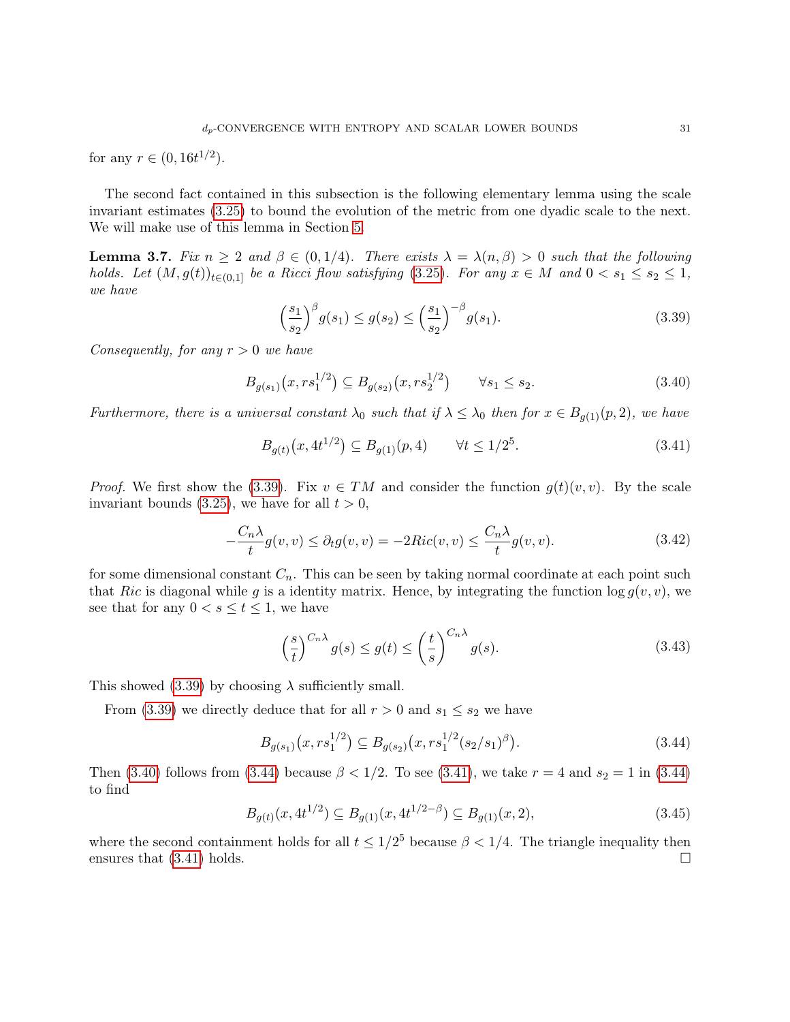for any  $r \in (0, 16t^{1/2})$ .

The second fact contained in this subsection is the following elementary lemma using the scale invariant estimates [\(3.25\)](#page-27-1) to bound the evolution of the metric from one dyadic scale to the next. We will make use of this lemma in Section [5.](#page-36-0)

**Lemma 3.7.** Fix  $n \geq 2$  and  $\beta \in (0, 1/4)$ . There exists  $\lambda = \lambda(n, \beta) > 0$  such that the following holds. Let  $(M, g(t))_{t\in(0,1]}$  be a Ricci flow satisfying [\(3.25\)](#page-27-1). For any  $x \in M$  and  $0 < s_1 \leq s_2 \leq 1$ , we have

<span id="page-30-0"></span>
$$
\left(\frac{s_1}{s_2}\right)^{\beta} g(s_1) \le g(s_2) \le \left(\frac{s_1}{s_2}\right)^{-\beta} g(s_1). \tag{3.39}
$$

Consequently, for any  $r > 0$  we have

<span id="page-30-1"></span>
$$
B_{g(s_1)}(x, rs_1^{1/2}) \subseteq B_{g(s_2)}(x, rs_2^{1/2}) \qquad \forall s_1 \le s_2. \tag{3.40}
$$

Furthermore, there is a universal constant  $\lambda_0$  such that if  $\lambda \leq \lambda_0$  then for  $x \in B_{q(1)}(p, 2)$ , we have

<span id="page-30-3"></span>
$$
B_{g(t)}(x, 4t^{1/2}) \subseteq B_{g(1)}(p, 4) \qquad \forall t \le 1/2^5. \tag{3.41}
$$

*Proof.* We first show the [\(3.39\)](#page-30-0). Fix  $v \in TM$  and consider the function  $g(t)(v, v)$ . By the scale invariant bounds [\(3.25\)](#page-27-1), we have for all  $t > 0$ ,

$$
-\frac{C_n\lambda}{t}g(v,v) \le \partial_t g(v,v) = -2Ric(v,v) \le \frac{C_n\lambda}{t}g(v,v). \tag{3.42}
$$

for some dimensional constant  $C_n$ . This can be seen by taking normal coordinate at each point such that Ric is diagonal while g is a identity matrix. Hence, by integrating the function  $\log q(v, v)$ , we see that for any  $0 < s \le t \le 1$ , we have

$$
\left(\frac{s}{t}\right)^{C_n\lambda} g(s) \le g(t) \le \left(\frac{t}{s}\right)^{C_n\lambda} g(s).
$$
\n(3.43)

This showed  $(3.39)$  by choosing  $\lambda$  sufficiently small.

From [\(3.39\)](#page-30-0) we directly deduce that for all  $r > 0$  and  $s_1 \leq s_2$  we have

<span id="page-30-2"></span>
$$
B_{g(s_1)}(x, rs_1^{1/2}) \subseteq B_{g(s_2)}(x, rs_1^{1/2}(s_2/s_1)^{\beta}). \tag{3.44}
$$

Then [\(3.40\)](#page-30-1) follows from [\(3.44\)](#page-30-2) because  $\beta$  < 1/2. To see [\(3.41\)](#page-30-3), we take  $r = 4$  and  $s_2 = 1$  in (3.44) to find

$$
B_{g(t)}(x, 4t^{1/2}) \subseteq B_{g(1)}(x, 4t^{1/2-\beta}) \subseteq B_{g(1)}(x, 2), \tag{3.45}
$$

where the second containment holds for all  $t \leq 1/2^5$  because  $\beta < 1/4$ . The triangle inequality then ensures that  $(3.41)$  holds.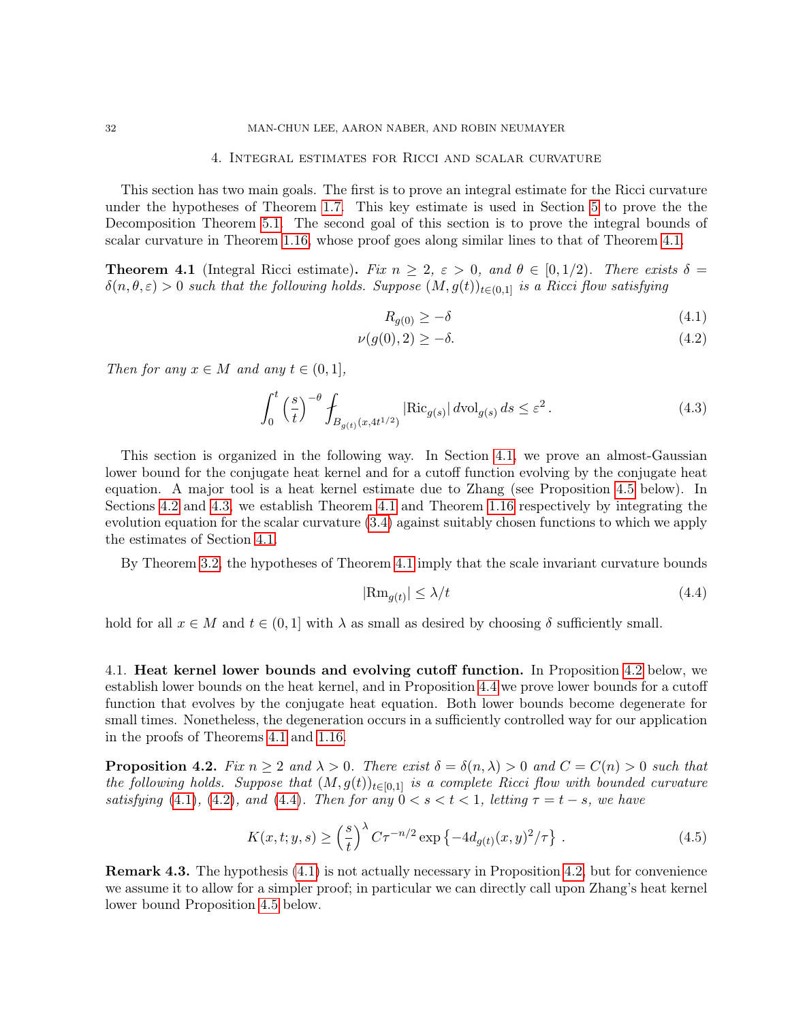## 4. Integral estimates for Ricci and scalar curvature

<span id="page-31-0"></span>This section has two main goals. The first is to prove an integral estimate for the Ricci curvature under the hypotheses of Theorem [1.7.](#page-3-0) This key estimate is used in Section [5](#page-36-0) to prove the the Decomposition Theorem [5.1.](#page-37-0) The second goal of this section is to prove the integral bounds of scalar curvature in Theorem [1.16,](#page-6-1) whose proof goes along similar lines to that of Theorem [4.1.](#page-31-1)

<span id="page-31-1"></span>**Theorem 4.1** (Integral Ricci estimate). Fix  $n \geq 2$ ,  $\varepsilon > 0$ , and  $\theta \in [0, 1/2)$ . There exists  $\delta =$  $\delta(n, \theta, \varepsilon) > 0$  such that the following holds. Suppose  $(M, g(t))_{t \in (0,1]}$  is a Ricci flow satisfying

<span id="page-31-5"></span><span id="page-31-4"></span>
$$
R_{g(0)} \ge -\delta \tag{4.1}
$$

$$
\nu(g(0),2) \ge -\delta. \tag{4.2}
$$

Then for any  $x \in M$  and any  $t \in (0,1]$ ,

$$
\int_0^t \left(\frac{s}{t}\right)^{-\theta} \int_{B_{g(t)}(x,4t^{1/2})} |\text{Ric}_{g(s)}| \, d\text{vol}_{g(s)} \, ds \le \varepsilon^2. \tag{4.3}
$$

This section is organized in the following way. In Section [4.1,](#page-31-2) we prove an almost-Gaussian lower bound for the conjugate heat kernel and for a cutoff function evolving by the conjugate heat equation. A major tool is a heat kernel estimate due to Zhang (see Proposition [4.5](#page-32-0) below). In Sections [4.2](#page-33-0) and [4.3,](#page-35-0) we establish Theorem [4.1](#page-31-1) and Theorem [1.16](#page-6-1) respectively by integrating the evolution equation for the scalar curvature [\(3.4\)](#page-24-4) against suitably chosen functions to which we apply the estimates of Section [4.1.](#page-31-2)

By Theorem [3.2,](#page-27-2) the hypotheses of Theorem [4.1](#page-31-1) imply that the scale invariant curvature bounds

<span id="page-31-6"></span>
$$
|\text{Rm}_{g(t)}| \le \lambda/t \tag{4.4}
$$

hold for all  $x \in M$  and  $t \in (0,1]$  with  $\lambda$  as small as desired by choosing  $\delta$  sufficiently small.

<span id="page-31-2"></span>4.1. Heat kernel lower bounds and evolving cutoff function. In Proposition [4.2](#page-31-3) below, we establish lower bounds on the heat kernel, and in Proposition [4.4](#page-32-1) we prove lower bounds for a cutoff function that evolves by the conjugate heat equation. Both lower bounds become degenerate for small times. Nonetheless, the degeneration occurs in a sufficiently controlled way for our application in the proofs of Theorems [4.1](#page-31-1) and [1.16.](#page-6-1)

<span id="page-31-3"></span>**Proposition 4.2.** Fix  $n \geq 2$  and  $\lambda > 0$ . There exist  $\delta = \delta(n, \lambda) > 0$  and  $C = C(n) > 0$  such that the following holds. Suppose that  $(M, g(t))_{t\in[0,1]}$  is a complete Ricci flow with bounded curvature satisfying [\(4.1\)](#page-31-4), [\(4.2\)](#page-31-5), and [\(4.4\)](#page-31-6). Then for any  $0 < s < t < 1$ , letting  $\tau = t - s$ , we have

$$
K(x,t;y,s) \ge \left(\frac{s}{t}\right)^{\lambda} C \tau^{-n/2} \exp\left\{-4d_{g(t)}(x,y)^2/\tau\right\}.
$$
 (4.5)

Remark 4.3. The hypothesis [\(4.1\)](#page-31-4) is not actually necessary in Proposition [4.2,](#page-31-3) but for convenience we assume it to allow for a simpler proof; in particular we can directly call upon Zhang's heat kernel lower bound Proposition [4.5](#page-32-0) below.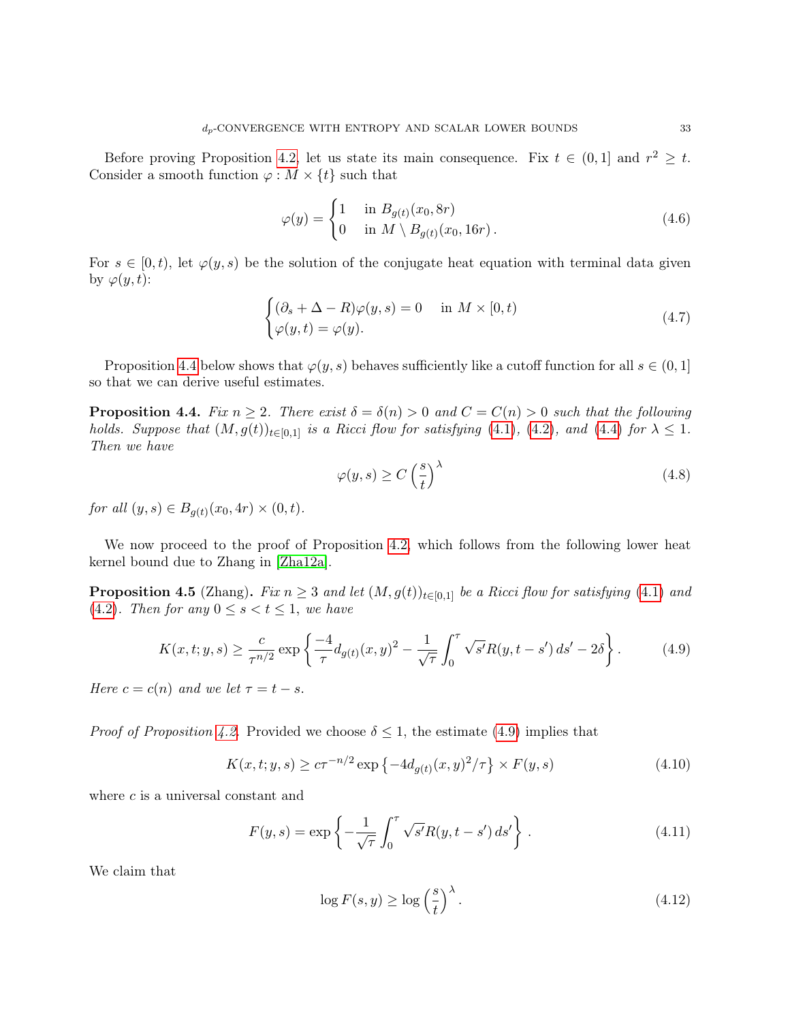Before proving Proposition [4.2,](#page-31-3) let us state its main consequence. Fix  $t \in (0,1]$  and  $r^2 \geq t$ . Consider a smooth function  $\varphi:M\times\{t\}$  such that

$$
\varphi(y) = \begin{cases} 1 & \text{in } B_{g(t)}(x_0, 8r) \\ 0 & \text{in } M \setminus B_{g(t)}(x_0, 16r) \end{cases} \tag{4.6}
$$

For  $s \in [0, t)$ , let  $\varphi(y, s)$  be the solution of the conjugate heat equation with terminal data given by  $\varphi(y,t)$ :

$$
\begin{cases} (\partial_s + \Delta - R)\varphi(y, s) = 0 & \text{in } M \times [0, t) \\ \varphi(y, t) = \varphi(y). \end{cases}
$$
\n(4.7)

Proposition [4.4](#page-32-1) below shows that  $\varphi(y, s)$  behaves sufficiently like a cutoff function for all  $s \in (0, 1]$ so that we can derive useful estimates.

<span id="page-32-1"></span>**Proposition 4.4.** Fix  $n \geq 2$ . There exist  $\delta = \delta(n) > 0$  and  $C = C(n) > 0$  such that the following holds. Suppose that  $(M, g(t))_{t\in [0,1]}$  is a Ricci flow for satisfying [\(4.1\)](#page-31-4), [\(4.2\)](#page-31-5), and [\(4.4\)](#page-31-6) for  $\lambda \leq 1$ . Then we have

$$
\varphi(y,s) \ge C \left(\frac{s}{t}\right)^{\lambda} \tag{4.8}
$$

for all  $(y, s) \in B_{g(t)}(x_0, 4r) \times (0, t)$ .

We now proceed to the proof of Proposition [4.2,](#page-31-3) which follows from the following lower heat kernel bound due to Zhang in [\[Zha12a\]](#page-91-2).

<span id="page-32-0"></span>**Proposition 4.5** (Zhang). Fix  $n \geq 3$  and let  $(M, g(t))_{t \in [0,1]}$  be a Ricci flow for satisfying [\(4.1\)](#page-31-4) and [\(4.2\)](#page-31-5). Then for any  $0 \leq s < t \leq 1$ , we have

$$
K(x,t;y,s) \ge \frac{c}{\tau^{n/2}} \exp\left\{ \frac{-4}{\tau} d_{g(t)}(x,y)^2 - \frac{1}{\sqrt{\tau}} \int_0^\tau \sqrt{s'} R(y,t-s') ds' - 2\delta \right\}.
$$
 (4.9)

<span id="page-32-2"></span>Here  $c = c(n)$  and we let  $\tau = t - s$ .

*Proof of Proposition [4.2.](#page-31-3)* Provided we choose  $\delta \leq 1$ , the estimate [\(4.9\)](#page-32-2) implies that

$$
K(x, t; y, s) \ge c\tau^{-n/2} \exp\left\{-4d_{g(t)}(x, y)^2/\tau\right\} \times F(y, s)
$$
\n(4.10)

where c is a universal constant and

$$
F(y,s) = \exp\left\{-\frac{1}{\sqrt{\tau}} \int_0^\tau \sqrt{s'} R(y, t - s') ds'\right\}.
$$
 (4.11)

We claim that

<span id="page-32-3"></span>
$$
\log F(s, y) \ge \log \left(\frac{s}{t}\right)^{\lambda}.\tag{4.12}
$$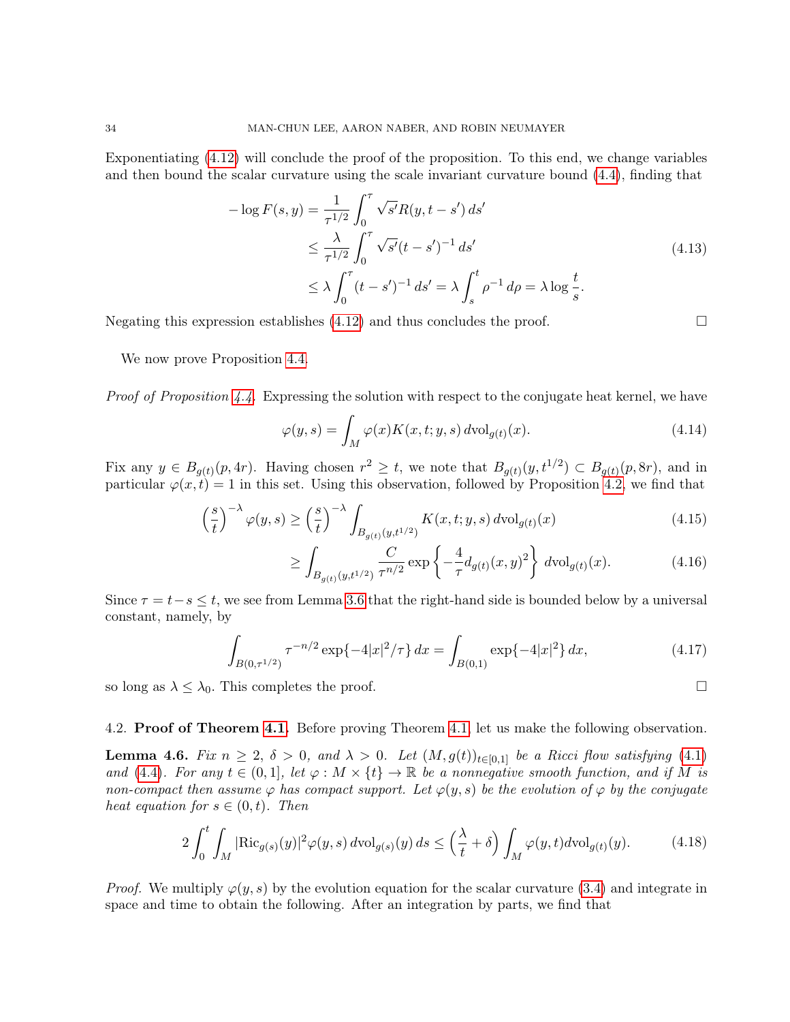Exponentiating [\(4.12\)](#page-32-3) will conclude the proof of the proposition. To this end, we change variables and then bound the scalar curvature using the scale invariant curvature bound [\(4.4\)](#page-31-6), finding that

$$
-\log F(s, y) = \frac{1}{\tau^{1/2}} \int_0^{\tau} \sqrt{s'} R(y, t - s') ds'
$$
  
\n
$$
\leq \frac{\lambda}{\tau^{1/2}} \int_0^{\tau} \sqrt{s'} (t - s')^{-1} ds'
$$
  
\n
$$
\leq \lambda \int_0^{\tau} (t - s')^{-1} ds' = \lambda \int_s^t \rho^{-1} d\rho = \lambda \log \frac{t}{s}.
$$
\n(4.13)

Negating this expression establishes  $(4.12)$  and thus concludes the proof.

We now prove Proposition [4.4.](#page-32-1)

Proof of Proposition [4.4.](#page-32-1) Expressing the solution with respect to the conjugate heat kernel, we have

$$
\varphi(y,s) = \int_M \varphi(x) K(x,t;y,s) \, d\text{vol}_{g(t)}(x). \tag{4.14}
$$

Fix any  $y \in B_{g(t)}(p, 4r)$ . Having chosen  $r^2 \ge t$ , we note that  $B_{g(t)}(y, t^{1/2}) \subset B_{g(t)}(p, 8r)$ , and in particular  $\varphi(x,t) = 1$  in this set. Using this observation, followed by Proposition [4.2,](#page-31-3) we find that

$$
\left(\frac{s}{t}\right)^{-\lambda} \varphi(y,s) \ge \left(\frac{s}{t}\right)^{-\lambda} \int_{B_{g(t)}(y,t^{1/2})} K(x,t;y,s) \, d\text{vol}_{g(t)}(x) \tag{4.15}
$$

$$
\geq \int_{B_{g(t)}(y,t^{1/2})} \frac{C}{\tau^{n/2}} \exp\left\{-\frac{4}{\tau} d_{g(t)}(x,y)^2\right\} d\text{vol}_{g(t)}(x). \tag{4.16}
$$

Since  $\tau = t-s \leq t$ , we see from Lemma [3.6](#page-29-1) that the right-hand side is bounded below by a universal constant, namely, by

$$
\int_{B(0,\tau^{1/2})} \tau^{-n/2} \exp\{-4|x|^2/\tau\} dx = \int_{B(0,1)} \exp\{-4|x|^2\} dx,
$$
\n(4.17)

so long as  $\lambda \leq \lambda_0$ . This completes the proof.

<span id="page-33-0"></span>4.2. **Proof of Theorem [4.1.](#page-31-1)** Before proving Theorem [4.1,](#page-31-1) let us make the following observation.

<span id="page-33-1"></span>**Lemma 4.6.** Fix  $n \geq 2$ ,  $\delta > 0$ , and  $\lambda > 0$ . Let  $(M, g(t))_{t \in [0,1]}$  be a Ricci flow satisfying [\(4.1\)](#page-31-4) and [\(4.4\)](#page-31-6). For any  $t \in (0,1]$ , let  $\varphi : M \times \{t\} \to \mathbb{R}$  be a nonnegative smooth function, and if M is non-compact then assume  $\varphi$  has compact support. Let  $\varphi(y, s)$  be the evolution of  $\varphi$  by the conjugate heat equation for  $s \in (0, t)$ . Then

$$
2\int_0^t \int_M |\text{Ric}_{g(s)}(y)|^2 \varphi(y,s) d\text{vol}_{g(s)}(y) ds \le \left(\frac{\lambda}{t} + \delta\right) \int_M \varphi(y,t) d\text{vol}_{g(t)}(y). \tag{4.18}
$$

*Proof.* We multiply  $\varphi(y, s)$  by the evolution equation for the scalar curvature [\(3.4\)](#page-24-4) and integrate in space and time to obtain the following. After an integration by parts, we find that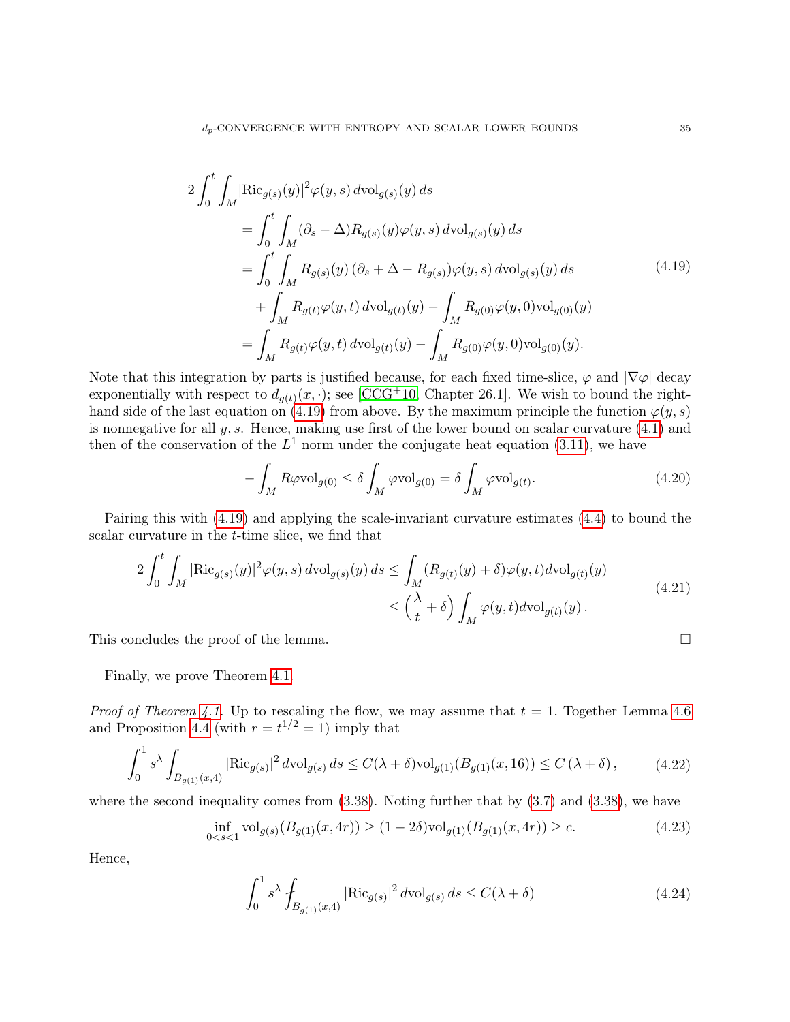$$
2\int_{0}^{t} \int_{M} |\text{Ric}_{g(s)}(y)|^{2} \varphi(y, s) d\text{vol}_{g(s)}(y) ds
$$
  
\n
$$
= \int_{0}^{t} \int_{M} (\partial_{s} - \Delta) R_{g(s)}(y) \varphi(y, s) d\text{vol}_{g(s)}(y) ds
$$
  
\n
$$
= \int_{0}^{t} \int_{M} R_{g(s)}(y) (\partial_{s} + \Delta - R_{g(s)}) \varphi(y, s) d\text{vol}_{g(s)}(y) ds
$$
  
\n
$$
+ \int_{M} R_{g(t)} \varphi(y, t) d\text{vol}_{g(t)}(y) - \int_{M} R_{g(0)} \varphi(y, 0) \text{vol}_{g(0)}(y)
$$
  
\n
$$
= \int_{M} R_{g(t)} \varphi(y, t) d\text{vol}_{g(t)}(y) - \int_{M} R_{g(0)} \varphi(y, 0) \text{vol}_{g(0)}(y).
$$
\n(4.19)

<span id="page-34-0"></span>Note that this integration by parts is justified because, for each fixed time-slice,  $\varphi$  and  $|\nabla \varphi|$  decay exponentially with respect to  $d_{g(t)}(x, \cdot)$ ; see [\[CCG](#page-89-9)<sup>+</sup>10, Chapter 26.1]. We wish to bound the right-hand side of the last equation on [\(4.19\)](#page-34-0) from above. By the maximum principle the function  $\varphi(y, s)$ is nonnegative for all  $y, s$ . Hence, making use first of the lower bound on scalar curvature  $(4.1)$  and then of the conservation of the  $L^1$  norm under the conjugate heat equation [\(3.11\)](#page-25-2), we have

$$
-\int_{M} R\varphi \text{vol}_{g(0)} \le \delta \int_{M} \varphi \text{vol}_{g(0)} = \delta \int_{M} \varphi \text{vol}_{g(t)}.
$$
\n(4.20)

Pairing this with [\(4.19\)](#page-34-0) and applying the scale-invariant curvature estimates [\(4.4\)](#page-31-6) to bound the scalar curvature in the t-time slice, we find that

$$
2\int_0^t \int_M |\text{Ric}_{g(s)}(y)|^2 \varphi(y,s) d\text{vol}_{g(s)}(y) ds \le \int_M (R_{g(t)}(y) + \delta) \varphi(y,t) d\text{vol}_{g(t)}(y)
$$
  

$$
\le \left(\frac{\lambda}{t} + \delta\right) \int_M \varphi(y,t) d\text{vol}_{g(t)}(y).
$$
 (4.21)

This concludes the proof of the lemma.

Finally, we prove Theorem [4.1.](#page-31-1)

*Proof of Theorem [4.1.](#page-31-1)* Up to rescaling the flow, we may assume that  $t = 1$ . Together Lemma [4.6](#page-33-1) and Proposition [4.4](#page-32-1) (with  $r = t^{1/2} = 1$ ) imply that

$$
\int_0^1 s^{\lambda} \int_{B_{g(1)}(x,4)} |\text{Ric}_{g(s)}|^2 \, d\text{vol}_{g(s)} \, ds \le C(\lambda + \delta) \text{vol}_{g(1)}(B_{g(1)}(x, 16)) \le C(\lambda + \delta), \tag{4.22}
$$

where the second inequality comes from  $(3.38)$ . Noting further that by  $(3.7)$  and  $(3.38)$ , we have

$$
\inf_{0 < s < 1} \text{vol}_{g(s)}(B_{g(1)}(x, 4r)) \ge (1 - 2\delta) \text{vol}_{g(1)}(B_{g(1)}(x, 4r)) \ge c. \tag{4.23}
$$

<span id="page-34-1"></span>Hence,

$$
\int_0^1 s^{\lambda} \int_{B_{g(1)}(x,4)} |\text{Ric}_{g(s)}|^2 d\text{vol}_{g(s)} ds \le C(\lambda + \delta)
$$
\n(4.24)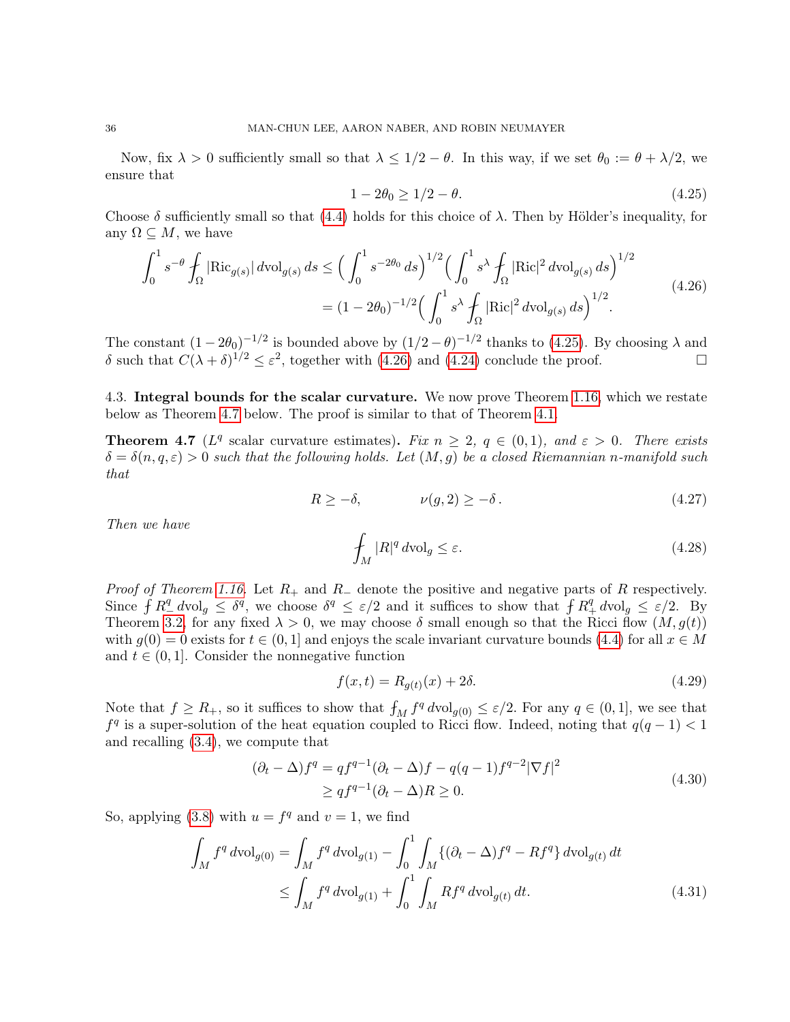Now, fix  $\lambda > 0$  sufficiently small so that  $\lambda \leq 1/2 - \theta$ . In this way, if we set  $\theta_0 := \theta + \lambda/2$ , we ensure that

<span id="page-35-1"></span>
$$
1 - 2\theta_0 \ge 1/2 - \theta. \tag{4.25}
$$

Choose  $\delta$  sufficiently small so that [\(4.4\)](#page-31-6) holds for this choice of  $\lambda$ . Then by Hölder's inequality, for any  $\Omega \subseteq M$ , we have

<span id="page-35-2"></span>
$$
\int_0^1 s^{-\theta} \int_{\Omega} |\text{Ric}_{g(s)}| \, d\text{vol}_{g(s)} \, ds \le \left( \int_0^1 s^{-2\theta_0} \, ds \right)^{1/2} \left( \int_0^1 s^{\lambda} \int_{\Omega} |\text{Ric}|^2 \, d\text{vol}_{g(s)} \, ds \right)^{1/2} = (1 - 2\theta_0)^{-1/2} \left( \int_0^1 s^{\lambda} \int_{\Omega} |\text{Ric}|^2 \, d\text{vol}_{g(s)} \, ds \right)^{1/2}.
$$
\n(4.26)

The constant  $(1-2\theta_0)^{-1/2}$  is bounded above by  $(1/2-\theta)^{-1/2}$  thanks to [\(4.25\)](#page-35-1). By choosing  $\lambda$  and δ such that  $C(λ + δ)^{1/2} ≤ ε^2$ , together with [\(4.26\)](#page-35-2) and [\(4.24\)](#page-34-1) conclude the proof. □

<span id="page-35-0"></span>4.3. Integral bounds for the scalar curvature. We now prove Theorem [1.16,](#page-6-1) which we restate below as Theorem [4.7](#page-35-3) below. The proof is similar to that of Theorem [4.1.](#page-31-1)

<span id="page-35-3"></span>**Theorem 4.7** ( $L^q$  scalar curvature estimates). Fix  $n \geq 2$ ,  $q \in (0,1)$ , and  $\varepsilon > 0$ . There exists  $\delta = \delta(n, q, \varepsilon) > 0$  such that the following holds. Let  $(M, q)$  be a closed Riemannian n-manifold such that

$$
R \ge -\delta, \qquad \qquad \nu(g, 2) \ge -\delta \,. \tag{4.27}
$$

Then we have

$$
\oint_{M} |R|^{q} \, d\text{vol}_{g} \le \varepsilon. \tag{4.28}
$$

*Proof of Theorem [1.16.](#page-6-1)* Let  $R_+$  and  $R_-$  denote the positive and negative parts of R respectively. Since  $\int R^q_+ \, dvol_g \leq \delta^q$ , we choose  $\delta^q \leq \varepsilon/2$  and it suffices to show that  $\int R^q_+ \, dvol_g \leq \varepsilon/2$ . By Theorem [3.2,](#page-27-2) for any fixed  $\lambda > 0$ , we may choose  $\delta$  small enough so that the Ricci flow  $(M, g(t))$ with  $g(0) = 0$  exists for  $t \in (0, 1]$  and enjoys the scale invariant curvature bounds [\(4.4\)](#page-31-6) for all  $x \in M$ and  $t \in (0, 1]$ . Consider the nonnegative function

$$
f(x,t) = R_{g(t)}(x) + 2\delta.
$$
\n(4.29)

Note that  $f \ge R_+$ , so it suffices to show that  $f_M f^q dvol_{g(0)} \le \varepsilon/2$ . For any  $q \in (0,1]$ , we see that  $f<sup>q</sup>$  is a super-solution of the heat equation coupled to Ricci flow. Indeed, noting that  $q(q-1) < 1$ and recalling [\(3.4\)](#page-24-4), we compute that

$$
(\partial_t - \Delta) f^q = q f^{q-1} (\partial_t - \Delta) f - q (q-1) f^{q-2} |\nabla f|^2
$$
  
 
$$
\geq q f^{q-1} (\partial_t - \Delta) R \geq 0.
$$
 (4.30)

So, applying [\(3.8\)](#page-25-1) with  $u = f<sup>q</sup>$  and  $v = 1$ , we find

$$
\int_{M} f^{q} d\text{vol}_{g(0)} = \int_{M} f^{q} d\text{vol}_{g(1)} - \int_{0}^{1} \int_{M} \{ (\partial_{t} - \Delta) f^{q} - R f^{q} \} d\text{vol}_{g(t)} dt
$$
\n
$$
\leq \int_{M} f^{q} d\text{vol}_{g(1)} + \int_{0}^{1} \int_{M} R f^{q} d\text{vol}_{g(t)} dt.
$$
\n(4.31)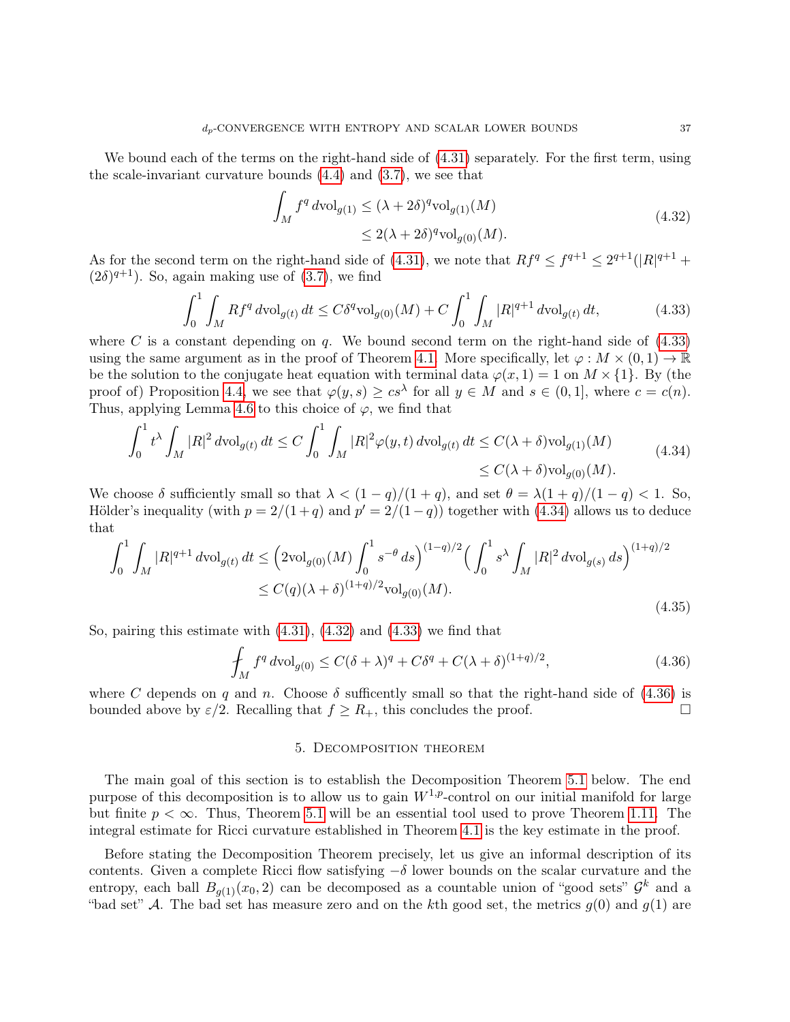We bound each of the terms on the right-hand side of  $(4.31)$  separately. For the first term, using the scale-invariant curvature bounds  $(4.4)$  and  $(3.7)$ , we see that

$$
\int_M f^q \, d\text{vol}_{g(1)} \le (\lambda + 2\delta)^q \text{vol}_{g(1)}(M)
$$
\n
$$
\le 2(\lambda + 2\delta)^q \text{vol}_{g(0)}(M).
$$
\n(4.32)

<span id="page-36-2"></span>As for the second term on the right-hand side of [\(4.31\)](#page-35-0), we note that  $Rf^q \n\t\leq f^{q+1} \leq 2^{q+1}(|R|^{q+1} +$  $(2\delta)^{q+1}$ ). So, again making use of [\(3.7\)](#page-24-0), we find

<span id="page-36-0"></span>
$$
\int_0^1 \int_M Rf^q \, d\text{vol}_{g(t)} \, dt \le C\delta^q \text{vol}_{g(0)}(M) + C \int_0^1 \int_M |R|^{q+1} \, d\text{vol}_{g(t)} \, dt,\tag{4.33}
$$

where C is a constant depending on q. We bound second term on the right-hand side of  $(4.33)$ using the same argument as in the proof of Theorem [4.1.](#page-31-1) More specifically, let  $\varphi : M \times (0,1) \to \mathbb{R}$ be the solution to the conjugate heat equation with terminal data  $\varphi(x, 1) = 1$  on  $M \times \{1\}$ . By (the proof of) Proposition [4.4,](#page-32-0) we see that  $\varphi(y, s) \geq c s^{\lambda}$  for all  $y \in M$  and  $s \in (0, 1]$ , where  $c = c(n)$ . Thus, applying Lemma [4.6](#page-33-0) to this choice of  $\varphi$ , we find that

<span id="page-36-1"></span>
$$
\int_0^1 t^{\lambda} \int_M |R|^2 d\mathrm{vol}_{g(t)} dt \le C \int_0^1 \int_M |R|^2 \varphi(y, t) d\mathrm{vol}_{g(t)} dt \le C(\lambda + \delta) \mathrm{vol}_{g(1)}(M) \tag{4.34}
$$
  

$$
\le C(\lambda + \delta) \mathrm{vol}_{g(0)}(M).
$$

We choose  $\delta$  sufficiently small so that  $\lambda < (1 - q)/(1 + q)$ , and set  $\theta = \lambda(1 + q)/(1 - q) < 1$ . So, Hölder's inequality (with  $p = 2/(1+q)$  and  $p' = 2/(1-q)$ ) together with [\(4.34\)](#page-36-1) allows us to deduce that

$$
\int_0^1 \int_M |R|^{q+1} d\mathrm{vol}_{g(t)} dt \le \left(2\mathrm{vol}_{g(0)}(M) \int_0^1 s^{-\theta} ds\right)^{(1-q)/2} \left(\int_0^1 s^{\lambda} \int_M |R|^2 d\mathrm{vol}_{g(s)} ds\right)^{(1+q)/2}
$$
  
 
$$
\le C(q)(\lambda + \delta)^{(1+q)/2} \mathrm{vol}_{g(0)}(M).
$$
 (4.35)

So, pairing this estimate with [\(4.31\)](#page-35-0), [\(4.32\)](#page-36-2) and [\(4.33\)](#page-36-0) we find that

$$
\int_M f^q \, d\text{vol}_{g(0)} \le C(\delta + \lambda)^q + C\delta^q + C(\lambda + \delta)^{(1+q)/2},\tag{4.36}
$$

where C depends on q and n. Choose  $\delta$  sufficently small so that the right-hand side of [\(4.36\)](#page-36-3) is bounded above by  $\varepsilon/2$ . Recalling that  $f \geq R_+$ , this concludes the proof.

#### <span id="page-36-3"></span>5. Decomposition theorem

<span id="page-36-4"></span>The main goal of this section is to establish the Decomposition Theorem [5.1](#page-37-0) below. The end purpose of this decomposition is to allow us to gain  $W^{1,p}$ -control on our initial manifold for large but finite  $p < \infty$ . Thus, Theorem [5.1](#page-37-0) will be an essential tool used to prove Theorem [1.11.](#page-4-0) The integral estimate for Ricci curvature established in Theorem [4.1](#page-31-1) is the key estimate in the proof.

Before stating the Decomposition Theorem precisely, let us give an informal description of its contents. Given a complete Ricci flow satisfying  $-\delta$  lower bounds on the scalar curvature and the entropy, each ball  $B_{g(1)}(x_0, 2)$  can be decomposed as a countable union of "good sets"  $\mathcal{G}^k$  and a "bad set" A. The bad set has measure zero and on the kth good set, the metrics  $g(0)$  and  $g(1)$  are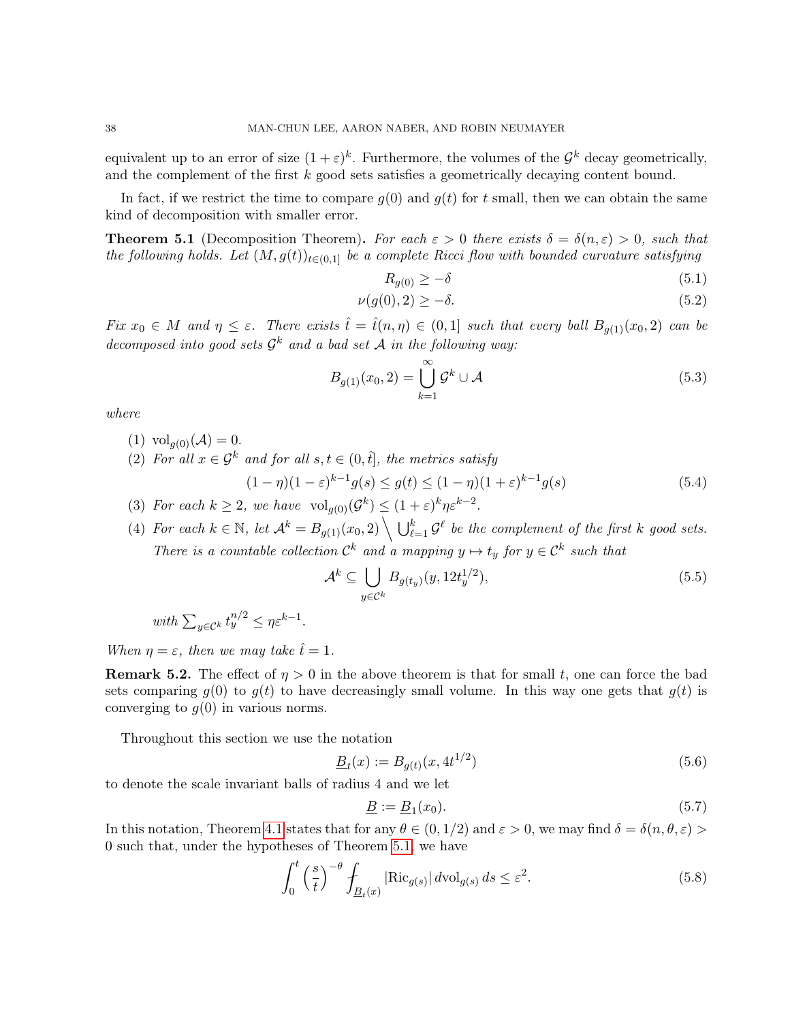equivalent up to an error of size  $(1+\varepsilon)^k$ . Furthermore, the volumes of the  $\mathcal{G}^k$  decay geometrically, and the complement of the first  $k$  good sets satisfies a geometrically decaying content bound.

In fact, if we restrict the time to compare  $g(0)$  and  $g(t)$  for t small, then we can obtain the same kind of decomposition with smaller error.

<span id="page-37-0"></span>**Theorem 5.1** (Decomposition Theorem). For each  $\varepsilon > 0$  there exists  $\delta = \delta(n, \varepsilon) > 0$ , such that the following holds. Let  $(M, g(t))_{t\in(0,1]}$  be a complete Ricci flow with bounded curvature satisfying

<span id="page-37-2"></span><span id="page-37-1"></span>
$$
R_{g(0)} \ge -\delta \tag{5.1}
$$

$$
\nu(g(0),2) \ge -\delta. \tag{5.2}
$$

Fix  $x_0 \in M$  and  $\eta \leq \varepsilon$ . There exists  $\hat{t} = \hat{t}(n, \eta) \in (0, 1]$  such that every ball  $B_{g(1)}(x_0, 2)$  can be decomposed into good sets  $\mathcal{G}^k$  and a bad set A in the following way:

$$
B_{g(1)}(x_0,2) = \bigcup_{k=1}^{\infty} \mathcal{G}^k \cup \mathcal{A}
$$
 (5.3)

<span id="page-37-7"></span>where

- (1)  $\text{vol}_{a(0)}(\mathcal{A}) = 0.$
- <span id="page-37-4"></span>(2) For all  $x \in \mathcal{G}^k$  and for all  $s, t \in (0, \hat{t})$ , the metrics satisfy

$$
(1 - \eta)(1 - \varepsilon)^{k-1} g(s) \le g(t) \le (1 - \eta)(1 + \varepsilon)^{k-1} g(s)
$$
\n(5.4)

- <span id="page-37-6"></span>(3) For each  $k \geq 2$ , we have  $\operatorname{vol}_{g(0)}(\mathcal{G}^k) \leq (1+\varepsilon)^k \eta \varepsilon^{k-2}$ .
- <span id="page-37-5"></span>(4) For each  $k \in \mathbb{N}$ , let  $\mathcal{A}^k = B_{g(1)}(x_0, 2) \setminus \bigcup_{\ell=1}^k \mathcal{G}^{\ell}$  be the complement of the first k good sets. There is a countable collection  $\mathcal{C}^k$  and a mapping  $y \mapsto t_y$  for  $y \in \mathcal{C}^k$  such that

$$
\mathcal{A}^k \subseteq \bigcup_{y \in \mathcal{C}^k} B_{g(t_y)}(y, 12t_y^{1/2}),\tag{5.5}
$$

with  $\sum_{y \in \mathcal{C}^k} t_y^{n/2} \leq \eta \varepsilon^{k-1}$ .

When  $\eta = \varepsilon$ , then we may take  $\hat{t} = 1$ .

**Remark 5.2.** The effect of  $\eta > 0$  in the above theorem is that for small t, one can force the bad sets comparing  $q(0)$  to  $q(t)$  to have decreasingly small volume. In this way one gets that  $q(t)$  is converging to  $g(0)$  in various norms.

Throughout this section we use the notation

<span id="page-37-8"></span>
$$
\underline{B}_t(x) := B_{g(t)}(x, 4t^{1/2})\tag{5.6}
$$

to denote the scale invariant balls of radius 4 and we let

<span id="page-37-3"></span>
$$
\underline{B} := \underline{B}_1(x_0). \tag{5.7}
$$

In this notation, Theorem [4.1](#page-31-1) states that for any  $\theta \in (0, 1/2)$  and  $\varepsilon > 0$ , we may find  $\delta = \delta(n, \theta, \varepsilon)$ 0 such that, under the hypotheses of Theorem [5.1,](#page-37-0) we have

$$
\int_0^t \left(\frac{s}{t}\right)^{-\theta} \int_{\underline{B}_t(x)} |\text{Ric}_{g(s)}| \, d\text{vol}_{g(s)} \, ds \le \varepsilon^2. \tag{5.8}
$$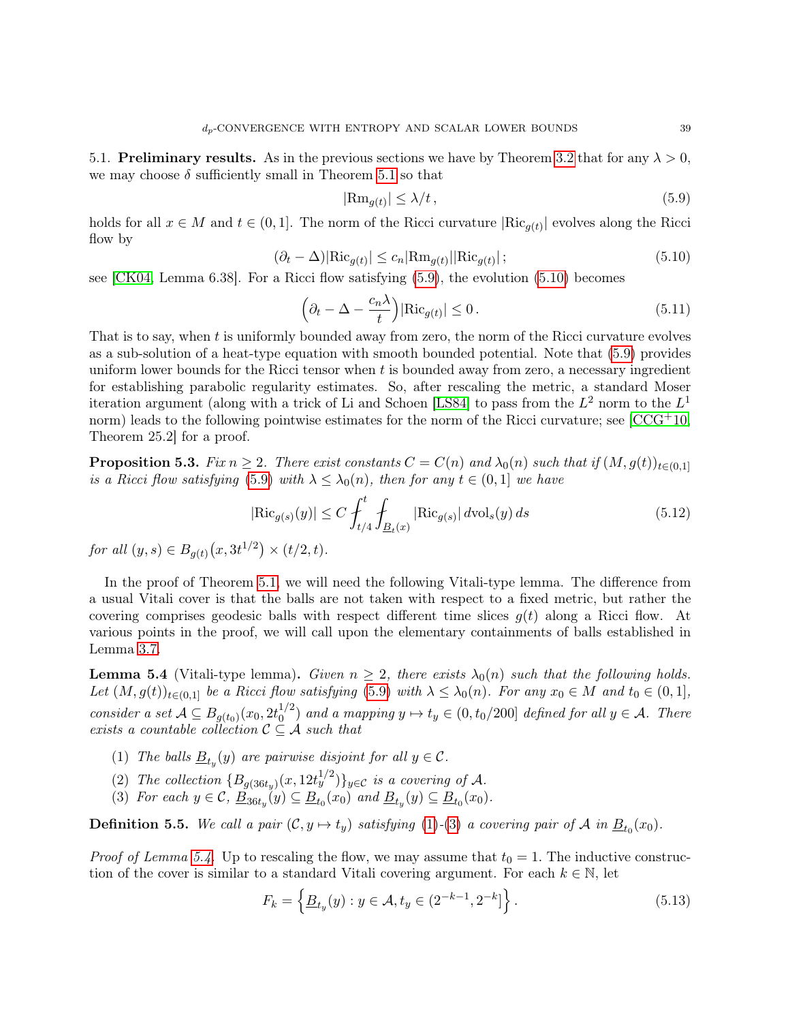5.1. Preliminary results. As in the previous sections we have by Theorem [3.2](#page-27-0) that for any  $\lambda > 0$ , we may choose  $\delta$  sufficiently small in Theorem [5.1](#page-37-0) so that

<span id="page-38-0"></span>
$$
|\text{Rm}_{g(t)}| \le \lambda / t \,, \tag{5.9}
$$

holds for all  $x \in M$  and  $t \in (0,1]$ . The norm of the Ricci curvature  $|\text{Ric}_{g(t)}|$  evolves along the Ricci flow by

<span id="page-38-1"></span>
$$
(\partial_t - \Delta)|\text{Ric}_{g(t)}| \le c_n |\text{Rm}_{g(t)}||\text{Ric}_{g(t)}| \tag{5.10}
$$

see  $[CK04, Lemma 6.38]$  $[CK04, Lemma 6.38]$ . For a Ricci flow satisfying  $(5.9)$ , the evolution  $(5.10)$  becomes

$$
\left(\partial_t - \Delta - \frac{c_n \lambda}{t}\right) |\text{Ric}_{g(t)}| \le 0.
$$
\n(5.11)

That is to say, when t is uniformly bounded away from zero, the norm of the Ricci curvature evolves as a sub-solution of a heat-type equation with smooth bounded potential. Note that [\(5.9\)](#page-38-0) provides uniform lower bounds for the Ricci tensor when t is bounded away from zero, a necessary ingredient for establishing parabolic regularity estimates. So, after rescaling the metric, a standard Moser iteration argument (along with a trick of Li and Schoen [\[LS84\]](#page-90-1) to pass from the  $L^2$  norm to the  $L^1$ norm) leads to the following pointwise estimates for the norm of the Ricci curvature; see  $[CCG^+10,$  $[CCG^+10,$ Theorem 25.2] for a proof.

<span id="page-38-7"></span>**Proposition 5.3.** Fix  $n \geq 2$ . There exist constants  $C = C(n)$  and  $\lambda_0(n)$  such that if  $(M, g(t))_{t \in (0,1]}$ is a Ricci flow satisfying [\(5.9\)](#page-38-0) with  $\lambda \leq \lambda_0(n)$ , then for any  $t \in (0,1]$  we have

$$
|\text{Ric}_{g(s)}(y)| \le C \int_{t/4}^{t} \int_{\underline{B}_t(x)} |\text{Ric}_{g(s)}| \, d\text{vol}_s(y) \, ds \tag{5.12}
$$

for all  $(y, s) \in B_{g(t)}(x, 3t^{1/2}) \times (t/2, t)$ .

In the proof of Theorem [5.1,](#page-37-0) we will need the following Vitali-type lemma. The difference from a usual Vitali cover is that the balls are not taken with respect to a fixed metric, but rather the covering comprises geodesic balls with respect different time slices  $q(t)$  along a Ricci flow. At various points in the proof, we will call upon the elementary containments of balls established in Lemma [3.7.](#page-30-0)

<span id="page-38-4"></span>**Lemma 5.4** (Vitali-type lemma). Given  $n \geq 2$ , there exists  $\lambda_0(n)$  such that the following holds. Let  $(M, g(t))_{t\in(0,1]}$  be a Ricci flow satisfying [\(5.9\)](#page-38-0) with  $\lambda \leq \lambda_0(n)$ . For any  $x_0 \in M$  and  $t_0 \in (0,1],$ consider a set  $\mathcal{A} \subseteq B_{g(t_0)}(x_0, 2t_0^{1/2})$  $\binom{1}{0}$  and a mapping  $y \mapsto t_y \in (0, t_0/200]$  defined for all  $y \in A$ . There exists a countable collection  $\mathcal{C} \subseteq \mathcal{A}$  such that

- <span id="page-38-2"></span>(1) The balls  $\underline{B}_{t_y}(y)$  are pairwise disjoint for all  $y \in C$ .
- <span id="page-38-5"></span>(2) The collection  $\{B_{g(36t_y)}(x, 12t_y^{1/2})\}_{y \in \mathcal{C}}$  is a covering of A.
- <span id="page-38-3"></span>(3) For each  $y \in \mathcal{C}$ ,  $\underline{B}_{36t_y}(y) \subseteq \underline{B}_{t_0}(x_0)$  and  $\underline{B}_{t_y}(y) \subseteq \underline{B}_{t_0}(x_0)$ .

<span id="page-38-6"></span>**Definition 5.5.** We call a pair  $(C, y \mapsto t_y)$  satisfying [\(1\)](#page-38-2)-[\(3\)](#page-38-3) a covering pair of A in  $\underline{B}_{t_0}(x_0)$ .

*Proof of Lemma [5.4.](#page-38-4)* Up to rescaling the flow, we may assume that  $t_0 = 1$ . The inductive construction of the cover is similar to a standard Vitali covering argument. For each  $k \in \mathbb{N}$ , let

$$
F_k = \left\{ \underline{B}_{t_y}(y) : y \in \mathcal{A}, t_y \in (2^{-k-1}, 2^{-k}] \right\}.
$$
 (5.13)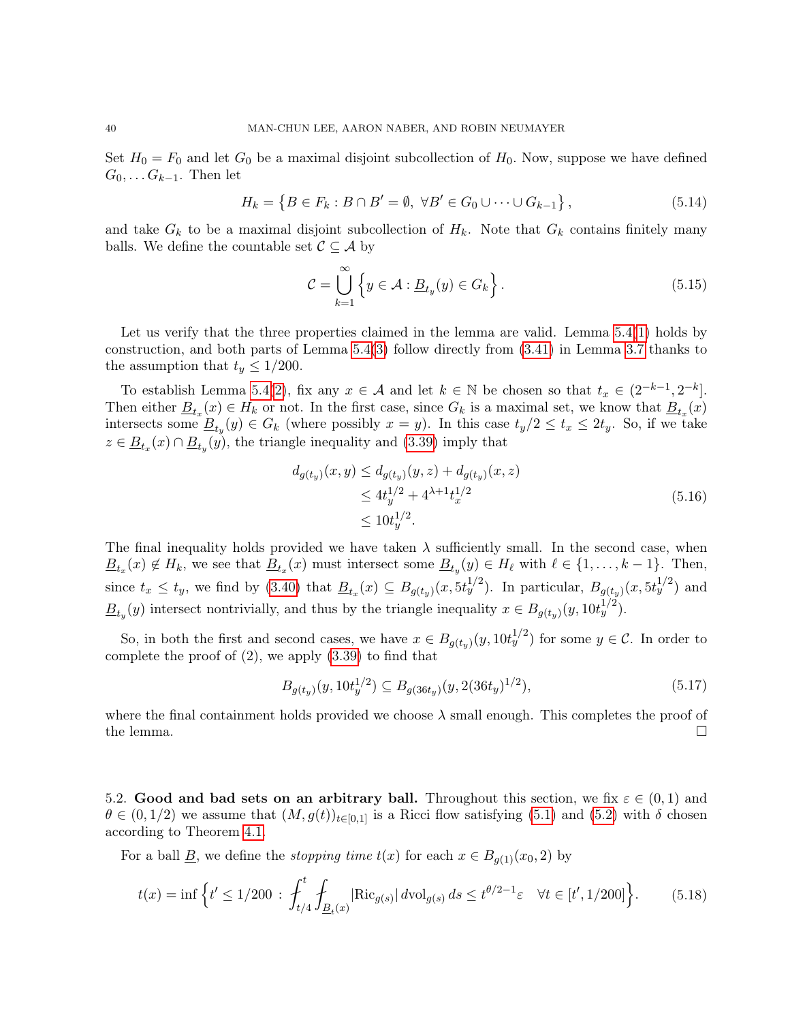Set  $H_0 = F_0$  and let  $G_0$  be a maximal disjoint subcollection of  $H_0$ . Now, suppose we have defined  $G_0, \ldots G_{k-1}$ . Then let

$$
H_k = \left\{ B \in F_k : B \cap B' = \emptyset, \ \forall B' \in G_0 \cup \dots \cup G_{k-1} \right\},\tag{5.14}
$$

and take  $G_k$  to be a maximal disjoint subcollection of  $H_k$ . Note that  $G_k$  contains finitely many balls. We define the countable set  $\mathcal{C} \subseteq \mathcal{A}$  by

$$
\mathcal{C} = \bigcup_{k=1}^{\infty} \left\{ y \in \mathcal{A} : \underline{B}_{t_y}(y) \in G_k \right\}.
$$
 (5.15)

Let us verify that the three properties claimed in the lemma are valid. Lemma [5.4\(](#page-38-4)[1\)](#page-38-2) holds by construction, and both parts of Lemma [5.4\(](#page-38-4)[3\)](#page-38-3) follow directly from [\(3.41\)](#page-30-1) in Lemma [3.7](#page-30-0) thanks to the assumption that  $t_y \leq 1/200$ .

To establish Lemma [5.4\(](#page-38-4)[2\)](#page-38-5), fix any  $x \in A$  and let  $k \in \mathbb{N}$  be chosen so that  $t_x \in (2^{-k-1}, 2^{-k}]$ . Then either  $\underline{B}_{t_x}(x) \in H_k$  or not. In the first case, since  $G_k$  is a maximal set, we know that  $\underline{B}_{t_x}(x)$ intersects some  $\underline{B}_{t_y}(y) \in G_k$  (where possibly  $x = y$ ). In this case  $t_y/2 \le t_x \le 2t_y$ . So, if we take  $z \in \underline{B}_{t_x}(x) \cap \underline{B}_{t_y}(y)$ , the triangle inequality and [\(3.39\)](#page-30-2) imply that

$$
d_{g(t_y)}(x, y) \le d_{g(t_y)}(y, z) + d_{g(t_y)}(x, z)
$$
  
\n
$$
\le 4t_y^{1/2} + 4^{\lambda + 1}t_x^{1/2}
$$
  
\n
$$
\le 10t_y^{1/2}.
$$
\n(5.16)

The final inequality holds provided we have taken  $\lambda$  sufficiently small. In the second case, when  $\underline{B}_{t_x}(x) \notin H_k$ , we see that  $\underline{B}_{t_x}(x)$  must intersect some  $\underline{B}_{t_y}(y) \in H_\ell$  with  $\ell \in \{1, \ldots, k-1\}$ . Then, since  $t_x \leq t_y$ , we find by [\(3.40\)](#page-30-3) that  $\underline{B}_{t_x}(x) \subseteq B_{g(t_y)}(x, 5t_y^{1/2})$ . In particular,  $B_{g(t_y)}(x, 5t_y^{1/2})$  and  $\underline{B}_{t_y}(y)$  intersect nontrivially, and thus by the triangle inequality  $x \in B_{g(t_y)}(y, 10t_y^{1/2})$ .

So, in both the first and second cases, we have  $x \in B_{g(t_y)}(y, 10t_y^{1/2})$  for some  $y \in C$ . In order to complete the proof of  $(2)$ , we apply  $(3.39)$  to find that

$$
B_{g(t_y)}(y, 10t_y^{1/2}) \subseteq B_{g(36t_y)}(y, 2(36t_y)^{1/2}), \tag{5.17}
$$

where the final containment holds provided we choose  $\lambda$  small enough. This completes the proof of the lemma.  $\square$ 

<span id="page-39-1"></span>5.2. Good and bad sets on an arbitrary ball. Throughout this section, we fix  $\varepsilon \in (0,1)$  and  $\theta \in (0, 1/2)$  we assume that  $(M, g(t))_{t \in [0,1]}$  is a Ricci flow satisfying  $(5.1)$  and  $(5.2)$  with  $\delta$  chosen according to Theorem [4.1.](#page-31-1)

For a ball <u>B</u>, we define the *stopping time*  $t(x)$  for each  $x \in B_{g(1)}(x_0, 2)$  by

<span id="page-39-0"></span>
$$
t(x) = \inf \left\{ t' \le 1/200 \, : \, \int_{t/4}^t \int_{\underline{B}_t(x)} |\text{Ric}_{g(s)}| \, d\text{vol}_{g(s)} \, ds \le t^{\theta/2 - 1} \varepsilon \quad \forall t \in [t', 1/200] \right\}.
$$
 (5.18)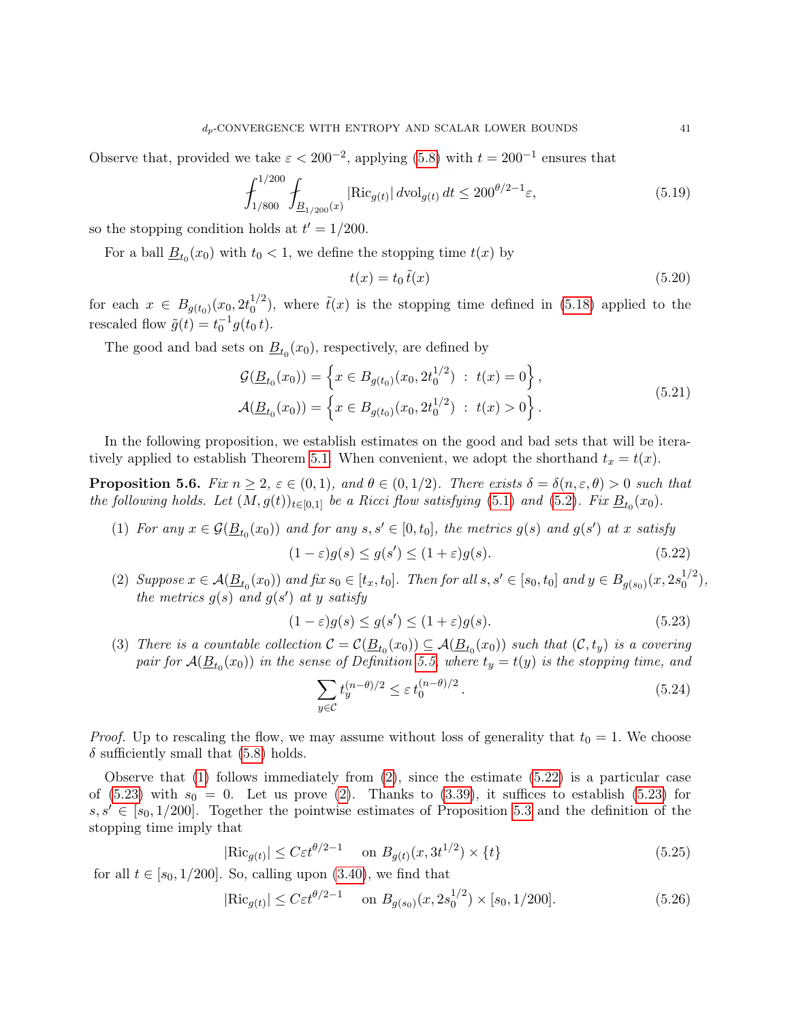Observe that, provided we take  $\varepsilon < 200^{-2}$ , applying [\(5.8\)](#page-37-3) with  $t = 200^{-1}$  ensures that

$$
\int_{1/800}^{1/200} \int_{\underline{B}_{1/200}(x)} |\text{Ric}_{g(t)}| \, d\text{vol}_{g(t)} \, dt \le 200^{\theta/2 - 1} \varepsilon,\tag{5.19}
$$

so the stopping condition holds at  $t' = 1/200$ .

For a ball  $\underline{B}_{t_0}(x_0)$  with  $t_0 < 1$ , we define the stopping time  $t(x)$  by

$$
t(x) = t_0 \tilde{t}(x) \tag{5.20}
$$

for each  $x \in B_{g(t_0)}(x_0, 2t_0^{1/2})$  $\binom{1/2}{0}$ , where  $\tilde{t}(x)$  is the stopping time defined in [\(5.18\)](#page-39-0) applied to the rescaled flow  $\tilde{g}(t) = t_0^{-1} g(t_0 t)$ .

<span id="page-40-7"></span>The good and bad sets on  $\underline{B}_{t_0}(x_0)$ , respectively, are defined by

$$
\mathcal{G}(\underline{B}_{t_0}(x_0)) = \left\{ x \in B_{g(t_0)}(x_0, 2t_0^{1/2}) : t(x) = 0 \right\},\
$$
  

$$
\mathcal{A}(\underline{B}_{t_0}(x_0)) = \left\{ x \in B_{g(t_0)}(x_0, 2t_0^{1/2}) : t(x) > 0 \right\}.
$$
 (5.21)

In the following proposition, we establish estimates on the good and bad sets that will be itera-tively applied to establish Theorem [5.1.](#page-37-0) When convenient, we adopt the shorthand  $t_x = t(x)$ .

<span id="page-40-6"></span>**Proposition 5.6.** Fix  $n \geq 2$ ,  $\varepsilon \in (0,1)$ , and  $\theta \in (0,1/2)$ . There exists  $\delta = \delta(n,\varepsilon,\theta) > 0$  such that the following holds. Let  $(M, g(t))_{t \in [0,1]}$  be a Ricci flow satisfying [\(5.1\)](#page-37-1) and [\(5.2\)](#page-37-2). Fix  $\underline{B}_{t_0}(x_0)$ .

<span id="page-40-0"></span>(1) For any  $x \in \mathcal{G}(\underline{B}_{t_0}(x_0))$  and for any  $s, s' \in [0, t_0]$ , the metrics  $g(s)$  and  $g(s')$  at x satisfy

<span id="page-40-2"></span>
$$
(1 - \varepsilon)g(s) \le g(s') \le (1 + \varepsilon)g(s). \tag{5.22}
$$

<span id="page-40-1"></span>(2) Suppose  $x \in \mathcal{A}(\underline{B}_{t_0}(x_0))$  and fix  $s_0 \in [t_x, t_0]$ . Then for all  $s, s' \in [s_0, t_0]$  and  $y \in B_{g(s_0)}(x, 2s_0^{1/2})$  $\binom{1}{2},$ the metrics  $g(s)$  and  $g(s')$  at y satisfy

<span id="page-40-3"></span>
$$
(1 - \varepsilon)g(s) \le g(s') \le (1 + \varepsilon)g(s). \tag{5.23}
$$

(3) There is a countable collection  $C = C(\underline{B}_{t_0}(x_0)) \subseteq A(\underline{B}_{t_0}(x_0))$  such that  $(C, t_y)$  is a covering pair for  $\mathcal{A}(\underline{B}_{t_0}(x_0))$  in the sense of Definition [5.5,](#page-38-6) where  $t_y = t(y)$  is the stopping time, and

<span id="page-40-5"></span><span id="page-40-4"></span>
$$
\sum_{y \in \mathcal{C}} t_y^{(n-\theta)/2} \le \varepsilon \, t_0^{(n-\theta)/2} \,. \tag{5.24}
$$

*Proof.* Up to rescaling the flow, we may assume without loss of generality that  $t_0 = 1$ . We choose  $\delta$  sufficiently small that [\(5.8\)](#page-37-3) holds.

Observe that  $(1)$  follows immediately from  $(2)$ , since the estimate  $(5.22)$  is a particular case of  $(5.23)$  with  $s_0 = 0$ . Let us prove  $(2)$ . Thanks to  $(3.39)$ , it suffices to establish  $(5.23)$  for  $s, s' \in [s_0, 1/200]$ . Together the pointwise estimates of Proposition [5.3](#page-38-7) and the definition of the stopping time imply that

$$
|\text{Ric}_{g(t)}| \le C\varepsilon t^{\theta/2 - 1} \quad \text{on } B_{g(t)}(x, 3t^{1/2}) \times \{t\}
$$
\n
$$
(5.25)
$$

for all  $t \in [s_0, 1/200]$ . So, calling upon [\(3.40\)](#page-30-3), we find that

$$
|\text{Ric}_{g(t)}| \le C\varepsilon t^{\theta/2 - 1} \quad \text{ on } B_{g(s_0)}(x, 2s_0^{1/2}) \times [s_0, 1/200]. \tag{5.26}
$$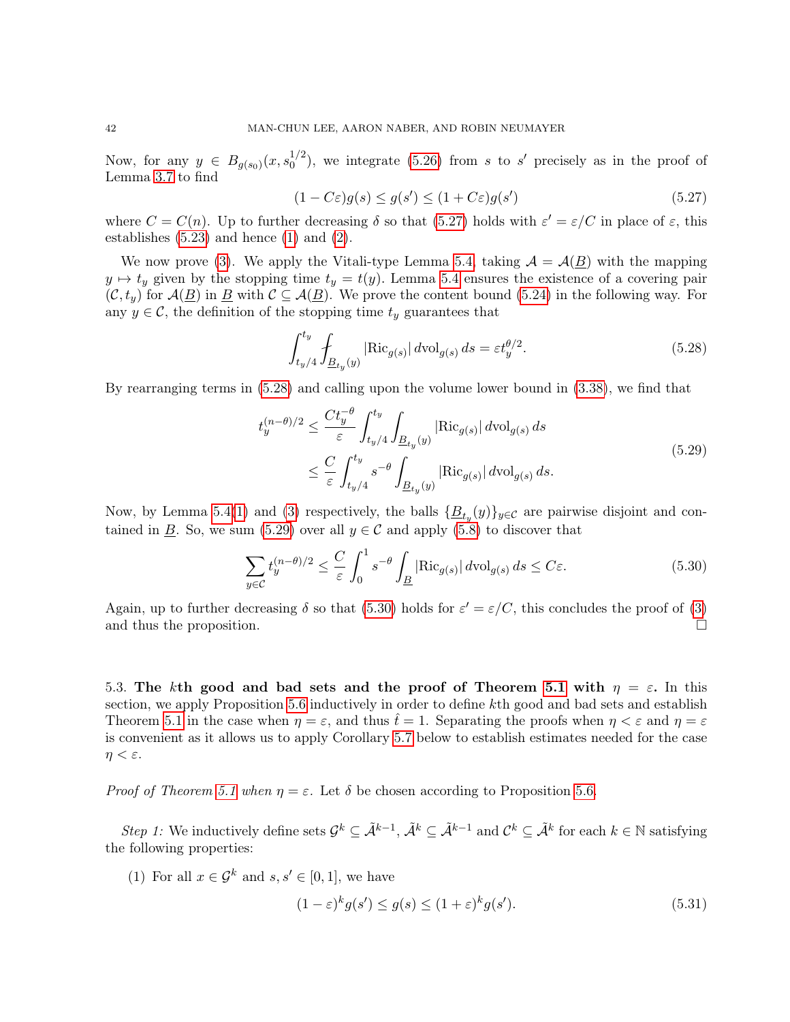Now, for any  $y \in B_{g(s_0)}(x, s_0^{1/2})$  $\binom{1/2}{0}$ , we integrate [\(5.26\)](#page-40-4) from s to s' precisely as in the proof of Lemma [3.7](#page-30-0) to find

<span id="page-41-0"></span>
$$
(1 - C\varepsilon)g(s) \le g(s') \le (1 + C\varepsilon)g(s')
$$
\n(5.27)

where  $C = C(n)$ . Up to further decreasing  $\delta$  so that [\(5.27\)](#page-41-0) holds with  $\varepsilon' = \varepsilon / C$  in place of  $\varepsilon$ , this establishes  $(5.23)$  and hence  $(1)$  and  $(2)$ .

We now prove [\(3\)](#page-47-0). We apply the Vitali-type Lemma [5.4,](#page-38-4) taking  $\mathcal{A} = \mathcal{A}(B)$  with the mapping  $y \mapsto t_y$  given by the stopping time  $t_y = t(y)$ . Lemma [5.4](#page-38-4) ensures the existence of a covering pair  $(C, t_y)$  for  $\mathcal{A}(\underline{B})$  in  $\underline{B}$  with  $C \subseteq \mathcal{A}(\underline{B})$ . We prove the content bound [\(5.24\)](#page-40-5) in the following way. For any  $y \in \mathcal{C}$ , the definition of the stopping time  $t_y$  guarantees that

<span id="page-41-1"></span>
$$
\int_{t_y/4}^{t_y} \int_{\underline{B}_{t_y}(y)} |\text{Ric}_{g(s)}| \, d\text{vol}_{g(s)} \, ds = \varepsilon t_y^{\theta/2}.
$$
 (5.28)

<span id="page-41-2"></span>By rearranging terms in [\(5.28\)](#page-41-1) and calling upon the volume lower bound in [\(3.38\)](#page-29-0), we find that

$$
t_{y}^{(n-\theta)/2} \leq \frac{Ct_{y}^{-\theta}}{\varepsilon} \int_{t_{y}/4}^{t_{y}} \int_{\underline{B}_{t_{y}}(y)} |\text{Ric}_{g(s)}| \, d\text{vol}_{g(s)} \, ds
$$
  

$$
\leq \frac{C}{\varepsilon} \int_{t_{y}/4}^{t_{y}} s^{-\theta} \int_{\underline{B}_{t_{y}}(y)} |\text{Ric}_{g(s)}| \, d\text{vol}_{g(s)} \, ds.
$$
 (5.29)

Now, by Lemma [5.4](#page-38-4)[\(1\)](#page-38-2) and [\(3\)](#page-38-3) respectively, the balls  $\{B_{t_y}(y)\}_{y\in\mathcal{C}}$  are pairwise disjoint and contained in  $\underline{B}$ . So, we sum [\(5.29\)](#page-41-2) over all  $y \in \mathcal{C}$  and apply [\(5.8\)](#page-37-3) to discover that

<span id="page-41-3"></span>
$$
\sum_{y \in \mathcal{C}} t_y^{(n-\theta)/2} \le \frac{C}{\varepsilon} \int_0^1 s^{-\theta} \int_{\underline{B}} |\text{Ric}_{g(s)}| \, d\text{vol}_{g(s)} \, ds \le C\varepsilon. \tag{5.30}
$$

Again, up to further decreasing  $\delta$  so that [\(5.30\)](#page-41-3) holds for  $\varepsilon' = \varepsilon / C$ , this concludes the proof of [\(3\)](#page-47-0) and thus the proposition.

5.3. The kth good and bad sets and the proof of Theorem [5.1](#page-37-0) with  $\eta = \varepsilon$ . In this section, we apply Proposition [5.6](#page-40-6) inductively in order to define kth good and bad sets and establish Theorem [5.1](#page-37-0) in the case when  $\eta = \varepsilon$ , and thus  $\hat{t} = 1$ . Separating the proofs when  $\eta < \varepsilon$  and  $\eta = \varepsilon$ is convenient as it allows us to apply Corollary [5.7](#page-43-0) below to establish estimates needed for the case  $\eta < \varepsilon$ .

*Proof of Theorem [5.1](#page-37-0) when*  $\eta = \varepsilon$ . Let  $\delta$  be chosen according to Proposition [5.6.](#page-40-6)

Step 1: We inductively define sets  $\mathcal{G}^k \subseteq \tilde{\mathcal{A}}^{k-1}$ ,  $\tilde{\mathcal{A}}^k \subseteq \tilde{\mathcal{A}}^{k-1}$  and  $\mathcal{C}^k \subseteq \tilde{\mathcal{A}}^k$  for each  $k \in \mathbb{N}$  satisfying the following properties:

<span id="page-41-4"></span>(1) For all  $x \in \mathcal{G}^k$  and  $s, s' \in [0, 1]$ , we have

<span id="page-41-5"></span>
$$
(1 - \varepsilon)^k g(s') \le g(s) \le (1 + \varepsilon)^k g(s'). \tag{5.31}
$$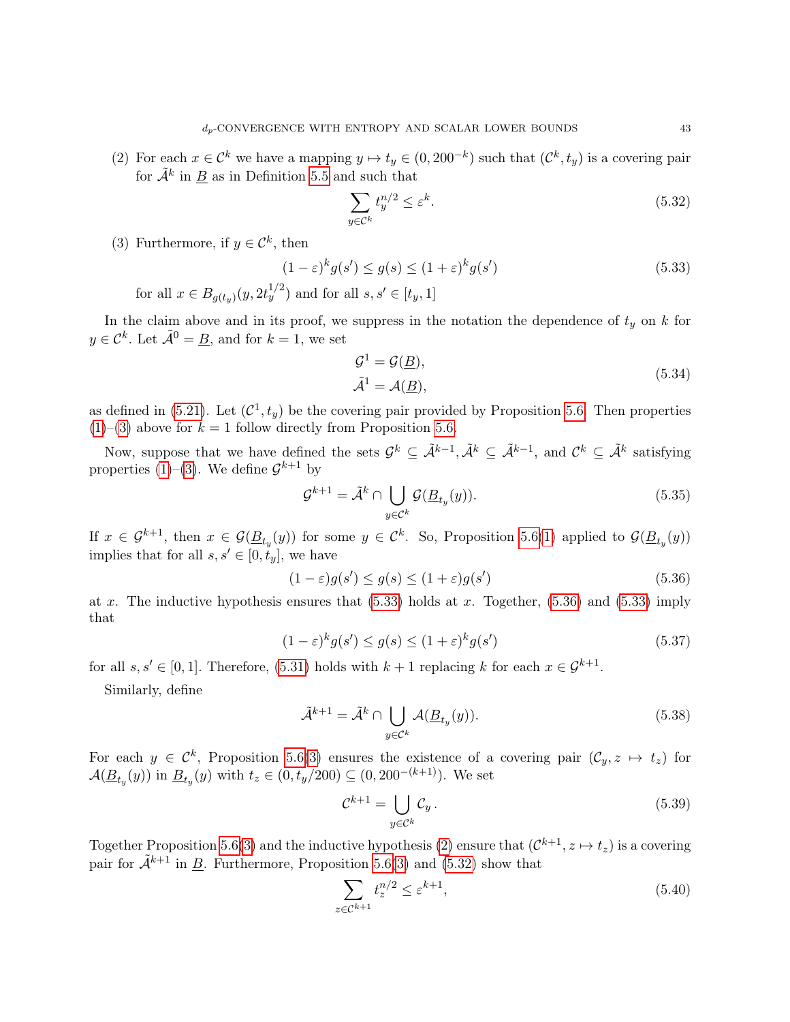<span id="page-42-3"></span>(2) For each  $x \in \mathcal{C}^k$  we have a mapping  $y \mapsto t_y \in (0, 200^{-k})$  such that  $(\mathcal{C}^k, t_y)$  is a covering pair for  $\tilde{\mathcal{A}}^k$  in  $\underline{B}$  as in Definition [5.5](#page-38-6) and such that

<span id="page-42-4"></span>
$$
\sum_{y \in \mathcal{C}^k} t_y^{n/2} \le \varepsilon^k. \tag{5.32}
$$

<span id="page-42-0"></span>(3) Furthermore, if  $y \in \mathcal{C}^k$ , then

<span id="page-42-1"></span>
$$
(1 - \varepsilon)^k g(s') \le g(s) \le (1 + \varepsilon)^k g(s')
$$
\n(5.33)

for all  $x \in B_{g(t_y)}(y, 2t_y^{1/2})$  and for all  $s, s' \in [t_y, 1]$ 

In the claim above and in its proof, we suppress in the notation the dependence of  $t<sub>y</sub>$  on k for  $y \in \mathcal{C}^k$ . Let  $\tilde{\mathcal{A}}^0 = \underline{B}$ , and for  $k = 1$ , we set

$$
\mathcal{G}^1 = \mathcal{G}(\underline{B}),
$$
  
\n
$$
\tilde{\mathcal{A}}^1 = \mathcal{A}(\underline{B}),
$$
\n(5.34)

as defined in [\(5.21\)](#page-40-7). Let  $(\mathcal{C}^1, t_y)$  be the covering pair provided by Proposition [5.6.](#page-40-6) Then properties  $(1)$ – $(3)$  above for  $k = 1$  follow directly from Proposition [5.6.](#page-40-6)

Now, suppose that we have defined the sets  $\mathcal{G}^k \subseteq \tilde{\mathcal{A}}^{k-1}, \tilde{\mathcal{A}}^k \subseteq \tilde{\mathcal{A}}^{k-1}$ , and  $\mathcal{C}^k \subseteq \tilde{\mathcal{A}}^k$  satisfying properties [\(1\)](#page-41-4)–[\(3\)](#page-42-0). We define  $\mathcal{G}^{k+1}$  by

$$
\mathcal{G}^{k+1} = \tilde{\mathcal{A}}^k \cap \bigcup_{y \in \mathcal{C}^k} \mathcal{G}(\underline{B}_{t_y}(y)).
$$
\n(5.35)

If  $x \in \mathcal{G}^{k+1}$ , then  $x \in \mathcal{G}(\underline{B}_{t_y}(y))$  for some  $y \in \mathcal{C}^k$ . So, Proposition [5.6\(](#page-40-6)[1\)](#page-40-0) applied to  $\mathcal{G}(\underline{B}_{t_y}(y))$ implies that for all  $s, s' \in [0, t_u]$ , we have

<span id="page-42-2"></span>
$$
(1 - \varepsilon)g(s') \le g(s) \le (1 + \varepsilon)g(s')
$$
\n(5.36)

at x. The inductive hypothesis ensures that  $(5.33)$  holds at x. Together,  $(5.36)$  and  $(5.33)$  imply that

$$
(1 - \varepsilon)^k g(s') \le g(s) \le (1 + \varepsilon)^k g(s')
$$
\n(5.37)

for all  $s, s' \in [0, 1]$ . Therefore, [\(5.31\)](#page-41-5) holds with  $k + 1$  replacing k for each  $x \in \mathcal{G}^{k+1}$ .

Similarly, define

$$
\tilde{\mathcal{A}}^{k+1} = \tilde{\mathcal{A}}^k \cap \bigcup_{y \in \mathcal{C}^k} \mathcal{A}(\underline{B}_{t_y}(y)).\tag{5.38}
$$

For each  $y \in \mathcal{C}^k$ , Proposition [5.6\(](#page-40-6)[3\)](#page-47-0) ensures the existence of a covering pair  $(\mathcal{C}_y, z \mapsto t_z)$  for  $\mathcal{A}(\underline{B}_{t_y}(y))$  in  $\underline{B}_{t_y}(y)$  with  $t_z \in (0, t_y/200) \subseteq (0, 200^{-(k+1)})$ . We set

$$
\mathcal{C}^{k+1} = \bigcup_{y \in \mathcal{C}^k} \mathcal{C}_y \,. \tag{5.39}
$$

Together Proposition [5.6\(](#page-40-6)[3\)](#page-47-0) and the inductive hypothesis [\(2\)](#page-42-3) ensure that  $(\mathcal{C}^{k+1}, z \mapsto t_z)$  is a covering pair for  $\tilde{\mathcal{A}}^{k+1}$  in B. Furthermore, Proposition [5.6\(](#page-40-6)[3\)](#page-47-0) and [\(5.32\)](#page-42-4) show that

$$
\sum_{z \in \mathcal{C}^{k+1}} t_z^{n/2} \le \varepsilon^{k+1},\tag{5.40}
$$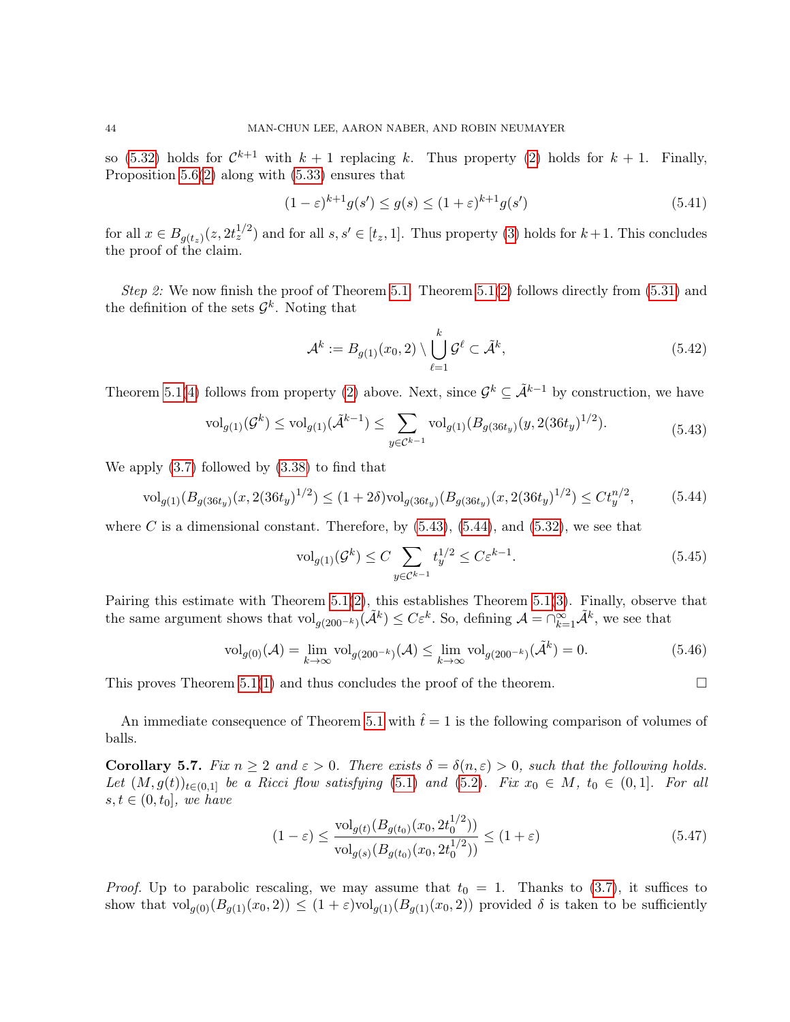so [\(5.32\)](#page-42-4) holds for  $\mathcal{C}^{k+1}$  with  $k+1$  replacing k. Thus property [\(2\)](#page-42-3) holds for  $k+1$ . Finally, Proposition  $5.6(2)$  $5.6(2)$  along with  $(5.33)$  ensures that

$$
(1 - \varepsilon)^{k+1} g(s') \le g(s) \le (1 + \varepsilon)^{k+1} g(s')
$$
\n(5.41)

for all  $x \in B_{g(t_z)}(z, 2t_z^{1/2})$  and for all  $s, s' \in [t_z, 1]$ . Thus property [\(3\)](#page-42-0) holds for  $k+1$ . This concludes the proof of the claim.

Step 2: We now finish the proof of Theorem [5.1.](#page-37-0) Theorem [5.1\(](#page-37-0)[2\)](#page-37-4) follows directly from  $(5.31)$  and the definition of the sets  $\mathcal{G}^k$ . Noting that

$$
\mathcal{A}^k := B_{g(1)}(x_0, 2) \setminus \bigcup_{\ell=1}^k \mathcal{G}^\ell \subset \tilde{\mathcal{A}}^k,\tag{5.42}
$$

<span id="page-43-1"></span>Theorem [5.1\(](#page-37-0)[4\)](#page-37-5) follows from property [\(2\)](#page-42-3) above. Next, since  $\mathcal{G}^k \subseteq \tilde{\mathcal{A}}^{k-1}$  by construction, we have

$$
\text{vol}_{g(1)}(\mathcal{G}^k) \le \text{vol}_{g(1)}(\tilde{\mathcal{A}}^{k-1}) \le \sum_{y \in \mathcal{C}^{k-1}} \text{vol}_{g(1)}(B_{g(36t_y)}(y, 2(36t_y)^{1/2}).\tag{5.43}
$$

<span id="page-43-2"></span>We apply [\(3.7\)](#page-24-0) followed by [\(3.38\)](#page-29-0) to find that

$$
\text{vol}_{g(1)}(B_{g(36t_y)}(x, 2(36t_y)^{1/2}) \le (1+2\delta)\text{vol}_{g(36t_y)}(B_{g(36t_y)}(x, 2(36t_y)^{1/2}) \le Ct_y^{n/2},\tag{5.44}
$$

where C is a dimensional constant. Therefore, by  $(5.43)$ ,  $(5.44)$ , and  $(5.32)$ , we see that

$$
\text{vol}_{g(1)}(\mathcal{G}^k) \le C \sum_{y \in \mathcal{C}^{k-1}} t_y^{1/2} \le C \varepsilon^{k-1}.
$$
\n(5.45)

Pairing this estimate with Theorem  $5.1(2)$  $5.1(2)$ , this establishes Theorem  $5.1(3)$  $5.1(3)$ . Finally, observe that the same argument shows that  $vol_{g(200^{-k})}(\tilde{\mathcal{A}}^k) \leq C\varepsilon^k$ . So, defining  $\mathcal{A} = \cap_{k=1}^{\infty} \tilde{\mathcal{A}}^k$ , we see that

$$
\text{vol}_{g(0)}(\mathcal{A}) = \lim_{k \to \infty} \text{vol}_{g(200^{-k})}(\mathcal{A}) \le \lim_{k \to \infty} \text{vol}_{g(200^{-k})}(\tilde{\mathcal{A}}^k) = 0.
$$
 (5.46)

This proves Theorem [5.1\(](#page-37-0)[1\)](#page-37-7) and thus concludes the proof of the theorem.  $\Box$ 

An immediate consequence of Theorem [5.1](#page-37-0) with  $\hat{t} = 1$  is the following comparison of volumes of balls.

<span id="page-43-0"></span>Corollary 5.7. Fix  $n \geq 2$  and  $\varepsilon > 0$ . There exists  $\delta = \delta(n, \varepsilon) > 0$ , such that the following holds. Let  $(M, g(t))_{t\in(0,1]}$  be a Ricci flow satisfying [\(5.1\)](#page-37-1) and [\(5.2\)](#page-37-2). Fix  $x_0 \in M$ ,  $t_0 \in (0,1]$ . For all  $s, t \in (0, t_0]$ , we have

$$
(1 - \varepsilon) \le \frac{\text{vol}_{g(t)}(B_{g(t_0)}(x_0, 2t_0^{1/2}))}{\text{vol}_{g(s)}(B_{g(t_0)}(x_0, 2t_0^{1/2}))} \le (1 + \varepsilon) \tag{5.47}
$$

*Proof.* Up to parabolic rescaling, we may assume that  $t_0 = 1$ . Thanks to [\(3.7\)](#page-24-0), it suffices to show that  $\mathrm{vol}_{g(0)}(B_{g(1)}(x_0, 2)) \leq (1+\varepsilon) \mathrm{vol}_{g(1)}(B_{g(1)}(x_0, 2))$  provided  $\delta$  is taken to be sufficiently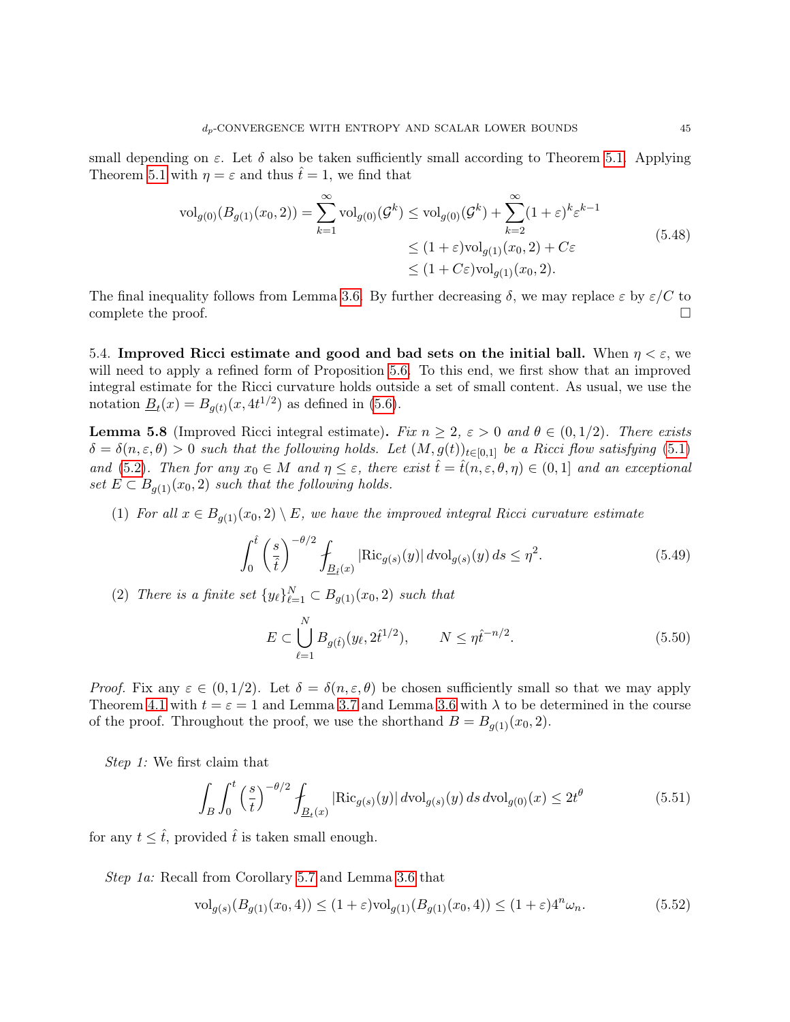small depending on  $\varepsilon$ . Let  $\delta$  also be taken sufficiently small according to Theorem [5.1.](#page-37-0) Applying Theorem [5.1](#page-37-0) with  $\eta = \varepsilon$  and thus  $t = 1$ , we find that

$$
\text{vol}_{g(0)}(B_{g(1)}(x_0, 2)) = \sum_{k=1}^{\infty} \text{vol}_{g(0)}(\mathcal{G}^k) \le \text{vol}_{g(0)}(\mathcal{G}^k) + \sum_{k=2}^{\infty} (1 + \varepsilon)^k \varepsilon^{k-1} \\
\le (1 + \varepsilon) \text{vol}_{g(1)}(x_0, 2) + C\varepsilon \\
\le (1 + C\varepsilon) \text{vol}_{g(1)}(x_0, 2).
$$
\n(5.48)

The final inequality follows from Lemma [3.6.](#page-29-1) By further decreasing  $\delta$ , we may replace  $\varepsilon$  by  $\varepsilon/C$  to complete the proof.  $\Box$ 

5.4. Improved Ricci estimate and good and bad sets on the initial ball. When  $\eta < \varepsilon$ , we will need to apply a refined form of Proposition [5.6.](#page-40-6) To this end, we first show that an improved integral estimate for the Ricci curvature holds outside a set of small content. As usual, we use the notation  $\underline{B}_t(x) = B_{g(t)}(x, 4t^{1/2})$  as defined in [\(5.6\)](#page-37-8).

<span id="page-44-3"></span>**Lemma 5.8** (Improved Ricci integral estimate). Fix  $n \geq 2$ ,  $\varepsilon > 0$  and  $\theta \in (0, 1/2)$ . There exists  $\delta = \delta(n, \varepsilon, \theta) > 0$  such that the following holds. Let  $(M, g(t))_{t \in [0,1]}$  be a Ricci flow satisfying [\(5.1\)](#page-37-1) and [\(5.2\)](#page-37-2). Then for any  $x_0 \in M$  and  $\eta \leq \varepsilon$ , there exist  $\hat{t} = \hat{t}(n, \varepsilon, \theta, \eta) \in (0, 1]$  and an exceptional set  $E \subset B_{q(1)}(x_0, 2)$  such that the following holds.

(1) For all  $x \in B_{g(1)}(x_0, 2) \setminus E$ , we have the improved integral Ricci curvature estimate

<span id="page-44-1"></span>
$$
\int_0^{\hat{t}} \left(\frac{s}{\hat{t}}\right)^{-\theta/2} \int_{\underline{B}_{\hat{t}}(x)} |\text{Ric}_{g(s)}(y)| \, d\text{vol}_{g(s)}(y) \, ds \le \eta^2. \tag{5.49}
$$

(2) There is a finite set  $\{y_\ell\}_{\ell=1}^N \subset B_{g(1)}(x_0, 2)$  such that

<span id="page-44-2"></span>
$$
E \subset \bigcup_{\ell=1}^{N} B_{g(\hat{t})}(y_{\ell}, 2\hat{t}^{1/2}), \qquad N \le \eta \hat{t}^{-n/2}.
$$
 (5.50)

*Proof.* Fix any  $\varepsilon \in (0, 1/2)$ . Let  $\delta = \delta(n, \varepsilon, \theta)$  be chosen sufficiently small so that we may apply Theorem [4.1](#page-31-1) with  $t = \varepsilon = 1$  and Lemma [3.7](#page-30-0) and Lemma [3.6](#page-29-1) with  $\lambda$  to be determined in the course of the proof. Throughout the proof, we use the shorthand  $B = B_{g(1)}(x_0, 2)$ .

Step 1: We first claim that

<span id="page-44-0"></span>
$$
\int_{B} \int_{0}^{t} \left(\frac{s}{t}\right)^{-\theta/2} \int_{\underline{B}_{t}(x)} |\text{Ric}_{g(s)}(y)| d\text{vol}_{g(s)}(y) ds d\text{vol}_{g(0)}(x) \le 2t^{\theta} \tag{5.51}
$$

for any  $t \leq \hat{t}$ , provided  $\hat{t}$  is taken small enough.

Step 1a: Recall from Corollary [5.7](#page-43-0) and Lemma [3.6](#page-29-1) that

$$
\text{vol}_{g(s)}(B_{g(1)}(x_0, 4)) \le (1+\varepsilon)\text{vol}_{g(1)}(B_{g(1)}(x_0, 4)) \le (1+\varepsilon)4^n \omega_n. \tag{5.52}
$$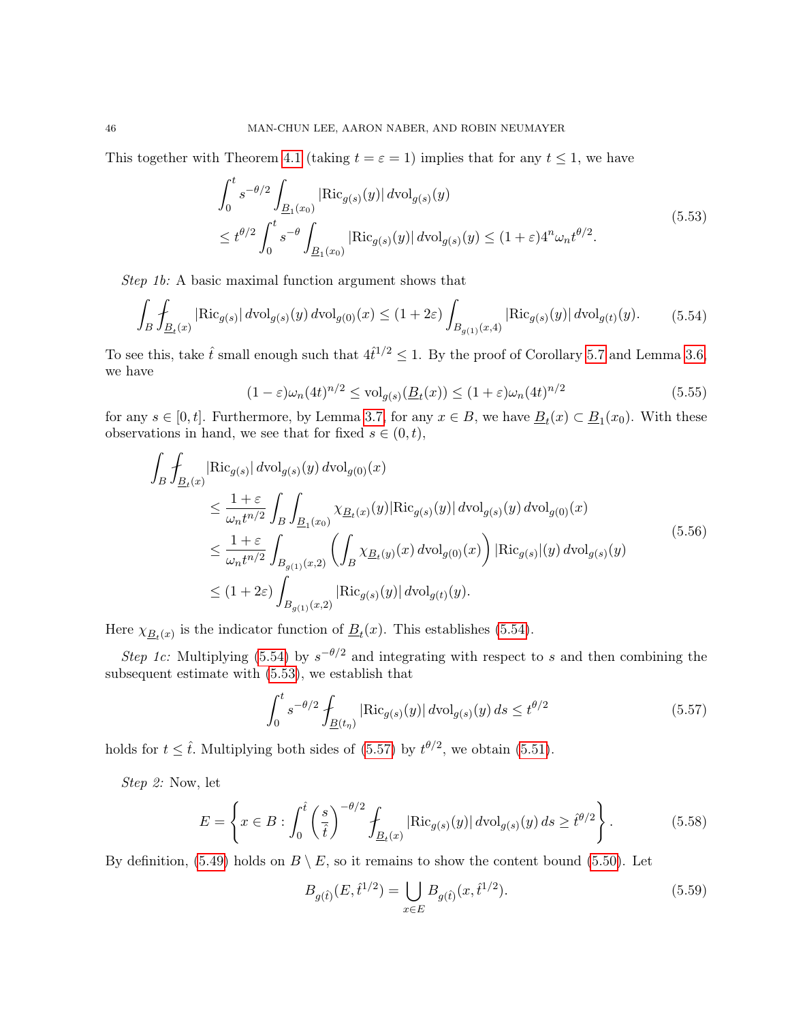<span id="page-45-1"></span>This together with Theorem [4.1](#page-31-1) (taking  $t = \varepsilon = 1$ ) implies that for any  $t \leq 1$ , we have

$$
\int_0^t s^{-\theta/2} \int_{\underline{B}_1(x_0)} |\text{Ric}_{g(s)}(y)| \, d\text{vol}_{g(s)}(y) \n\le t^{\theta/2} \int_0^t s^{-\theta} \int_{\underline{B}_1(x_0)} |\text{Ric}_{g(s)}(y)| \, d\text{vol}_{g(s)}(y) \le (1+\varepsilon) 4^n \omega_n t^{\theta/2}.
$$
\n(5.53)

Step 1b: A basic maximal function argument shows that

<span id="page-45-0"></span>
$$
\int_{B} \int_{\underline{B}_{t}(x)} |\text{Ric}_{g(s)}| \, d\text{vol}_{g(s)}(y) \, d\text{vol}_{g(0)}(x) \le (1+2\varepsilon) \int_{B_{g(1)}(x,4)} |\text{Ric}_{g(s)}(y)| \, d\text{vol}_{g(t)}(y). \tag{5.54}
$$

To see this, take  $\hat{t}$  small enough such that  $4\hat{t}^{1/2} \leq 1$ . By the proof of Corollary [5.7](#page-43-0) and Lemma [3.6,](#page-29-1) we have

$$
(1 - \varepsilon)\omega_n(4t)^{n/2} \le \text{vol}_{g(s)}(\underline{B}_t(x)) \le (1 + \varepsilon)\omega_n(4t)^{n/2} \tag{5.55}
$$

for any  $s \in [0, t]$ . Furthermore, by Lemma [3.7,](#page-30-0) for any  $x \in B$ , we have  $\underline{B}_t(x) \subset \underline{B}_1(x_0)$ . With these observations in hand, we see that for fixed  $s \in (0, t)$ ,

$$
\int_{B} \int_{\underline{B}_{t}(x)} \left| \text{Ric}_{g(s)} \right| d\text{vol}_{g(s)}(y) d\text{vol}_{g(0)}(x)
$$
\n
$$
\leq \frac{1+\varepsilon}{\omega_{n}t^{n/2}} \int_{B} \int_{\underline{B}_{1}(x_{0})} \chi_{\underline{B}_{t}(x)}(y) \left| \text{Ric}_{g(s)}(y) \right| d\text{vol}_{g(s)}(y) d\text{vol}_{g(0)}(x)
$$
\n
$$
\leq \frac{1+\varepsilon}{\omega_{n}t^{n/2}} \int_{B_{g(1)}(x,2)} \left( \int_{B} \chi_{\underline{B}_{t}(y)}(x) d\text{vol}_{g(0)}(x) \right) \left| \text{Ric}_{g(s)} \right| (y) d\text{vol}_{g(s)}(y)
$$
\n
$$
\leq (1+2\varepsilon) \int_{B_{g(1)}(x,2)} \left| \text{Ric}_{g(s)}(y) \right| d\text{vol}_{g(t)}(y).
$$
\n(5.56)

Here  $\chi_{\underline{B}_t(x)}$  is the indicator function of  $\underline{B}_t(x)$ . This establishes [\(5.54\)](#page-45-0).

Step 1c: Multiplying [\(5.54\)](#page-45-0) by  $s^{-\theta/2}$  and integrating with respect to s and then combining the subsequent estimate with [\(5.53\)](#page-45-1), we establish that

<span id="page-45-2"></span>
$$
\int_0^t s^{-\theta/2} \int_{\underline{B}(t_\eta)} |\text{Ric}_{g(s)}(y)| \, d\text{vol}_{g(s)}(y) \, ds \le t^{\theta/2} \tag{5.57}
$$

holds for  $t \leq \hat{t}$ . Multiplying both sides of [\(5.57\)](#page-45-2) by  $t^{\theta/2}$ , we obtain [\(5.51\)](#page-44-0).

Step 2: Now, let

$$
E = \left\{ x \in B : \int_0^{\hat{t}} \left( \frac{s}{\hat{t}} \right)^{-\theta/2} \int_{\underline{B}_t(x)} |\text{Ric}_{g(s)}(y)| \, d\text{vol}_{g(s)}(y) \, ds \ge \hat{t}^{\theta/2} \right\}.
$$
 (5.58)

By definition, [\(5.49\)](#page-44-1) holds on  $B \setminus E$ , so it remains to show the content bound [\(5.50\)](#page-44-2). Let

$$
B_{g(\hat{t})}(E, \hat{t}^{1/2}) = \bigcup_{x \in E} B_{g(\hat{t})}(x, \hat{t}^{1/2}).
$$
\n(5.59)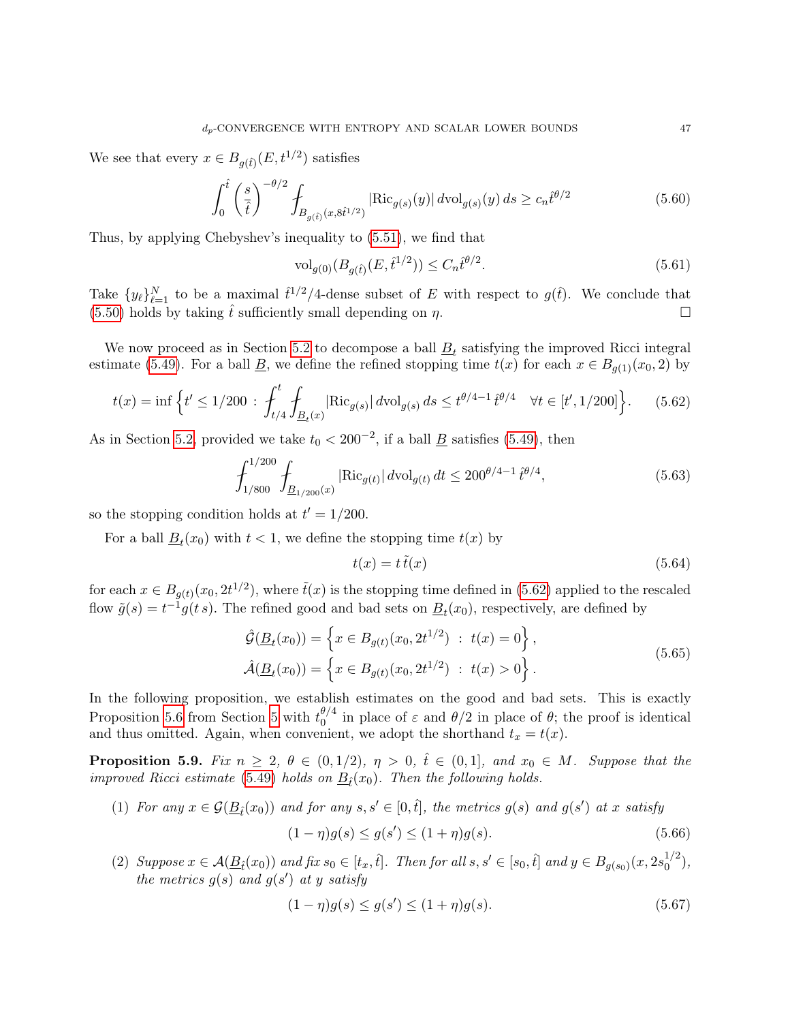We see that every  $x \in B_{g(\hat{t})}(E, t^{1/2})$  satisfies

$$
\int_0^{\hat{t}} \left(\frac{s}{\hat{t}}\right)^{-\theta/2} \int_{B_{g(\hat{t})}(x,8\hat{t}^{1/2})} |\text{Ric}_{g(s)}(y)| \, d\text{vol}_{g(s)}(y) \, ds \ge c_n \hat{t}^{\theta/2} \tag{5.60}
$$

Thus, by applying Chebyshev's inequality to [\(5.51\)](#page-44-0), we find that

$$
\text{vol}_{g(0)}(B_{g(\hat{t})}(E, \hat{t}^{1/2})) \le C_n \hat{t}^{\theta/2}.
$$
\n(5.61)

Take  $\{y_\ell\}_{\ell=1}^N$  to be a maximal  $\hat{t}^{1/2}/4$ -dense subset of E with respect to  $g(\hat{t})$ . We conclude that [\(5.50\)](#page-44-2) holds by taking  $\hat{t}$  sufficiently small depending on  $\eta$ .

We now proceed as in Section [5.2](#page-39-1) to decompose a ball  $\underline{B}_t$  satisfying the improved Ricci integral estimate [\(5.49\)](#page-44-1). For a ball <u>B</u>, we define the refined stopping time  $t(x)$  for each  $x \in B_{g(1)}(x_0, 2)$  by

<span id="page-46-0"></span>
$$
t(x) = \inf \left\{ t' \le 1/200 \, : \, \int_{t/4}^t \int_{\underline{B}_t(x)} |\text{Ric}_{g(s)}| \, d\text{vol}_{g(s)} \, ds \le t^{\theta/4 - 1} \, \hat{t}^{\theta/4} \quad \forall t \in [t', 1/200] \right\}. \tag{5.62}
$$

As in Section [5.2,](#page-39-1) provided we take  $t_0 < 200^{-2}$ , if a ball  $\underline{B}$  satisfies [\(5.49\)](#page-44-1), then

$$
\int_{1/800}^{1/200} \int_{\underline{B}_{1/200}(x)} |\text{Ric}_{g(t)}| \, d\text{vol}_{g(t)} \, dt \le 200^{\theta/4 - 1} \,\hat{t}^{\theta/4},\tag{5.63}
$$

so the stopping condition holds at  $t' = 1/200$ .

For a ball  $\underline{B}_t(x_0)$  with  $t < 1$ , we define the stopping time  $t(x)$  by

$$
t(x) = t \tilde{t}(x) \tag{5.64}
$$

for each  $x \in B_{g(t)}(x_0, 2t^{1/2})$ , where  $\tilde{t}(x)$  is the stopping time defined in [\(5.62\)](#page-46-0) applied to the rescaled flow  $\tilde{g}(s) = t^{-1}g(t|s)$ . The refined good and bad sets on  $\underline{B}_t(x_0)$ , respectively, are defined by

$$
\hat{\mathcal{G}}(\underline{B}_t(x_0)) = \left\{ x \in B_{g(t)}(x_0, 2t^{1/2}) : t(x) = 0 \right\},\
$$
\n
$$
\hat{\mathcal{A}}(\underline{B}_t(x_0)) = \left\{ x \in B_{g(t)}(x_0, 2t^{1/2}) : t(x) > 0 \right\}.
$$
\n(5.65)

<span id="page-46-2"></span>In the following proposition, we establish estimates on the good and bad sets. This is exactly Proposition [5.6](#page-40-6) from Section [5](#page-36-4) with  $t_0^{\theta/4}$  $\int_0^{\theta/4}$  in place of  $\varepsilon$  and  $\theta/2$  in place of  $\theta$ ; the proof is identical and thus omitted. Again, when convenient, we adopt the shorthand  $t_x = t(x)$ .

<span id="page-46-1"></span>**Proposition 5.9.** Fix  $n \geq 2$ ,  $\theta \in (0, 1/2)$ ,  $\eta > 0$ ,  $\hat{t} \in (0, 1]$ , and  $x_0 \in M$ . Suppose that the improved Ricci estimate [\(5.49\)](#page-44-1) holds on  $\underline{B}_{\hat{t}}(x_0)$ . Then the following holds.

- (1) For any  $x \in \mathcal{G}(\underline{B}_{\hat{t}}(x_0))$  and for any  $s, s' \in [0, \hat{t}],$  the metrics  $g(s)$  and  $g(s')$  at x satisfy  $(1 - \eta)g(s) \le g(s') \le (1 + \eta)g(s).$  (5.66)
- (2) Suppose  $x \in \mathcal{A}(\underline{B}_{\hat{t}}(x_0))$  and fix  $s_0 \in [t_x, \hat{t}]$ . Then for all  $s, s' \in [s_0, \hat{t}]$  and  $y \in B_{g(s_0)}(x, 2s_0^{1/2})$  $\binom{1}{0}$ , the metrics  $g(s)$  and  $g(s')$  at y satisfy

$$
(1 - \eta)g(s) \le g(s') \le (1 + \eta)g(s). \tag{5.67}
$$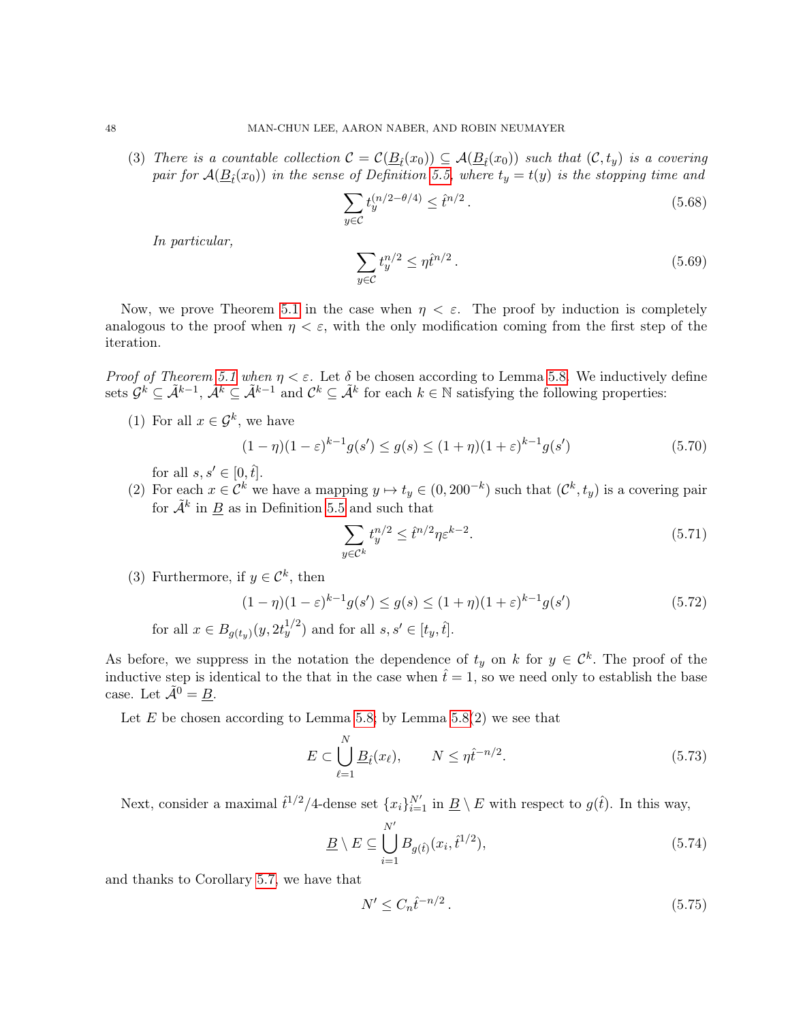<span id="page-47-0"></span>(3) There is a countable collection  $C = C(\underline{B}_{\hat{t}}(x_0)) \subseteq A(\underline{B}_{\hat{t}}(x_0))$  such that  $(C, t_y)$  is a covering pair for  $\mathcal{A}(\underline{B}_{\hat{t}}(x_0))$  in the sense of Definition [5.5,](#page-38-6) where  $t_y = t(y)$  is the stopping time and

$$
\sum_{y \in \mathcal{C}} t_y^{(n/2 - \theta/4)} \le \hat{t}^{n/2} \,. \tag{5.68}
$$

In particular,

$$
\sum_{y \in \mathcal{C}} t_y^{n/2} \le \eta \hat{t}^{n/2} \,. \tag{5.69}
$$

Now, we prove Theorem [5.1](#page-37-0) in the case when  $\eta < \varepsilon$ . The proof by induction is completely analogous to the proof when  $\eta < \varepsilon$ , with the only modification coming from the first step of the iteration.

*Proof of Theorem [5.1](#page-37-0) when*  $\eta < \varepsilon$ . Let  $\delta$  be chosen according to Lemma [5.8.](#page-44-3) We inductively define sets  $\mathcal{G}^k \subseteq \tilde{\mathcal{A}}^{k-1}$ ,  $\tilde{\mathcal{A}}^k \subseteq \tilde{\mathcal{A}}^{k-1}$  and  $\mathcal{C}^k \subseteq \tilde{\mathcal{A}}^k$  for each  $k \in \mathbb{N}$  satisfying the following properties:

<span id="page-47-1"></span>(1) For all  $x \in \mathcal{G}^k$ , we have

$$
(1 - \eta)(1 - \varepsilon)^{k-1} g(s') \le g(s) \le (1 + \eta)(1 + \varepsilon)^{k-1} g(s')
$$
\n(5.70)

for all  $s, s' \in [0, \hat{t}].$ 

(2) For each  $x \in C^k$  we have a mapping  $y \mapsto t_y \in (0, 200^{-k})$  such that  $(C^k, t_y)$  is a covering pair for  $\tilde{\mathcal{A}}^k$  in  $\underline{B}$  as in Definition [5.5](#page-38-6) and such that

$$
\sum_{y \in \mathcal{C}^k} t_y^{n/2} \le \hat{t}^{n/2} \eta \varepsilon^{k-2}.
$$
\n(5.71)

<span id="page-47-2"></span>(3) Furthermore, if  $y \in \mathcal{C}^k$ , then

$$
(1 - \eta)(1 - \varepsilon)^{k-1}g(s') \le g(s) \le (1 + \eta)(1 + \varepsilon)^{k-1}g(s')
$$
(5.72)  
for all  $x \in B_{g(t_y)}(y, 2t_y^{1/2})$  and for all  $s, s' \in [t_y, \hat{t}].$ 

As before, we suppress in the notation the dependence of  $t_y$  on k for  $y \in \mathcal{C}^k$ . The proof of the inductive step is identical to the that in the case when  $\hat{t}=1$ , so we need only to establish the base case. Let  $\tilde{\mathcal{A}}^0 = \underline{B}$ .

Let E be chosen according to Lemma [5.8;](#page-44-3) by Lemma [5.8\(](#page-44-3)2) we see that

<span id="page-47-3"></span>
$$
E \subset \bigcup_{\ell=1}^{N} \underline{B}_{\ell}(x_{\ell}), \qquad N \leq \eta \hat{t}^{-n/2}.
$$
\n
$$
(5.73)
$$

Next, consider a maximal  $\hat{t}^{1/2}/4$ -dense set  $\{x_i\}_{i=1}^{N'}$  in  $\underline{B} \setminus E$  with respect to  $g(\hat{t})$ . In this way,

$$
\underline{B} \setminus E \subseteq \bigcup_{i=1}^{N'} B_{g(\hat{t})}(x_i, \hat{t}^{1/2}), \tag{5.74}
$$

and thanks to Corollary [5.7,](#page-43-0) we have that

<span id="page-47-4"></span>
$$
N' \le C_n \hat{t}^{-n/2} \,. \tag{5.75}
$$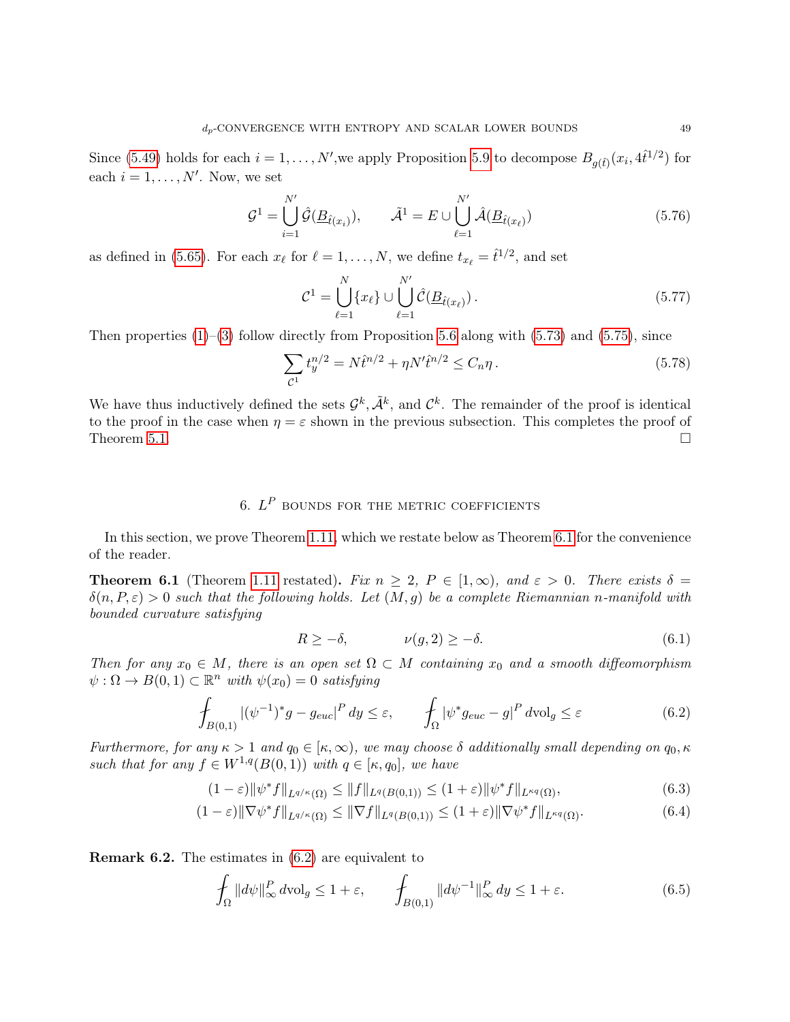Since [\(5.49\)](#page-44-1) holds for each  $i = 1, ..., N'$ , we apply Proposition [5.9](#page-46-1) to decompose  $B_{g(\hat{t})}(x_i, 4\hat{t}^{1/2})$  for each  $i = 1, \ldots, N'$ . Now, we set

$$
\mathcal{G}^{1} = \bigcup_{i=1}^{N'} \hat{\mathcal{G}}(\underline{B}_{\hat{t}(x_i)}), \qquad \tilde{\mathcal{A}}^{1} = E \cup \bigcup_{\ell=1}^{N'} \hat{\mathcal{A}}(\underline{B}_{\hat{t}(x_\ell)})
$$
(5.76)

as defined in [\(5.65\)](#page-46-2). For each  $x_{\ell}$  for  $\ell = 1, ..., N$ , we define  $t_{x_{\ell}} = \hat{t}^{1/2}$ , and set

$$
\mathcal{C}^1 = \bigcup_{\ell=1}^N \{x_\ell\} \cup \bigcup_{\ell=1}^{N'} \hat{\mathcal{C}}(\underline{B}_{\hat{t}(x_\ell)})\,. \tag{5.77}
$$

Then properties  $(1)$ –[\(3\)](#page-47-2) follow directly from Proposition [5.6](#page-40-6) along with [\(5.73\)](#page-47-3) and [\(5.75\)](#page-47-4), since

$$
\sum_{\mathcal{C}^1} t_y^{n/2} = N \hat{t}^{n/2} + \eta N' \hat{t}^{n/2} \le C_n \eta \,. \tag{5.78}
$$

We have thus inductively defined the sets  $\mathcal{G}^k$ ,  $\tilde{\mathcal{A}}^k$ , and  $\mathcal{C}^k$ . The remainder of the proof is identical to the proof in the case when  $\eta = \varepsilon$  shown in the previous subsection. This completes the proof of Theorem [5.1.](#page-37-0)  $\Box$ 

# 6.  $L^P$  bounds for the metric coefficients

In this section, we prove Theorem [1.11,](#page-4-0) which we restate below as Theorem [6.1](#page-48-0) for the convenience of the reader.

<span id="page-48-0"></span>**Theorem 6.1** (Theorem [1.11](#page-4-0) restated). Fix  $n \geq 2$ ,  $P \in [1,\infty)$ , and  $\varepsilon > 0$ . There exists  $\delta =$  $\delta(n, P, \varepsilon) > 0$  such that the following holds. Let  $(M, g)$  be a complete Riemannian n-manifold with bounded curvature satisfying

<span id="page-48-3"></span><span id="page-48-2"></span><span id="page-48-1"></span>
$$
R \ge -\delta, \qquad \nu(g, 2) \ge -\delta. \tag{6.1}
$$

Then for any  $x_0 \in M$ , there is an open set  $\Omega \subset M$  containing  $x_0$  and a smooth diffeomorphism  $\psi : \Omega \to B(0,1) \subset \mathbb{R}^n$  with  $\psi(x_0) = 0$  satisfying

$$
\oint_{B(0,1)} |(\psi^{-1})^* g - g_{euc}|^P dy \le \varepsilon, \qquad \int_{\Omega} |\psi^* g_{euc} - g|^P dvol_g \le \varepsilon \tag{6.2}
$$

Furthermore, for any  $\kappa > 1$  and  $q_0 \in [\kappa, \infty)$ , we may choose  $\delta$  additionally small depending on  $q_0, \kappa$ such that for any  $f \in W^{1,q}(B(0, 1))$  with  $q \in [\kappa, q_0]$ , we have

$$
(1 - \varepsilon) \|\psi^* f\|_{L^{q/\kappa}(\Omega)} \le \|f\|_{L^q(B(0,1))} \le (1 + \varepsilon) \|\psi^* f\|_{L^{\kappa q}(\Omega)},\tag{6.3}
$$

$$
(1 - \varepsilon) \|\nabla \psi^* f\|_{L^{q/\kappa}(\Omega)} \le \|\nabla f\|_{L^q(B(0,1))} \le (1 + \varepsilon) \|\nabla \psi^* f\|_{L^{\kappa_q}(\Omega)}.
$$
\n(6.4)

**Remark 6.2.** The estimates in  $(6.2)$  are equivalent to

$$
\int_{\Omega} \|d\psi\|_{\infty}^{P} \, d\text{vol}_{g} \le 1 + \varepsilon, \qquad \int_{B(0,1)} \|d\psi^{-1}\|_{\infty}^{P} \, dy \le 1 + \varepsilon. \tag{6.5}
$$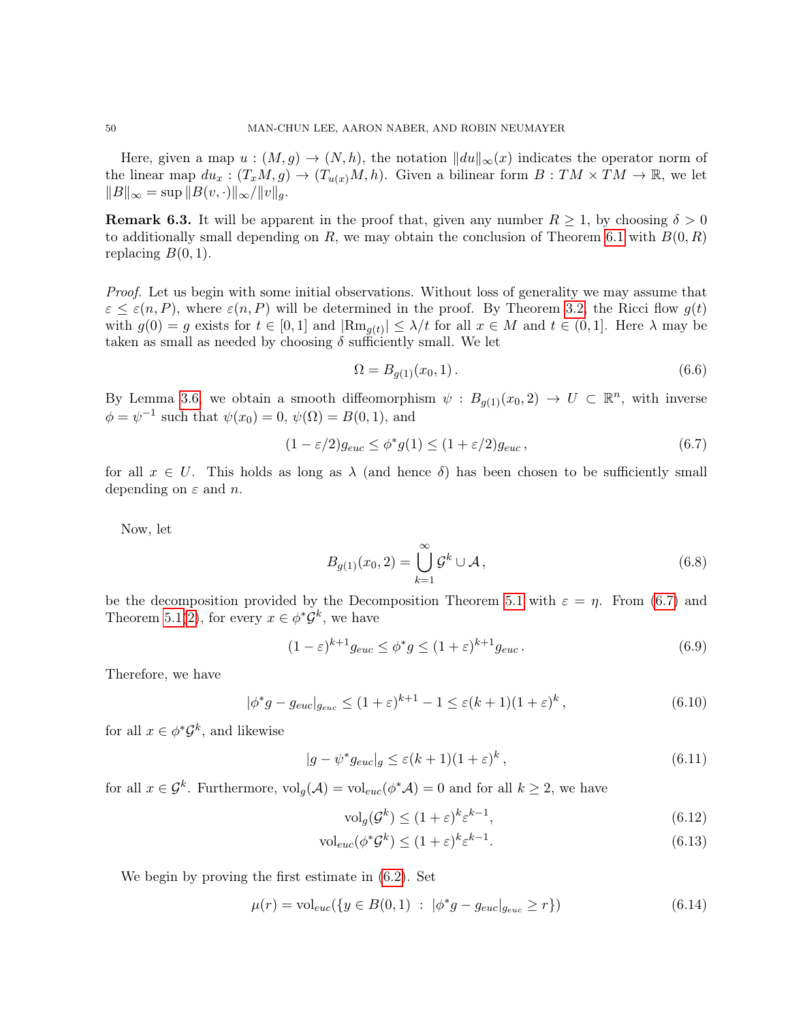Here, given a map  $u : (M, g) \to (N, h)$ , the notation  $||du||_{\infty}(x)$  indicates the operator norm of the linear map  $du_x: (T_xM, g) \to (T_{u(x)}M, h)$ . Given a bilinear form  $B: TM \times TM \to \mathbb{R}$ , we let  $||B||_{\infty} = \sup ||B(v, \cdot)||_{\infty}/||v||_{q}.$ 

<span id="page-49-4"></span>**Remark 6.3.** It will be apparent in the proof that, given any number  $R \ge 1$ , by choosing  $\delta > 0$ to additionally small depending on R, we may obtain the conclusion of Theorem [6.1](#page-48-0) with  $B(0, R)$ replacing  $B(0, 1)$ .

Proof. Let us begin with some initial observations. Without loss of generality we may assume that  $\varepsilon \leq \varepsilon(n, P)$ , where  $\varepsilon(n, P)$  will be determined in the proof. By Theorem [3.2,](#page-27-0) the Ricci flow  $g(t)$ with  $g(0) = g$  exists for  $t \in [0,1]$  and  $|\text{Rm}_{g(t)}| \leq \lambda/t$  for all  $x \in M$  and  $t \in (0,1]$ . Here  $\lambda$  may be taken as small as needed by choosing  $\delta$  sufficiently small. We let

$$
\Omega = B_{g(1)}(x_0, 1). \tag{6.6}
$$

By Lemma [3.6,](#page-29-1) we obtain a smooth diffeomorphism  $\psi : B_{g(1)}(x_0, 2) \to U \subset \mathbb{R}^n$ , with inverse  $\phi = \psi^{-1}$  such that  $\psi(x_0) = 0, \psi(\Omega) = B(0, 1)$ , and

<span id="page-49-0"></span>
$$
(1 - \varepsilon/2)g_{euc} \le \phi^* g(1) \le (1 + \varepsilon/2)g_{euc},\tag{6.7}
$$

for all  $x \in U$ . This holds as long as  $\lambda$  (and hence  $\delta$ ) has been chosen to be sufficiently small depending on  $\varepsilon$  and n.

Now, let

$$
B_{g(1)}(x_0,2) = \bigcup_{k=1}^{\infty} \mathcal{G}^k \cup \mathcal{A},\qquad(6.8)
$$

be the decomposition provided by the Decomposition Theorem [5.1](#page-37-0) with  $\varepsilon = \eta$ . From [\(6.7\)](#page-49-0) and Theorem [5.1\(](#page-37-0)[2\)](#page-37-4), for every  $x \in \phi^* \mathcal{G}^k$ , we have

$$
(1 - \varepsilon)^{k+1} g_{euc} \le \phi^* g \le (1 + \varepsilon)^{k+1} g_{euc}.
$$
\n(6.9)

Therefore, we have

<span id="page-49-1"></span>
$$
|\phi^*g - g_{euc}|_{g_{euc}} \le (1 + \varepsilon)^{k+1} - 1 \le \varepsilon (k+1)(1 + \varepsilon)^k ,\tag{6.10}
$$

for all  $x \in \phi^* \mathcal{G}^k$ , and likewise

$$
|g - \psi^* g_{euc}|_g \le \varepsilon (k+1)(1+\varepsilon)^k, \tag{6.11}
$$

for all  $x \in \mathcal{G}^k$ . Furthermore,  $\text{vol}_g(\mathcal{A}) = \text{vol}_{euc}(\phi^* \mathcal{A}) = 0$  and for all  $k \geq 2$ , we have

<span id="page-49-3"></span><span id="page-49-2"></span>
$$
\text{vol}_g(\mathcal{G}^k) \le (1+\varepsilon)^k \varepsilon^{k-1},\tag{6.12}
$$

$$
\text{vol}_{euc}(\phi^* \mathcal{G}^k) \le (1+\varepsilon)^k \varepsilon^{k-1}.\tag{6.13}
$$

We begin by proving the first estimate in [\(6.2\)](#page-48-1). Set

$$
\mu(r) = \text{vol}_{euc}(\{y \in B(0,1) \ : \ |\phi^*g - g_{euc}|_{g_{euc}} \ge r\})
$$
\n(6.14)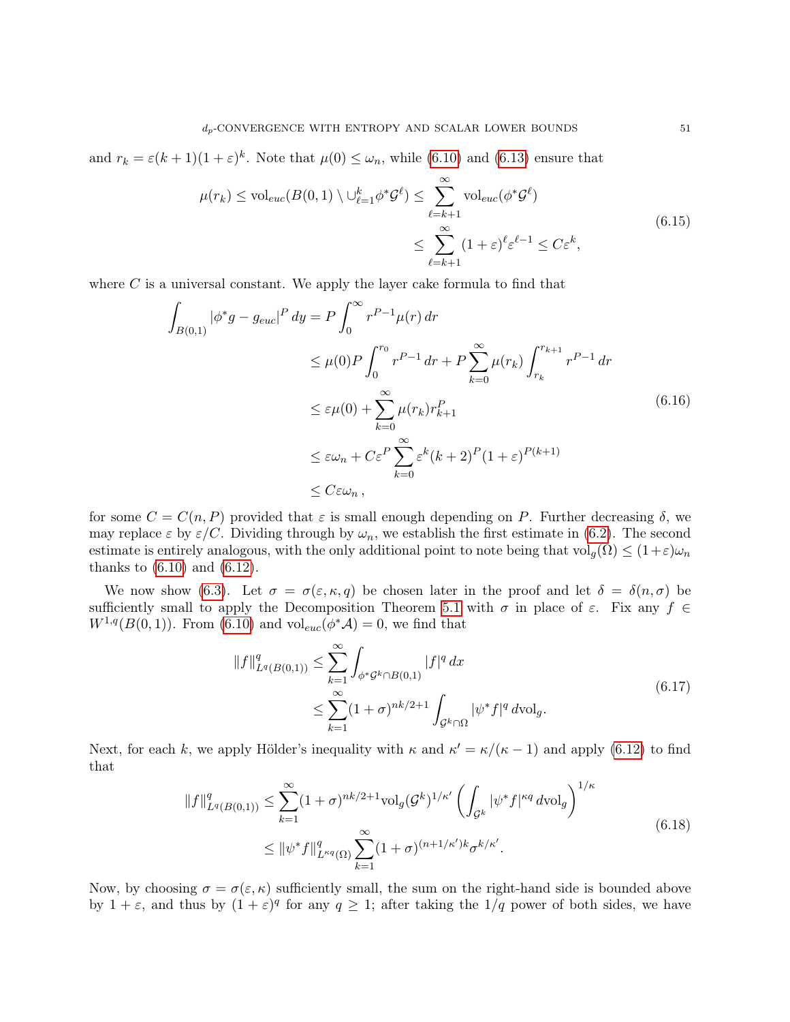and  $r_k = \varepsilon (k+1)(1+\varepsilon)^k$ . Note that  $\mu(0) \leq \omega_n$ , while [\(6.10\)](#page-49-1) and [\(6.13\)](#page-49-2) ensure that

$$
\mu(r_k) \le \text{vol}_{euc}(B(0,1) \setminus \bigcup_{\ell=1}^k \phi^* \mathcal{G}^{\ell}) \le \sum_{\ell=k+1}^{\infty} \text{vol}_{euc}(\phi^* \mathcal{G}^{\ell})
$$
  

$$
\le \sum_{\ell=k+1}^{\infty} (1+\varepsilon)^{\ell} \varepsilon^{\ell-1} \le C\varepsilon^k,
$$
 (6.15)

where  $C$  is a universal constant. We apply the layer cake formula to find that

$$
\int_{B(0,1)} |\phi^* g - g_{euc}|^P dy = P \int_0^\infty r^{P-1} \mu(r) dr
$$
\n
$$
\leq \mu(0) P \int_0^{r_0} r^{P-1} dr + P \sum_{k=0}^\infty \mu(r_k) \int_{r_k}^{r_{k+1}} r^{P-1} dr
$$
\n
$$
\leq \varepsilon \mu(0) + \sum_{k=0}^\infty \mu(r_k) r_{k+1}^P
$$
\n
$$
\leq \varepsilon \omega_n + C \varepsilon^P \sum_{k=0}^\infty \varepsilon^k (k+2)^P (1+\varepsilon)^{P(k+1)}
$$
\n
$$
\leq C \varepsilon \omega_n,
$$
\n(6.16)

for some  $C = C(n, P)$  provided that  $\varepsilon$  is small enough depending on P. Further decreasing  $\delta$ , we may replace  $\varepsilon$  by  $\varepsilon/C$ . Dividing through by  $\omega_n$ , we establish the first estimate in [\(6.2\)](#page-48-1). The second estimate is entirely analogous, with the only additional point to note being that  $\text{vol}_g(\Omega) \leq (1+\varepsilon)\omega_n$ thanks to  $(6.10)$  and  $(6.12)$ .

We now show [\(6.3\)](#page-48-2). Let  $\sigma = \sigma(\varepsilon, \kappa, q)$  be chosen later in the proof and let  $\delta = \delta(n, \sigma)$  be sufficiently small to apply the Decomposition Theorem [5.1](#page-37-0) with  $\sigma$  in place of  $\varepsilon$ . Fix any  $f \in$  $W^{1,q}(B(0,1))$ . From [\(6.10\)](#page-49-1) and vol<sub>euc</sub>( $\phi^* A$ ) = 0, we find that

$$
||f||_{L^{q}(B(0,1))}^{q} \leq \sum_{k=1}^{\infty} \int_{\phi^{*}\mathcal{G}^{k}\cap B(0,1)} |f|^{q} dx
$$
  
 
$$
\leq \sum_{k=1}^{\infty} (1+\sigma)^{nk/2+1} \int_{\mathcal{G}^{k}\cap\Omega} |\psi^{*} f|^{q} d\mathrm{vol}_{g}.
$$
 (6.17)

Next, for each k, we apply Hölder's inequality with  $\kappa$  and  $\kappa' = \kappa/(\kappa - 1)$  and apply [\(6.12\)](#page-49-3) to find that

$$
||f||_{L^{q}(B(0,1))}^{q} \leq \sum_{k=1}^{\infty} (1+\sigma)^{nk/2+1} \text{vol}_{g}(\mathcal{G}^{k})^{1/\kappa'} \left( \int_{\mathcal{G}^{k}} |\psi^{*} f|^{kq} d\text{vol}_{g} \right)^{1/\kappa} \leq ||\psi^{*} f||_{L^{kq}(\Omega)}^{q} \sum_{k=1}^{\infty} (1+\sigma)^{(n+1/\kappa')k} \sigma^{k/\kappa'}.
$$
\n(6.18)

Now, by choosing  $\sigma = \sigma(\varepsilon, \kappa)$  sufficiently small, the sum on the right-hand side is bounded above by  $1+\varepsilon$ , and thus by  $(1+\varepsilon)^q$  for any  $q \geq 1$ ; after taking the  $1/q$  power of both sides, we have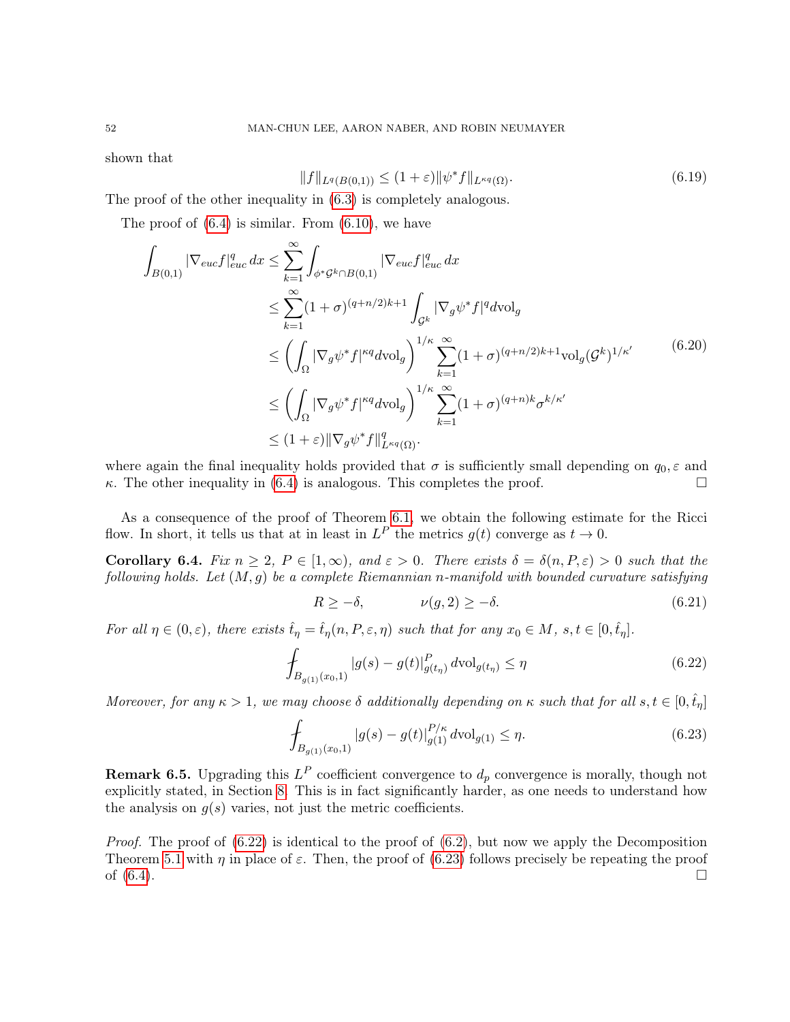shown that

$$
||f||_{L^{q}(B(0,1))} \le (1+\varepsilon) ||\psi^* f||_{L^{\kappa q}(\Omega)}.
$$
\n(6.19)

The proof of the other inequality in [\(6.3\)](#page-48-2) is completely analogous.

The proof of [\(6.4\)](#page-48-3) is similar. From [\(6.10\)](#page-49-1), we have

$$
\int_{B(0,1)} |\nabla_{euc} f|_{euc}^{q} dx \leq \sum_{k=1}^{\infty} \int_{\phi^{*} \mathcal{G}^{k} \cap B(0,1)} |\nabla_{euc} f|_{euc}^{q} dx
$$
\n
$$
\leq \sum_{k=1}^{\infty} (1+\sigma)^{(q+n/2)k+1} \int_{\mathcal{G}^{k}} |\nabla_{g} \psi^{*} f|^{q} d\mathrm{vol}_{g}
$$
\n
$$
\leq \left( \int_{\Omega} |\nabla_{g} \psi^{*} f|^{kq} d\mathrm{vol}_{g} \right)^{1/\kappa} \sum_{k=1}^{\infty} (1+\sigma)^{(q+n/2)k+1} \mathrm{vol}_{g} (\mathcal{G}^{k})^{1/\kappa'} \qquad (6.20)
$$
\n
$$
\leq \left( \int_{\Omega} |\nabla_{g} \psi^{*} f|^{kq} d\mathrm{vol}_{g} \right)^{1/\kappa} \sum_{k=1}^{\infty} (1+\sigma)^{(q+n)k} \sigma^{k/\kappa'}
$$
\n
$$
\leq (1+\varepsilon) ||\nabla_{g} \psi^{*} f||_{L^{kq}(\Omega)}^{q}.
$$

where again the final inequality holds provided that  $\sigma$  is sufficiently small depending on  $q_0, \varepsilon$  and  $\kappa$ . The other inequality in [\(6.4\)](#page-48-3) is analogous. This completes the proof.

As a consequence of the proof of Theorem [6.1,](#page-48-0) we obtain the following estimate for the Ricci flow. In short, it tells us that at in least in  $L^P$  the metrics  $g(t)$  converge as  $t \to 0$ .

<span id="page-51-2"></span>Corollary 6.4. Fix  $n \geq 2$ ,  $P \in [1,\infty)$ , and  $\varepsilon > 0$ . There exists  $\delta = \delta(n, P, \varepsilon) > 0$  such that the following holds. Let  $(M, g)$  be a complete Riemannian n-manifold with bounded curvature satisfying

<span id="page-51-0"></span>
$$
R \ge -\delta, \qquad \qquad \nu(g, 2) \ge -\delta. \tag{6.21}
$$

For all  $\eta \in (0, \varepsilon)$ , there exists  $\hat{t}_{\eta} = \hat{t}_{\eta}(n, P, \varepsilon, \eta)$  such that for any  $x_0 \in M$ ,  $s, t \in [0, \hat{t}_{\eta}]$ .

$$
\int_{B_{g(1)}(x_0,1)} |g(s) - g(t)|_{g(t_\eta)}^P d\text{vol}_{g(t_\eta)} \le \eta
$$
\n(6.22)

Moreover, for any  $\kappa > 1$ , we may choose  $\delta$  additionally depending on  $\kappa$  such that for all  $s, t \in [0, \hat{t}_n]$ 

<span id="page-51-1"></span>
$$
\int_{B_{g(1)}(x_0,1)} |g(s) - g(t)|_{g(1)}^{P/\kappa} d\text{vol}_{g(1)} \le \eta.
$$
\n(6.23)

**Remark 6.5.** Upgrading this  $L^P$  coefficient convergence to  $d_p$  convergence is morally, though not explicitly stated, in Section [8.](#page-57-0) This is in fact significantly harder, as one needs to understand how the analysis on  $g(s)$  varies, not just the metric coefficients.

*Proof.* The proof of  $(6.22)$  is identical to the proof of  $(6.2)$ , but now we apply the Decomposition Theorem [5.1](#page-37-0) with  $\eta$  in place of  $\varepsilon$ . Then, the proof of [\(6.23\)](#page-51-1) follows precisely be repeating the proof of  $(6.4)$ .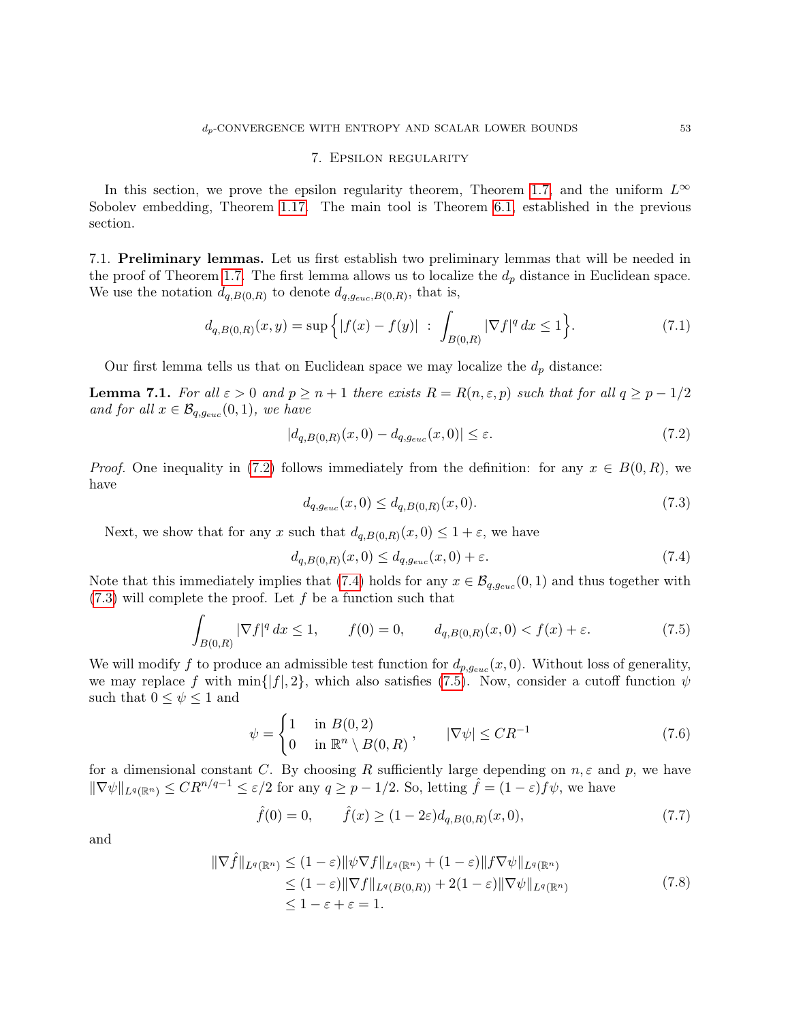#### 7. Epsilon regularity

In this section, we prove the epsilon regularity theorem, Theorem [1.7,](#page-3-0) and the uniform  $L^{\infty}$ Sobolev embedding, Theorem [1.17.](#page-6-0) The main tool is Theorem [6.1,](#page-48-0) established in the previous section.

7.1. Preliminary lemmas. Let us first establish two preliminary lemmas that will be needed in the proof of Theorem [1.7.](#page-3-0) The first lemma allows us to localize the  $d_p$  distance in Euclidean space. We use the notation  $d_{q,B(0,R)}$  to denote  $d_{q,geuc,B(0,R)}$ , that is,

$$
d_{q,B(0,R)}(x,y) = \sup\left\{ |f(x) - f(y)| \ : \ \int_{B(0,R)} |\nabla f|^q \, dx \le 1 \right\}.
$$
 (7.1)

Our first lemma tells us that on Euclidean space we may localize the  $d_p$  distance:

<span id="page-52-4"></span>**Lemma 7.1.** For all  $\varepsilon > 0$  and  $p \ge n + 1$  there exists  $R = R(n, \varepsilon, p)$  such that for all  $q \ge p - 1/2$ and for all  $x \in \mathcal{B}_{q, gewc}(0,1)$ , we have

<span id="page-52-0"></span>
$$
|d_{q,B(0,R)}(x,0) - d_{q,g_{euc}}(x,0)| \le \varepsilon. \tag{7.2}
$$

*Proof.* One inequality in [\(7.2\)](#page-52-0) follows immediately from the definition: for any  $x \in B(0, R)$ , we have

<span id="page-52-2"></span>
$$
d_{q, geuc}(x,0) \le d_{q,B(0,R)}(x,0). \tag{7.3}
$$

Next, we show that for any x such that  $d_{q,B(0,R)}(x,0) \leq 1+\varepsilon$ , we have

<span id="page-52-1"></span>
$$
d_{q,B(0,R)}(x,0) \le d_{q,g_{euc}}(x,0) + \varepsilon. \tag{7.4}
$$

Note that this immediately implies that [\(7.4\)](#page-52-1) holds for any  $x \in \mathcal{B}_{q, g_{euc}}(0, 1)$  and thus together with  $(7.3)$  will complete the proof. Let f be a function such that

<span id="page-52-3"></span>
$$
\int_{B(0,R)} |\nabla f|^q \, dx \le 1, \qquad f(0) = 0, \qquad d_{q,B(0,R)}(x,0) < f(x) + \varepsilon. \tag{7.5}
$$

We will modify f to produce an admissible test function for  $d_{p,geuc}(x,0)$ . Without loss of generality, we may replace f with min $\{[f], 2\}$ , which also satisfies [\(7.5\)](#page-52-3). Now, consider a cutoff function  $\psi$ such that  $0 \leq \psi \leq 1$  and

$$
\psi = \begin{cases} 1 & \text{in } B(0,2) \\ 0 & \text{in } \mathbb{R}^n \setminus B(0,R) \end{cases}, \qquad |\nabla \psi| \leq C R^{-1} \tag{7.6}
$$

for a dimensional constant C. By choosing R sufficiently large depending on  $n, \varepsilon$  and p, we have  $\|\nabla \psi\|_{L^q(\mathbb{R}^n)} \leq CR^{n/q-1} \leq \varepsilon/2$  for any  $q \geq p-1/2$ . So, letting  $\hat{f} = (1-\varepsilon)f\psi$ , we have

$$
\hat{f}(0) = 0, \qquad \hat{f}(x) \ge (1 - 2\varepsilon) d_{q, B(0, R)}(x, 0), \tag{7.7}
$$

and

$$
\begin{split} \|\nabla \hat{f}\|_{L^{q}(\mathbb{R}^{n})} &\leq (1-\varepsilon) \|\psi \nabla f\|_{L^{q}(\mathbb{R}^{n})} + (1-\varepsilon) \|f \nabla \psi\|_{L^{q}(\mathbb{R}^{n})} \\ &\leq (1-\varepsilon) \|\nabla f\|_{L^{q}(B(0,R))} + 2(1-\varepsilon) \|\nabla \psi\|_{L^{q}(\mathbb{R}^{n})} \\ &\leq 1-\varepsilon + \varepsilon = 1. \end{split} \tag{7.8}
$$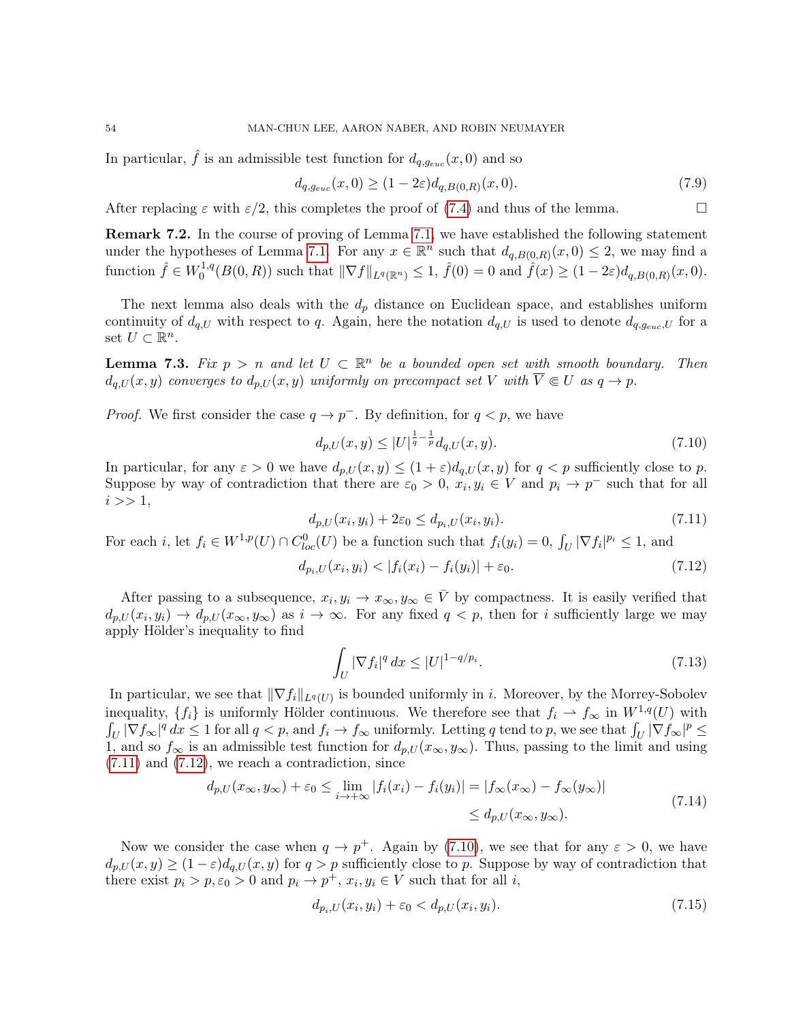In particular, f is an admissible test function for  $d_{q,q_{euc}}(x,0)$  and so

$$
d_{q, g_{euc}}(x, 0) \ge (1 - 2\varepsilon) d_{q, B(0, R)}(x, 0). \tag{7.9}
$$

After replacing  $\varepsilon$  with  $\varepsilon/2$ , this completes the proof of [\(7.4\)](#page-52-1) and thus of the lemma.

<span id="page-53-5"></span>Remark 7.2. In the course of proving of Lemma [7.1,](#page-52-4) we have established the following statement under the hypotheses of Lemma [7.1.](#page-52-4) For any  $x \in \mathbb{R}^n$  such that  $d_{q,B(0,R)}(x,0) \leq 2$ , we may find a function  $\hat{f} \in W_0^{1,q}$  $\int_0^{1,q}(B(0,R))$  such that  $\|\nabla f\|_{L^q(\mathbb{R}^n)} \leq 1$ ,  $\hat{f}(0) = 0$  and  $\hat{f}(x) \geq (1-2\varepsilon)d_{q,B(0,R)}(x,0)$ .

The next lemma also deals with the  $d_p$  distance on Euclidean space, and establishes uniform continuity of  $d_{q,U}$  with respect to q. Again, here the notation  $d_{q,U}$  is used to denote  $d_{q,g_{euc},U}$  for a set  $U \subset \mathbb{R}^n$ .

<span id="page-53-4"></span>**Lemma 7.3.** Fix  $p > n$  and let  $U \subset \mathbb{R}^n$  be a bounded open set with smooth boundary. Then  $d_{q,U}(x, y)$  converges to  $d_{p,U}(x, y)$  uniformly on precompact set V with  $\overline{V} \Subset U$  as  $q \to p$ .

*Proof.* We first consider the case  $q \to p^-$ . By definition, for  $q < p$ , we have

<span id="page-53-2"></span>
$$
d_{p,U}(x,y) \le |U|^{\frac{1}{q} - \frac{1}{p}} d_{q,U}(x,y). \tag{7.10}
$$

In particular, for any  $\varepsilon > 0$  we have  $d_{p,U}(x,y) \leq (1+\varepsilon)d_{q,U}(x,y)$  for  $q < p$  sufficiently close to p. Suppose by way of contradiction that there are  $\varepsilon_0 > 0$ ,  $x_i, y_i \in V$  and  $p_i \to p^-$  such that for all  $i >> 1$ ,

<span id="page-53-0"></span>
$$
d_{p,U}(x_i, y_i) + 2\varepsilon_0 \le d_{p_i,U}(x_i, y_i). \tag{7.11}
$$

For each i, let  $f_i \in W^{1,p}(U) \cap C^0_{loc}(U)$  be a function such that  $f_i(y_i) = 0$ ,  $\int_U |\nabla f_i|^{p_i} \leq 1$ , and

<span id="page-53-1"></span>
$$
d_{p_i, U}(x_i, y_i) < |f_i(x_i) - f_i(y_i)| + \varepsilon_0. \tag{7.12}
$$

After passing to a subsequence,  $x_i, y_i \to x_\infty, y_\infty \in \overline{V}$  by compactness. It is easily verified that  $d_{p,U}(x_i,y_i) \to d_{p,U}(x_\infty,y_\infty)$  as  $i \to \infty$ . For any fixed  $q < p$ , then for i sufficiently large we may apply Hölder's inequality to find

$$
\int_{U} |\nabla f_i|^q \, dx \le |U|^{1 - q/p_i}.\tag{7.13}
$$

In particular, we see that  $\|\nabla f_i\|_{L^q(U)}$  is bounded uniformly in i. Moreover, by the Morrey-Sobolev inequality,  $\{f_i\}$  is uniformly Hölder continuous. We therefore see that  $f_i \rightharpoonup f_\infty$  in  $W^{1,q}(U)$  with  $\int_U |\nabla f_\infty|^q dx \leq 1$  for all  $q < p$ , and  $f_i \to f_\infty$  uniformly. Letting q tend to p, we see that  $\int_U |\nabla f_\infty|^p \leq$ 1, and so  $f_{\infty}$  is an admissible test function for  $d_{p,U}(x_{\infty}, y_{\infty})$ . Thus, passing to the limit and using  $(7.11)$  and  $(7.12)$ , we reach a contradiction, since

$$
d_{p,U}(x_{\infty}, y_{\infty}) + \varepsilon_0 \le \lim_{i \to +\infty} |f_i(x_i) - f_i(y_i)| = |f_{\infty}(x_{\infty}) - f_{\infty}(y_{\infty})|
$$
  

$$
\le d_{p,U}(x_{\infty}, y_{\infty}).
$$
\n(7.14)

Now we consider the case when  $q \to p^+$ . Again by [\(7.10\)](#page-53-2), we see that for any  $\varepsilon > 0$ , we have  $d_{p,U}(x,y) \geq (1-\varepsilon)d_{q,U}(x,y)$  for  $q > p$  sufficiently close to p. Suppose by way of contradiction that there exist  $p_i > p, \epsilon_0 > 0$  and  $p_i \to p^+, x_i, y_i \in V$  such that for all i,

<span id="page-53-3"></span>
$$
d_{p_i,U}(x_i, y_i) + \varepsilon_0 < d_{p,U}(x_i, y_i). \tag{7.15}
$$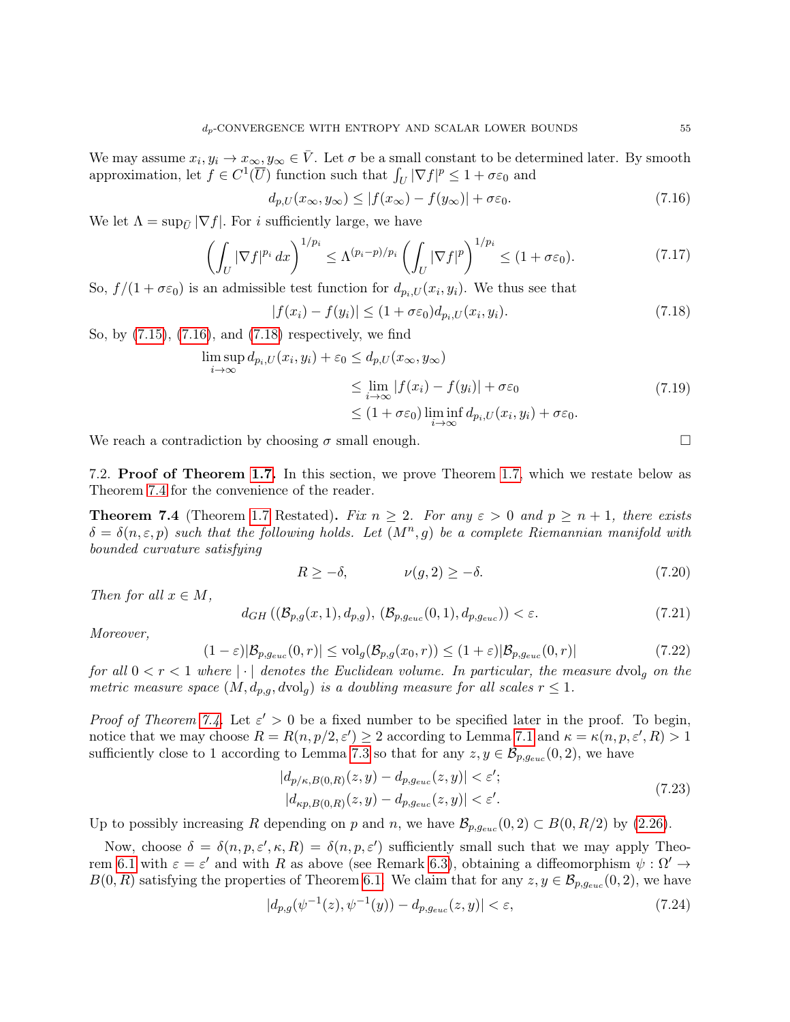We may assume  $x_i, y_i \to x_{\infty}, y_{\infty} \in \overline{V}$ . Let  $\sigma$  be a small constant to be determined later. By smooth approximation, let  $f \in C^1(\overline{U})$  function such that  $\int_U |\nabla f|^p \leq 1 + \sigma \varepsilon_0$  and

<span id="page-54-0"></span>
$$
d_{p,U}(x_{\infty}, y_{\infty}) \le |f(x_{\infty}) - f(y_{\infty})| + \sigma \varepsilon_0. \tag{7.16}
$$

We let  $\Lambda = \sup_{\bar{U}} |\nabla f|$ . For *i* sufficiently large, we have

$$
\left(\int_{U} |\nabla f|^{p_i} dx\right)^{1/p_i} \leq \Lambda^{(p_i - p)/p_i} \left(\int_{U} |\nabla f|^{p}\right)^{1/p_i} \leq (1 + \sigma \varepsilon_0). \tag{7.17}
$$

So,  $f/(1 + \sigma \varepsilon_0)$  is an admissible test function for  $d_{p_i,U}(x_i, y_i)$ . We thus see that

<span id="page-54-1"></span>
$$
|f(x_i) - f(y_i)| \le (1 + \sigma \varepsilon_0) d_{p_i, U}(x_i, y_i). \tag{7.18}
$$

So, by [\(7.15\)](#page-53-3), [\(7.16\)](#page-54-0), and [\(7.18\)](#page-54-1) respectively, we find

$$
\limsup_{i \to \infty} d_{p_i, U}(x_i, y_i) + \varepsilon_0 \le d_{p, U}(x_\infty, y_\infty)
$$
\n
$$
\le \lim_{i \to \infty} |f(x_i) - f(y_i)| + \sigma \varepsilon_0
$$
\n
$$
\le (1 + \sigma \varepsilon_0) \liminf_{i \to \infty} d_{p_i, U}(x_i, y_i) + \sigma \varepsilon_0.
$$
\n(7.19)

We reach a contradiction by choosing  $\sigma$  small enough.

7.2. Proof of Theorem [1.7.](#page-3-0) In this section, we prove Theorem [1.7,](#page-3-0) which we restate below as Theorem [7.4](#page-54-2) for the convenience of the reader.

<span id="page-54-2"></span>**Theorem 7.4** (Theorem [1.7](#page-3-0) Restated). Fix  $n \geq 2$ . For any  $\varepsilon > 0$  and  $p \geq n+1$ , there exists  $\delta = \delta(n, \varepsilon, p)$  such that the following holds. Let  $(M^n, g)$  be a complete Riemannian manifold with bounded curvature satisfying

$$
R \ge -\delta, \qquad \qquad \nu(g, 2) \ge -\delta. \tag{7.20}
$$

Then for all  $x \in M$ ,

<span id="page-54-5"></span>
$$
d_{GH}((\mathcal{B}_{p,g}(x,1), d_{p,g}), (\mathcal{B}_{p,g_{euc}}(0,1), d_{p,g_{euc}})) < \varepsilon.
$$
\n(7.21)

Moreover,

<span id="page-54-6"></span>
$$
(1 - \varepsilon)|\mathcal{B}_{p,g_{euc}}(0,r)| \le \text{vol}_g(\mathcal{B}_{p,g}(x_0,r)) \le (1 + \varepsilon)|\mathcal{B}_{p,g_{euc}}(0,r)| \tag{7.22}
$$

for all  $0 < r < 1$  where  $|\cdot|$  denotes the Euclidean volume. In particular, the measure dvol<sub>g</sub> on the metric measure space  $(M, d_{p,q}, dvol_q)$  is a doubling measure for all scales  $r \leq 1$ .

Proof of Theorem [7.4.](#page-54-2) Let  $\varepsilon' > 0$  be a fixed number to be specified later in the proof. To begin, notice that we may choose  $R = R(n, p/2, \varepsilon') \geq 2$  according to Lemma [7.1](#page-52-4) and  $\kappa = \kappa(n, p, \varepsilon', R) > 1$ sufficiently close to 1 according to Lemma [7.3](#page-53-4) so that for any  $z, y \in \mathcal{B}_{p,g_{euc}}(0,2)$ , we have

$$
|d_{p/\kappa,B(0,R)}(z,y) - d_{p,g_{euc}}(z,y)| < \varepsilon';
$$
  
\n
$$
|d_{\kappa p,B(0,R)}(z,y) - d_{p,g_{euc}}(z,y)| < \varepsilon'.
$$
\n(7.23)

<span id="page-54-3"></span>Up to possibly increasing R depending on p and n, we have  $\mathcal{B}_{p,g_{euc}}(0,2) \subset B(0,R/2)$  by [\(2.26\)](#page-18-0).

Now, choose  $\delta = \delta(n, p, \varepsilon', \kappa, R) = \delta(n, p, \varepsilon')$  sufficiently small such that we may apply Theo-rem [6.1](#page-48-0) with  $\varepsilon = \varepsilon'$  and with R as above (see Remark [6.3\)](#page-49-4), obtaining a diffeomorphism  $\psi : \Omega' \to$  $B(0, R)$  satisfying the properties of Theorem [6.1.](#page-48-0) We claim that for any  $z, y \in \mathcal{B}_{p,g_{euc}}(0, 2)$ , we have

<span id="page-54-4"></span>
$$
|d_{p,g}(\psi^{-1}(z), \psi^{-1}(y)) - d_{p,g_{euc}}(z, y)| < \varepsilon,\tag{7.24}
$$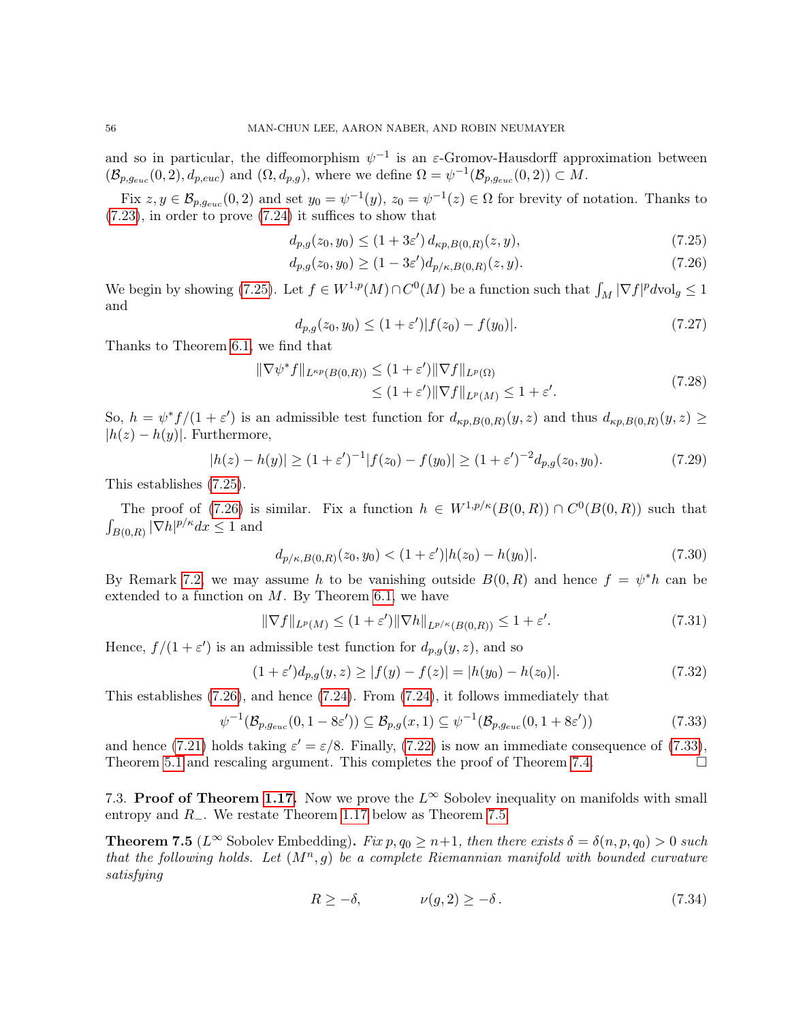and so in particular, the diffeomorphism  $\psi^{-1}$  is an  $\varepsilon$ -Gromov-Hausdorff approximation between  $(\mathcal{B}_{p,g_{euc}}(0,2), d_{p,euc})$  and  $(\Omega, d_{p,g})$ , where we define  $\Omega = \psi^{-1}(\mathcal{B}_{p,g_{euc}}(0,2)) \subset M$ .

Fix  $z, y \in \mathcal{B}_{p, geuc}(0, 2)$  and set  $y_0 = \psi^{-1}(y), z_0 = \psi^{-1}(z) \in \Omega$  for brevity of notation. Thanks to [\(7.23\)](#page-54-3), in order to prove [\(7.24\)](#page-54-4) it suffices to show that

<span id="page-55-1"></span><span id="page-55-0"></span>
$$
d_{p,g}(z_0, y_0) \le (1 + 3\varepsilon') d_{\kappa p, B(0,R)}(z, y), \tag{7.25}
$$

$$
d_{p,g}(z_0, y_0) \ge (1 - 3\varepsilon') d_{p/\kappa, B(0, R)}(z, y). \tag{7.26}
$$

We begin by showing [\(7.25\)](#page-55-0). Let  $f \in W^{1,p}(M) \cap C^{0}(M)$  be a function such that  $\int_M |\nabla f|^p dvol_g \leq 1$ and

$$
d_{p,g}(z_0, y_0) \le (1 + \varepsilon') |f(z_0) - f(y_0)|. \tag{7.27}
$$

Thanks to Theorem [6.1,](#page-48-0) we find that

$$
\|\nabla \psi^* f\|_{L^{\kappa p}(B(0,R))} \le (1+\varepsilon') \|\nabla f\|_{L^p(\Omega)}
$$
  
\n
$$
\le (1+\varepsilon') \|\nabla f\|_{L^p(M)} \le 1+\varepsilon'.
$$
\n(7.28)

So,  $h = \psi^* f/(1+\varepsilon')$  is an admissible test function for  $d_{\kappa p,B(0,R)}(y,z)$  and thus  $d_{\kappa p,B(0,R)}(y,z) \ge$  $|h(z) - h(y)|$ . Furthermore,

$$
|h(z) - h(y)| \ge (1 + \varepsilon')^{-1} |f(z_0) - f(y_0)| \ge (1 + \varepsilon')^{-2} d_{p,q}(z_0, y_0).
$$
 (7.29)

This establishes [\(7.25\)](#page-55-0).

The proof of [\(7.26\)](#page-55-1) is similar. Fix a function  $h \in W^{1,p/\kappa}(B(0,R)) \cap C^{0}(B(0,R))$  such that  $\int_{B(0,R)} |\nabla h|^{p/\kappa} dx \leq 1$  and

$$
d_{p/\kappa,B(0,R)}(z_0,y_0) < (1+\varepsilon')|h(z_0) - h(y_0)|.\tag{7.30}
$$

By Remark [7.2,](#page-53-5) we may assume h to be vanishing outside  $B(0, R)$  and hence  $f = \psi^* h$  can be extended to a function on  $M$ . By Theorem [6.1,](#page-48-0) we have

$$
\|\nabla f\|_{L^p(M)} \le (1+\varepsilon')\|\nabla h\|_{L^{p/\kappa}(B(0,R))} \le 1+\varepsilon'.\tag{7.31}
$$

Hence,  $f/(1+\varepsilon')$  is an admissible test function for  $d_{p,q}(y, z)$ , and so

$$
(1 + \varepsilon')d_{p,q}(y, z) \ge |f(y) - f(z)| = |h(y_0) - h(z_0)|. \tag{7.32}
$$

This establishes [\(7.26\)](#page-55-1), and hence [\(7.24\)](#page-54-4). From [\(7.24\)](#page-54-4), it follows immediately that

<span id="page-55-2"></span>
$$
\psi^{-1}(\mathcal{B}_{p,g_{euc}}(0,1-8\varepsilon')) \subseteq \mathcal{B}_{p,g}(x,1) \subseteq \psi^{-1}(\mathcal{B}_{p,g_{euc}}(0,1+8\varepsilon')) \tag{7.33}
$$

and hence [\(7.21\)](#page-54-5) holds taking  $\varepsilon' = \varepsilon/8$ . Finally, [\(7.22\)](#page-54-6) is now an immediate consequence of [\(7.33\)](#page-55-2), Theorem [5.1](#page-37-0) and rescaling argument. This completes the proof of Theorem [7.4.](#page-54-2)

7.3. Proof of Theorem [1.17.](#page-6-0) Now we prove the  $L^{\infty}$  Sobolev inequality on manifolds with small entropy and  $R_-.$  We restate Theorem [1.17](#page-6-0) below as Theorem [7.5](#page-55-3)

<span id="page-55-3"></span>**Theorem 7.5** ( $L^{\infty}$  Sobolev Embedding). Fix  $p, q_0 \geq n+1$ , then there exists  $\delta = \delta(n, p, q_0) > 0$  such that the following holds. Let  $(M^n, g)$  be a complete Riemannian manifold with bounded curvature satisfying

$$
R \ge -\delta, \qquad \qquad \nu(g, 2) \ge -\delta \,. \tag{7.34}
$$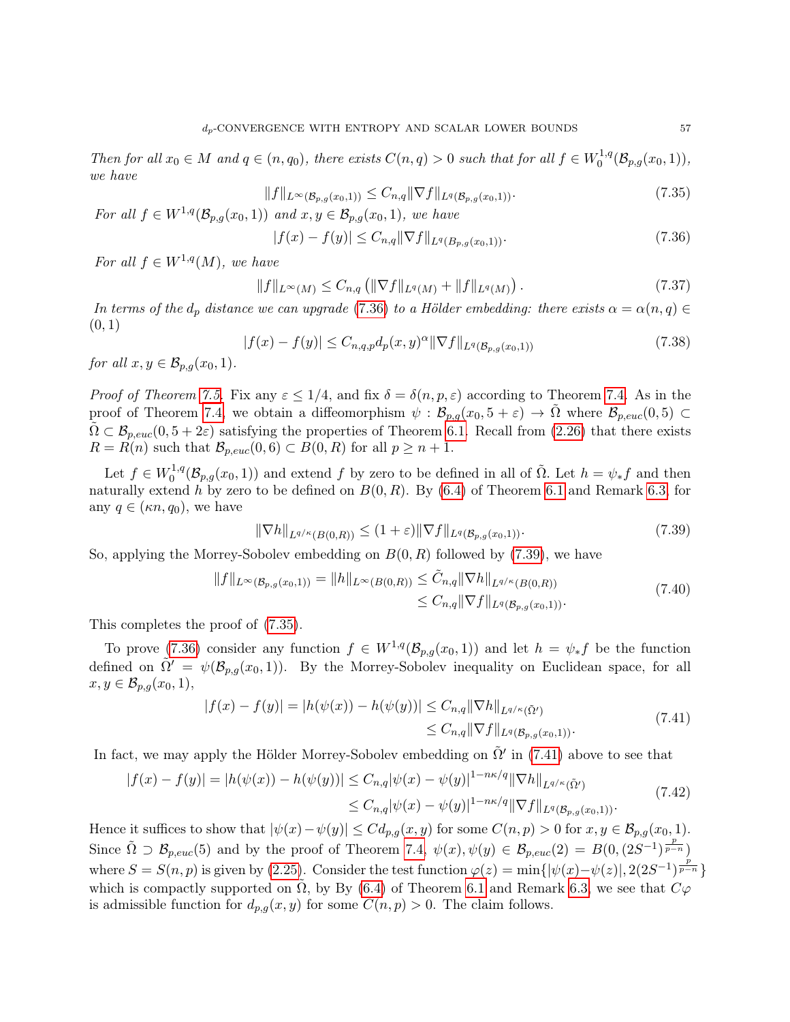Then for all  $x_0 \in M$  and  $q \in (n,q_0)$ , there exists  $C(n,q) > 0$  such that for all  $f \in W_0^{1,q}$  $\int_0^{1,q}(\mathcal{B}_{p,g}(x_0,1)),$ we have

<span id="page-56-2"></span>
$$
||f||_{L^{\infty}(\mathcal{B}_{p,g}(x_0,1))} \leq C_{n,q} ||\nabla f||_{L^q(\mathcal{B}_{p,g}(x_0,1))}.
$$
\n(7.35)

For all  $f \in W^{1,q}(\mathcal{B}_{p,q}(x_0, 1))$  and  $x, y \in \mathcal{B}_{p,q}(x_0, 1)$ , we have

<span id="page-56-0"></span>
$$
|f(x) - f(y)| \le C_{n,q} \|\nabla f\|_{L^q(B_{p,g}(x_0,1))}.\tag{7.36}
$$

For all  $f \in W^{1,q}(M)$ , we have

<span id="page-56-4"></span>
$$
||f||_{L^{\infty}(M)} \leq C_{n,q} \left( ||\nabla f||_{L^{q}(M)} + ||f||_{L^{q}(M)} \right).
$$
 (7.37)

In terms of the  $d_p$  distance we can upgrade [\(7.36\)](#page-56-0) to a Hölder embedding: there exists  $\alpha = \alpha(n,q) \in$  $(0, 1)$ 

$$
|f(x) - f(y)| \le C_{n,q,p} d_p(x,y)^{\alpha} \|\nabla f\|_{L^q(\mathcal{B}_{p,q}(x_0,1))}
$$
\n(7.38)

for all  $x, y \in \mathcal{B}_{p,q}(x_0, 1)$ .

*Proof of Theorem [7.5.](#page-55-3)* Fix any  $\varepsilon \leq 1/4$ , and fix  $\delta = \delta(n, p, \varepsilon)$  according to Theorem [7.4.](#page-54-2) As in the proof of Theorem [7.4,](#page-54-2) we obtain a diffeomorphism  $\psi : \mathcal{B}_{p,q}(x_0, 5 + \varepsilon) \to \Omega$  where  $\mathcal{B}_{p,euc}(0,5) \subset$  $\Omega \subset \mathcal{B}_{p,euc}(0, 5+2\varepsilon)$  satisfying the properties of Theorem [6.1.](#page-48-0) Recall from [\(2.26\)](#page-18-0) that there exists  $R = R(n)$  such that  $\mathcal{B}_{p, euc}(0, 6) \subset B(0, R)$  for all  $p \geq n + 1$ .

Let  $f \in W_0^{1,q}$  $\mathcal{O}_0^{1,q}(\mathcal{B}_{p,g}(x_0,1))$  and extend f by zero to be defined in all of  $\tilde{\Omega}$ . Let  $h=\psi_*f$  and then naturally extend h by zero to be defined on  $B(0, R)$ . By  $(6.4)$  of Theorem [6.1](#page-48-0) and Remark [6.3,](#page-49-4) for any  $q \in (\kappa n, q_0)$ , we have

<span id="page-56-1"></span>
$$
\|\nabla h\|_{L^{q/\kappa}(B(0,R))} \le (1+\varepsilon) \|\nabla f\|_{L^q(\mathcal{B}_{p,g}(x_0,1))}.\tag{7.39}
$$

So, applying the Morrey-Sobolev embedding on  $B(0, R)$  followed by [\(7.39\)](#page-56-1), we have

$$
||f||_{L^{\infty}(\mathcal{B}_{p,g}(x_0,1))} = ||h||_{L^{\infty}(B(0,R))} \leq \tilde{C}_{n,q} ||\nabla h||_{L^{q/\kappa}(B(0,R))}
$$
  
\$\leq C\_{n,q} ||\nabla f||\_{L^q(\mathcal{B}\_{p,g}(x\_0,1))}. \tag{7.40}

This completes the proof of [\(7.35\)](#page-56-2).

To prove [\(7.36\)](#page-56-0) consider any function  $f \in W^{1,q}(\mathcal{B}_{p,q}(x_0,1))$  and let  $h = \psi_* f$  be the function defined on  $\tilde{\Omega}' = \psi(\mathcal{B}_{p,g}(x_0, 1)).$  By the Morrey-Sobolev inequality on Euclidean space, for all  $x, y \in \mathcal{B}_{p,g}(x_0, 1),$ 

$$
|f(x) - f(y)| = |h(\psi(x)) - h(\psi(y))| \le C_{n,q} \|\nabla h\|_{L^{q/\kappa}(\tilde{\Omega}')}\n\le C_{n,q} \|\nabla f\|_{L^q(\mathcal{B}_{p,g}(x_0,1))}.\n\tag{7.41}
$$

<span id="page-56-3"></span>In fact, we may apply the Hölder Morrey-Sobolev embedding on  $\tilde{\Omega}'$  in [\(7.41\)](#page-56-3) above to see that

$$
|f(x) - f(y)| = |h(\psi(x)) - h(\psi(y))| \le C_{n,q} |\psi(x) - \psi(y)|^{1 - n\kappa/q} \|\nabla h\|_{L^{q/\kappa}(\tilde{\Omega}')}\n\n\le C_{n,q} |\psi(x) - \psi(y)|^{1 - n\kappa/q} \|\nabla f\|_{L^q(\mathcal{B}_{p,g}(x_0,1))}.\n
$$
\n(7.42)

Hence it suffices to show that  $|\psi(x)-\psi(y)| \leq C d_{p,q}(x,y)$  for some  $C(n,p) > 0$  for  $x, y \in \mathcal{B}_{p,q}(x_0,1)$ . Since  $\tilde{\Omega} \supset \mathcal{B}_{p,euc}(5)$  and by the proof of Theorem [7.4,](#page-54-2)  $\psi(x), \psi(y) \in \mathcal{B}_{p,euc}(2) = B(0,(2S^{-1})^{\frac{p}{p-p}})$ where  $S = S(n, p)$  is given by [\(2.25\)](#page-18-1). Consider the test function  $\varphi(z) = \min\{|\psi(x) - \psi(z)|, 2(2S^{-1})^{\frac{p}{p-n}}\}$ which is compactly supported on  $\tilde{\Omega}$ , by By [\(6.4\)](#page-48-3) of Theorem [6.1](#page-48-0) and Remark [6.3,](#page-49-4) we see that  $C\varphi$ is admissible function for  $d_{p,q}(x, y)$  for some  $C(n, p) > 0$ . The claim follows.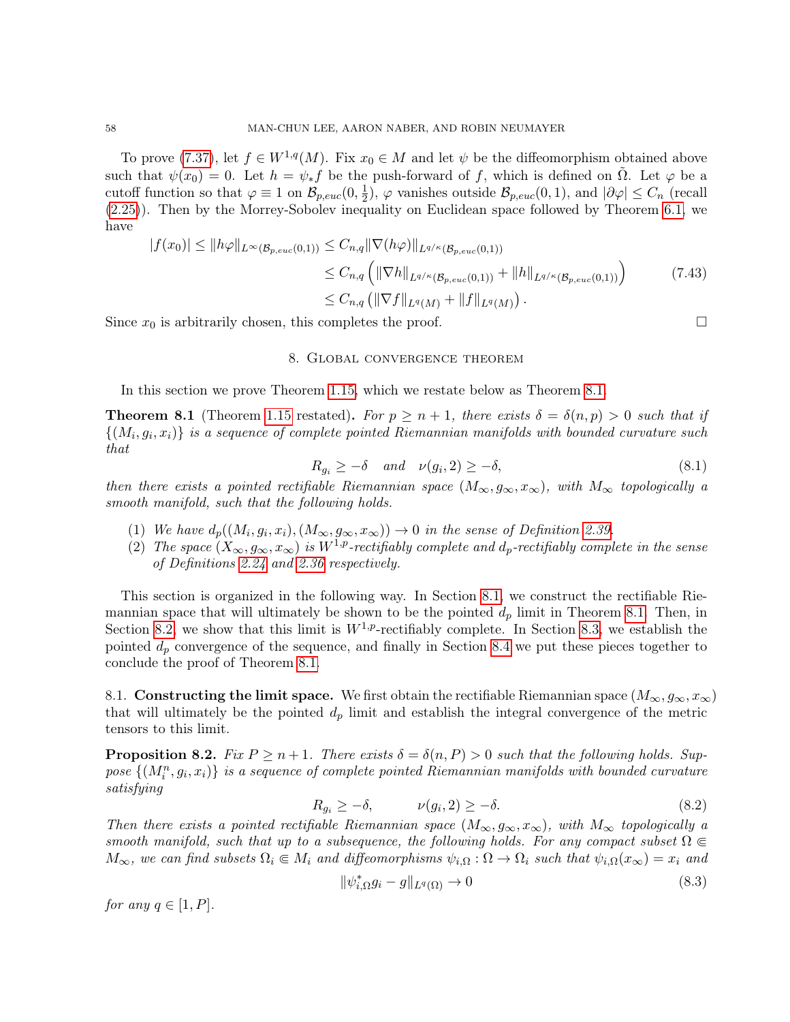To prove [\(7.37\)](#page-56-4), let  $f \in W^{1,q}(M)$ . Fix  $x_0 \in M$  and let  $\psi$  be the diffeomorphism obtained above such that  $\psi(x_0) = 0$ . Let  $h = \psi_* f$  be the push-forward of f, which is defined on  $\Omega$ . Let  $\varphi$  be a cutoff function so that  $\varphi \equiv 1$  on  $\mathcal{B}_{p,euc}(0, \frac{1}{2})$  $\frac{1}{2}$ ,  $\varphi$  vanishes outside  $\mathcal{B}_{p,euc}(0,1)$ , and  $|\partial \varphi| \leq C_n$  (recall [\(2.25\)](#page-18-1)). Then by the Morrey-Sobolev inequality on Euclidean space followed by Theorem [6.1,](#page-48-0) we have

$$
|f(x_0)| \leq ||h\varphi||_{L^{\infty}(\mathcal{B}_{p,euc}(0,1))} \leq C_{n,q} ||\nabla(h\varphi)||_{L^{q/\kappa}(\mathcal{B}_{p,euc}(0,1))}
$$
  
\n
$$
\leq C_{n,q} \left( ||\nabla h||_{L^{q/\kappa}(\mathcal{B}_{p,euc}(0,1))} + ||h||_{L^{q/\kappa}(\mathcal{B}_{p,euc}(0,1))} \right)
$$
  
\n
$$
\leq C_{n,q} \left( ||\nabla f||_{L^{q}(M)} + ||f||_{L^{q}(M)} \right).
$$
\n(7.43)

<span id="page-57-0"></span>Since  $x_0$  is arbitrarily chosen, this completes the proof.  $\square$ 

# 8. Global convergence theorem

In this section we prove Theorem [1.15,](#page-5-0) which we restate below as Theorem [8.1.](#page-57-1)

<span id="page-57-1"></span>**Theorem 8.1** (Theorem [1.15](#page-5-0) restated). For  $p \ge n+1$ , there exists  $\delta = \delta(n, p) > 0$  such that if  $\{(M_i, g_i, x_i)\}\$ is a sequence of complete pointed Riemannian manifolds with bounded curvature such that

$$
R_{g_i} \ge -\delta \quad and \quad \nu(g_i, 2) \ge -\delta,\tag{8.1}
$$

then there exists a pointed rectifiable Riemannian space  $(M_{\infty}, g_{\infty}, x_{\infty})$ , with  $M_{\infty}$  topologically a smooth manifold, such that the following holds.

- (1) We have  $d_p((M_i, g_i, x_i), (M_\infty, g_\infty, x_\infty)) \to 0$  in the sense of Definition [2.39.](#page-21-0)
- (2) The space  $(X_{\infty}, g_{\infty}, x_{\infty})$  is  $W^{1,p}$ -rectifiably complete and  $d_p$ -rectifiably complete in the sense of Definitions [2.24](#page-17-0) and [2.36](#page-20-0) respectively.

This section is organized in the following way. In Section [8.1,](#page-57-2) we construct the rectifiable Riemannian space that will ultimately be shown to be the pointed  $d_p$  limit in Theorem [8.1.](#page-57-1) Then, in Section [8.2,](#page-59-0) we show that this limit is  $W^{1,p}$ -rectifiably complete. In Section [8.3,](#page-64-0) we establish the pointed  $d_p$  convergence of the sequence, and finally in Section [8.4](#page-70-0) we put these pieces together to conclude the proof of Theorem [8.1.](#page-57-1)

<span id="page-57-2"></span>8.1. Constructing the limit space. We first obtain the rectifiable Riemannian space  $(M_{\infty}, g_{\infty}, x_{\infty})$ that will ultimately be the pointed  $d_p$  limit and establish the integral convergence of the metric tensors to this limit.

<span id="page-57-4"></span>**Proposition 8.2.** Fix  $P \ge n+1$ . There exists  $\delta = \delta(n, P) > 0$  such that the following holds. Suppose  $\{(M_i^n, g_i, x_i)\}\$ is a sequence of complete pointed Riemannian manifolds with bounded curvature satisfying

$$
R_{g_i} \ge -\delta, \qquad \nu(g_i, 2) \ge -\delta. \tag{8.2}
$$

Then there exists a pointed rectifiable Riemannian space  $(M_{\infty}, g_{\infty}, x_{\infty})$ , with  $M_{\infty}$  topologically a smooth manifold, such that up to a subsequence, the following holds. For any compact subset  $\Omega \in$  $M_{\infty}$ , we can find subsets  $\Omega_i \in M_i$  and diffeomorphisms  $\psi_{i,\Omega} : \Omega \to \Omega_i$  such that  $\psi_{i,\Omega}(x_{\infty}) = x_i$  and

<span id="page-57-3"></span>
$$
\|\psi_{i,\Omega}^* g_i - g\|_{L^q(\Omega)} \to 0 \tag{8.3}
$$

for any  $q \in [1, P]$ .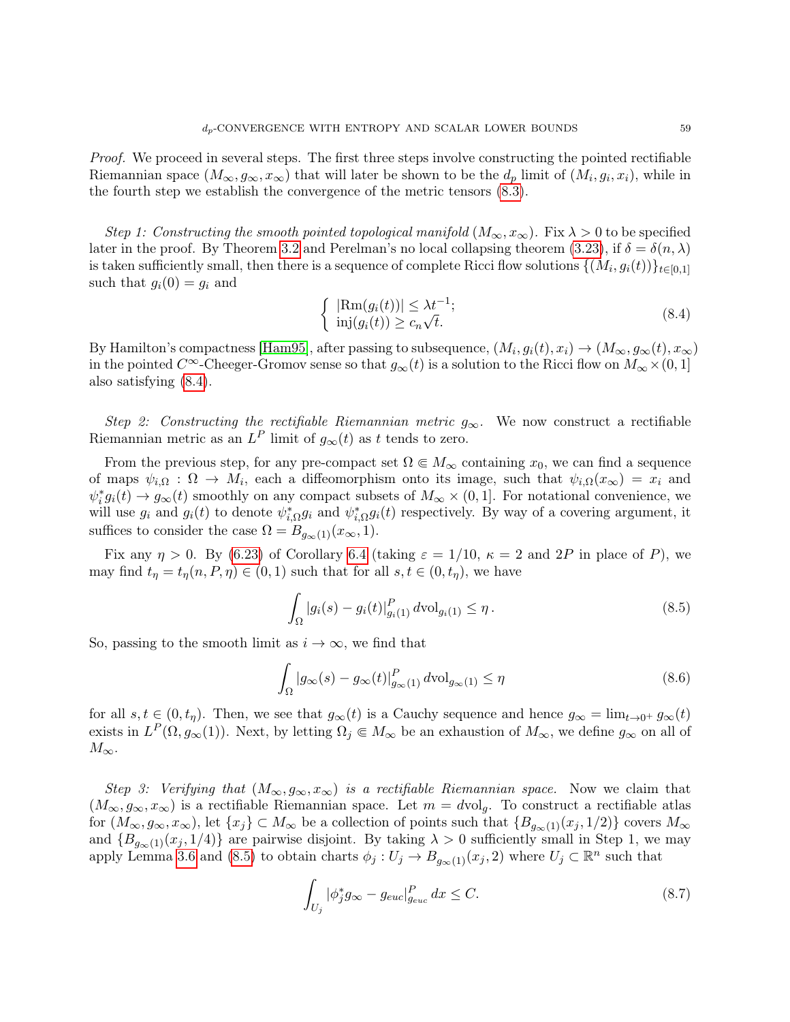Proof. We proceed in several steps. The first three steps involve constructing the pointed rectifiable Riemannian space  $(M_{\infty}, g_{\infty}, x_{\infty})$  that will later be shown to be the  $d_p$  limit of  $(M_i, g_i, x_i)$ , while in the fourth step we establish the convergence of the metric tensors [\(8.3\)](#page-57-3).

Step 1: Constructing the smooth pointed topological manifold  $(M_{\infty}, x_{\infty})$ . Fix  $\lambda > 0$  to be specified later in the proof. By Theorem [3.2](#page-27-0) and Perelman's no local collapsing theorem [\(3.23\)](#page-27-1), if  $\delta = \delta(n, \lambda)$ is taken sufficiently small, then there is a sequence of complete Ricci flow solutions  $\{(M_i, g_i(t))\}_{t\in[0,1]}$ such that  $g_i(0) = g_i$  and

<span id="page-58-0"></span>
$$
\begin{cases} |\text{Rm}(g_i(t))| \leq \lambda t^{-1};\\ \text{inj}(g_i(t)) \geq c_n \sqrt{t}. \end{cases}
$$
\n(8.4)

By Hamilton's compactness [\[Ham95\]](#page-90-2), after passing to subsequence,  $(M_i, g_i(t), x_i) \to (M_\infty, g_\infty(t), x_\infty)$ in the pointed  $C^{\infty}$ -Cheeger-Gromov sense so that  $g_{\infty}(t)$  is a solution to the Ricci flow on  $M_{\infty} \times (0, 1]$ also satisfying [\(8.4\)](#page-58-0).

Step 2: Constructing the rectifiable Riemannian metric  $g_{\infty}$ . We now construct a rectifiable Riemannian metric as an  $L^P$  limit of  $g_{\infty}(t)$  as t tends to zero.

From the previous step, for any pre-compact set  $\Omega \in M_\infty$  containing  $x_0$ , we can find a sequence of maps  $\psi_{i,\Omega} : \Omega \to M_i$ , each a diffeomorphism onto its image, such that  $\psi_{i,\Omega}(x_{\infty}) = x_i$  and  $\psi_i^* g_i(t) \to g_\infty(t)$  smoothly on any compact subsets of  $M_\infty \times (0,1]$ . For notational convenience, we will use  $g_i$  and  $g_i(t)$  to denote  $\psi_{i,\Omega}^* g_i$  and  $\psi_{i,\Omega}^* g_i(t)$  respectively. By way of a covering argument, it suffices to consider the case  $\Omega = B_{g_{\infty}(1)}(x_{\infty}, 1)$ .

Fix any  $\eta > 0$ . By [\(6.23\)](#page-51-1) of Corollary [6.4](#page-51-2) (taking  $\varepsilon = 1/10$ ,  $\kappa = 2$  and 2P in place of P), we may find  $t_{\eta} = t_{\eta}(n, P, \eta) \in (0, 1)$  such that for all  $s, t \in (0, t_{\eta})$ , we have

<span id="page-58-1"></span>
$$
\int_{\Omega} |g_i(s) - g_i(t)|_{g_i(1)}^P d\text{vol}_{g_i(1)} \le \eta.
$$
\n(8.5)

So, passing to the smooth limit as  $i \to \infty$ , we find that

$$
\int_{\Omega} |g_{\infty}(s) - g_{\infty}(t)|_{g_{\infty}(1)}^P d\text{vol}_{g_{\infty}(1)} \le \eta
$$
\n(8.6)

for all  $s, t \in (0, t_n)$ . Then, we see that  $g_{\infty}(t)$  is a Cauchy sequence and hence  $g_{\infty} = \lim_{t \to 0^+} g_{\infty}(t)$ exists in  $L^P(\Omega, g_\infty(1))$ . Next, by letting  $\Omega_j \in M_\infty$  be an exhaustion of  $M_\infty$ , we define  $g_\infty$  on all of  $M_{\infty}$ .

Step 3: Verifying that  $(M_{\infty}, g_{\infty}, x_{\infty})$  is a rectifiable Riemannian space. Now we claim that  $(M_{\infty}, g_{\infty}, x_{\infty})$  is a rectifiable Riemannian space. Let  $m = dvol_q$ . To construct a rectifiable atlas for  $(M_{\infty}, g_{\infty}, x_{\infty})$ , let  $\{x_j\} \subset M_{\infty}$  be a collection of points such that  $\{B_{g_{\infty}(1)}(x_j, 1/2)\}$  covers  $M_{\infty}$ and  ${B_{g_\infty(1)}(x_j, 1/4)}$  are pairwise disjoint. By taking  $\lambda > 0$  sufficiently small in Step 1, we may apply Lemma [3.6](#page-29-1) and [\(8.5\)](#page-58-1) to obtain charts  $\phi_j: U_j \to B_{g_\infty(1)}(x_j, 2)$  where  $U_j \subset \mathbb{R}^n$  such that

<span id="page-58-2"></span>
$$
\int_{U_j} |\phi_j^* g_{\infty} - g_{euc}|_{g_{euc}}^P dx \le C.
$$
\n(8.7)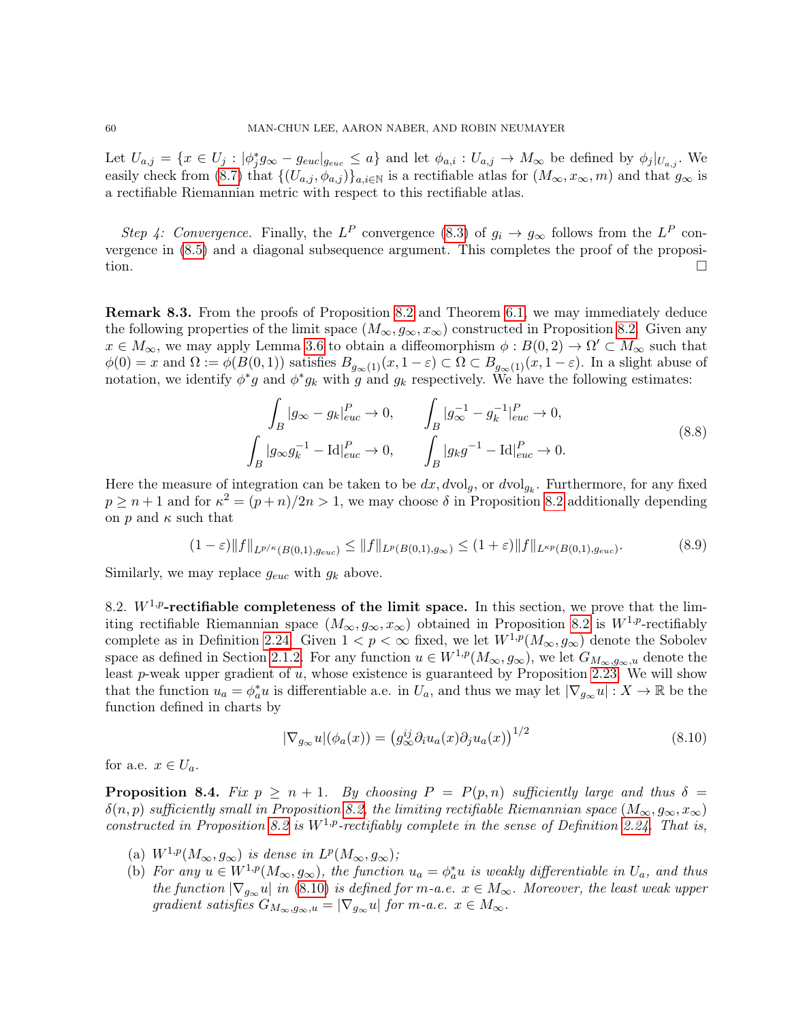Let  $U_{a,j} = \{x \in U_j : |\phi_j^* g_\infty - g_{euc}|_{g_{euc}} \le a\}$  and let  $\phi_{a,i} : U_{a,j} \to M_\infty$  be defined by  $\phi_j|_{U_{a,j}}$ . We easily check from [\(8.7\)](#page-58-2) that  $\{(U_{a,j}, \phi_{a,j})\}_{a,i\in\mathbb{N}}$  is a rectifiable atlas for  $(M_\infty, x_\infty, m)$  and that  $g_\infty$  is a rectifiable Riemannian metric with respect to this rectifiable atlas.

Step 4: Convergence. Finally, the L<sup>P</sup> convergence [\(8.3\)](#page-57-3) of  $g_i \to g_\infty$  follows from the L<sup>P</sup> convergence in [\(8.5\)](#page-58-1) and a diagonal subsequence argument. This completes the proof of the proposition.

<span id="page-59-3"></span>Remark 8.3. From the proofs of Proposition [8.2](#page-57-4) and Theorem [6.1,](#page-48-0) we may immediately deduce the following properties of the limit space  $(M_{\infty}, g_{\infty}, x_{\infty})$  constructed in Proposition [8.2.](#page-57-4) Given any  $x \in M_{\infty}$ , we may apply Lemma [3.6](#page-29-1) to obtain a diffeomorphism  $\phi : B(0, 2) \to \Omega' \subset M_{\infty}$  such that  $\phi(0) = x$  and  $\Omega := \phi(B(0,1))$  satisfies  $B_{g_{\infty}(1)}(x, 1-\varepsilon) \subset \Omega \subset B_{g_{\infty}(1)}(x, 1-\varepsilon)$ . In a slight abuse of notation, we identify  $\phi^*g$  and  $\phi^*g_k$  with g and  $g_k$  respectively. We have the following estimates:

$$
\int_{B} |g_{\infty} - g_{k}|_{euc}^{P} \to 0, \qquad \int_{B} |g_{\infty}^{-1} - g_{k}^{-1}|_{euc}^{P} \to 0,
$$
\n
$$
\int_{B} |g_{\infty}g_{k}^{-1} - \text{Id}|_{euc}^{P} \to 0, \qquad \int_{B} |g_{k}g^{-1} - \text{Id}|_{euc}^{P} \to 0.
$$
\n(8.8)

<span id="page-59-4"></span>Here the measure of integration can be taken to be  $dx, dvol_g$ , or  $dvol_{g_k}$ . Furthermore, for any fixed  $p \geq n+1$  and for  $\kappa^2 = (p+n)/2n > 1$ , we may choose  $\delta$  in Proposition [8.2](#page-57-4) additionally depending on p and  $\kappa$  such that

$$
(1 - \varepsilon) \|f\|_{L^{p/\kappa}(B(0,1),g_{euc})} \le \|f\|_{L^p(B(0,1),g_{\infty})} \le (1 + \varepsilon) \|f\|_{L^{\kappa p}(B(0,1),g_{euc})}.
$$
\n(8.9)

Similarly, we may replace  $g_{euc}$  with  $g_k$  above.

<span id="page-59-0"></span>8.2.  $W^{1,p}$ -rectifiable completeness of the limit space. In this section, we prove that the limiting rectifiable Riemannian space  $(M_{\infty}, g_{\infty}, x_{\infty})$  obtained in Proposition [8.2](#page-57-4) is  $W^{1,p}$ -rectifiably complete as in Definition [2.24.](#page-17-0) Given  $1 < p < \infty$  fixed, we let  $W^{1,p}(M_\infty, g_\infty)$  denote the Sobolev space as defined in Section [2.1.2.](#page-9-0) For any function  $u \in W^{1,p}(M_\infty, g_\infty)$ , we let  $G_{M_\infty, g_\infty, u}$  denote the least  $p$ -weak upper gradient of  $u$ , whose existence is guaranteed by Proposition [2.23.](#page-16-0) We will show that the function  $u_a = \phi_a^* u$  is differentiable a.e. in  $U_a$ , and thus we may let  $|\nabla_{g_\infty} u| : X \to \mathbb{R}$  be the function defined in charts by

<span id="page-59-1"></span>
$$
|\nabla_{g_{\infty}} u|(\phi_a(x)) = (g_{\infty}^{ij} \partial_i u_a(x) \partial_j u_a(x))^{1/2}
$$
\n(8.10)

for a.e.  $x \in U_a$ .

<span id="page-59-2"></span>**Proposition 8.4.** Fix  $p \ge n+1$ . By choosing  $P = P(p,n)$  sufficiently large and thus  $\delta =$  $\delta(n, p)$  sufficiently small in Proposition [8.2,](#page-57-4) the limiting rectifiable Riemannian space  $(M_{\infty}, g_{\infty}, x_{\infty})$ constructed in Proposition [8.2](#page-57-4) is  $W^{1,p}$ -rectifiably complete in the sense of Definition [2.24.](#page-17-0) That is,

- (a)  $W^{1,p}(M_{\infty}, g_{\infty})$  is dense in  $L^p(M_{\infty}, g_{\infty})$ ;
- (b) For any  $u \in W^{1,p}(M_\infty, g_\infty)$ , the function  $u_a = \phi_a^* u$  is weakly differentiable in  $U_a$ , and thus the function  $|\nabla_{q_\infty} u|$  in [\(8.10\)](#page-59-1) is defined for m-a.e.  $x \in M_\infty$ . Moreover, the least weak upper gradient satisfies  $G_{M_{\infty},g_{\infty},u} = |\nabla_{g_{\infty}}u|$  for m-a.e.  $x \in M_{\infty}$ .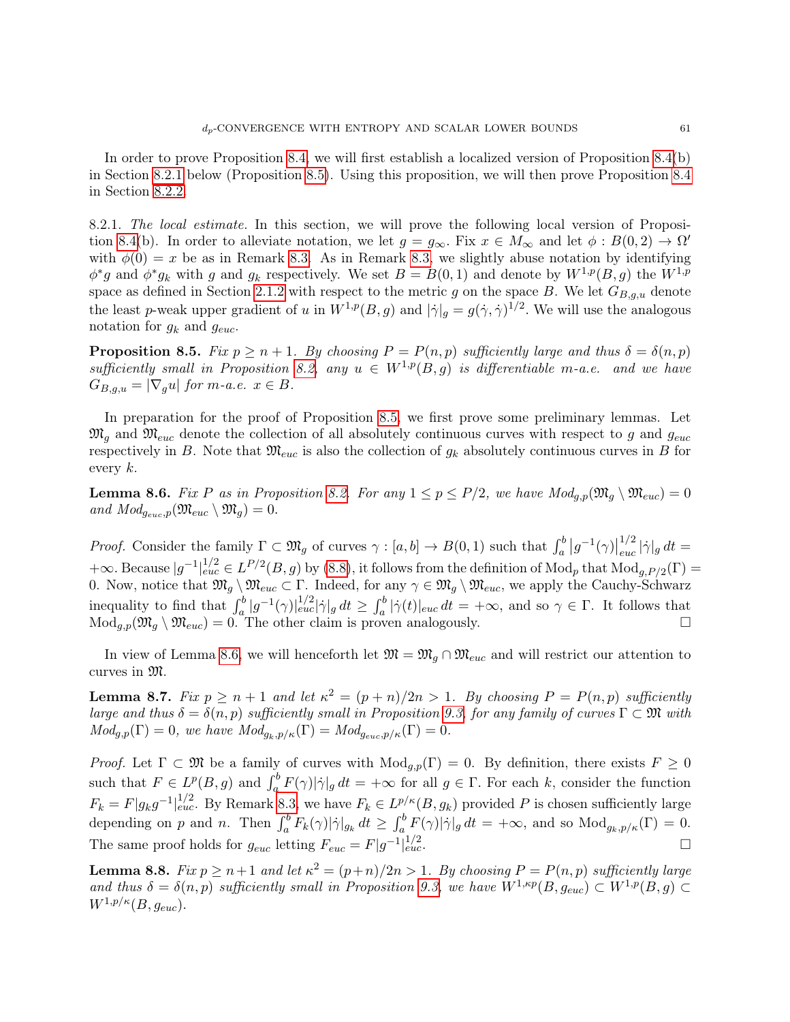In order to prove Proposition [8.4,](#page-59-2) we will first establish a localized version of Proposition [8.4\(](#page-59-2)b) in Section [8.2.1](#page-60-0) below (Proposition [8.5\)](#page-60-1). Using this proposition, we will then prove Proposition [8.4](#page-59-2) in Section [8.2.2.](#page-63-0)

<span id="page-60-0"></span>8.2.1. The local estimate. In this section, we will prove the following local version of Proposi-tion [8.4\(](#page-59-2)b). In order to alleviate notation, we let  $g = g_{\infty}$ . Fix  $x \in M_{\infty}$  and let  $\phi : B(0, 2) \to \Omega'$ with  $\phi(0) = x$  be as in Remark [8.3.](#page-59-3) As in Remark [8.3,](#page-59-3) we slightly abuse notation by identifying  $\phi^*g$  and  $\phi^*g_k$  with g and  $g_k$  respectively. We set  $B = B(0, 1)$  and denote by  $W^{1,p}(B, g)$  the  $W^{1,p}$ space as defined in Section [2.1.2](#page-9-0) with respect to the metric g on the space B. We let  $G_{B,q,u}$  denote the least p-weak upper gradient of u in  $W^{1,p}(B, g)$  and  $|\dot{\gamma}|_g = g(\dot{\gamma}, \dot{\gamma})^{1/2}$ . We will use the analogous notation for  $g_k$  and  $g_{euc}$ .

<span id="page-60-1"></span>**Proposition 8.5.** Fix  $p \ge n+1$ . By choosing  $P = P(n, p)$  sufficiently large and thus  $\delta = \delta(n, p)$ sufficiently small in Proposition [8.2,](#page-57-4) any  $u \in W^{1,p}(B,g)$  is differentiable m-a.e. and we have  $G_{B,q,u} = |\nabla_q u|$  for m-a.e.  $x \in B$ .

In preparation for the proof of Proposition [8.5,](#page-60-1) we first prove some preliminary lemmas. Let  $\mathfrak{M}_q$  and  $\mathfrak{M}_{euc}$  denote the collection of all absolutely continuous curves with respect to g and  $g_{euc}$ respectively in B. Note that  $\mathfrak{M}_{euc}$  is also the collection of  $g_k$  absolutely continuous curves in B for every  $k$ .

<span id="page-60-2"></span>**Lemma 8.6.** Fix P as in Proposition [8.2.](#page-57-4) For any  $1 \le p \le P/2$ , we have  $Mod_{q,p}(\mathfrak{M}_q \setminus \mathfrak{M}_{euc}) = 0$ and  $Mod_{g_{euc},p}(\mathfrak{M}_{euc} \setminus \mathfrak{M}_q) = 0.$ 

*Proof.* Consider the family  $\Gamma \subset \mathfrak{M}_g$  of curves  $\gamma : [a, b] \to B(0, 1)$  such that  $\int_a^b |g^{-1}(\gamma)|$ 1/2  $\int_{euc}^{1/2} |\dot{\gamma}|_g dt =$  $+\infty$ . Because  $|g^{-1}|_{euc}^{1/2} \in L^{P/2}(B,g)$  by [\(8.8\)](#page-59-4), it follows from the definition of Mod<sub>p</sub> that Mod<sub>g, P/2</sub>( $\Gamma$ ) = 0. Now, notice that  $\mathfrak{M}_g \setminus \mathfrak{M}_{euc} \subset \Gamma$ . Indeed, for any  $\gamma \in \mathfrak{M}_g \setminus \mathfrak{M}_{euc}$ , we apply the Cauchy-Schwarz inequality to find that  $\int_a^b |g^{-1}(\gamma)|_{euc}^{1/2} |\dot{\gamma}|_g dt \geq \int_a^b |\dot{\gamma}(t)|_{euc} dt = +\infty$ , and so  $\gamma \in \Gamma$ . It follows that  $\text{Mod}_{g,p}(\mathfrak{M}_g \setminus \mathfrak{M}_{euc}) = 0.$  The other claim is proven analogously.

In view of Lemma [8.6,](#page-60-2) we will henceforth let  $\mathfrak{M} = \mathfrak{M}_q \cap \mathfrak{M}_{euc}$  and will restrict our attention to curves in M.

**Lemma 8.7.** Fix  $p \ge n+1$  and let  $\kappa^2 = (p+n)/2n > 1$ . By choosing  $P = P(n, p)$  sufficiently large and thus  $\delta = \delta(n, p)$  sufficiently small in Proposition [9.3,](#page-71-0) for any family of curves  $\Gamma \subset \mathfrak{M}$  with  $Mod_{g,p}(\Gamma) = 0$ , we have  $Mod_{q_k, p/k}(\Gamma) = Mod_{q_{euc}, p/k}(\Gamma) = 0$ .

*Proof.* Let  $\Gamma \subset \mathfrak{M}$  be a family of curves with  $\text{Mod}_{q,p}(\Gamma) = 0$ . By definition, there exists  $F \geq 0$ such that  $F \in L^p(B, g)$  and  $\int_a^b F(\gamma) |\dot{\gamma}|_g dt = +\infty$  for all  $g \in \Gamma$ . For each k, consider the function  $F_k = F|g_k g^{-1}|_{euc}^{1/2}$ . By Remark [8.3,](#page-59-3) we have  $F_k \in L^{p/\kappa}(B, g_k)$  provided P is chosen sufficiently large depending on p and n. Then  $\int_a^b F_k(\gamma) |\dot{\gamma}|_{g_k} dt \geq \int_a^b F(\gamma) |\dot{\gamma}|_g dt = +\infty$ , and so  $\text{Mod}_{g_k, p/\kappa}(\Gamma) = 0$ . The same proof holds for  $g_{euc}$  letting  $F_{euc} = F|g^{-1}|_{euc}^{1/2}$  $\Box$   $\Box$ 

<span id="page-60-3"></span>**Lemma 8.8.** Fix  $p \ge n+1$  and let  $\kappa^2 = (p+n)/2n > 1$ . By choosing  $P = P(n, p)$  sufficiently large and thus  $\delta = \delta(n, p)$  sufficiently small in Proposition [9.3,](#page-71-0) we have  $W^{1, \kappa p}(B, g_{euc}) \subset W^{1, p}(B, g) \subset$  $W^{1,p/\kappa}(B, g_{euc}).$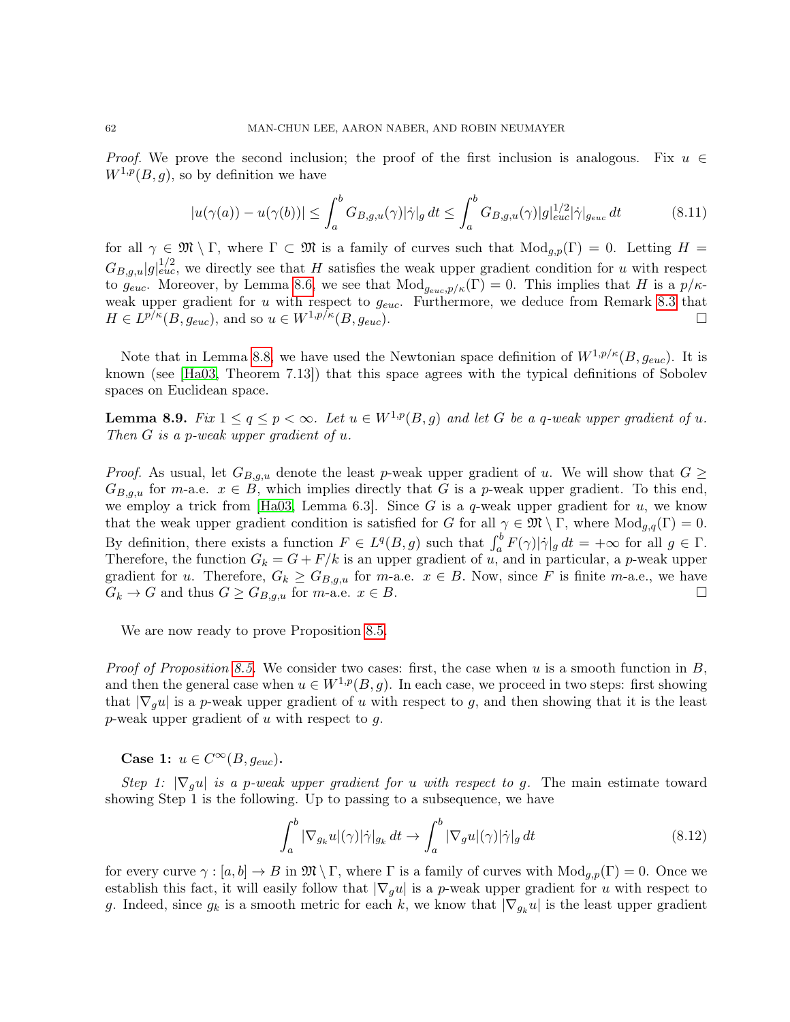*Proof.* We prove the second inclusion; the proof of the first inclusion is analogous. Fix  $u \in$  $W^{1,p}(B, q)$ , so by definition we have

$$
|u(\gamma(a)) - u(\gamma(b))| \le \int_a^b G_{B,g,u}(\gamma)|\dot{\gamma}|_g dt \le \int_a^b G_{B,g,u}(\gamma)|g|_{euc}^{1/2}|\dot{\gamma}|_{g_{euc}} dt \tag{8.11}
$$

for all  $\gamma \in \mathfrak{M} \setminus \Gamma$ , where  $\Gamma \subset \mathfrak{M}$  is a family of curves such that  $\text{Mod}_{q,p}(\Gamma) = 0$ . Letting  $H =$  $G_{B,g,u}[g]_{euc}^{1/2}$ , we directly see that H satisfies the weak upper gradient condition for u with respect to g<sub>euc</sub>. Moreover, by Lemma [8.6,](#page-60-2) we see that  $\text{Mod}_{g_{euc},p/\kappa}(\Gamma) = 0$ . This implies that H is a  $p/\kappa$ weak upper gradient for u with respect to  $g_{euc}$ . Furthermore, we deduce from Remark [8.3](#page-59-3) that  $H \in L^{p/\kappa}(B, g_{euc}),$  and so  $u \in W^{1,p/\kappa}(B, g_{euc}).$ 

Note that in Lemma [8.8,](#page-60-3) we have used the Newtonian space definition of  $W^{1,p/\kappa}(B, g_{euc})$ . It is known (see [\[Ha03,](#page-90-3) Theorem 7.13]) that this space agrees with the typical definitions of Sobolev spaces on Euclidean space.

<span id="page-61-1"></span>**Lemma 8.9.** Fix  $1 \le q \le p < \infty$ . Let  $u \in W^{1,p}(B, q)$  and let G be a q-weak upper gradient of u. Then G is a p-weak upper gradient of u.

*Proof.* As usual, let  $G_{B,g,u}$  denote the least p-weak upper gradient of u. We will show that  $G \geq$  $G_{B,q,u}$  for m-a.e.  $x \in B$ , which implies directly that G is a p-weak upper gradient. To this end, we employ a trick from [\[Ha03,](#page-90-3) Lemma 6.3]. Since G is a q-weak upper gradient for  $u$ , we know that the weak upper gradient condition is satisfied for G for all  $\gamma \in \mathfrak{M} \setminus \Gamma$ , where  $\text{Mod}_{g,q}(\Gamma) = 0$ . By definition, there exists a function  $F \in L^q(B, g)$  such that  $\int_a^b F(\gamma) |\dot{\gamma}|_g dt = +\infty$  for all  $g \in \Gamma$ . Therefore, the function  $G_k = G + F/k$  is an upper gradient of u, and in particular, a p-weak upper gradient for u. Therefore,  $G_k \geq G_{B,q,u}$  for m-a.e.  $x \in B$ . Now, since F is finite m-a.e., we have  $G_k \to G$  and thus  $G \geq G_{B,g,u}$  for m-a.e.  $x \in B$ .

We are now ready to prove Proposition [8.5.](#page-60-1)

*Proof of Proposition [8.5.](#page-60-1)* We consider two cases: first, the case when u is a smooth function in  $B$ , and then the general case when  $u \in W^{1,p}(B, g)$ . In each case, we proceed in two steps: first showing that  $|\nabla_q u|$  is a p-weak upper gradient of u with respect to g, and then showing that it is the least p-weak upper gradient of u with respect to  $q$ .

Case 1:  $u \in C^{\infty}(B, q_{euc}).$ 

Step 1:  $|\nabla_q u|$  is a p-weak upper gradient for u with respect to g. The main estimate toward showing Step 1 is the following. Up to passing to a subsequence, we have

<span id="page-61-0"></span>
$$
\int_{a}^{b} |\nabla_{g_k} u|(\gamma)|\dot{\gamma}|_{g_k} dt \to \int_{a}^{b} |\nabla_g u|(\gamma)|\dot{\gamma}|_g dt \tag{8.12}
$$

for every curve  $\gamma : [a, b] \to B$  in  $\mathfrak{M} \setminus \Gamma$ , where  $\Gamma$  is a family of curves with  $\text{Mod}_{q,p}(\Gamma) = 0$ . Once we establish this fact, it will easily follow that  $|\nabla_q u|$  is a p-weak upper gradient for u with respect to g. Indeed, since  $g_k$  is a smooth metric for each k, we know that  $|\nabla_{g_k} u|$  is the least upper gradient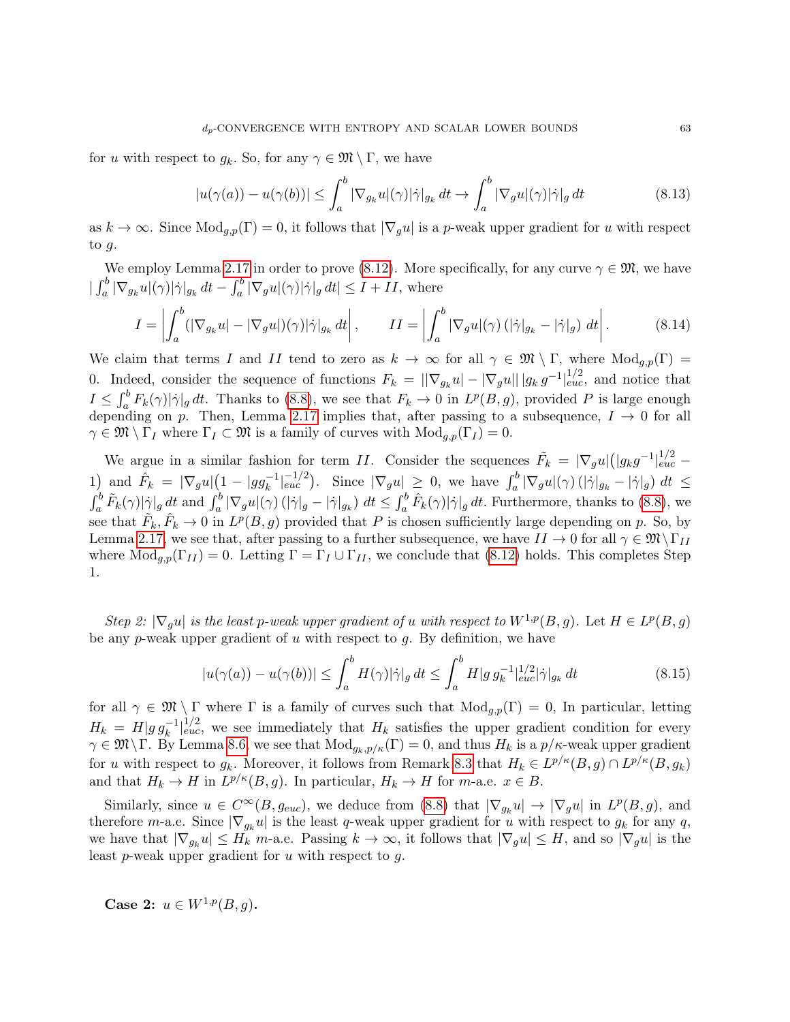for u with respect to  $g_k$ . So, for any  $\gamma \in \mathfrak{M} \setminus \Gamma$ , we have

$$
|u(\gamma(a)) - u(\gamma(b))| \le \int_a^b |\nabla_{g_k} u|(\gamma)|\dot{\gamma}|_{g_k} dt \to \int_a^b |\nabla_g u|(\gamma)|\dot{\gamma}|_g dt \tag{8.13}
$$

as  $k \to \infty$ . Since  $\text{Mod}_{g,p}(\Gamma) = 0$ , it follows that  $|\nabla_g u|$  is a p-weak upper gradient for u with respect to  $q$ .

We employ Lemma [2.17](#page-15-0) in order to prove [\(8.12\)](#page-61-0). More specifically, for any curve  $\gamma \in \mathfrak{M}$ , we have  $\int_a^b |\nabla_{g_k} u|(\gamma) |\dot{\gamma}|_{g_k} dt - \int_a^b |\nabla_g u|(\gamma) |\dot{\gamma}|_g dt \leq I + II$ , where

$$
I = \left| \int_{a}^{b} (|\nabla_{g_k} u| - |\nabla_g u|)(\gamma)| \dot{\gamma}|_{g_k} dt \right|, \qquad II = \left| \int_{a}^{b} |\nabla_g u|(\gamma) (|\dot{\gamma}|_{g_k} - |\dot{\gamma}|_g) dt \right|.
$$
 (8.14)

We claim that terms I and II tend to zero as  $k \to \infty$  for all  $\gamma \in \mathfrak{M} \setminus \Gamma$ , where  $\text{Mod}_{g,p}(\Gamma) =$ 0. Indeed, consider the sequence of functions  $F_k = ||\nabla_{g_k} u|| - |\nabla_g u|| ||g_k g^{-1}||_{euc}^{1/2}$ , and notice that  $I \leq \int_a^b F_k(\gamma) |\dot{\gamma}|_g dt$ . Thanks to [\(8.8\)](#page-59-4), we see that  $F_k \to 0$  in  $L^p(B, g)$ , provided P is large enough depending on p. Then, Lemma [2.17](#page-15-0) implies that, after passing to a subsequence,  $I \rightarrow 0$  for all  $\gamma \in \mathfrak{M} \setminus \Gamma_I$  where  $\Gamma_I \subset \mathfrak{M}$  is a family of curves with  $\text{Mod}_{q,p}(\Gamma_I) = 0$ .

We argue in a similar fashion for term II. Consider the sequences  $\tilde{F}_k = |\nabla_g u| (|g_k g^{-1}|_{euc}^{1/2} -$ 1) and  $\hat{F}_k = |\nabla_g u|(1 - |gg_k^{-1}|_{euc}^{-1/2})$ . Since  $|\nabla_g u| \geq 0$ , we have  $\int_a^b |\nabla_g u|(\gamma) (|\dot{\gamma}|_{g_k} - |\dot{\gamma}|_g) dt \leq$  $\int_a^b \tilde{F}_k(\gamma) |\dot{\gamma}|_g dt$  and  $\int_a^b |\nabla_g u|(\gamma) (|\dot{\gamma}|_g - |\dot{\gamma}|_{g_k}) dt \leq \int_a^b \hat{F}_k(\gamma) |\dot{\gamma}|_g dt$ . Furthermore, thanks to [\(8.8\)](#page-59-4), we see that  $\tilde{F}_k, \hat{F}_k \to 0$  in  $L^p(B, g)$  provided that P is chosen sufficiently large depending on p. So, by Lemma [2.17,](#page-15-0) we see that, after passing to a further subsequence, we have  $II \to 0$  for all  $\gamma \in \mathfrak{M} \backslash \Gamma_{II}$ where  $\text{Mod}_{g,p}(\Gamma_{II}) = 0$ . Letting  $\Gamma = \Gamma_I \cup \Gamma_{II}$ , we conclude that [\(8.12\)](#page-61-0) holds. This completes Step 1.

Step 2:  $|\nabla_g u|$  is the least p-weak upper gradient of u with respect to  $W^{1,p}(B,g)$ . Let  $H \in L^p(B,g)$ be any  $p$ -weak upper gradient of  $u$  with respect to  $g$ . By definition, we have

$$
|u(\gamma(a)) - u(\gamma(b))| \le \int_a^b H(\gamma)|\dot{\gamma}|_g dt \le \int_a^b H|g g_k^{-1}|_{euc}^{1/2} |\dot{\gamma}|_{g_k} dt \qquad (8.15)
$$

for all  $\gamma \in \mathfrak{M} \setminus \Gamma$  where  $\Gamma$  is a family of curves such that  $Mod_{g,p}(\Gamma) = 0$ , In particular, letting  $H_k = H|gg_k^{-1}|_{euc}^{1/2}$ , we see immediately that  $H_k$  satisfies the upper gradient condition for every  $\gamma \in \mathfrak{M} \backslash \Gamma$ . By Lemma [8.6,](#page-60-2) we see that  $\text{Mod}_{g_k, p/k}(\Gamma) = 0$ , and thus  $H_k$  is a  $p/k$ -weak upper gradient for u with respect to  $g_k$ . Moreover, it follows from Remark [8.3](#page-59-3) that  $H_k \in L^{p/\kappa}(B,g) \cap L^{p/\kappa}(B,g_k)$ and that  $H_k \to H$  in  $L^{p/\kappa}(B,g)$ . In particular,  $H_k \to H$  for m-a.e.  $x \in B$ .

Similarly, since  $u \in C^{\infty}(B, g_{euc})$ , we deduce from [\(8.8\)](#page-59-4) that  $|\nabla_{g_k} u| \to |\nabla_g u|$  in  $L^p(B, g)$ , and therefore m-a.e. Since  $|\nabla_{g_k} u|$  is the least q-weak upper gradient for u with respect to  $g_k$  for any q, we have that  $|\nabla_{q_k} u| \leq H_k$  m-a.e. Passing  $k \to \infty$ , it follows that  $|\nabla_q u| \leq H$ , and so  $|\nabla_q u|$  is the least p-weak upper gradient for  $u$  with respect to  $q$ .

Case 2:  $u \in W^{1,p}(B, q)$ .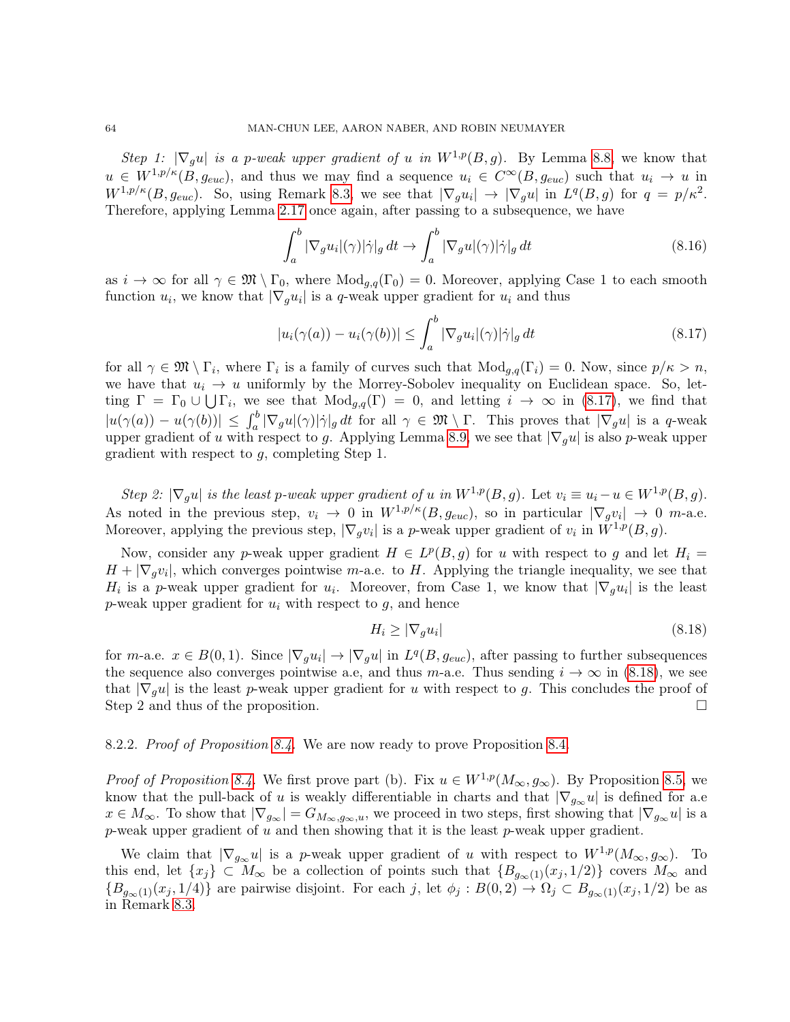Step 1:  $|\nabla_q u|$  is a p-weak upper gradient of u in  $W^{1,p}(B,g)$ . By Lemma [8.8,](#page-60-3) we know that  $u \in W^{1,p/\kappa}(B,g_{euc})$ , and thus we may find a sequence  $u_i \in C^{\infty}(B,g_{euc})$  such that  $u_i \to u$  in  $W^{1,p/\kappa}(B,g_{euc})$ . So, using Remark [8.3,](#page-59-3) we see that  $|\nabla_g u_i| \to |\nabla_g u|$  in  $L^q(B,g)$  for  $q = p/\kappa^2$ . Therefore, applying Lemma [2.17](#page-15-0) once again, after passing to a subsequence, we have

$$
\int_{a}^{b} |\nabla_{g} u_{i}|(\gamma)|\dot{\gamma}|_{g} dt \to \int_{a}^{b} |\nabla_{g} u|(\gamma)|\dot{\gamma}|_{g} dt \tag{8.16}
$$

as  $i \to \infty$  for all  $\gamma \in \mathfrak{M} \setminus \Gamma_0$ , where  $\text{Mod}_{q,q}(\Gamma_0) = 0$ . Moreover, applying Case 1 to each smooth function  $u_i$ , we know that  $|\nabla_g u_i|$  is a q-weak upper gradient for  $u_i$  and thus

<span id="page-63-1"></span>
$$
|u_i(\gamma(a)) - u_i(\gamma(b))| \le \int_a^b |\nabla_g u_i|(\gamma)| \dot{\gamma}|_g dt \qquad (8.17)
$$

for all  $\gamma \in \mathfrak{M} \setminus \Gamma_i$ , where  $\Gamma_i$  is a family of curves such that  $\text{Mod}_{g,q}(\Gamma_i) = 0$ . Now, since  $p/\kappa > n$ , we have that  $u_i \to u$  uniformly by the Morrey-Sobolev inequality on Euclidean space. So, letting  $\Gamma = \Gamma_0 \cup \bigcup \Gamma_i$ , we see that  $Mod_{g,q}(\Gamma) = 0$ , and letting  $i \to \infty$  in [\(8.17\)](#page-63-1), we find that  $|u(\gamma(a)) - u(\gamma(b))| \leq \int_a^b |\nabla_g u|(\gamma)|\dot{\gamma}|_g dt$  for all  $\gamma \in \mathfrak{M} \setminus \Gamma$ . This proves that  $|\nabla_g u|$  is a q-weak upper gradient of u with respect to g. Applying Lemma [8.9,](#page-61-1) we see that  $|\nabla_g u|$  is also p-weak upper gradient with respect to g, completing Step 1.

Step 2:  $|\nabla_g u|$  is the least p-weak upper gradient of u in  $W^{1,p}(B,g)$ . Let  $v_i \equiv u_i - u \in W^{1,p}(B,g)$ . As noted in the previous step,  $v_i \to 0$  in  $W^{1,p/\kappa}(B, g_{euc})$ , so in particular  $|\nabla_g v_i| \to 0$  m-a.e. Moreover, applying the previous step,  $|\nabla_g v_i|$  is a p-weak upper gradient of  $v_i$  in  $W^{1,p}(B,g)$ .

Now, consider any p-weak upper gradient  $H \in L^p(B,g)$  for u with respect to g and let  $H_i =$  $H + |\nabla_g v_i|$ , which converges pointwise m-a.e. to H. Applying the triangle inequality, we see that  $H_i$  is a p-weak upper gradient for  $u_i$ . Moreover, from Case 1, we know that  $|\nabla_g u_i|$  is the least p-weak upper gradient for  $u_i$  with respect to  $g$ , and hence

<span id="page-63-2"></span>
$$
H_i \ge |\nabla_g u_i| \tag{8.18}
$$

for m-a.e.  $x \in B(0,1)$ . Since  $|\nabla_g u_i| \to |\nabla_g u|$  in  $L^q(B, g_{euc})$ , after passing to further subsequences the sequence also converges pointwise a.e, and thus m-a.e. Thus sending  $i \to \infty$  in [\(8.18\)](#page-63-2), we see that  $|\nabla_g u|$  is the least p-weak upper gradient for u with respect to g. This concludes the proof of Step 2 and thus of the proposition.  $\Box$ 

# <span id="page-63-0"></span>8.2.2. Proof of Proposition [8.4.](#page-59-2) We are now ready to prove Proposition 8.4.

*Proof of Proposition [8.4.](#page-59-2)* We first prove part (b). Fix  $u \in W^{1,p}(M_{\infty}, g_{\infty})$ . By Proposition [8.5,](#page-60-1) we know that the pull-back of u is weakly differentiable in charts and that  $|\nabla_{q_\infty} u|$  is defined for a.e  $x \in M_\infty$ . To show that  $|\nabla_{g_\infty}| = G_{M_\infty, g_\infty, u}$ , we proceed in two steps, first showing that  $|\nabla_{g_\infty} u|$  is a  $p$ -weak upper gradient of  $u$  and then showing that it is the least  $p$ -weak upper gradient.

We claim that  $|\nabla_{g_{\infty}} u|$  is a p-weak upper gradient of u with respect to  $W^{1,p}(M_{\infty}, g_{\infty})$ . To this end, let  $\{x_j\} \subset M_\infty$  be a collection of points such that  $\{B_{g_\infty(1)}(x_j, 1/2)\}$  covers  $M_\infty$  and  ${B_{q_\infty(1)}(x_j, 1/4)}$  are pairwise disjoint. For each j, let  $\phi_j : B(0, 2) \to \Omega_j \subset B_{q_\infty(1)}(x_j, 1/2)$  be as in Remark [8.3.](#page-59-3)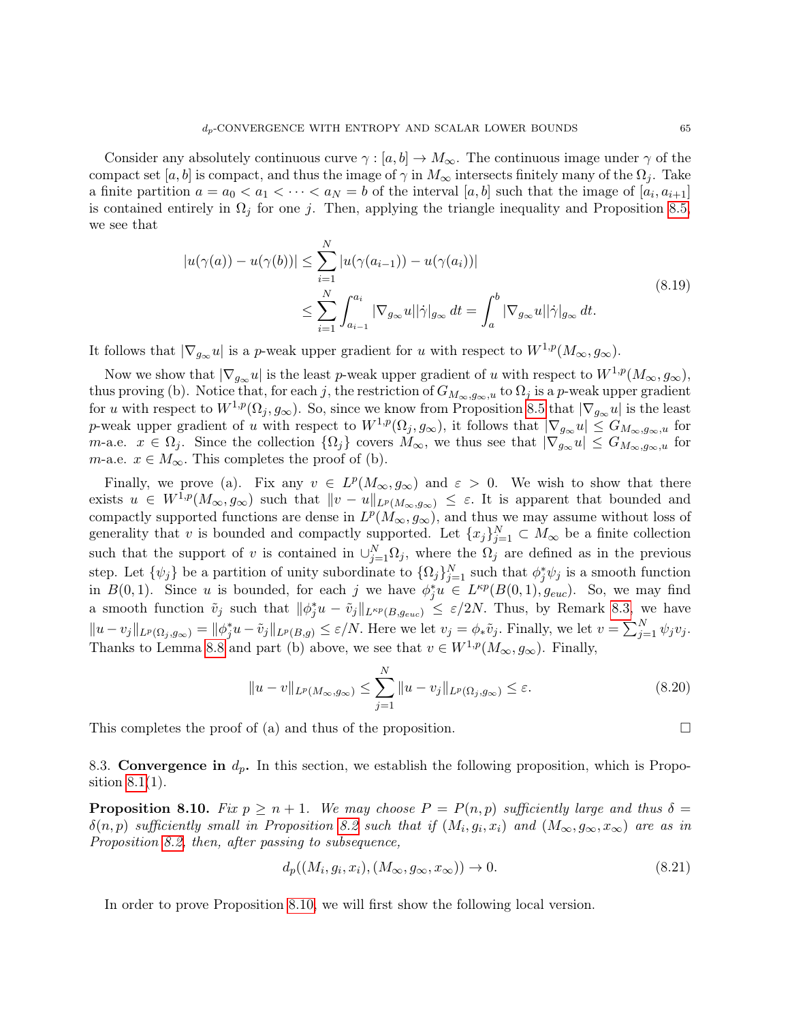Consider any absolutely continuous curve  $\gamma : [a, b] \to M_\infty$ . The continuous image under  $\gamma$  of the compact set [a, b] is compact, and thus the image of  $\gamma$  in  $M_{\infty}$  intersects finitely many of the  $\Omega_i$ . Take a finite partition  $a = a_0 < a_1 < \cdots < a_N = b$  of the interval  $[a, b]$  such that the image of  $[a_i, a_{i+1}]$ is contained entirely in  $\Omega_j$  for one j. Then, applying the triangle inequality and Proposition [8.5,](#page-60-1) we see that

$$
|u(\gamma(a)) - u(\gamma(b))| \le \sum_{i=1}^{N} |u(\gamma(a_{i-1})) - u(\gamma(a_i))|
$$
  

$$
\le \sum_{i=1}^{N} \int_{a_{i-1}}^{a_i} |\nabla_{g_{\infty}} u||\dot{\gamma}|_{g_{\infty}} dt = \int_a^b |\nabla_{g_{\infty}} u||\dot{\gamma}|_{g_{\infty}} dt.
$$
 (8.19)

It follows that  $|\nabla_{g_{\infty}} u|$  is a p-weak upper gradient for u with respect to  $W^{1,p}(M_{\infty}, g_{\infty})$ .

Now we show that  $|\nabla_{g_\infty} u|$  is the least p-weak upper gradient of u with respect to  $W^{1,p}(M_\infty, g_\infty)$ , thus proving (b). Notice that, for each j, the restriction of  $G_{M_{\infty},g_{\infty},u}$  to  $\Omega_j$  is a p-weak upper gradient for u with respect to  $W^{1,p}(\Omega_j, g_\infty)$ . So, since we know from Proposition [8.5](#page-60-1) that  $|\nabla_{g_\infty} u|$  is the least p-weak upper gradient of u with respect to  $W^{1,p}(\Omega_j, g_{\infty})$ , it follows that  $|\nabla_{g_{\infty}} u| \leq G_{M_{\infty},g_{\infty},u}$  for m-a.e.  $x \in \Omega_j$ . Since the collection  $\{\Omega_j\}$  covers  $M_\infty$ , we thus see that  $|\nabla_{g_\infty} u| \leq G_{M_\infty,g_\infty,u}$  for m-a.e.  $x \in M_{\infty}$ . This completes the proof of (b).

Finally, we prove (a). Fix any  $v \in L^p(M_\infty, g_\infty)$  and  $\varepsilon > 0$ . We wish to show that there exists  $u \in W^{1,p}(M_\infty, g_\infty)$  such that  $||v - u||_{L^p(M_\infty, g_\infty)} \leq \varepsilon$ . It is apparent that bounded and compactly supported functions are dense in  $L^p(M_\infty, g_\infty)$ , and thus we may assume without loss of generality that v is bounded and compactly supported. Let  ${x_j}_{j=1}^N \subset M_\infty$  be a finite collection such that the support of v is contained in  $\cup_{j=1}^{N} \Omega_j$ , where the  $\Omega_j$  are defined as in the previous step. Let  $\{\psi_j\}$  be a partition of unity subordinate to  $\{\Omega_j\}_{j=1}^N$  such that  $\phi_j^*\psi_j$  is a smooth function in  $B(0,1)$ . Since u is bounded, for each j we have  $\phi_j^*u \in L^{\kappa p}(B(0,1), g_{euc})$ . So, we may find a smooth function  $\tilde{v}_j$  such that  $\|\phi_j^*u - \tilde{v}_j\|_{L^{\kappa p}(B,g_{euc})} \leq \varepsilon/2N$ . Thus, by Remark [8.3,](#page-59-3) we have  $||u - v_j||_{L^p(\Omega_j, g_\infty)} = ||\phi_j^* u - \tilde{v}_j||_{L^p(B,g)} \le \varepsilon/N$ . Here we let  $v_j = \phi_*\tilde{v}_j$ . Finally, we let  $v = \sum_{j=1}^N \psi_j v_j$ . Thanks to Lemma [8.8](#page-60-3) and part (b) above, we see that  $v \in W^{1,p}(M_\infty, g_\infty)$ . Finally,

$$
||u - v||_{L^{p}(M_{\infty}, g_{\infty})} \leq \sum_{j=1}^{N} ||u - v_{j}||_{L^{p}(\Omega_{j}, g_{\infty})} \leq \varepsilon.
$$
\n(8.20)

This completes the proof of (a) and thus of the proposition.

<span id="page-64-0"></span>8.3. Convergence in  $d_p$ . In this section, we establish the following proposition, which is Proposition [8.1\(](#page-57-1)1).

<span id="page-64-1"></span>**Proposition 8.10.** Fix  $p \ge n + 1$ . We may choose  $P = P(n, p)$  sufficiently large and thus  $\delta =$  $\delta(n,p)$  sufficiently small in Proposition [8.2](#page-57-4) such that if  $(M_i,g_i,x_i)$  and  $(M_\infty,g_\infty,x_\infty)$  are as in Proposition [8.2,](#page-57-4) then, after passing to subsequence,

$$
d_p((M_i, g_i, x_i), (M_\infty, g_\infty, x_\infty)) \to 0. \tag{8.21}
$$

In order to prove Proposition [8.10,](#page-64-1) we will first show the following local version.

$$
\Box
$$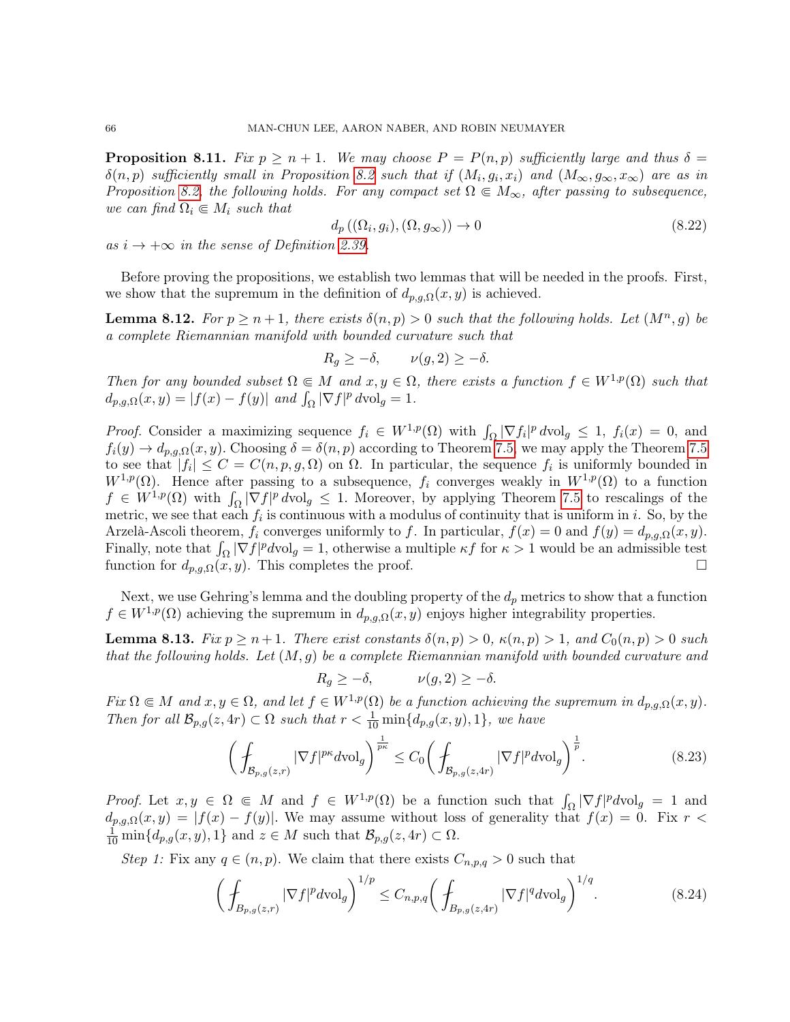<span id="page-65-3"></span>**Proposition 8.11.** Fix  $p \ge n+1$ . We may choose  $P = P(n, p)$  sufficiently large and thus  $\delta =$  $\delta(n,p)$  sufficiently small in Proposition [8.2](#page-57-4) such that if  $(M_i,g_i,x_i)$  and  $(M_\infty,g_\infty,x_\infty)$  are as in Proposition [8.2,](#page-57-4) the following holds. For any compact set  $\Omega \in M_{\infty}$ , after passing to subsequence, we can find  $\Omega_i \in M_i$  such that

$$
d_p\left((\Omega_i, g_i), (\Omega, g_\infty)\right) \to 0\tag{8.22}
$$

as  $i \rightarrow +\infty$  in the sense of Definition [2.39.](#page-21-0)

Before proving the propositions, we establish two lemmas that will be needed in the proofs. First, we show that the supremum in the definition of  $d_{p,q,\Omega}(x,y)$  is achieved.

<span id="page-65-1"></span>**Lemma 8.12.** For  $p \ge n+1$ , there exists  $\delta(n, p) > 0$  such that the following holds. Let  $(M^n, g)$  be a complete Riemannian manifold with bounded curvature such that

$$
R_g \ge -\delta, \qquad \nu(g, 2) \ge -\delta.
$$

Then for any bounded subset  $\Omega \in M$  and  $x, y \in \Omega$ , there exists a function  $f \in W^{1,p}(\Omega)$  such that  $d_{p,g,\Omega}(x,y) = |f(x) - f(y)|$  and  $\int_{\Omega} |\nabla f|^p dvol_g = 1$ .

*Proof.* Consider a maximizing sequence  $f_i \in W^{1,p}(\Omega)$  with  $\int_{\Omega} |\nabla f_i|^p dvol_g \leq 1$ ,  $f_i(x) = 0$ , and  $f_i(y) \to d_{p,q,\Omega}(x,y)$ . Choosing  $\delta = \delta(n,p)$  according to Theorem [7.5,](#page-55-3) we may apply the Theorem [7.5](#page-55-3) to see that  $|f_i| \leq C = C(n, p, g, \Omega)$  on  $\Omega$ . In particular, the sequence  $f_i$  is uniformly bounded in  $W^{1,p}(\Omega)$ . Hence after passing to a subsequence,  $f_i$  converges weakly in  $W^{1,p}(\Omega)$  to a function  $f \in W^{1,p}(\Omega)$  with  $\int_{\Omega} |\nabla f|^p dvol_g \leq 1$ . Moreover, by applying Theorem [7.5](#page-55-3) to rescalings of the metric, we see that each  $f_i$  is continuous with a modulus of continuity that is uniform in i. So, by the Arzelà-Ascoli theorem,  $f_i$  converges uniformly to f. In particular,  $f(x) = 0$  and  $f(y) = d_{p,q,\Omega}(x, y)$ . Finally, note that  $\int_{\Omega} |\nabla f|^p dvol_g = 1$ , otherwise a multiple  $\kappa f$  for  $\kappa > 1$  would be an admissible test function for  $d_{p,g,\Omega}(x,y)$ . This completes the proof.

Next, we use Gehring's lemma and the doubling property of the  $d_p$  metrics to show that a function  $f \in W^{1,p}(\Omega)$  achieving the supremum in  $d_{p,q,\Omega}(x,y)$  enjoys higher integrability properties.

<span id="page-65-2"></span>**Lemma 8.13.** Fix  $p \ge n+1$ . There exist constants  $\delta(n, p) > 0$ ,  $\kappa(n, p) > 1$ , and  $C_0(n, p) > 0$  such that the following holds. Let  $(M, q)$  be a complete Riemannian manifold with bounded curvature and

$$
R_g \geq -\delta, \qquad \nu(g, 2) \geq -\delta.
$$

 $Fix \Omega \in M$  and  $x, y \in \Omega$ , and let  $f \in W^{1,p}(\Omega)$  be a function achieving the supremum in  $d_{p,q,\Omega}(x,y)$ . Then for all  $\mathcal{B}_{p,q}(z,4r) \subset \Omega$  such that  $r < \frac{1}{10} \min\{d_{p,q}(x,y),1\}$ , we have

$$
\left(\int_{\mathcal{B}_{p,g}(z,r)} |\nabla f|^{p\kappa} d\mathrm{vol}_g\right)^{\frac{1}{p\kappa}} \le C_0 \left(\int_{\mathcal{B}_{p,g}(z,4r)} |\nabla f|^p d\mathrm{vol}_g\right)^{\frac{1}{p}}.\tag{8.23}
$$

*Proof.* Let  $x, y \in \Omega \in M$  and  $f \in W^{1,p}(\Omega)$  be a function such that  $\int_{\Omega} |\nabla f|^p dvol_g = 1$  and  $d_{p,q,\Omega}(x,y) = |f(x) - f(y)|$ . We may assume without loss of generality that  $f(x) = 0$ . Fix  $r <$  $\frac{1}{10} \min\{d_{p,g}(x,y), 1\}$  and  $z \in M$  such that  $\mathcal{B}_{p,g}(z, 4r) \subset \Omega$ .

Step 1: Fix any  $q \in (n, p)$ . We claim that there exists  $C_{n,p,q} > 0$  such that

<span id="page-65-0"></span>
$$
\left(\int_{B_{p,g}(z,r)} |\nabla f|^p d\mathrm{vol}_g\right)^{1/p} \le C_{n,p,q} \left(\int_{B_{p,g}(z,4r)} |\nabla f|^q d\mathrm{vol}_g\right)^{1/q}.\tag{8.24}
$$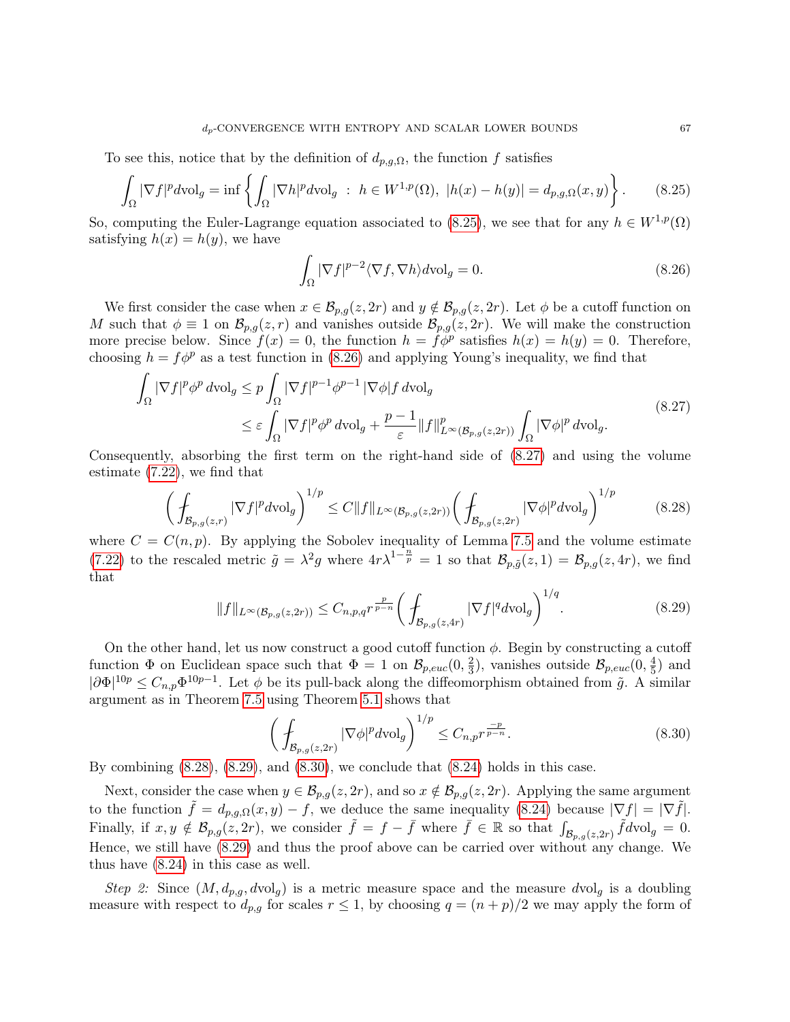To see this, notice that by the definition of  $d_{p,q,\Omega}$ , the function f satisfies

<span id="page-66-0"></span>
$$
\int_{\Omega} |\nabla f|^p d\mathrm{vol}_g = \inf \left\{ \int_{\Omega} |\nabla h|^p d\mathrm{vol}_g \ : \ h \in W^{1,p}(\Omega), \ |h(x) - h(y)| = d_{p,g,\Omega}(x,y) \right\}.
$$
 (8.25)

So, computing the Euler-Lagrange equation associated to [\(8.25\)](#page-66-0), we see that for any  $h \in W^{1,p}(\Omega)$ satisfying  $h(x) = h(y)$ , we have

<span id="page-66-1"></span>
$$
\int_{\Omega} |\nabla f|^{p-2} \langle \nabla f, \nabla h \rangle d\text{vol}_g = 0.
$$
\n(8.26)

We first consider the case when  $x \in \mathcal{B}_{p,g}(z, 2r)$  and  $y \notin \mathcal{B}_{p,g}(z, 2r)$ . Let  $\phi$  be a cutoff function on M such that  $\phi \equiv 1$  on  $\mathcal{B}_{p,q}(z,r)$  and vanishes outside  $\mathcal{B}_{p,q}(z,2r)$ . We will make the construction more precise below. Since  $f(x) = 0$ , the function  $h = f\phi^p$  satisfies  $h(x) = h(y) = 0$ . Therefore, choosing  $h = f\phi^p$  as a test function in [\(8.26\)](#page-66-1) and applying Young's inequality, we find that

<span id="page-66-2"></span>
$$
\int_{\Omega} |\nabla f|^p \phi^p d\mathrm{vol}_g \leq p \int_{\Omega} |\nabla f|^{p-1} \phi^{p-1} |\nabla \phi| f d\mathrm{vol}_g
$$
\n
$$
\leq \varepsilon \int_{\Omega} |\nabla f|^p \phi^p d\mathrm{vol}_g + \frac{p-1}{\varepsilon} ||f||_{L^{\infty}(\mathcal{B}_{p,g}(z,2r))}^p \int_{\Omega} |\nabla \phi|^p d\mathrm{vol}_g.
$$
\n(8.27)

Consequently, absorbing the first term on the right-hand side of [\(8.27\)](#page-66-2) and using the volume estimate [\(7.22\)](#page-54-6), we find that

<span id="page-66-3"></span>
$$
\left(\int_{\mathcal{B}_{p,g}(z,r)} |\nabla f|^p d\mathrm{vol}_g\right)^{1/p} \le C \|f\|_{L^{\infty}(\mathcal{B}_{p,g}(z,2r))} \left(\int_{\mathcal{B}_{p,g}(z,2r)} |\nabla \phi|^p d\mathrm{vol}_g\right)^{1/p} \tag{8.28}
$$

where  $C = C(n, p)$ . By applying the Sobolev inequality of Lemma [7.5](#page-55-3) and the volume estimate [\(7.22\)](#page-54-6) to the rescaled metric  $\tilde{g} = \lambda^2 g$  where  $4r\lambda^{1-\frac{n}{p}} = 1$  so that  $\mathcal{B}_{p,\tilde{g}}(z,1) = \mathcal{B}_{p,g}(z,4r)$ , we find that

$$
||f||_{L^{\infty}(\mathcal{B}_{p,g}(z,2r))} \leq C_{n,p,q} r^{\frac{p}{p-n}} \bigg(\int_{\mathcal{B}_{p,g}(z,4r)} |\nabla f|^{q} d\mathrm{vol}_{g}\bigg)^{1/q}.
$$
 (8.29)

<span id="page-66-4"></span>On the other hand, let us now construct a good cutoff function  $\phi$ . Begin by constructing a cutoff function  $\Phi$  on Euclidean space such that  $\Phi = 1$  on  $\mathcal{B}_{p, euc}(0, \frac{2}{3})$  $(\frac{2}{3})$ , vanishes outside  $\mathcal{B}_{p,euc}(0,\frac{4}{5})$  $(\frac{4}{5})$  and  $|\partial \Phi|^{10p} \leq C_{n,p} \Phi^{10p-1}$ . Let  $\phi$  be its pull-back along the diffeomorphism obtained from  $\tilde{g}$ . A similar argument as in Theorem [7.5](#page-55-3) using Theorem [5.1](#page-37-0) shows that

<span id="page-66-5"></span>
$$
\left(\int_{\mathcal{B}_{p,g}(z,2r)}|\nabla\phi|^p d\mathrm{vol}_g\right)^{1/p} \leq C_{n,p}r^{\frac{-p}{p-n}}.\tag{8.30}
$$

By combining  $(8.28)$ ,  $(8.29)$ , and  $(8.30)$ , we conclude that  $(8.24)$  holds in this case.

Next, consider the case when  $y \in \mathcal{B}_{p,q}(z, 2r)$ , and so  $x \notin \mathcal{B}_{p,q}(z, 2r)$ . Applying the same argument to the function  $\tilde{f} = d_{p,g,\Omega}(x,y) - f$ , we deduce the same inequality [\(8.24\)](#page-65-0) because  $|\nabla f| = |\nabla \tilde{f}|$ . Finally, if  $x, y \notin \mathcal{B}_{p,q}(z, 2r)$ , we consider  $\tilde{f} = f - \bar{f}$  where  $\bar{f} \in \mathbb{R}$  so that  $\int_{\mathcal{B}_{p,q}(z, 2r)} \tilde{f} dvol_g = 0$ . Hence, we still have [\(8.29\)](#page-66-4) and thus the proof above can be carried over without any change. We thus have [\(8.24\)](#page-65-0) in this case as well.

Step 2: Since  $(M, d_{p,q}, dvol_q)$  is a metric measure space and the measure  $dvol_q$  is a doubling measure with respect to  $d_{p,q}$  for scales  $r \leq 1$ , by choosing  $q = (n+p)/2$  we may apply the form of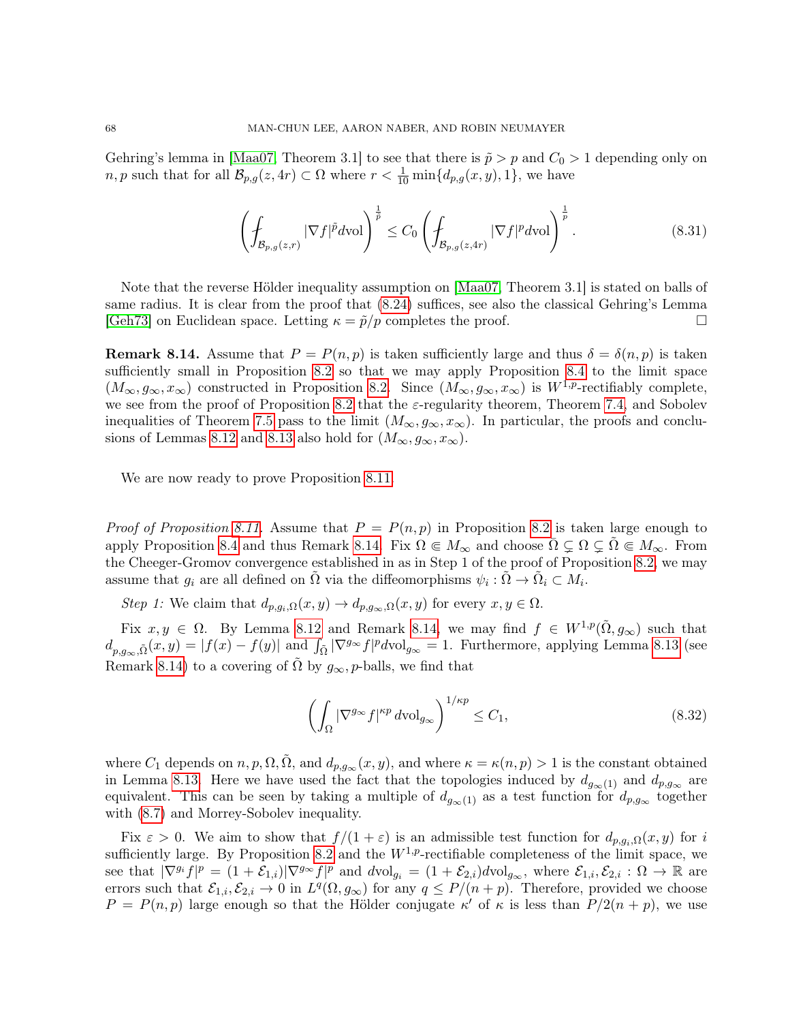Gehring's lemma in [\[Maa07,](#page-90-4) Theorem 3.1] to see that there is  $\tilde{p} > p$  and  $C_0 > 1$  depending only on  $n, p$  such that for all  $\mathcal{B}_{p,g}(z, 4r) \subset \Omega$  where  $r < \frac{1}{10} \min\{d_{p,g}(x,y), 1\}$ , we have

$$
\left(\oint_{\mathcal{B}_{p,g}(z,r)}|\nabla f|^{\tilde{p}}d\mathrm{vol}\right)^{\frac{1}{\tilde{p}}}\leq C_{0}\left(\oint_{\mathcal{B}_{p,g}(z,4r)}|\nabla f|^{p}d\mathrm{vol}\right)^{\frac{1}{p}}.\tag{8.31}
$$

Note that the reverse Hölder inequality assumption on [\[Maa07,](#page-90-4) Theorem 3.1] is stated on balls of same radius. It is clear from the proof that [\(8.24\)](#page-65-0) suffices, see also the classical Gehring's Lemma [\[Geh73\]](#page-90-5) on Euclidean space. Letting  $\kappa = \tilde{p}/p$  completes the proof.

<span id="page-67-0"></span>**Remark 8.14.** Assume that  $P = P(n, p)$  is taken sufficiently large and thus  $\delta = \delta(n, p)$  is taken sufficiently small in Proposition [8.2](#page-57-4) so that we may apply Proposition [8.4](#page-59-2) to the limit space  $(M_{\infty}, g_{\infty}, x_{\infty})$  constructed in Proposition [8.2.](#page-57-4) Since  $(M_{\infty}, g_{\infty}, x_{\infty})$  is  $W^{1,p}$ -rectifiably complete, we see from the proof of Proposition [8.2](#page-57-4) that the  $\varepsilon$ -regularity theorem, Theorem [7.4,](#page-54-2) and Sobolev inequalities of Theorem [7.5](#page-55-3) pass to the limit  $(M_{\infty}, g_{\infty}, x_{\infty})$ . In particular, the proofs and conclu-sions of Lemmas [8.12](#page-65-1) and [8.13](#page-65-2) also hold for  $(M_{\infty}, g_{\infty}, x_{\infty})$ .

We are now ready to prove Proposition [8.11.](#page-65-3)

*Proof of Proposition [8.11.](#page-65-3)* Assume that  $P = P(n, p)$  in Proposition [8.2](#page-57-4) is taken large enough to apply Proposition [8.4](#page-59-2) and thus Remark [8.14.](#page-67-0) Fix  $\Omega \in M_{\infty}$  and choose  $\overline{\Omega} \subsetneq \Omega \subsetneq \overline{\Omega} \in M_{\infty}$ . From the Cheeger-Gromov convergence established in as in Step 1 of the proof of Proposition [8.2,](#page-57-4) we may assume that  $g_i$  are all defined on  $\tilde{\Omega}$  via the diffeomorphisms  $\psi_i : \tilde{\Omega} \to \tilde{\Omega}_i \subset M_i$ .

Step 1: We claim that  $d_{p,q_i,\Omega}(x,y) \to d_{p,q_\infty,\Omega}(x,y)$  for every  $x, y \in \Omega$ .

Fix  $x, y \in \Omega$ . By Lemma [8.12](#page-65-1) and Remark [8.14,](#page-67-0) we may find  $f \in W^{1,p}(\tilde{\Omega}, g_{\infty})$  such that  $d_{p,g_\infty,\tilde{\Omega}}(x,y) = |f(x) - f(y)|$  and  $\int_{\tilde{\Omega}} |\nabla^{g_\infty} f|^p dvol_{g_\infty} = 1$ . Furthermore, applying Lemma [8.13](#page-65-2) (see Remark [8.14\)](#page-67-0) to a covering of  $\Omega$  by  $g_{\infty}$ , p-balls, we find that

<span id="page-67-1"></span>
$$
\left(\int_{\Omega} |\nabla^{g_{\infty}} f|^{op} \, d\mathrm{vol}_{g_{\infty}}\right)^{1/\kappa p} \le C_1,\tag{8.32}
$$

where  $C_1$  depends on  $n, p, \Omega, \tilde{\Omega}$ , and  $d_{p,g_\infty}(x, y)$ , and where  $\kappa = \kappa(n, p) > 1$  is the constant obtained in Lemma [8.13.](#page-65-2) Here we have used the fact that the topologies induced by  $d_{g_{\infty}(1)}$  and  $d_{p,g_{\infty}}$  are equivalent. This can be seen by taking a multiple of  $d_{g_{\infty}(1)}$  as a test function for  $d_{p,g_{\infty}}$  together with [\(8.7\)](#page-58-2) and Morrey-Sobolev inequality.

Fix  $\varepsilon > 0$ . We aim to show that  $f/(1 + \varepsilon)$  is an admissible test function for  $d_{p,q_i,\Omega}(x, y)$  for i sufficiently large. By Proposition [8.2](#page-57-4) and the  $W^{1,p}$ -rectifiable completeness of the limit space, we see that  $|\nabla^{g_i} f|^p = (1 + \mathcal{E}_{1,i}) |\nabla^{g_{\infty}} f|^p$  and  $dvol_{g_i} = (1 + \mathcal{E}_{2,i}) dvol_{g_{\infty}},$  where  $\mathcal{E}_{1,i}, \mathcal{E}_{2,i} : \Omega \to \mathbb{R}$  are errors such that  $\mathcal{E}_{1,i}, \mathcal{E}_{2,i} \to 0$  in  $L^q(\Omega, g_{\infty})$  for any  $q \leq P/(n+p)$ . Therefore, provided we choose  $P = P(n, p)$  large enough so that the Hölder conjugate  $\kappa'$  of  $\kappa$  is less than  $P/2(n + p)$ , we use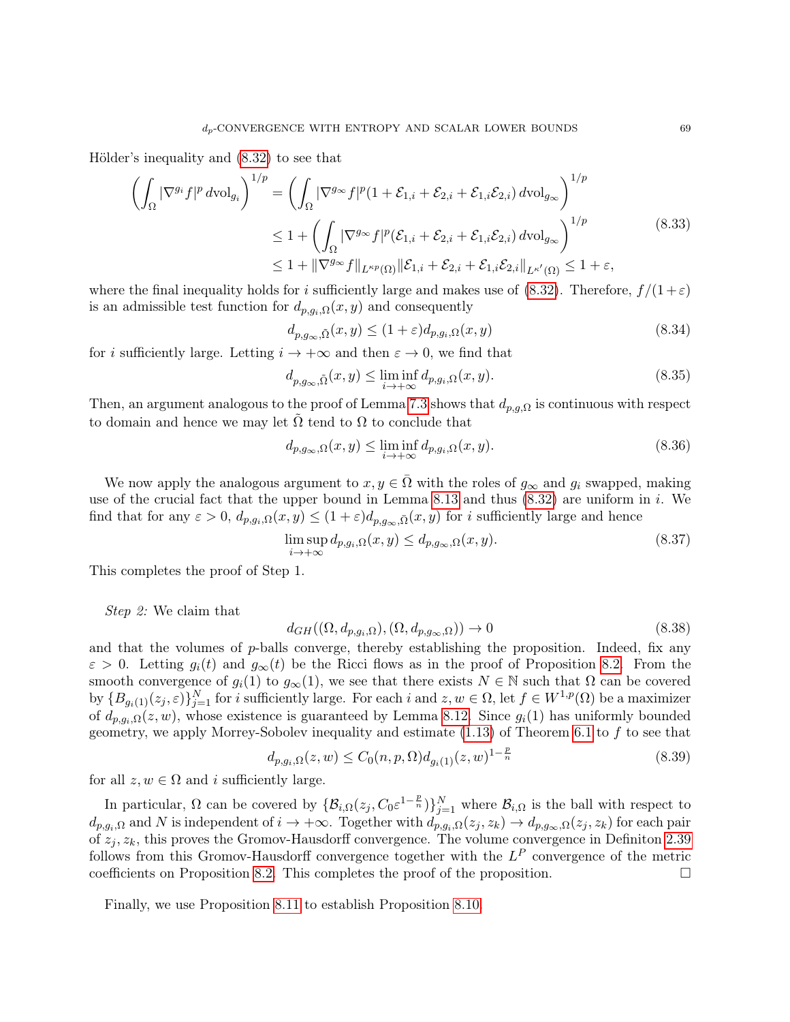Hölder's inequality and [\(8.32\)](#page-67-1) to see that

$$
\left(\int_{\Omega} |\nabla^{g_i} f|^p \, d\text{vol}_{g_i}\right)^{1/p} = \left(\int_{\Omega} |\nabla^{g_{\infty}} f|^p (1 + \mathcal{E}_{1,i} + \mathcal{E}_{2,i} + \mathcal{E}_{1,i} \mathcal{E}_{2,i}) \, d\text{vol}_{g_{\infty}}\right)^{1/p}
$$
\n
$$
\leq 1 + \left(\int_{\Omega} |\nabla^{g_{\infty}} f|^p (\mathcal{E}_{1,i} + \mathcal{E}_{2,i} + \mathcal{E}_{1,i} \mathcal{E}_{2,i}) \, d\text{vol}_{g_{\infty}}\right)^{1/p}
$$
\n
$$
\leq 1 + \|\nabla^{g_{\infty}} f\|_{L^{\kappa p}(\Omega)} \|\mathcal{E}_{1,i} + \mathcal{E}_{2,i} + \mathcal{E}_{1,i} \mathcal{E}_{2,i}\|_{L^{\kappa'}(\Omega)} \leq 1 + \varepsilon,
$$
\n(8.33)

where the final inequality holds for i sufficiently large and makes use of [\(8.32\)](#page-67-1). Therefore,  $f/(1+\varepsilon)$ is an admissible test function for  $d_{p,q_i,\Omega}(x,y)$  and consequently

$$
d_{p,g_{\infty},\tilde{\Omega}}(x,y) \le (1+\varepsilon)d_{p,g_i,\Omega}(x,y) \tag{8.34}
$$

for i sufficiently large. Letting  $i \to +\infty$  and then  $\varepsilon \to 0$ , we find that

$$
d_{p,g_{\infty},\tilde{\Omega}}(x,y) \le \liminf_{i \to +\infty} d_{p,g_i,\Omega}(x,y). \tag{8.35}
$$

Then, an argument analogous to the proof of Lemma [7.3](#page-53-4) shows that  $d_{p,q,\Omega}$  is continuous with respect to domain and hence we may let  $\tilde{\Omega}$  tend to  $\Omega$  to conclude that

$$
d_{p,g_{\infty},\Omega}(x,y) \le \liminf_{i \to +\infty} d_{p,g_i,\Omega}(x,y). \tag{8.36}
$$

We now apply the analogous argument to  $x, y \in \overline{\Omega}$  with the roles of  $g_{\infty}$  and  $g_i$  swapped, making use of the crucial fact that the upper bound in Lemma [8.13](#page-65-2) and thus  $(8.32)$  are uniform in i. We find that for any  $\varepsilon > 0$ ,  $d_{p,g_i,\Omega}(x,y) \leq (1+\varepsilon)d_{p,g_\infty,\overline{\Omega}}(x,y)$  for i sufficiently large and hence

$$
\limsup_{i \to +\infty} d_{p,g_i,\Omega}(x,y) \le d_{p,g_\infty,\Omega}(x,y). \tag{8.37}
$$

This completes the proof of Step 1.

Step 2: We claim that

$$
d_{GH}((\Omega, d_{p,g_i,\Omega}), (\Omega, d_{p,g_\infty,\Omega})) \to 0
$$
\n(8.38)

and that the volumes of  $p$ -balls converge, thereby establishing the proposition. Indeed, fix any  $\varepsilon > 0$ . Letting  $g_i(t)$  and  $g_{\infty}(t)$  be the Ricci flows as in the proof of Proposition [8.2.](#page-57-4) From the smooth convergence of  $g_i(1)$  to  $g_\infty(1)$ , we see that there exists  $N \in \mathbb{N}$  such that  $\Omega$  can be covered by  $\{B_{g_i(1)}(z_j,\varepsilon)\}_{j=1}^N$  for i sufficiently large. For each i and  $z, w \in \Omega$ , let  $f \in W^{1,p}(\Omega)$  be a maximizer of  $d_{p,q_i,\Omega}(z,w)$ , whose existence is guaranteed by Lemma [8.12.](#page-65-1) Since  $g_i(1)$  has uniformly bounded geometry, we apply Morrey-Sobolev inequality and estimate  $(1.13)$  of Theorem [6.1](#page-48-0) to f to see that

$$
d_{p,g_i,\Omega}(z,w) \le C_0(n,p,\Omega) d_{g_i(1)}(z,w)^{1-\frac{p}{n}} \tag{8.39}
$$

for all  $z, w \in \Omega$  and i sufficiently large.

In particular,  $\Omega$  can be covered by  $\{\mathcal{B}_{i,\Omega}(z_j, C_0\varepsilon^{1-\frac{p}{n}})\}_{j=1}^N$  where  $\mathcal{B}_{i,\Omega}$  is the ball with respect to  $d_{p,g_i,\Omega}$  and N is independent of  $i \to +\infty$ . Together with  $d_{p,g_i,\Omega}(z_j, z_k) \to d_{p,g_\infty,\Omega}(z_j, z_k)$  for each pair of  $z_i, z_k$ , this proves the Gromov-Hausdorff convergence. The volume convergence in Definiton [2.39](#page-21-0) follows from this Gromov-Hausdorff convergence together with the  $L^P$  convergence of the metric coefficients on Proposition [8.2.](#page-57-4) This completes the proof of the proposition.  $\Box$ 

Finally, we use Proposition [8.11](#page-65-3) to establish Proposition [8.10.](#page-64-1)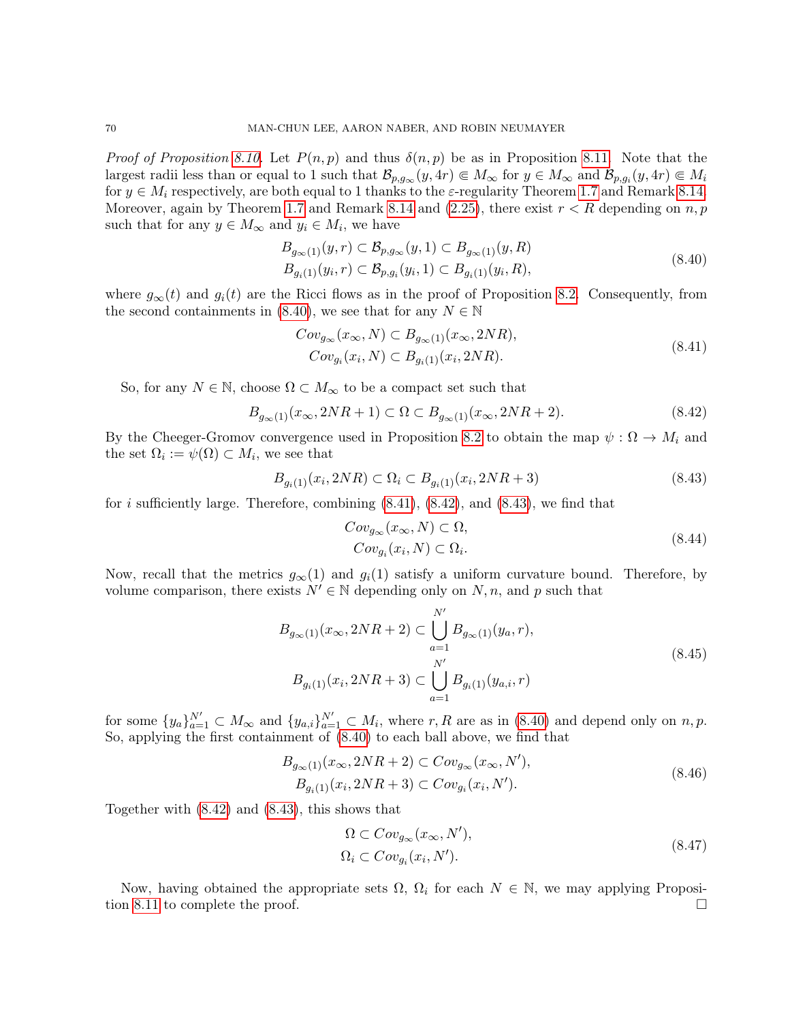*Proof of Proposition [8.10.](#page-64-1)* Let  $P(n, p)$  and thus  $\delta(n, p)$  be as in Proposition [8.11.](#page-65-3) Note that the largest radii less than or equal to 1 such that  $\mathcal{B}_{p,g_\infty}(y,4r) \in M_\infty$  for  $y \in M_\infty$  and  $\mathcal{B}_{p,g_i}(y,4r) \in M_i$ for  $y \in M_i$  respectively, are both equal to 1 thanks to the  $\varepsilon$ -regularity Theorem [1.7](#page-3-0) and Remark [8.14.](#page-67-0) Moreover, again by Theorem [1.7](#page-3-0) and Remark [8.14](#page-67-0) and [\(2.25\)](#page-18-1), there exist  $r < R$  depending on  $n, p$ such that for any  $y \in M_{\infty}$  and  $y_i \in M_i$ , we have

$$
B_{g_{\infty}(1)}(y,r) \subset \mathcal{B}_{p,g_{\infty}}(y,1) \subset B_{g_{\infty}(1)}(y,R)
$$
  
\n
$$
B_{g_i(1)}(y_i,r) \subset \mathcal{B}_{p,g_i}(y_i,1) \subset B_{g_i(1)}(y_i,R),
$$
\n(8.40)

<span id="page-69-0"></span>where  $g_{\infty}(t)$  and  $g_i(t)$  are the Ricci flows as in the proof of Proposition [8.2.](#page-57-4) Consequently, from the second containments in [\(8.40\)](#page-69-0), we see that for any  $N \in \mathbb{N}$ 

$$
Cov_{g_{\infty}}(x_{\infty}, N) \subset B_{g_{\infty}(1)}(x_{\infty}, 2NR),
$$
  
\n
$$
Cov_{g_i}(x_i, N) \subset B_{g_i(1)}(x_i, 2NR).
$$
\n(8.41)

<span id="page-69-1"></span>So, for any  $N \in \mathbb{N}$ , choose  $\Omega \subset M_{\infty}$  to be a compact set such that

<span id="page-69-2"></span>
$$
B_{g_{\infty}(1)}(x_{\infty}, 2NR+1) \subset \Omega \subset B_{g_{\infty}(1)}(x_{\infty}, 2NR+2). \tag{8.42}
$$

By the Cheeger-Gromov convergence used in Proposition [8.2](#page-57-4) to obtain the map  $\psi : \Omega \to M_i$  and the set  $\Omega_i := \psi(\Omega) \subset M_i$ , we see that

<span id="page-69-3"></span>
$$
B_{g_i(1)}(x_i, 2NR) \subset \Omega_i \subset B_{g_i(1)}(x_i, 2NR+3)
$$
\n(8.43)

for i sufficiently large. Therefore, combining  $(8.41)$ ,  $(8.42)$ , and  $(8.43)$ , we find that

$$
Cov_{g_{\infty}}(x_{\infty}, N) \subset \Omega,
$$
  
\n
$$
Cov_{g_i}(x_i, N) \subset \Omega_i.
$$
\n(8.44)

Now, recall that the metrics  $g_{\infty}(1)$  and  $g_i(1)$  satisfy a uniform curvature bound. Therefore, by volume comparison, there exists  $N' \in \mathbb{N}$  depending only on  $N, n$ , and p such that

$$
B_{g_{\infty}(1)}(x_{\infty}, 2NR + 2) \subset \bigcup_{a=1}^{N'} B_{g_{\infty}(1)}(y_a, r),
$$
  
\n
$$
B_{g_i(1)}(x_i, 2NR + 3) \subset \bigcup_{a=1}^{N'} B_{g_i(1)}(y_{a,i}, r)
$$
\n(8.45)

for some  $\{y_a\}_{a=1}^{N'} \subset M_\infty$  and  $\{y_{a,i}\}_{a=1}^{N'} \subset M_i$ , where r, R are as in [\(8.40\)](#page-69-0) and depend only on n, p. So, applying the first containment of [\(8.40\)](#page-69-0) to each ball above, we find that

$$
B_{g_{\infty}(1)}(x_{\infty}, 2NR+2) \subset Cov_{g_{\infty}}(x_{\infty}, N'),
$$
  
\n
$$
B_{g_i(1)}(x_i, 2NR+3) \subset Cov_{g_i}(x_i, N').
$$
\n(8.46)

Together with [\(8.42\)](#page-69-2) and [\(8.43\)](#page-69-3), this shows that

$$
\Omega \subset Cov_{g_{\infty}}(x_{\infty}, N'),
$$
  
\n
$$
\Omega_i \subset Cov_{g_i}(x_i, N').
$$
\n(8.47)

Now, having obtained the appropriate sets  $\Omega$ ,  $\Omega_i$  for each  $N \in \mathbb{N}$ , we may applying Proposi-tion [8.11](#page-65-3) to complete the proof.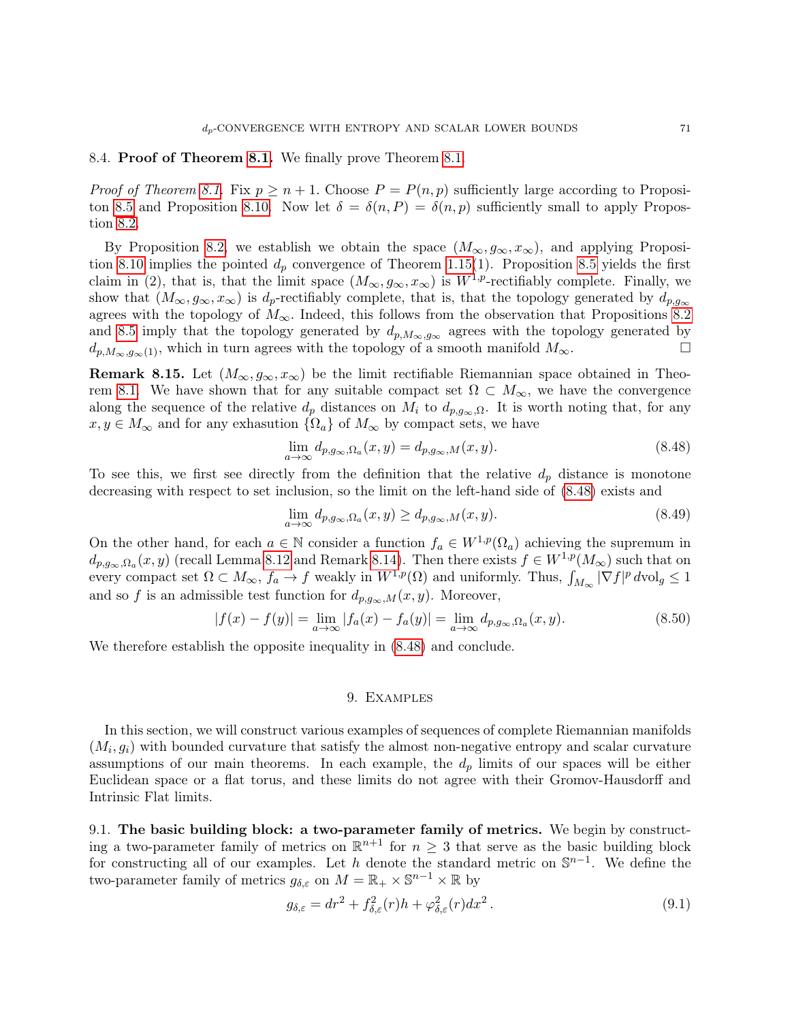# <span id="page-70-0"></span>8.4. Proof of Theorem [8.1.](#page-57-1) We finally prove Theorem 8.1.

*Proof of Theorem [8.1.](#page-57-1)* Fix  $p \ge n + 1$ . Choose  $P = P(n, p)$  sufficiently large according to Proposi-ton [8.5](#page-60-1) and Proposition [8.10.](#page-64-1) Now let  $\delta = \delta(n, P) = \delta(n, p)$  sufficiently small to apply Propostion [8.2.](#page-57-4)

By Proposition [8.2,](#page-57-4) we establish we obtain the space  $(M_{\infty}, g_{\infty}, x_{\infty})$ , and applying Proposi-tion [8.10](#page-64-1) implies the pointed  $d_p$  convergence of Theorem [1.15\(](#page-5-0)1). Proposition [8.5](#page-60-1) yields the first claim in (2), that is, that the limit space  $(M_{\infty}, g_{\infty}, x_{\infty})$  is  $W^{1,p}$ -rectifiably complete. Finally, we show that  $(M_{\infty}, g_{\infty}, x_{\infty})$  is  $d_p$ -rectifiably complete, that is, that the topology generated by  $d_{p,q_{\infty}}$ agrees with the topology of  $M_{\infty}$ . Indeed, this follows from the observation that Propositions [8.2](#page-57-4) and [8.5](#page-60-1) imply that the topology generated by  $d_{p,M_{\infty},g_{\infty}}$  agrees with the topology generated by  $d_{p,M_{\infty},q_{\infty}(1)}$ , which in turn agrees with the topology of a smooth manifold  $M_{\infty}$ .

**Remark 8.15.** Let  $(M_{\infty}, g_{\infty}, x_{\infty})$  be the limit rectifiable Riemannian space obtained in Theo-rem [8.1.](#page-57-1) We have shown that for any suitable compact set  $\Omega \subset M_{\infty}$ , we have the convergence along the sequence of the relative  $d_p$  distances on  $M_i$  to  $d_{p,g_\infty,\Omega}$ . It is worth noting that, for any  $x, y \in M_{\infty}$  and for any exhasution  $\{\Omega_a\}$  of  $M_{\infty}$  by compact sets, we have

<span id="page-70-1"></span>
$$
\lim_{a \to \infty} d_{p,g_{\infty},\Omega_a}(x,y) = d_{p,g_{\infty},M}(x,y). \tag{8.48}
$$

To see this, we first see directly from the definition that the relative  $d_p$  distance is monotone decreasing with respect to set inclusion, so the limit on the left-hand side of [\(8.48\)](#page-70-1) exists and

$$
\lim_{a \to \infty} d_{p,g_{\infty},\Omega_a}(x,y) \ge d_{p,g_{\infty},M}(x,y). \tag{8.49}
$$

On the other hand, for each  $a \in \mathbb{N}$  consider a function  $f_a \in W^{1,p}(\Omega_a)$  achieving the supremum in  $d_{p,g_\infty,\Omega_a}(x,y)$  (recall Lemma [8.12](#page-65-1) and Remark [8.14\)](#page-67-0). Then there exists  $f \in W^{1,p}(M_\infty)$  such that on every compact set  $\Omega \subset M_\infty$ ,  $f_a \to f$  weakly in  $W^{1,p}(\Omega)$  and uniformly. Thus,  $\int_{M_\infty} |\nabla f|^p dvol_g \leq 1$ and so f is an admissible test function for  $d_{p,q_\infty,M}(x,y)$ . Moreover,

$$
|f(x) - f(y)| = \lim_{a \to \infty} |f_a(x) - f_a(y)| = \lim_{a \to \infty} d_{p, g_{\infty}, \Omega_a}(x, y).
$$
 (8.50)

We therefore establish the opposite inequality in [\(8.48\)](#page-70-1) and conclude.

#### 9. Examples

In this section, we will construct various examples of sequences of complete Riemannian manifolds  $(M_i, g_i)$  with bounded curvature that satisfy the almost non-negative entropy and scalar curvature assumptions of our main theorems. In each example, the  $d_p$  limits of our spaces will be either Euclidean space or a flat torus, and these limits do not agree with their Gromov-Hausdorff and Intrinsic Flat limits.

9.1. The basic building block: a two-parameter family of metrics. We begin by constructing a two-parameter family of metrics on  $\mathbb{R}^{n+1}$  for  $n \geq 3$  that serve as the basic building block for constructing all of our examples. Let h denote the standard metric on  $\mathbb{S}^{n-1}$ . We define the two-parameter family of metrics  $g_{\delta,\varepsilon}$  on  $M = \mathbb{R}_+ \times \mathbb{S}^{n-1} \times \mathbb{R}$  by

$$
g_{\delta,\varepsilon} = dr^2 + f_{\delta,\varepsilon}^2(r)h + \varphi_{\delta,\varepsilon}^2(r)dx^2.
$$
\n(9.1)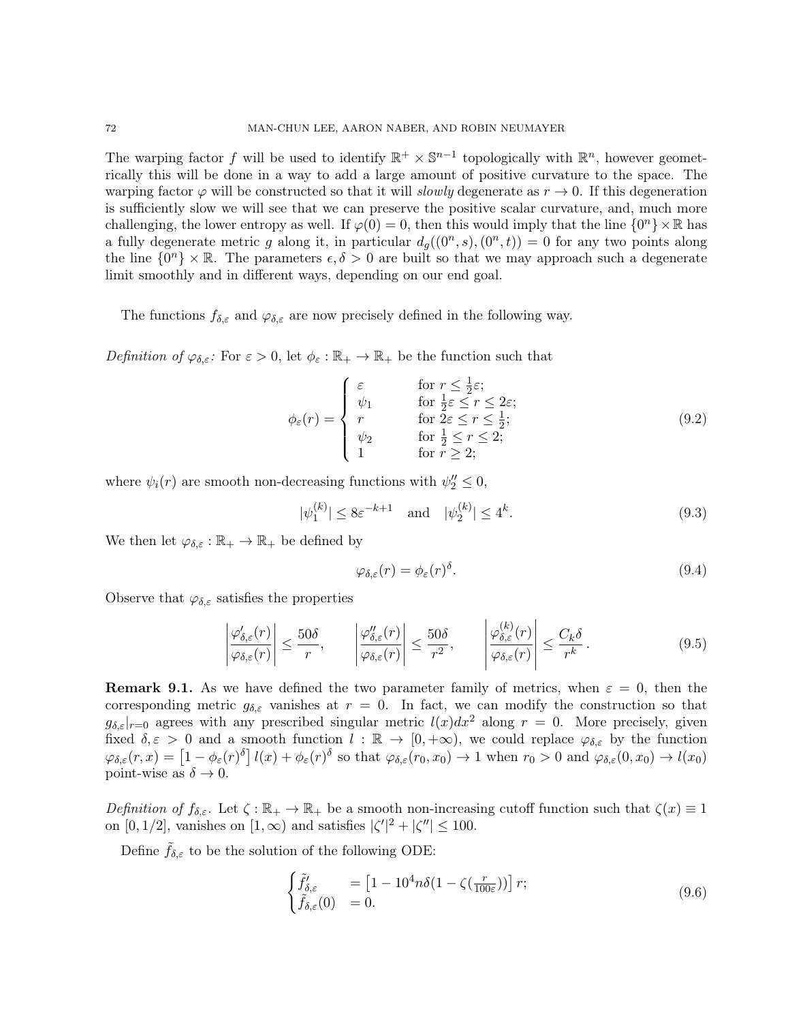The warping factor f will be used to identify  $\mathbb{R}^+ \times \mathbb{S}^{n-1}$  topologically with  $\mathbb{R}^n$ , however geometrically this will be done in a way to add a large amount of positive curvature to the space. The warping factor  $\varphi$  will be constructed so that it will *slowly* degenerate as  $r \to 0$ . If this degeneration is sufficiently slow we will see that we can preserve the positive scalar curvature, and, much more challenging, the lower entropy as well. If  $\varphi(0) = 0$ , then this would imply that the line  $\{0^n\} \times \mathbb{R}$  has a fully degenerate metric g along it, in particular  $d_g((0^n, s), (0^n, t)) = 0$  for any two points along the line  $\{0^n\} \times \mathbb{R}$ . The parameters  $\epsilon, \delta > 0$  are built so that we may approach such a degenerate limit smoothly and in different ways, depending on our end goal.

The functions  $f_{\delta,\varepsilon}$  and  $\varphi_{\delta,\varepsilon}$  are now precisely defined in the following way.

Definition of  $\varphi_{\delta,\varepsilon}$ : For  $\varepsilon > 0$ , let  $\phi_{\varepsilon} : \mathbb{R}_+ \to \mathbb{R}_+$  be the function such that

$$
\phi_{\varepsilon}(r) = \begin{cases}\n\varepsilon & \text{for } r \leq \frac{1}{2}\varepsilon; \\
\psi_1 & \text{for } \frac{1}{2}\varepsilon \leq r \leq 2\varepsilon; \\
r & \text{for } 2\varepsilon \leq r \leq \frac{1}{2}; \\
\psi_2 & \text{for } \frac{1}{2} \leq r \leq 2; \\
1 & \text{for } r \geq 2;\n\end{cases}
$$
\n(9.2)

where  $\psi_i(r)$  are smooth non-decreasing functions with  $\psi_2'' \leq 0$ ,

$$
|\psi_1^{(k)}| \le 8\varepsilon^{-k+1}
$$
 and  $|\psi_2^{(k)}| \le 4^k$ . (9.3)

We then let  $\varphi_{\delta,\varepsilon} : \mathbb{R}_+ \to \mathbb{R}_+$  be defined by

<span id="page-71-0"></span>
$$
\varphi_{\delta,\varepsilon}(r) = \phi_{\varepsilon}(r)^{\delta}.\tag{9.4}
$$

Observe that  $\varphi_{\delta,\varepsilon}$  satisfies the properties

$$
\left|\frac{\varphi_{\delta,\varepsilon}'(r)}{\varphi_{\delta,\varepsilon}(r)}\right| \le \frac{50\delta}{r}, \qquad \left|\frac{\varphi_{\delta,\varepsilon}''(r)}{\varphi_{\delta,\varepsilon}(r)}\right| \le \frac{50\delta}{r^2}, \qquad \left|\frac{\varphi_{\delta,\varepsilon}^{(k)}(r)}{\varphi_{\delta,\varepsilon}(r)}\right| \le \frac{C_k\delta}{r^k}.
$$
\n(9.5)

**Remark 9.1.** As we have defined the two parameter family of metrics, when  $\varepsilon = 0$ , then the corresponding metric  $g_{\delta,\varepsilon}$  vanishes at  $r = 0$ . In fact, we can modify the construction so that  $g_{\delta,\varepsilon}|_{r=0}$  agrees with any prescribed singular metric  $l(x)dx^2$  along  $r=0$ . More precisely, given fixed  $\delta, \varepsilon > 0$  and a smooth function  $l : \mathbb{R} \to [0, +\infty)$ , we could replace  $\varphi_{\delta,\varepsilon}$  by the function  $\varphi_{\delta,\varepsilon}(r,x) = \left[1-\phi_{\varepsilon}(r)^{\delta}\right]l(x) + \phi_{\varepsilon}(r)^{\delta}$  so that  $\varphi_{\delta,\varepsilon}(r_0,x_0) \to 1$  when  $r_0 > 0$  and  $\varphi_{\delta,\varepsilon}(0,x_0) \to l(x_0)$ point-wise as  $\delta \to 0$ .

Definition of  $f_{\delta,\varepsilon}$ . Let  $\zeta : \mathbb{R}_+ \to \mathbb{R}_+$  be a smooth non-increasing cutoff function such that  $\zeta(x) \equiv 1$ on [0, 1/2], vanishes on  $[1, \infty)$  and satisfies  $|\zeta'|^2 + |\zeta''| \le 100$ .

Define  $f_{\delta,\varepsilon}$  to be the solution of the following ODE:

$$
\begin{cases}\n\tilde{f}'_{\delta,\varepsilon} = \left[1 - 10^4 n \delta (1 - \zeta(\frac{r}{100\varepsilon}))\right] r; \n\tilde{f}_{\delta,\varepsilon}(0) = 0.\n\end{cases}
$$
\n(9.6)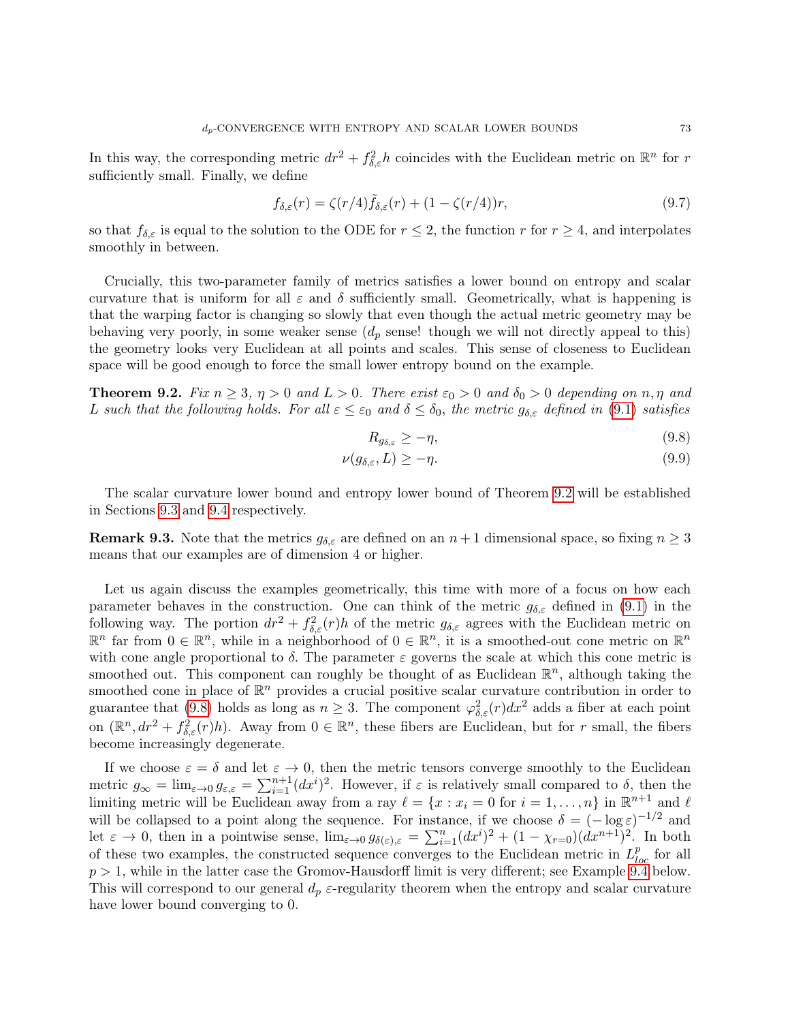In this way, the corresponding metric  $dr^2 + f_{\delta,\varepsilon}^2 h$  coincides with the Euclidean metric on  $\mathbb{R}^n$  for r sufficiently small. Finally, we define

<span id="page-72-2"></span>
$$
f_{\delta,\varepsilon}(r) = \zeta(r/4)\tilde{f}_{\delta,\varepsilon}(r) + (1 - \zeta(r/4))r,\tag{9.7}
$$

so that  $f_{\delta,\varepsilon}$  is equal to the solution to the ODE for  $r \leq 2$ , the function r for  $r \geq 4$ , and interpolates smoothly in between.

Crucially, this two-parameter family of metrics satisfies a lower bound on entropy and scalar curvature that is uniform for all  $\varepsilon$  and  $\delta$  sufficiently small. Geometrically, what is happening is that the warping factor is changing so slowly that even though the actual metric geometry may be behaving very poorly, in some weaker sense  $(d_p \text{ sense}!$  though we will not directly appeal to this) the geometry looks very Euclidean at all points and scales. This sense of closeness to Euclidean space will be good enough to force the small lower entropy bound on the example.

<span id="page-72-0"></span>**Theorem 9.2.** Fix  $n \geq 3$ ,  $\eta > 0$  and  $L > 0$ . There exist  $\varepsilon_0 > 0$  and  $\delta_0 > 0$  depending on  $n, \eta$  and L such that the following holds. For all  $\varepsilon \leq \varepsilon_0$  and  $\delta \leq \delta_0$ , the metric  $g_{\delta,\varepsilon}$  defined in [\(9.1\)](#page-70-0) satisfies

<span id="page-72-1"></span>
$$
R_{g_{\delta,\varepsilon}} \ge -\eta,\tag{9.8}
$$

$$
\nu(g_{\delta,\varepsilon},L) \ge -\eta. \tag{9.9}
$$

The scalar curvature lower bound and entropy lower bound of Theorem [9.2](#page-72-0) will be established in Sections [9.3](#page-76-0) and [9.4](#page-80-0) respectively.

**Remark 9.3.** Note that the metrics  $g_{\delta,\varepsilon}$  are defined on an  $n+1$  dimensional space, so fixing  $n \geq 3$ means that our examples are of dimension 4 or higher.

Let us again discuss the examples geometrically, this time with more of a focus on how each parameter behaves in the construction. One can think of the metric  $g_{\delta,\varepsilon}$  defined in [\(9.1\)](#page-70-0) in the following way. The portion  $dr^2 + f_{\delta,\varepsilon}^2(r)h$  of the metric  $g_{\delta,\varepsilon}$  agrees with the Euclidean metric on  $\mathbb{R}^n$  far from  $0 \in \mathbb{R}^n$ , while in a neighborhood of  $0 \in \mathbb{R}^n$ , it is a smoothed-out cone metric on  $\mathbb{R}^n$ with cone angle proportional to  $\delta$ . The parameter  $\varepsilon$  governs the scale at which this cone metric is smoothed out. This component can roughly be thought of as Euclidean  $\mathbb{R}^n$ , although taking the smoothed cone in place of  $\mathbb{R}^n$  provides a crucial positive scalar curvature contribution in order to guarantee that [\(9.8\)](#page-72-1) holds as long as  $n \geq 3$ . The component  $\varphi_{\delta,\varepsilon}^2(r) dx^2$  adds a fiber at each point on  $(\mathbb{R}^n, dr^2 + f_{\delta,\varepsilon}^2(r)h)$ . Away from  $0 \in \mathbb{R}^n$ , these fibers are Euclidean, but for r small, the fibers become increasingly degenerate.

If we choose  $\varepsilon = \delta$  and let  $\varepsilon \to 0$ , then the metric tensors converge smoothly to the Euclidean metric  $g_{\infty} = \lim_{\varepsilon \to 0} g_{\varepsilon,\varepsilon} = \sum_{i=1}^{n+1} (dx^i)^2$ . However, if  $\varepsilon$  is relatively small compared to  $\delta$ , then the limiting metric will be Euclidean away from a ray  $\ell = \{x : x_i = 0 \text{ for } i = 1, \ldots, n\}$  in  $\mathbb{R}^{n+1}$  and  $\ell$ will be collapsed to a point along the sequence. For instance, if we choose  $\delta = (-\log \varepsilon)^{-1/2}$  and let  $\varepsilon \to 0$ , then in a pointwise sense,  $\lim_{\varepsilon \to 0} g_{\delta(\varepsilon),\varepsilon} = \sum_{i=1}^n (dx^i)^2 + (1 - \chi_{r=0})(dx^{n+1})^2$ . In both of these two examples, the constructed sequence converges to the Euclidean metric in  $L_{loc}^p$  for all  $p > 1$ , while in the latter case the Gromov-Hausdorff limit is very different; see Example [9.4](#page-73-0) below. This will correspond to our general  $d_p \varepsilon$ -regularity theorem when the entropy and scalar curvature have lower bound converging to 0.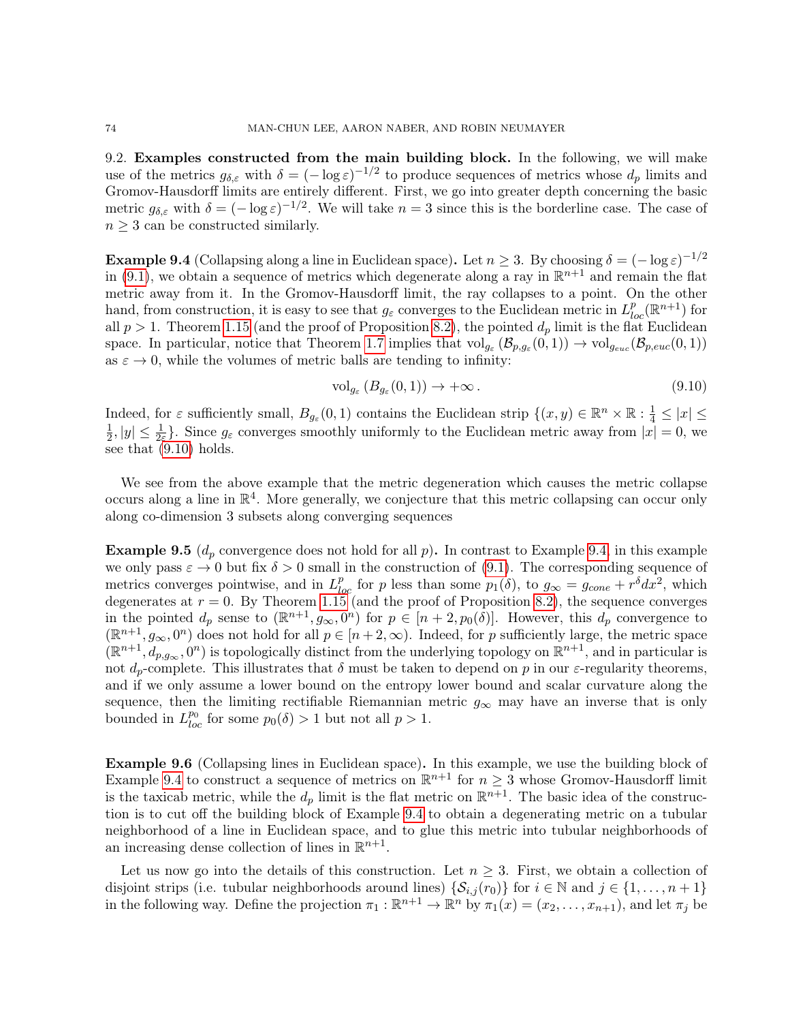9.2. Examples constructed from the main building block. In the following, we will make use of the metrics  $g_{\delta,\varepsilon}$  with  $\delta = (-\log \varepsilon)^{-1/2}$  to produce sequences of metrics whose  $d_p$  limits and Gromov-Hausdorff limits are entirely different. First, we go into greater depth concerning the basic metric  $g_{\delta,\varepsilon}$  with  $\delta = (-\log \varepsilon)^{-1/2}$ . We will take  $n=3$  since this is the borderline case. The case of  $n \geq 3$  can be constructed similarly.

<span id="page-73-0"></span>**Example 9.4** (Collapsing along a line in Euclidean space). Let  $n \geq 3$ . By choosing  $\delta = (-\log \varepsilon)^{-1/2}$ in [\(9.1\)](#page-70-0), we obtain a sequence of metrics which degenerate along a ray in  $\mathbb{R}^{n+1}$  and remain the flat metric away from it. In the Gromov-Hausdorff limit, the ray collapses to a point. On the other hand, from construction, it is easy to see that  $g_{\varepsilon}$  converges to the Euclidean metric in  $L_{loc}^p(\mathbb{R}^{n+1})$  for all  $p > 1$ . Theorem [1.15](#page-5-0) (and the proof of Proposition [8.2\)](#page-57-0), the pointed  $d_p$  limit is the flat Euclidean space. In particular, notice that Theorem [1.7](#page-3-0) implies that  $\mathrm{vol}_{g_{\varepsilon}}(\mathcal{B}_{p,g_{\varepsilon}}(0,1)) \to \mathrm{vol}_{g_{euc}}(\mathcal{B}_{p,euc}(0,1))$ as  $\varepsilon \to 0$ , while the volumes of metric balls are tending to infinity:

<span id="page-73-1"></span>
$$
\mathrm{vol}_{g_{\varepsilon}}\left(B_{g_{\varepsilon}}(0,1)\right) \to +\infty. \tag{9.10}
$$

Indeed, for  $\varepsilon$  sufficiently small,  $B_{g_{\varepsilon}}(0,1)$  contains the Euclidean strip  $\{(x,y)\in\mathbb{R}^n\times\mathbb{R}:\frac{1}{4}\leq|x|\leq$ 1  $\frac{1}{2}$ ,  $|y| \leq \frac{1}{2\varepsilon}$ . Since  $g_{\varepsilon}$  converges smoothly uniformly to the Euclidean metric away from  $|x| = 0$ , we see that  $(9.10)$  holds.

We see from the above example that the metric degeneration which causes the metric collapse occurs along a line in  $\mathbb{R}^4$ . More generally, we conjecture that this metric collapsing can occur only along co-dimension 3 subsets along converging sequences

**Example 9.5** ( $d_p$  convergence does not hold for all p). In contrast to Example [9.4,](#page-73-0) in this example we only pass  $\varepsilon \to 0$  but fix  $\delta > 0$  small in the construction of [\(9.1\)](#page-70-0). The corresponding sequence of metrics converges pointwise, and in  $L_{loc}^p$  for p less than some  $p_1(\delta)$ , to  $g_{\infty} = g_{cone} + r^{\delta} dx^2$ , which degenerates at  $r = 0$ . By Theorem [1.15](#page-5-0) (and the proof of Proposition [8.2\)](#page-57-0), the sequence converges in the pointed  $d_p$  sense to  $(\mathbb{R}^{n+1}, g_{\infty}, 0^n)$  for  $p \in [n+2, p_0(\delta)]$ . However, this  $d_p$  convergence to  $(\mathbb{R}^{n+1}, g_{\infty}, 0^n)$  does not hold for all  $p \in [n+2, \infty)$ . Indeed, for p sufficiently large, the metric space  $(\mathbb{R}^{n+1}, d_{p,g_\infty}, 0^n)$  is topologically distinct from the underlying topology on  $\mathbb{R}^{n+1}$ , and in particular is not  $d_p$ -complete. This illustrates that  $\delta$  must be taken to depend on p in our  $\varepsilon$ -regularity theorems, and if we only assume a lower bound on the entropy lower bound and scalar curvature along the sequence, then the limiting rectifiable Riemannian metric  $g_{\infty}$  may have an inverse that is only bounded in  $L^{p_0}_{loc}$  for some  $p_0(\delta) > 1$  but not all  $p > 1$ .

<span id="page-73-2"></span>Example 9.6 (Collapsing lines in Euclidean space). In this example, we use the building block of Example [9.4](#page-73-0) to construct a sequence of metrics on  $\mathbb{R}^{n+1}$  for  $n \geq 3$  whose Gromov-Hausdorff limit is the taxicab metric, while the  $d_p$  limit is the flat metric on  $\mathbb{R}^{n+1}$ . The basic idea of the construction is to cut off the building block of Example [9.4](#page-73-0) to obtain a degenerating metric on a tubular neighborhood of a line in Euclidean space, and to glue this metric into tubular neighborhoods of an increasing dense collection of lines in  $\mathbb{R}^{n+1}$ .

Let us now go into the details of this construction. Let  $n \geq 3$ . First, we obtain a collection of disjoint strips (i.e. tubular neighborhoods around lines)  $\{\mathcal{S}_{i,j}(r_0)\}\$  for  $i \in \mathbb{N}$  and  $j \in \{1, \ldots, n+1\}$ in the following way. Define the projection  $\pi_1 : \mathbb{R}^{n+1} \to \mathbb{R}^n$  by  $\pi_1(x) = (x_2, \ldots, x_{n+1})$ , and let  $\pi_j$  be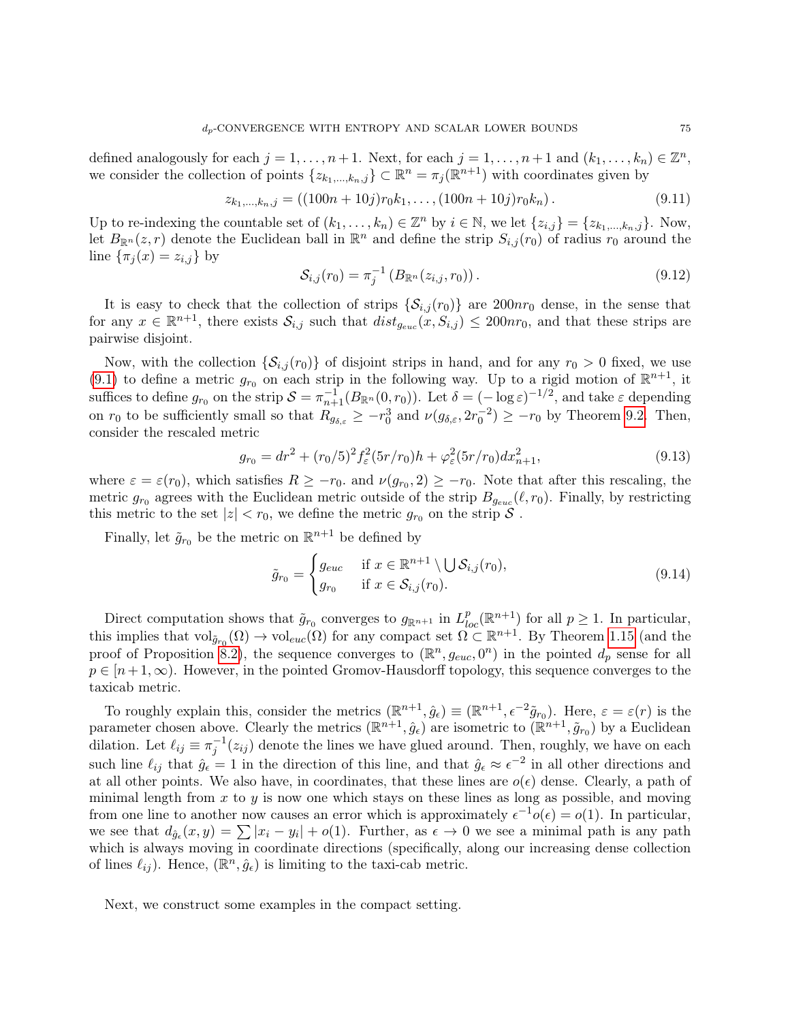defined analogously for each  $j = 1, ..., n + 1$ . Next, for each  $j = 1, ..., n + 1$  and  $(k_1, ..., k_n) \in \mathbb{Z}^n$ , we consider the collection of points  $\{z_{k_1,\dots,k_n,j}\}\subset\mathbb{R}^n=\pi_j(\mathbb{R}^{n+1})$  with coordinates given by

$$
z_{k_1,\dots,k_n,j} = ((100n+10j)r_0k_1,\dots,(100n+10j)r_0k_n). \tag{9.11}
$$

Up to re-indexing the countable set of  $(k_1, \ldots, k_n) \in \mathbb{Z}^n$  by  $i \in \mathbb{N}$ , we let  $\{z_{i,j}\} = \{z_{k_1,\ldots,k_n,j}\}$ . Now, let  $B_{\mathbb{R}^n}(z,r)$  denote the Euclidean ball in  $\mathbb{R}^n$  and define the strip  $S_{i,j}(r_0)$  of radius  $r_0$  around the line  $\{\pi_i(x) = z_{i,j}\}\$ by

$$
S_{i,j}(r_0) = \pi_j^{-1} \left( B_{\mathbb{R}^n}(z_{i,j}, r_0) \right). \tag{9.12}
$$

It is easy to check that the collection of strips  $\{\mathcal{S}_{i,j}(r_0)\}\$  are 200 $nr_0$  dense, in the sense that for any  $x \in \mathbb{R}^{n+1}$ , there exists  $\mathcal{S}_{i,j}$  such that  $dist_{g_{euc}}(x, S_{i,j}) \leq 200nr_0$ , and that these strips are pairwise disjoint.

Now, with the collection  $\{S_{i,j}(r_0)\}\$  of disjoint strips in hand, and for any  $r_0 > 0$  fixed, we use [\(9.1\)](#page-70-0) to define a metric  $g_{r_0}$  on each strip in the following way. Up to a rigid motion of  $\mathbb{R}^{n+1}$ , it suffices to define  $g_{r_0}$  on the strip  $S = \pi_{n+1}^{-1}(B_{\mathbb{R}^n}(0,r_0))$ . Let  $\delta = (-\log \varepsilon)^{-1/2}$ , and take  $\varepsilon$  depending on  $r_0$  to be sufficiently small so that  $R_{g_{\delta,\varepsilon}} \geq -r_0^3$  and  $\nu(g_{\delta,\varepsilon}, 2r_0^{-2}) \geq -r_0$  by Theorem [9.2.](#page-72-0) Then, consider the rescaled metric

<span id="page-74-0"></span>
$$
g_{r_0} = dr^2 + (r_0/5)^2 f_\varepsilon^2 (5r/r_0) h + \varphi_\varepsilon^2 (5r/r_0) dx_{n+1}^2,
$$
\n(9.13)

where  $\varepsilon = \varepsilon(r_0)$ , which satisfies  $R \ge -r_0$ . and  $\nu(g_{r_0}, 2) \ge -r_0$ . Note that after this rescaling, the metric  $g_{r_0}$  agrees with the Euclidean metric outside of the strip  $B_{g_{euc}}(\ell, r_0)$ . Finally, by restricting this metric to the set  $|z| < r_0$ , we define the metric  $g_{r_0}$  on the strip  $S$ .

Finally, let  $\tilde{g}_{r_0}$  be the metric on  $\mathbb{R}^{n+1}$  be defined by

$$
\tilde{g}_{r_0} = \begin{cases}\ng_{euc} & \text{if } x \in \mathbb{R}^{n+1} \setminus \bigcup \mathcal{S}_{i,j}(r_0), \\
g_{r_0} & \text{if } x \in \mathcal{S}_{i,j}(r_0).\n\end{cases}
$$
\n(9.14)

Direct computation shows that  $\tilde{g}_{r_0}$  converges to  $g_{\mathbb{R}^{n+1}}$  in  $L_{loc}^p(\mathbb{R}^{n+1})$  for all  $p \geq 1$ . In particular, this implies that  $\mathrm{vol}_{\tilde{g}_{r_0}}(\Omega) \to \mathrm{vol}_{euc}(\Omega)$  for any compact set  $\Omega \subset \mathbb{R}^{n+1}$ . By Theorem [1.15](#page-5-0) (and the proof of Proposition [8.2\)](#page-57-0), the sequence converges to  $(\mathbb{R}^n, g_{euc}, 0^n)$  in the pointed  $d_p$  sense for all  $p \in [n+1,\infty)$ . However, in the pointed Gromov-Hausdorff topology, this sequence converges to the taxicab metric.

To roughly explain this, consider the metrics  $(\mathbb{R}^{n+1}, \hat{g}_{\epsilon}) \equiv (\mathbb{R}^{n+1}, \epsilon^{-2} \tilde{g}_{r_0})$ . Here,  $\varepsilon = \varepsilon(r)$  is the parameter chosen above. Clearly the metrics  $(\mathbb{R}^{n+1}, \hat{g}_{\epsilon})$  are isometric to  $(\mathbb{R}^{n+1}, \tilde{g}_{r_0})$  by a Euclidean dilation. Let  $\ell_{ij} \equiv \pi_j^{-1}(z_{ij})$  denote the lines we have glued around. Then, roughly, we have on each such line  $\ell_{ij}$  that  $\hat{g}_{\epsilon} = 1$  in the direction of this line, and that  $\hat{g}_{\epsilon} \approx \epsilon^{-2}$  in all other directions and at all other points. We also have, in coordinates, that these lines are  $o(\epsilon)$  dense. Clearly, a path of minimal length from  $x$  to  $y$  is now one which stays on these lines as long as possible, and moving from one line to another now causes an error which is approximately  $\epsilon^{-1} o(\epsilon) = o(1)$ . In particular, we see that  $d_{\hat{g}_{\epsilon}}(x,y) = \sum |x_i - y_i| + o(1)$ . Further, as  $\epsilon \to 0$  we see a minimal path is any path which is always moving in coordinate directions (specifically, along our increasing dense collection of lines  $\ell_{ij}$ ). Hence,  $(\mathbb{R}^n, \hat{g}_{\epsilon})$  is limiting to the taxi-cab metric.

Next, we construct some examples in the compact setting.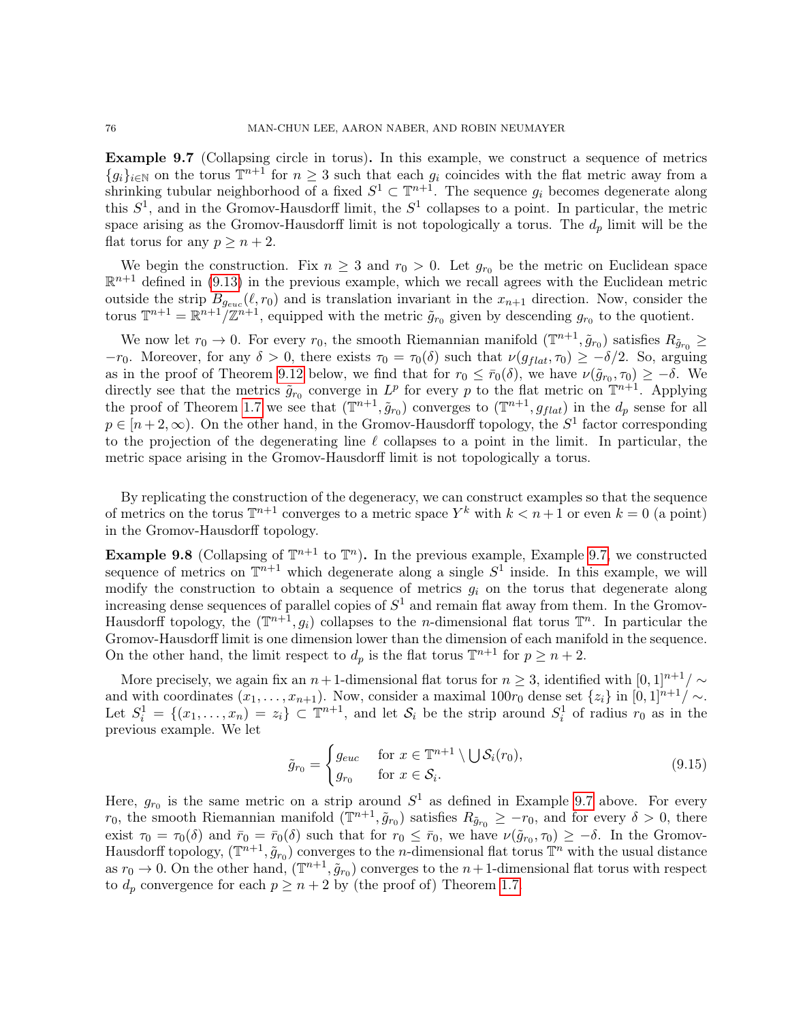<span id="page-75-0"></span>Example 9.7 (Collapsing circle in torus). In this example, we construct a sequence of metrics  ${g_i}_{i\in\mathbb{N}}$  on the torus  $\mathbb{T}^{n+1}$  for  $n\geq 3$  such that each  $g_i$  coincides with the flat metric away from a shrinking tubular neighborhood of a fixed  $S^1 \subset \mathbb{T}^{n+1}$ . The sequence  $g_i$  becomes degenerate along this  $S^1$ , and in the Gromov-Hausdorff limit, the  $S^1$  collapses to a point. In particular, the metric space arising as the Gromov-Hausdorff limit is not topologically a torus. The  $d_p$  limit will be the flat torus for any  $p \geq n+2$ .

We begin the construction. Fix  $n \geq 3$  and  $r_0 > 0$ . Let  $g_{r_0}$  be the metric on Euclidean space  $\mathbb{R}^{n+1}$  defined in [\(9.13\)](#page-74-0) in the previous example, which we recall agrees with the Euclidean metric outside the strip  $B_{g_{euc}}(\ell, r_0)$  and is translation invariant in the  $x_{n+1}$  direction. Now, consider the torus  $\mathbb{T}^{n+1} = \mathbb{R}^{n+1}/\mathbb{Z}^{n+1}$ , equipped with the metric  $\tilde{g}_{r_0}$  given by descending  $g_{r_0}$  to the quotient.

We now let  $r_0 \to 0$ . For every  $r_0$ , the smooth Riemannian manifold  $(\mathbb{T}^{n+1}, \tilde{g}_{r_0})$  satisfies  $R_{\tilde{g}_{r_0}} \geq$  $-r_0$ . Moreover, for any  $\delta > 0$ , there exists  $\tau_0 = \tau_0(\delta)$  such that  $\nu(g_{flat}, \tau_0) \geq -\delta/2$ . So, arguing as in the proof of Theorem [9.12](#page-80-1) below, we find that for  $r_0 \leq \bar{r}_0(\delta)$ , we have  $\nu(\tilde{g}_{r_0}, \tau_0) \geq -\delta$ . We directly see that the metrics  $\tilde{g}_{r_0}$  converge in  $L^p$  for every p to the flat metric on  $\mathbb{T}^{n+1}$ . Applying the proof of Theorem [1.7](#page-3-0) we see that  $(\mathbb{T}^{n+1}, \tilde{g}_{r_0})$  converges to  $(\mathbb{T}^{n+1}, g_{flat})$  in the  $d_p$  sense for all  $p \in [n+2,\infty)$ . On the other hand, in the Gromov-Hausdorff topology, the  $S^1$  factor corresponding to the projection of the degenerating line  $\ell$  collapses to a point in the limit. In particular, the metric space arising in the Gromov-Hausdorff limit is not topologically a torus.

By replicating the construction of the degeneracy, we can construct examples so that the sequence of metrics on the torus  $\mathbb{T}^{n+1}$  converges to a metric space  $Y^k$  with  $k < n+1$  or even  $k = 0$  (a point) in the Gromov-Hausdorff topology.

<span id="page-75-1"></span>**Example 9.8** (Collapsing of  $\mathbb{T}^{n+1}$  to  $\mathbb{T}^n$ ). In the previous example, Example [9.7,](#page-75-0) we constructed sequence of metrics on  $\mathbb{T}^{n+1}$  which degenerate along a single  $S^1$  inside. In this example, we will modify the construction to obtain a sequence of metrics  $g_i$  on the torus that degenerate along increasing dense sequences of parallel copies of  $S^1$  and remain flat away from them. In the Gromov-Hausdorff topology, the  $(\mathbb{T}^{n+1}, g_i)$  collapses to the *n*-dimensional flat torus  $\mathbb{T}^n$ . In particular the Gromov-Hausdorff limit is one dimension lower than the dimension of each manifold in the sequence. On the other hand, the limit respect to  $d_p$  is the flat torus  $\mathbb{T}^{n+1}$  for  $p \geq n+2$ .

More precisely, we again fix an n+1-dimensional flat torus for  $n \geq 3$ , identified with  $[0, 1]^{n+1} / \sim$ and with coordinates  $(x_1, \ldots, x_{n+1})$ . Now, consider a maximal  $100r_0$  dense set  $\{z_i\}$  in  $[0, 1]^{n+1}/\sim$ . Let  $S_i^1 = \{(x_1, \ldots, x_n) = z_i\} \subset \mathbb{T}^{n+1}$ , and let  $S_i$  be the strip around  $S_i^1$  of radius  $r_0$  as in the previous example. We let

$$
\tilde{g}_{r_0} = \begin{cases} g_{euc} & \text{for } x \in \mathbb{T}^{n+1} \setminus \bigcup \mathcal{S}_i(r_0), \\ g_{r_0} & \text{for } x \in \mathcal{S}_i. \end{cases}
$$
\n(9.15)

Here,  $g_{r_0}$  is the same metric on a strip around  $S^1$  as defined in Example [9.7](#page-75-0) above. For every  $r_0$ , the smooth Riemannian manifold  $(T^{n+1}, \tilde{g}_{r_0})$  satisfies  $R_{\tilde{g}_{r_0}} \geq -r_0$ , and for every  $\delta > 0$ , there exist  $\tau_0 = \tau_0(\delta)$  and  $\bar{r}_0 = \bar{r}_0(\delta)$  such that for  $r_0 \leq \bar{r}_0$ , we have  $\nu(\tilde{g}_{r_0}, \tau_0) \geq -\delta$ . In the Gromov-Hausdorff topology,  $(\mathbb{T}^{n+1}, \tilde{g}_{r_0})$  converges to the *n*-dimensional flat torus  $\mathbb{T}^n$  with the usual distance as  $r_0 \to 0$ . On the other hand,  $(\mathbb{T}^{n+1}, \tilde{g}_{r_0})$  converges to the  $n+1$ -dimensional flat torus with respect to  $d_p$  convergence for each  $p \ge n+2$  by (the proof of) Theorem [1.7.](#page-3-0)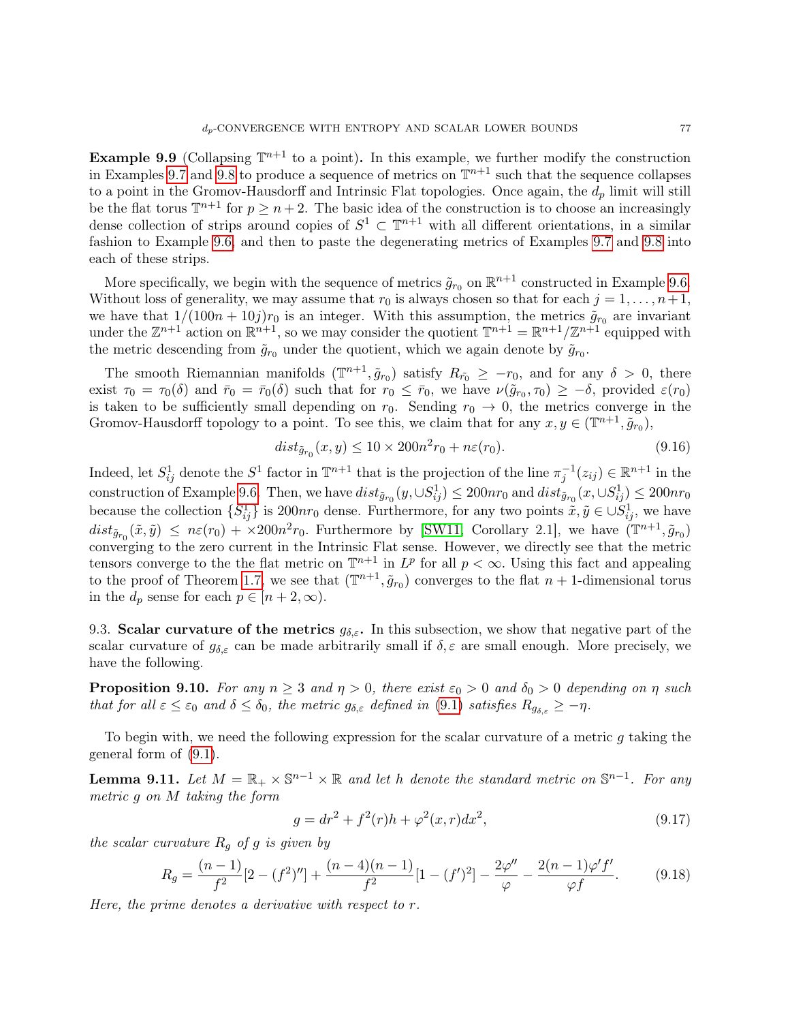**Example 9.9** (Collapsing  $\mathbb{T}^{n+1}$  to a point). In this example, we further modify the construction in Examples [9.7](#page-75-0) and [9.8](#page-75-1) to produce a sequence of metrics on  $\mathbb{T}^{n+1}$  such that the sequence collapses to a point in the Gromov-Hausdorff and Intrinsic Flat topologies. Once again, the  $d_p$  limit will still be the flat torus  $\mathbb{T}^{n+1}$  for  $p \geq n+2$ . The basic idea of the construction is to choose an increasingly dense collection of strips around copies of  $S^1 \subset \mathbb{T}^{n+1}$  with all different orientations, in a similar fashion to Example [9.6,](#page-73-2) and then to paste the degenerating metrics of Examples [9.7](#page-75-0) and [9.8](#page-75-1) into each of these strips.

More specifically, we begin with the sequence of metrics  $\tilde{g}_{r_0}$  on  $\mathbb{R}^{n+1}$  constructed in Example [9.6.](#page-73-2) Without loss of generality, we may assume that  $r_0$  is always chosen so that for each  $j = 1, \ldots, n+1$ , we have that  $1/(100n+10j)r_0$  is an integer. With this assumption, the metrics  $\tilde{g}_{r_0}$  are invariant under the  $\mathbb{Z}^{n+1}$  action on  $\mathbb{R}^{n+1}$ , so we may consider the quotient  $\mathbb{T}^{n+1} = \mathbb{R}^{n+1}/\mathbb{Z}^{n+1}$  equipped with the metric descending from  $\tilde{g}_{r_0}$  under the quotient, which we again denote by  $\tilde{g}_{r_0}$ .

The smooth Riemannian manifolds  $(\mathbb{T}^{n+1}, \tilde{g}_{r_0})$  satisfy  $R_{\tilde{r_0}} \geq -r_0$ , and for any  $\delta > 0$ , there exist  $\tau_0 = \tau_0(\delta)$  and  $\bar{r}_0 = \bar{r}_0(\delta)$  such that for  $r_0 \leq \bar{r}_0$ , we have  $\nu(\tilde{g}_{r_0}, \tau_0) \geq -\delta$ , provided  $\varepsilon(r_0)$ is taken to be sufficiently small depending on  $r_0$ . Sending  $r_0 \rightarrow 0$ , the metrics converge in the Gromov-Hausdorff topology to a point. To see this, we claim that for any  $x, y \in (\mathbb{T}^{n+1}, \tilde{g}_{r_0}),$ 

$$
dist_{\tilde{g}_{r_0}}(x, y) \le 10 \times 200n^2 r_0 + n\varepsilon(r_0). \tag{9.16}
$$

Indeed, let  $S_{ij}^1$  denote the  $S^1$  factor in  $\mathbb{T}^{n+1}$  that is the projection of the line  $\pi_j^{-1}(z_{ij}) \in \mathbb{R}^{n+1}$  in the construction of Example [9.6.](#page-73-2) Then, we have  $dist_{\tilde{g}_{r_0}}(y, \cup S^1_{ij}) \leq 200nr_0$  and  $dist_{\tilde{g}_{r_0}}(x, \cup S^1_{ij}) \leq 200nr_0$ because the collection  $\{S_{ij}^1\}$  is  $200nr_0$  dense. Furthermore, for any two points  $\tilde{x}, \tilde{y} \in \cup S_{ij}^1$ , we have  $dist_{\tilde{g}_{r_0}}(\tilde{x}, \tilde{y}) \leq n\varepsilon(r_0) + \times 200n^2r_0$ . Furthermore by [\[SW11,](#page-90-0) Corollary 2.1], we have  $(T^{n+1}, \tilde{g}_{r_0})$ converging to the zero current in the Intrinsic Flat sense. However, we directly see that the metric tensors converge to the the flat metric on  $\mathbb{T}^{n+1}$  in  $L^p$  for all  $p < \infty$ . Using this fact and appealing to the proof of Theorem [1.7,](#page-3-0) we see that  $(\mathbb{T}^{n+1}, \tilde{g}_{r_0})$  converges to the flat  $n+1$ -dimensional torus in the  $d_p$  sense for each  $p \in [n+2,\infty)$ .

<span id="page-76-0"></span>9.3. Scalar curvature of the metrics  $g_{\delta,\varepsilon}$ . In this subsection, we show that negative part of the scalar curvature of  $g_{\delta,\varepsilon}$  can be made arbitrarily small if  $\delta,\varepsilon$  are small enough. More precisely, we have the following.

<span id="page-76-3"></span>**Proposition 9.10.** For any  $n \geq 3$  and  $\eta > 0$ , there exist  $\varepsilon_0 > 0$  and  $\delta_0 > 0$  depending on  $\eta$  such that for all  $\varepsilon \leq \varepsilon_0$  and  $\delta \leq \delta_0$ , the metric  $g_{\delta,\varepsilon}$  defined in [\(9.1\)](#page-70-0) satisfies  $R_{g_{\delta,\varepsilon}} \geq -\eta$ .

To begin with, we need the following expression for the scalar curvature of a metric g taking the general form of [\(9.1\)](#page-70-0).

<span id="page-76-2"></span>**Lemma 9.11.** Let  $M = \mathbb{R}_+ \times \mathbb{S}^{n-1} \times \mathbb{R}$  and let h denote the standard metric on  $\mathbb{S}^{n-1}$ . For any metric g on M taking the form

$$
g = dr^{2} + f^{2}(r)h + \varphi^{2}(x, r)dx^{2}, \qquad (9.17)
$$

the scalar curvature  $R_g$  of g is given by

<span id="page-76-1"></span>
$$
R_g = \frac{(n-1)}{f^2} [2 - (f^2)''] + \frac{(n-4)(n-1)}{f^2} [1 - (f')^2] - \frac{2\varphi''}{\varphi} - \frac{2(n-1)\varphi'f'}{\varphi f}.
$$
(9.18)

Here, the prime denotes a derivative with respect to r.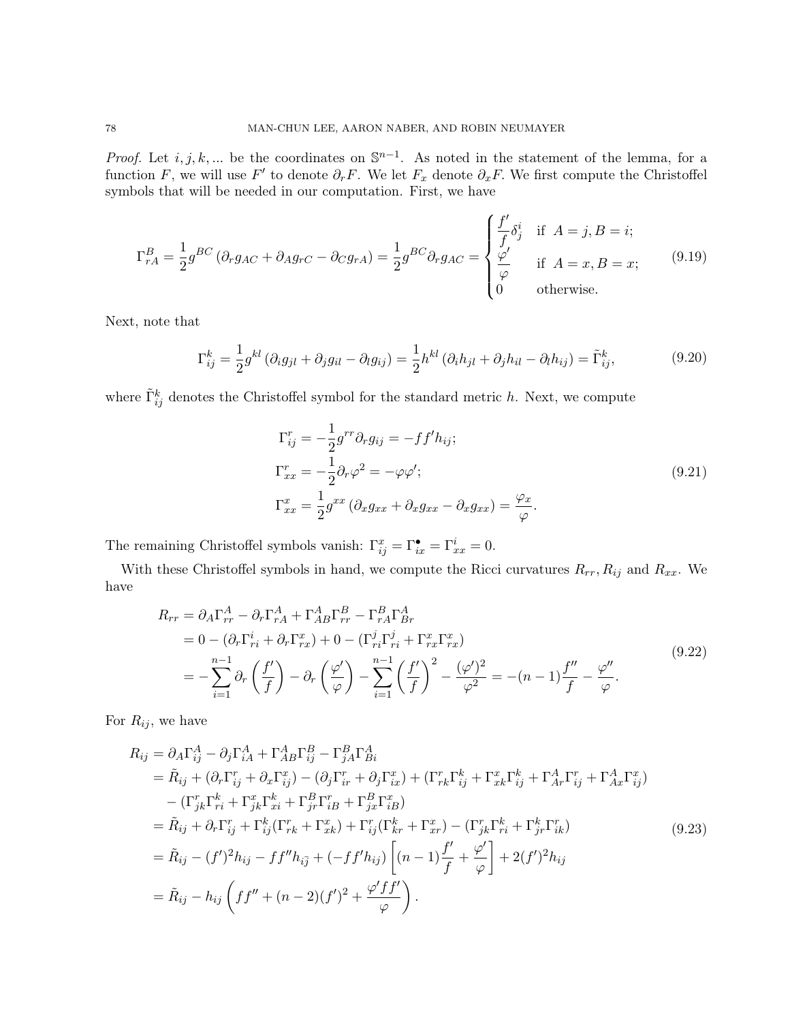*Proof.* Let  $i, j, k, ...$  be the coordinates on  $\mathbb{S}^{n-1}$ . As noted in the statement of the lemma, for a function F, we will use F' to denote  $\partial_r F$ . We let  $F_x$  denote  $\partial_x F$ . We first compute the Christoffel symbols that will be needed in our computation. First, we have

$$
\Gamma_{rA}^{B} = \frac{1}{2} g^{BC} \left( \partial_r g_{AC} + \partial_{A} g_{rC} - \partial_{C} g_{rA} \right) = \frac{1}{2} g^{BC} \partial_r g_{AC} = \begin{cases} \frac{f'}{f} \delta_j^i & \text{if } A = j, B = i; \\ \frac{\varphi'}{\varphi} & \text{if } A = x, B = x; \\ 0 & \text{otherwise.} \end{cases}
$$
(9.19)

Next, note that

$$
\Gamma_{ij}^k = \frac{1}{2} g^{kl} \left( \partial_i g_{jl} + \partial_j g_{il} - \partial_l g_{ij} \right) = \frac{1}{2} h^{kl} \left( \partial_i h_{jl} + \partial_j h_{il} - \partial_l h_{ij} \right) = \tilde{\Gamma}_{ij}^k,
$$
\n(9.20)

where  $\tilde{\Gamma}_{ij}^k$  denotes the Christoffel symbol for the standard metric h. Next, we compute

$$
\Gamma_{ij}^r = -\frac{1}{2} g^{rr} \partial_r g_{ij} = -f f' h_{ij};
$$
\n
$$
\Gamma_{xx}^r = -\frac{1}{2} \partial_r \varphi^2 = -\varphi \varphi';
$$
\n
$$
\Gamma_{xx}^x = \frac{1}{2} g^{xx} \left( \partial_x g_{xx} + \partial_x g_{xx} - \partial_x g_{xx} \right) = \frac{\varphi_x}{\varphi}.
$$
\n(9.21)

The remaining Christoffel symbols vanish:  $\Gamma_{ij}^x = \Gamma_{ix}^{\bullet} = \Gamma_{xx}^i = 0$ .

With these Christoffel symbols in hand, we compute the Ricci curvatures  $R_{rr}, R_{ij}$  and  $R_{xx}$ . We have

$$
R_{rr} = \partial_A \Gamma_{rr}^A - \partial_r \Gamma_{rA}^A + \Gamma_{AB}^A \Gamma_{rr}^B - \Gamma_{rA}^B \Gamma_{Br}^A
$$
  
= 0 -  $(\partial_r \Gamma_{ri}^i + \partial_r \Gamma_{rx}^x) + 0 - (\Gamma_{ri}^j \Gamma_{ri}^j + \Gamma_{rx}^x \Gamma_{rx}^x)$   
=  $-\sum_{i=1}^{n-1} \partial_r \left(\frac{f'}{f}\right) - \partial_r \left(\frac{\varphi'}{\varphi}\right) - \sum_{i=1}^{n-1} \left(\frac{f'}{f}\right)^2 - \frac{(\varphi')^2}{\varphi^2} = -(n-1)\frac{f''}{f} - \frac{\varphi''}{\varphi}.$  (9.22)

For  $R_{ij}$ , we have

$$
R_{ij} = \partial_A \Gamma_{ij}^A - \partial_j \Gamma_{iA}^A + \Gamma_{AB}^A \Gamma_{ij}^B - \Gamma_{jA}^B \Gamma_{Bi}^A
$$
  
\n
$$
= \tilde{R}_{ij} + (\partial_r \Gamma_{ij}^r + \partial_x \Gamma_{ij}^x) - (\partial_j \Gamma_{ir}^r + \partial_j \Gamma_{ix}^x) + (\Gamma_{rk}^r \Gamma_{ij}^k + \Gamma_{xk}^x \Gamma_{ij}^k + \Gamma_{Ar}^A \Gamma_{ij}^r + \Gamma_{Ax}^A \Gamma_{ij}^x)
$$
  
\n
$$
- (\Gamma_{jk}^r \Gamma_{ri}^k + \Gamma_{jk}^x \Gamma_{xi}^k + \Gamma_{jr}^B \Gamma_{iB}^r + \Gamma_{jx}^B \Gamma_{iB}^x)
$$
  
\n
$$
= \tilde{R}_{ij} + \partial_r \Gamma_{ij}^r + \Gamma_{ij}^k (\Gamma_{rk}^r + \Gamma_{xk}^x) + \Gamma_{ij}^r (\Gamma_{kr}^k + \Gamma_{xr}^x) - (\Gamma_{jk}^r \Gamma_{ri}^k + \Gamma_{jr}^k \Gamma_{ik}^r)
$$
  
\n
$$
= \tilde{R}_{ij} - (f')^2 h_{ij} - f f'' h_{i\bar{j}} + (-f f' h_{ij}) \left[ (n-1) \frac{f'}{f} + \frac{\varphi'}{\varphi} \right] + 2(f')^2 h_{ij}
$$
  
\n
$$
= \tilde{R}_{ij} - h_{ij} \left( f f'' + (n-2)(f')^2 + \frac{\varphi' f f'}{\varphi} \right).
$$
 (9.23)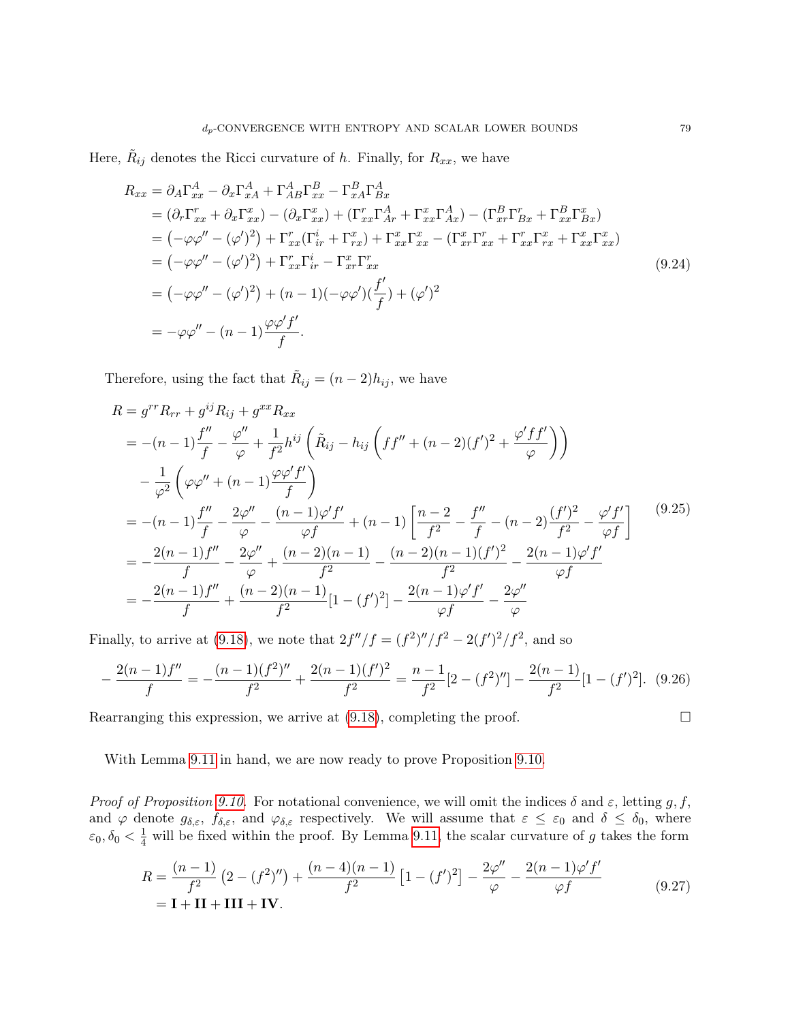Here,  $\tilde{R}_{ij}$  denotes the Ricci curvature of h. Finally, for  $R_{xx}$ , we have

$$
R_{xx} = \partial_A \Gamma_{xx}^A - \partial_x \Gamma_{xA}^A + \Gamma_{AB}^A \Gamma_{xx}^B - \Gamma_{xA}^B \Gamma_{Bx}^A
$$
  
\n
$$
= (\partial_r \Gamma_{xx}^r + \partial_x \Gamma_{xx}^x) - (\partial_x \Gamma_{xx}^x) + (\Gamma_{xx}^r \Gamma_{Ax}^A + \Gamma_{xx}^x \Gamma_{Ax}^A) - (\Gamma_{xx}^B \Gamma_{Bx}^r + \Gamma_{xx}^B \Gamma_{Bx}^x)
$$
  
\n
$$
= (-\varphi \varphi'' - (\varphi')^2) + \Gamma_{xx}^r (\Gamma_{ir}^i + \Gamma_{rx}^r) + \Gamma_{xx}^x \Gamma_{xx}^x - (\Gamma_{xx}^x \Gamma_{xx}^r + \Gamma_{xx}^r \Gamma_{xx}^x + \Gamma_{xx}^x \Gamma_{xx}^x)
$$
  
\n
$$
= (-\varphi \varphi'' - (\varphi')^2) + \Gamma_{xx}^r \Gamma_{ir}^i - \Gamma_{xr}^x \Gamma_{xx}^r
$$
  
\n
$$
= (-\varphi \varphi'' - (\varphi')^2) + (n - 1)(-\varphi \varphi')(\frac{f'}{f}) + (\varphi')^2
$$
  
\n
$$
= -\varphi \varphi'' - (n - 1)\frac{\varphi \varphi' f'}{f}.
$$
  
\n(9.24)

Therefore, using the fact that  $\tilde{R}_{ij} = (n-2)h_{ij}$ , we have

$$
R = g^{rr} R_{rr} + g^{ij} R_{ij} + g^{xx} R_{xx}
$$
  
\n
$$
= -(n-1) \frac{f''}{f} - \frac{\varphi''}{\varphi} + \frac{1}{f^2} h^{ij} \left( \tilde{R}_{ij} - h_{ij} \left( f f'' + (n-2)(f')^2 + \frac{\varphi' f f'}{\varphi} \right) \right)
$$
  
\n
$$
- \frac{1}{\varphi^2} \left( \varphi \varphi'' + (n-1) \frac{\varphi \varphi' f'}{f} \right)
$$
  
\n
$$
= -(n-1) \frac{f''}{f} - \frac{2\varphi''}{\varphi} - \frac{(n-1)\varphi' f'}{\varphi f} + (n-1) \left[ \frac{n-2}{f^2} - \frac{f''}{f} - (n-2) \frac{(f')^2}{f^2} - \frac{\varphi' f'}{\varphi f} \right] \tag{9.25}
$$
  
\n
$$
= -\frac{2(n-1)f''}{f} - \frac{2\varphi''}{\varphi} + \frac{(n-2)(n-1)}{f^2} - \frac{(n-2)(n-1)(f')^2}{f^2} - \frac{2(n-1)\varphi' f'}{\varphi f}
$$
  
\n
$$
= -\frac{2(n-1)f''}{f} + \frac{(n-2)(n-1)}{f^2} [1 - (f')^2] - \frac{2(n-1)\varphi' f'}{\varphi f} - \frac{2\varphi''}{\varphi}
$$

Finally, to arrive at [\(9.18\)](#page-76-1), we note that  $2f''/f = (f^2)''/f^2 - 2(f')^2/f^2$ , and so

$$
-\frac{2(n-1)f''}{f} = -\frac{(n-1)(f^2)''}{f^2} + \frac{2(n-1)(f')^2}{f^2} = \frac{n-1}{f^2}[2 - (f^2)''] - \frac{2(n-1)}{f^2}[1 - (f')^2].
$$
 (9.26)

Rearranging this expression, we arrive at  $(9.18)$ , completing the proof.

With Lemma [9.11](#page-76-2) in hand, we are now ready to prove Proposition [9.10.](#page-76-3)

Proof of Proposition [9.10.](#page-76-3) For notational convenience, we will omit the indices  $\delta$  and  $\varepsilon$ , letting g, f, and  $\varphi$  denote  $g_{\delta,\varepsilon}$ ,  $f_{\delta,\varepsilon}$ , and  $\varphi_{\delta,\varepsilon}$  respectively. We will assume that  $\varepsilon \leq \varepsilon_0$  and  $\delta \leq \delta_0$ , where  $\varepsilon_0$ ,  $\delta_0 < \frac{1}{4}$  will be fixed within the proof. By Lemma [9.11,](#page-76-2) the scalar curvature of g takes the form

<span id="page-78-0"></span>
$$
R = \frac{(n-1)}{f^2} \left(2 - (f^2)''\right) + \frac{(n-4)(n-1)}{f^2} \left[1 - (f')^2\right] - \frac{2\varphi''}{\varphi} - \frac{2(n-1)\varphi'f'}{\varphi f}
$$
  
= **I** + **II** + **III** + **IV**. (9.27)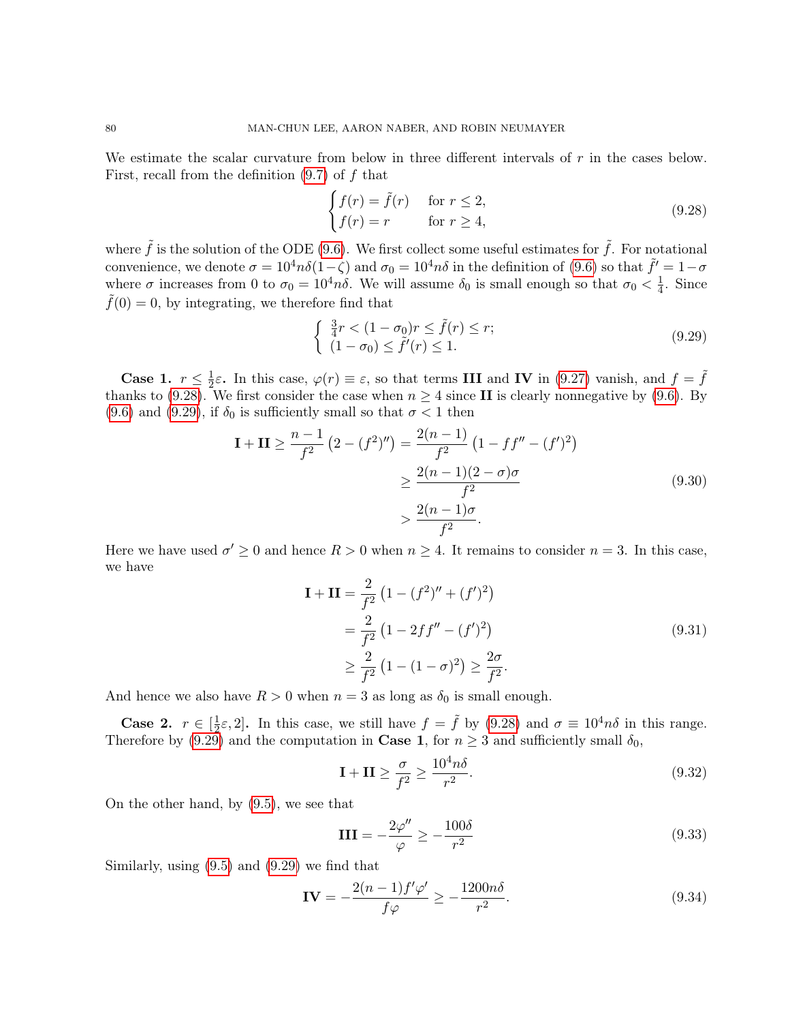We estimate the scalar curvature from below in three different intervals of r in the cases below. First, recall from the definition  $(9.7)$  of f that

<span id="page-79-0"></span>
$$
\begin{cases}\nf(r) = \tilde{f}(r) & \text{for } r \le 2, \\
f(r) = r & \text{for } r \ge 4,\n\end{cases}
$$
\n(9.28)

where  $\tilde{f}$  is the solution of the ODE [\(9.6\)](#page-71-0). We first collect some useful estimates for  $\tilde{f}$ . For notational convenience, we denote  $\sigma = 10^4 n \delta(1-\zeta)$  and  $\sigma_0 = 10^4 n \delta$  in the definition of [\(9.6\)](#page-71-0) so that  $\tilde{f}' = 1-\sigma$ where  $\sigma$  increases from 0 to  $\sigma_0 = 10^4 n\delta$ . We will assume  $\delta_0$  is small enough so that  $\sigma_0 < \frac{1}{4}$  $\frac{1}{4}$ . Since  $\tilde{f}(0) = 0$ , by integrating, we therefore find that

<span id="page-79-1"></span>
$$
\begin{cases} \frac{3}{4}r < (1 - \sigma_0)r \le \tilde{f}(r) \le r; \\ (1 - \sigma_0) \le \tilde{f}'(r) \le 1. \end{cases} \tag{9.29}
$$

Case 1.  $r \leq \frac{1}{2}$  $\frac{1}{2}\varepsilon$ . In this case,  $\varphi(r) \equiv \varepsilon$ , so that terms **III** and **IV** in [\(9.27\)](#page-78-0) vanish, and  $f = \tilde{f}$ thanks to [\(9.28\)](#page-79-0). We first consider the case when  $n \geq 4$  since **II** is clearly nonnegative by [\(9.6\)](#page-71-0). By [\(9.6\)](#page-71-0) and [\(9.29\)](#page-79-1), if  $\delta_0$  is sufficiently small so that  $\sigma < 1$  then

$$
\mathbf{I} + \mathbf{II} \ge \frac{n-1}{f^2} \left( 2 - (f^2)'' \right) = \frac{2(n-1)}{f^2} \left( 1 - ff'' - (f')^2 \right)
$$
  

$$
\ge \frac{2(n-1)(2-\sigma)\sigma}{f^2}
$$
  

$$
> \frac{2(n-1)\sigma}{f^2}.
$$
 (9.30)

Here we have used  $\sigma' \geq 0$  and hence  $R > 0$  when  $n \geq 4$ . It remains to consider  $n = 3$ . In this case, we have

$$
\mathbf{I} + \mathbf{II} = \frac{2}{f^2} \left( 1 - (f^2)'' + (f')^2 \right)
$$
  
=  $\frac{2}{f^2} \left( 1 - 2ff'' - (f')^2 \right)$   
 $\geq \frac{2}{f^2} \left( 1 - (1 - \sigma)^2 \right) \geq \frac{2\sigma}{f^2}.$  (9.31)

And hence we also have  $R > 0$  when  $n = 3$  as long as  $\delta_0$  is small enough.

Case 2.  $r \in \left[\frac{1}{2}\right]$  $\frac{1}{2}\varepsilon$ , 2. In this case, we still have  $f = \tilde{f}$  by [\(9.28\)](#page-79-0) and  $\sigma \equiv 10^4 n\delta$  in this range. Therefore by [\(9.29\)](#page-79-1) and the computation in **Case 1**, for  $n \geq 3$  and sufficiently small  $\delta_0$ ,

$$
\mathbf{I} + \mathbf{II} \ge \frac{\sigma}{f^2} \ge \frac{10^4 n\delta}{r^2}.
$$
\n(9.32)

On the other hand, by [\(9.5\)](#page-71-1), we see that

$$
\mathbf{III} = -\frac{2\varphi''}{\varphi} \ge -\frac{100\delta}{r^2} \tag{9.33}
$$

Similarly, using [\(9.5\)](#page-71-1) and [\(9.29\)](#page-79-1) we find that

$$
IV = -\frac{2(n-1)f'\varphi'}{f\varphi} \ge -\frac{1200n\delta}{r^2}.
$$
\n(9.34)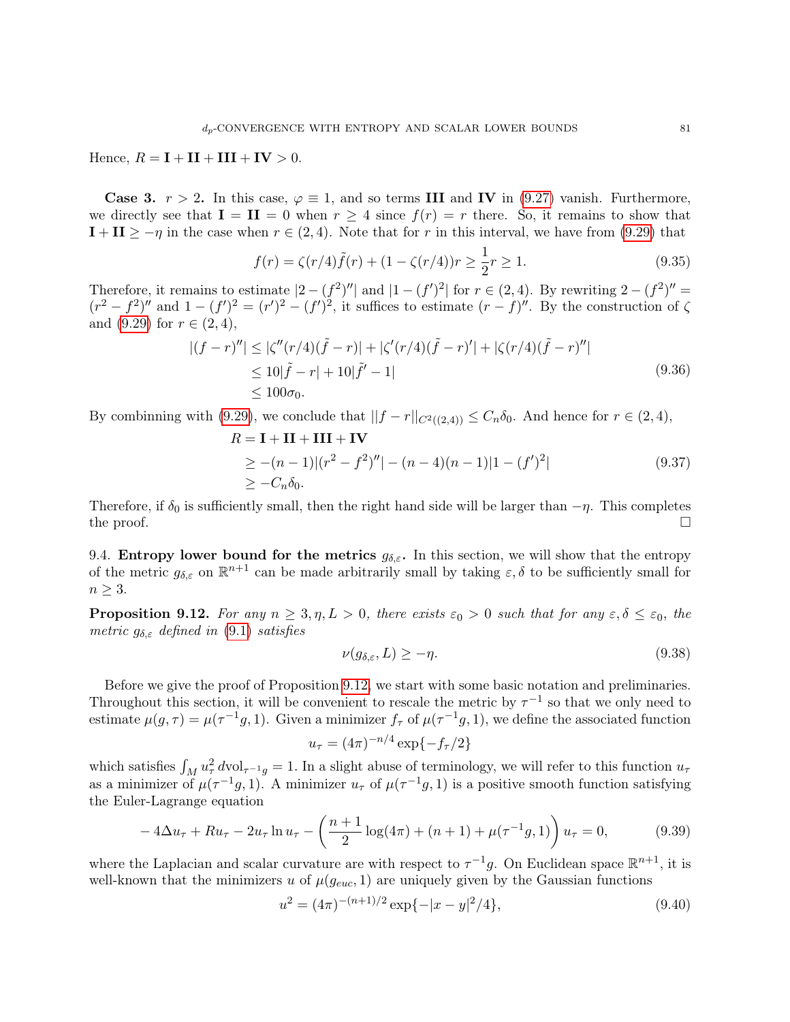Hence,  $R = I + II + III + IV > 0$ .

**Case 3.**  $r > 2$ . In this case,  $\varphi \equiv 1$ , and so terms III and IV in [\(9.27\)](#page-78-0) vanish. Furthermore, we directly see that  $I = II = 0$  when  $r \geq 4$  since  $f(r) = r$  there. So, it remains to show that  $\mathbf{I} + \mathbf{II} \ge -\eta$  in the case when  $r \in (2, 4)$ . Note that for r in this interval, we have from [\(9.29\)](#page-79-1) that

$$
f(r) = \zeta(r/4)\tilde{f}(r) + (1 - \zeta(r/4))r \ge \frac{1}{2}r \ge 1.
$$
\n(9.35)

Therefore, it remains to estimate  $|2-(f^2)''|$  and  $|1-(f')^2|$  for  $r \in (2,4)$ . By rewriting  $2-(f^2)''=$  $(r^2 - f^2)''$  and  $1 - (f')^2 = (r')^2 - (f')^2$ , it suffices to estimate  $(r - f)''$ . By the construction of  $\zeta$ and  $(9.29)$  for  $r \in (2, 4)$ ,

$$
|(f - r)''| \le |\zeta''(r/4)(\tilde{f} - r)| + |\zeta'(r/4)(\tilde{f} - r)'| + |\zeta(r/4)(\tilde{f} - r)''|
$$
  
\n
$$
\le 10|\tilde{f} - r| + 10|\tilde{f}' - 1|
$$
  
\n
$$
\le 100\sigma_0.
$$
\n(9.36)

By combinning with [\(9.29\)](#page-79-1), we conclude that  $||f - r||_{C^{2}((2,4))} \leq C_n \delta_0$ . And hence for  $r \in (2,4)$ ,

$$
R = \mathbf{I} + \mathbf{II} + \mathbf{III} + \mathbf{IV}
$$
  
\n
$$
\ge -(n-1)| (r^2 - f^2)''| - (n-4)(n-1)|1 - (f')^2|
$$
  
\n
$$
\ge -C_n \delta_0.
$$
\n(9.37)

Therefore, if  $\delta_0$  is sufficiently small, then the right hand side will be larger than  $-\eta$ . This completes the proof.  $\Box$ 

<span id="page-80-0"></span>9.4. Entropy lower bound for the metrics  $g_{\delta,\varepsilon}$ . In this section, we will show that the entropy of the metric  $g_{\delta,\varepsilon}$  on  $\mathbb{R}^{n+1}$  can be made arbitrarily small by taking  $\varepsilon,\delta$  to be sufficiently small for  $n \geq 3$ .

<span id="page-80-1"></span>**Proposition 9.12.** For any  $n \geq 3, \eta, L > 0$ , there exists  $\varepsilon_0 > 0$  such that for any  $\varepsilon, \delta \leq \varepsilon_0$ , the metric  $g_{\delta,\varepsilon}$  defined in [\(9.1\)](#page-70-0) satisfies

$$
\nu(g_{\delta,\varepsilon},L) \ge -\eta. \tag{9.38}
$$

Before we give the proof of Proposition [9.12,](#page-80-1) we start with some basic notation and preliminaries. Throughout this section, it will be convenient to rescale the metric by  $\tau^{-1}$  so that we only need to estimate  $\mu(g,\tau) = \mu(\tau^{-1}g,1)$ . Given a minimizer  $f_{\tau}$  of  $\mu(\tau^{-1}g,1)$ , we define the associated function

$$
u_{\tau} = (4\pi)^{-n/4} \exp\{-f_{\tau}/2\}
$$

which satisfies  $\int_M u_\tau^2 dv$   $\bigg|_{\tau^{-1}g} = 1$ . In a slight abuse of terminology, we will refer to this function  $u_\tau$ as a minimizer of  $\mu(\tau^{-1}g, 1)$ . A minimizer  $u_{\tau}$  of  $\mu(\tau^{-1}g, 1)$  is a positive smooth function satisfying the Euler-Lagrange equation

<span id="page-80-2"></span>
$$
-4\Delta u_{\tau} + Ru_{\tau} - 2u_{\tau}\ln u_{\tau} - \left(\frac{n+1}{2}\log(4\pi) + (n+1) + \mu(\tau^{-1}g, 1)\right)u_{\tau} = 0, \tag{9.39}
$$

where the Laplacian and scalar curvature are with respect to  $\tau^{-1}g$ . On Euclidean space  $\mathbb{R}^{n+1}$ , it is well-known that the minimizers u of  $\mu(g_{euc}, 1)$  are uniquely given by the Gaussian functions

<span id="page-80-3"></span>
$$
u^{2} = (4\pi)^{-(n+1)/2} \exp\{-|x-y|^{2}/4\},\tag{9.40}
$$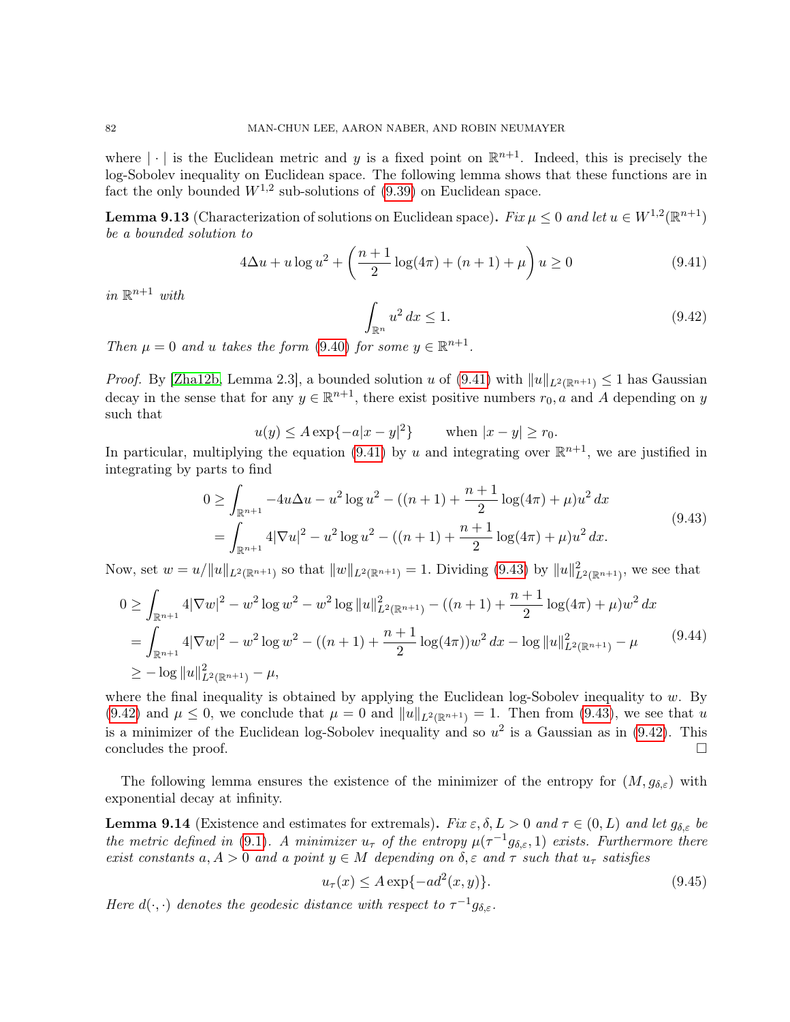where  $|\cdot|$  is the Euclidean metric and y is a fixed point on  $\mathbb{R}^{n+1}$ . Indeed, this is precisely the log-Sobolev inequality on Euclidean space. The following lemma shows that these functions are in fact the only bounded  $W^{1,2}$  sub-solutions of [\(9.39\)](#page-80-2) on Euclidean space.

<span id="page-81-3"></span>**Lemma 9.13** (Characterization of solutions on Euclidean space). Fix  $\mu \leq 0$  and let  $u \in W^{1,2}(\mathbb{R}^{n+1})$ be a bounded solution to

<span id="page-81-0"></span>
$$
4\Delta u + u\log u^{2} + \left(\frac{n+1}{2}\log(4\pi) + (n+1) + \mu\right)u \ge 0
$$
\n(9.41)

in  $\mathbb{R}^{n+1}$  with

<span id="page-81-2"></span>
$$
\int_{\mathbb{R}^n} u^2 dx \le 1. \tag{9.42}
$$

Then  $\mu = 0$  and u takes the form [\(9.40\)](#page-80-3) for some  $y \in \mathbb{R}^{n+1}$ .

*Proof.* By [\[Zha12b,](#page-91-0) Lemma 2.3], a bounded solution u of [\(9.41\)](#page-81-0) with  $||u||_{L^2(\mathbb{R}^{n+1})} \leq 1$  has Gaussian decay in the sense that for any  $y \in \mathbb{R}^{n+1}$ , there exist positive numbers  $r_0$ , a and A depending on y such that

$$
u(y) \le A \exp{-a|x-y|^2}
$$
 when  $|x-y| \ge r_0$ .

In particular, multiplying the equation [\(9.41\)](#page-81-0) by u and integrating over  $\mathbb{R}^{n+1}$ , we are justified in integrating by parts to find

$$
0 \ge \int_{\mathbb{R}^{n+1}} -4u\Delta u - u^2 \log u^2 - ((n+1) + \frac{n+1}{2}\log(4\pi) + \mu)u^2 dx
$$
  
= 
$$
\int_{\mathbb{R}^{n+1}} 4|\nabla u|^2 - u^2 \log u^2 - ((n+1) + \frac{n+1}{2}\log(4\pi) + \mu)u^2 dx.
$$
 (9.43)

<span id="page-81-1"></span>Now, set  $w = u/||u||_{L^2(\mathbb{R}^{n+1})}$  so that  $||w||_{L^2(\mathbb{R}^{n+1})} = 1$ . Dividing [\(9.43\)](#page-81-1) by  $||u||^2_{L^2(\mathbb{R}^{n+1})}$ , we see that

$$
0 \ge \int_{\mathbb{R}^{n+1}} 4|\nabla w|^2 - w^2 \log w^2 - w^2 \log ||u||_{L^2(\mathbb{R}^{n+1})}^2 - ((n+1) + \frac{n+1}{2}\log(4\pi) + \mu)w^2 dx
$$
  
= 
$$
\int_{\mathbb{R}^{n+1}} 4|\nabla w|^2 - w^2 \log w^2 - ((n+1) + \frac{n+1}{2}\log(4\pi))w^2 dx - \log ||u||_{L^2(\mathbb{R}^{n+1})}^2 - \mu
$$
 (9.44)  

$$
\ge -\log ||u||_{L^2(\mathbb{R}^{n+1})}^2 - \mu,
$$

where the final inequality is obtained by applying the Euclidean log-Sobolev inequality to  $w$ . By [\(9.42\)](#page-81-2) and  $\mu \leq 0$ , we conclude that  $\mu = 0$  and  $||u||_{L^2(\mathbb{R}^{n+1})} = 1$ . Then from [\(9.43\)](#page-81-1), we see that u is a minimizer of the Euclidean log-Sobolev inequality and so  $u^2$  is a Gaussian as in [\(9.42\)](#page-81-2). This concludes the proof.

The following lemma ensures the existence of the minimizer of the entropy for  $(M, g_{\delta,\varepsilon})$  with exponential decay at infinity.

<span id="page-81-4"></span>**Lemma 9.14** (Existence and estimates for extremals). Fix  $\varepsilon, \delta, L > 0$  and  $\tau \in (0, L)$  and let  $g_{\delta, \varepsilon}$  be the metric defined in [\(9.1\)](#page-70-0). A minimizer  $u_{\tau}$  of the entropy  $\mu(\tau^{-1}g_{\delta,\varepsilon},1)$  exists. Furthermore there exist constants a,  $A > 0$  and a point  $y \in M$  depending on  $\delta, \varepsilon$  and  $\tau$  such that  $u_{\tau}$  satisfies

$$
u_{\tau}(x) \le A \exp\{-ad^2(x, y)\}.
$$
\n
$$
(9.45)
$$

Here  $d(\cdot, \cdot)$  denotes the geodesic distance with respect to  $\tau^{-1}g_{\delta,\varepsilon}$ .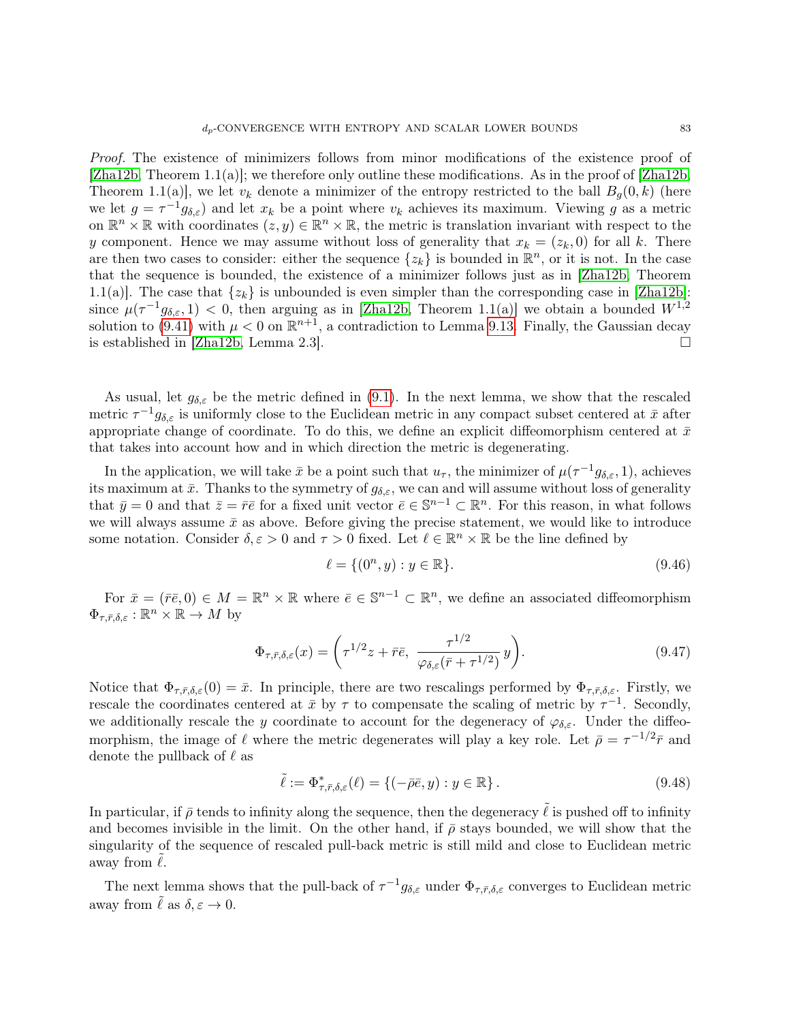Proof. The existence of minimizers follows from minor modifications of the existence proof of  $[Zha12b, Theorem 1.1(a)]$  $[Zha12b, Theorem 1.1(a)]$ ; we therefore only outline these modifications. As in the proof of  $[Zha12b,$ Theorem 1.1(a)], we let  $v_k$  denote a minimizer of the entropy restricted to the ball  $B_q(0, k)$  (here we let  $g = \tau^{-1} g_{\delta,\varepsilon}$  and let  $x_k$  be a point where  $v_k$  achieves its maximum. Viewing g as a metric on  $\mathbb{R}^n \times \mathbb{R}$  with coordinates  $(z, y) \in \mathbb{R}^n \times \mathbb{R}$ , the metric is translation invariant with respect to the y component. Hence we may assume without loss of generality that  $x_k = (z_k, 0)$  for all k. There are then two cases to consider: either the sequence  $\{z_k\}$  is bounded in  $\mathbb{R}^n$ , or it is not. In the case that the sequence is bounded, the existence of a minimizer follows just as in [\[Zha12b,](#page-91-0) Theorem 1.1(a)]. The case that  $\{z_k\}$  is unbounded is even simpler than the corresponding case in [\[Zha12b\]](#page-91-0): since  $\mu(\tau^{-1}g_{\delta,\varepsilon},1)$  < 0, then arguing as in [\[Zha12b,](#page-91-0) Theorem 1.1(a)] we obtain a bounded  $W^{1,2}$ solution to [\(9.41\)](#page-81-0) with  $\mu < 0$  on  $\mathbb{R}^{n+1}$ , a contradiction to Lemma [9.13.](#page-81-3) Finally, the Gaussian decay is established in [\[Zha12b,](#page-91-0) Lemma 2.3].

As usual, let  $g_{\delta,\varepsilon}$  be the metric defined in [\(9.1\)](#page-70-0). In the next lemma, we show that the rescaled metric  $\tau^{-1}g_{\delta,\varepsilon}$  is uniformly close to the Euclidean metric in any compact subset centered at  $\bar{x}$  after appropriate change of coordinate. To do this, we define an explicit diffeomorphism centered at  $\bar{x}$ that takes into account how and in which direction the metric is degenerating.

In the application, we will take  $\bar{x}$  be a point such that  $u_{\tau}$ , the minimizer of  $\mu(\tau^{-1}g_{\delta,\varepsilon},1)$ , achieves its maximum at  $\bar{x}$ . Thanks to the symmetry of  $g_{\delta,\varepsilon}$ , we can and will assume without loss of generality that  $\bar{y} = 0$  and that  $\bar{z} = \bar{r}\bar{e}$  for a fixed unit vector  $\bar{e} \in \mathbb{S}^{n-1} \subset \mathbb{R}^n$ . For this reason, in what follows we will always assume  $\bar{x}$  as above. Before giving the precise statement, we would like to introduce some notation. Consider  $\delta, \varepsilon > 0$  and  $\tau > 0$  fixed. Let  $\ell \in \mathbb{R}^n \times \mathbb{R}$  be the line defined by

$$
\ell = \{(0^n, y) : y \in \mathbb{R}\}.
$$
\n(9.46)

For  $\bar{x} = (\bar{r}\bar{e}, 0) \in M = \mathbb{R}^n \times \mathbb{R}$  where  $\bar{e} \in \mathbb{S}^{n-1} \subset \mathbb{R}^n$ , we define an associated diffeomorphism  $\Phi_{\tau,\bar{r},\delta,\varepsilon}:\mathbb{R}^n\times\mathbb{R}\to M$  by

<span id="page-82-0"></span>
$$
\Phi_{\tau,\bar{r},\delta,\varepsilon}(x) = \left(\tau^{1/2}z + \bar{r}\bar{e}, \ \frac{\tau^{1/2}}{\varphi_{\delta,\varepsilon}(\bar{r} + \tau^{1/2})}y\right). \tag{9.47}
$$

Notice that  $\Phi_{\tau,\bar{r},\delta,\varepsilon}(0) = \bar{x}$ . In principle, there are two rescalings performed by  $\Phi_{\tau,\bar{r},\delta,\varepsilon}$ . Firstly, we rescale the coordinates centered at  $\bar{x}$  by  $\tau$  to compensate the scaling of metric by  $\tau^{-1}$ . Secondly, we additionally rescale the y coordinate to account for the degeneracy of  $\varphi_{\delta,\varepsilon}$ . Under the diffeomorphism, the image of  $\ell$  where the metric degenerates will play a key role. Let  $\bar{\rho} = \tau^{-1/2} \bar{r}$  and denote the pullback of  $\ell$  as

$$
\tilde{\ell} := \Phi_{\tau,\bar{r},\delta,\varepsilon}^*(\ell) = \{(-\bar{\rho}\bar{e}, y) : y \in \mathbb{R}\}.
$$
\n(9.48)

In particular, if  $\bar{\rho}$  tends to infinity along the sequence, then the degeneracy  $\ell$  is pushed off to infinity and becomes invisible in the limit. On the other hand, if  $\bar{\rho}$  stays bounded, we will show that the singularity of the sequence of rescaled pull-back metric is still mild and close to Euclidean metric away from  $\ell$ .

The next lemma shows that the pull-back of  $\tau^{-1}g_{\delta,\varepsilon}$  under  $\Phi_{\tau,\bar{r},\delta,\varepsilon}$  converges to Euclidean metric away from  $\tilde{\ell}$  as  $\delta, \varepsilon \to 0$ .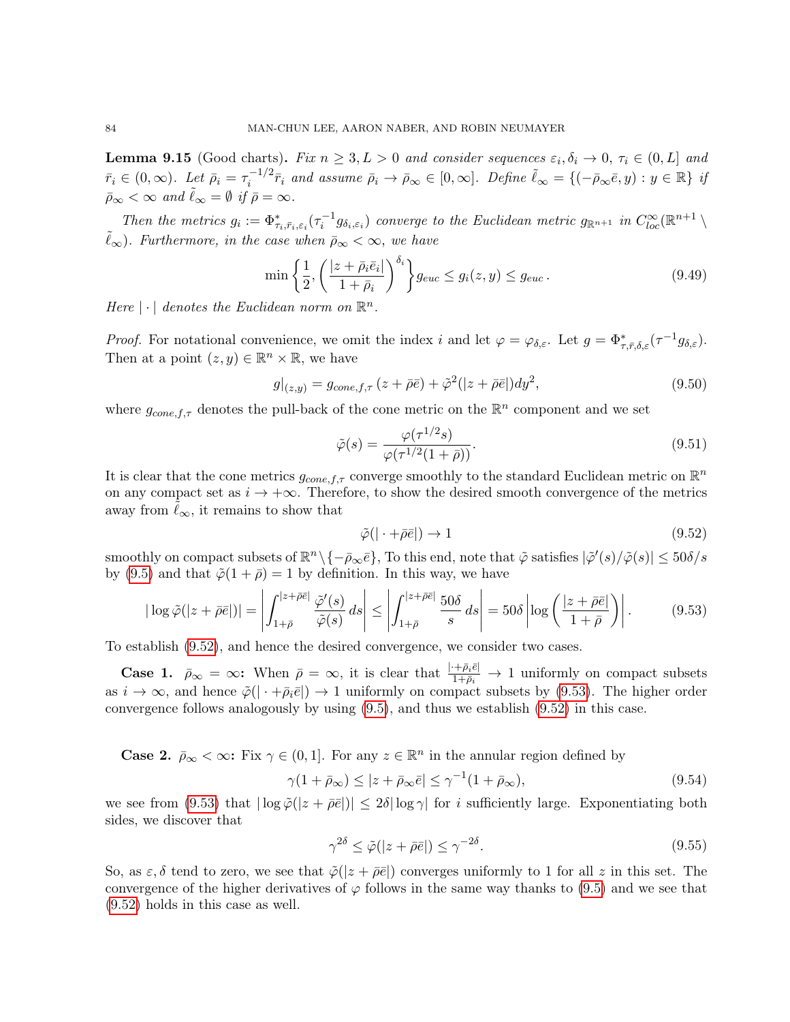<span id="page-83-3"></span>**Lemma 9.15** (Good charts). Fix  $n \geq 3, L > 0$  and consider sequences  $\varepsilon_i, \delta_i \to 0, \tau_i \in (0, L]$  and  $\bar{r}_i \in (0,\infty)$ . Let  $\bar{\rho}_i = \tau_i^{-1/2}$  $\tilde{r}_i^{-1/2} \bar{r}_i$  and assume  $\bar{\rho}_i \to \bar{\rho}_{\infty} \in [0, \infty]$ . Define  $\tilde{\ell}_{\infty} = \{(-\bar{\rho}_{\infty}\bar{e}, y) : y \in \mathbb{R}\}\$ if  $\bar{\rho}_{\infty} < \infty$  and  $\tilde{\ell}_{\infty} = \emptyset$  if  $\bar{\rho} = \infty$ .

Then the metrics  $g_i := \Phi^*_{\tau_i, \bar{\tau}_i, \varepsilon_i}(\tau_i^{-1} g_{\delta_i, \varepsilon_i})$  converge to the Euclidean metric  $g_{\mathbb{R}^{n+1}}$  in  $C^{\infty}_{loc}(\mathbb{R}^{n+1} \setminus$  $\ell_{\infty}$ ). Furthermore, in the case when  $\bar{\rho}_{\infty}<\infty$ , we have

<span id="page-83-2"></span>
$$
\min\left\{\frac{1}{2}, \left(\frac{|z+\bar{\rho}_i\bar{e}_i|}{1+\bar{\rho}_i}\right)^{\delta_i}\right\}g_{euc}\leq g_i(z,y)\leq g_{euc}.
$$
\n(9.49)

Here  $|\cdot|$  denotes the Euclidean norm on  $\mathbb{R}^n$ .

*Proof.* For notational convenience, we omit the index i and let  $\varphi = \varphi_{\delta,\varepsilon}$ . Let  $g = \Phi^*_{\tau,\bar{r},\delta,\varepsilon}(\tau^{-1}g_{\delta,\varepsilon})$ . Then at a point  $(z, y) \in \mathbb{R}^n \times \mathbb{R}$ , we have

$$
g|_{(z,y)} = g_{cone,f,\tau} \left( z + \bar{\rho} \bar{e} \right) + \tilde{\varphi}^2 (|z + \bar{\rho} \bar{e}|) dy^2, \tag{9.50}
$$

where  $g_{cone,f,\tau}$  denotes the pull-back of the cone metric on the  $\mathbb{R}^n$  component and we set

$$
\tilde{\varphi}(s) = \frac{\varphi(\tau^{1/2}s)}{\varphi(\tau^{1/2}(1+\bar{\rho}))}.\tag{9.51}
$$

It is clear that the cone metrics  $g_{cone,f,\tau}$  converge smoothly to the standard Euclidean metric on  $\mathbb{R}^n$ on any compact set as  $i \to +\infty$ . Therefore, to show the desired smooth convergence of the metrics away from  $\ell_{\infty}$ , it remains to show that

<span id="page-83-0"></span>
$$
\tilde{\varphi}(|\cdot + \bar{\rho}\bar{e}|) \to 1 \tag{9.52}
$$

smoothly on compact subsets of  $\mathbb{R}^n \setminus \{-\bar{\rho}_{\infty} \bar{e}\}$ , To this end, note that  $\tilde{\varphi}$  satisfies  $|\tilde{\varphi}'(s)/\tilde{\varphi}(s)| \leq 50\delta/s$ by [\(9.5\)](#page-71-1) and that  $\tilde{\varphi}(1+\bar{\rho})=1$  by definition. In this way, we have

<span id="page-83-1"></span>
$$
|\log \tilde{\varphi}(|z+\bar{\rho}\bar{e}|)| = \left| \int_{1+\bar{\rho}}^{|z+\bar{\rho}\bar{e}|} \frac{\tilde{\varphi}'(s)}{\tilde{\varphi}(s)} ds \right| \le \left| \int_{1+\bar{\rho}}^{|z+\bar{\rho}\bar{e}|} \frac{50\delta}{s} ds \right| = 50\delta \left| \log \left( \frac{|z+\bar{\rho}\bar{e}|}{1+\bar{\rho}} \right) \right|.
$$
 (9.53)

To establish [\(9.52\)](#page-83-0), and hence the desired convergence, we consider two cases.

**Case 1.**  $\bar{\rho}_{\infty} = \infty$ : When  $\bar{\rho} = \infty$ , it is clear that  $\frac{|+\bar{\rho}_i \bar{e}|}{1+\bar{\rho}_i} \to 1$  uniformly on compact subsets as  $i \to \infty$ , and hence  $\tilde{\varphi}(|\cdot + \bar{\rho}_i \bar{e}|) \to 1$  uniformly on compact subsets by [\(9.53\)](#page-83-1). The higher order convergence follows analogously by using [\(9.5\)](#page-71-1), and thus we establish [\(9.52\)](#page-83-0) in this case.

**Case 2.**  $\bar{\rho}_{\infty} < \infty$ : Fix  $\gamma \in (0, 1]$ . For any  $z \in \mathbb{R}^n$  in the annular region defined by

$$
\gamma(1 + \bar{\rho}_{\infty}) \le |z + \bar{\rho}_{\infty}\bar{e}| \le \gamma^{-1}(1 + \bar{\rho}_{\infty}),\tag{9.54}
$$

we see from [\(9.53\)](#page-83-1) that  $|\log \tilde{\varphi}(|z+\bar{\rho}\bar{e}|)| \leq 2\delta |\log \gamma|$  for *i* sufficiently large. Exponentiating both sides, we discover that

$$
\gamma^{2\delta} \le \tilde{\varphi}(|z + \bar{\rho}\bar{e}|) \le \gamma^{-2\delta}.\tag{9.55}
$$

So, as  $\varepsilon, \delta$  tend to zero, we see that  $\tilde{\varphi}(|z + \bar{\rho}\bar{e}|)$  converges uniformly to 1 for all z in this set. The convergence of the higher derivatives of  $\varphi$  follows in the same way thanks to [\(9.5\)](#page-71-1) and we see that [\(9.52\)](#page-83-0) holds in this case as well.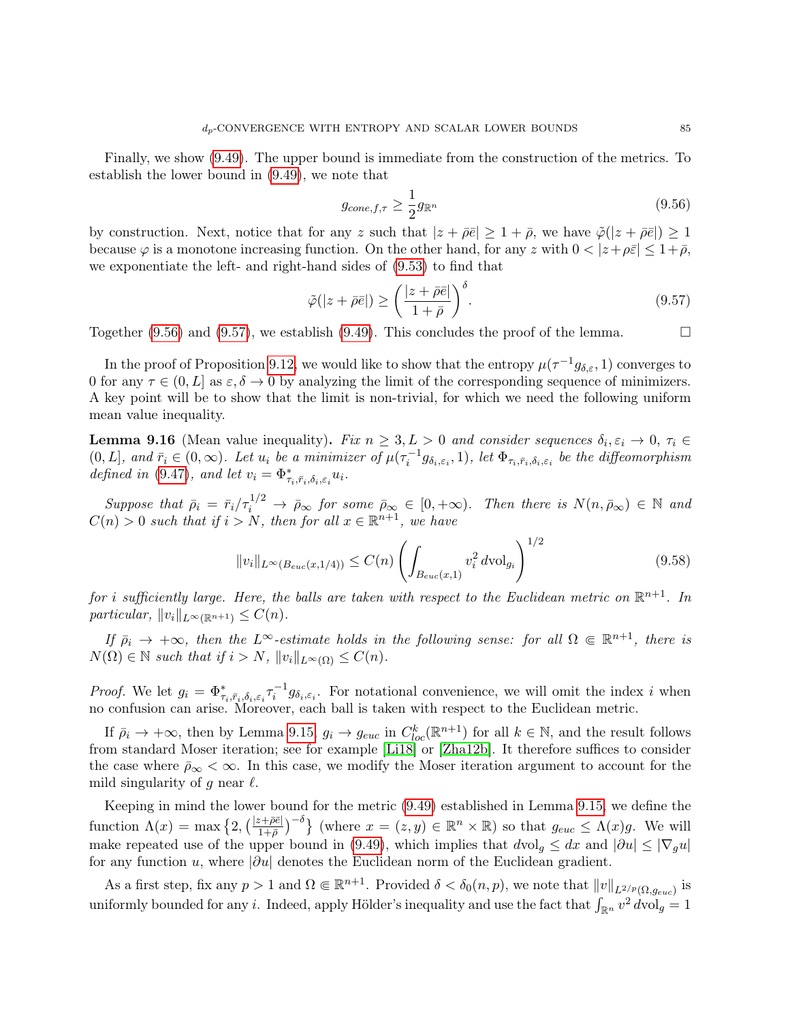Finally, we show [\(9.49\)](#page-83-2). The upper bound is immediate from the construction of the metrics. To establish the lower bound in [\(9.49\)](#page-83-2), we note that

<span id="page-84-0"></span>
$$
g_{cone,f,\tau} \ge \frac{1}{2} g_{\mathbb{R}^n} \tag{9.56}
$$

by construction. Next, notice that for any z such that  $|z+\overline{\rho}\overline{e}|\geq 1+\overline{\rho}$ , we have  $\widetilde{\varphi}(|z+\overline{\rho}\overline{e}|)\geq 1$ because  $\varphi$  is a monotone increasing function. On the other hand, for any z with  $0 < |z+\rho\bar{\varepsilon}| \leq 1+\bar{\rho}$ , we exponentiate the left- and right-hand sides of [\(9.53\)](#page-83-1) to find that

<span id="page-84-1"></span>
$$
\tilde{\varphi}(|z + \bar{\rho}\bar{e}|) \ge \left(\frac{|z + \bar{\rho}\bar{e}|}{1 + \bar{\rho}}\right)^{\delta}.\tag{9.57}
$$

Together  $(9.56)$  and  $(9.57)$ , we establish  $(9.49)$ . This concludes the proof of the lemma.

In the proof of Proposition [9.12,](#page-80-1) we would like to show that the entropy  $\mu(\tau^{-1}g_{\delta,\varepsilon},1)$  converges to 0 for any  $\tau \in (0, L]$  as  $\varepsilon, \delta \to 0$  by analyzing the limit of the corresponding sequence of minimizers. A key point will be to show that the limit is non-trivial, for which we need the following uniform mean value inequality.

<span id="page-84-2"></span>**Lemma 9.16** (Mean value inequality). Fix  $n \geq 3, L > 0$  and consider sequences  $\delta_i, \varepsilon_i \to 0, \tau_i \in$  $(0,L]$ , and  $\bar{r}_i \in (0,\infty)$ . Let  $u_i$  be a minimizer of  $\mu(\tau_i^{-1}g_{\delta_i,\varepsilon_i},1)$ , let  $\Phi_{\tau_i,\bar{r}_i,\delta_i,\varepsilon_i}$  be the diffeomorphism defined in [\(9.47\)](#page-82-0), and let  $v_i = \Phi^*_{\tau_i, \bar{r}_i, \delta_i, \varepsilon_i} u_i$ .

Suppose that  $\bar{\rho}_i = \bar{r}_i / \tau_i^{1/2} \to \bar{\rho}_{\infty}$  for some  $\bar{\rho}_{\infty} \in [0, +\infty)$ . Then there is  $N(n, \bar{\rho}_{\infty}) \in \mathbb{N}$  and  $C(n) > 0$  such that if  $i > N$ , then for all  $x \in \mathbb{R}^{n+1}$ , we have

$$
||v_i||_{L^{\infty}(B_{euc}(x,1/4))} \le C(n) \left( \int_{B_{euc}(x,1)} v_i^2 dv \, d\mu_j \right)^{1/2} \tag{9.58}
$$

for i sufficiently large. Here, the balls are taken with respect to the Euclidean metric on  $\mathbb{R}^{n+1}$ . In particular,  $||v_i||_{L^{\infty}(\mathbb{R}^{n+1})} \leq C(n)$ .

If  $\bar{\rho}_i \to +\infty$ , then the L<sup>∞</sup>-estimate holds in the following sense: for all  $\Omega \in \mathbb{R}^{n+1}$ , there is  $N(\Omega) \in \mathbb{N}$  such that if  $i > N$ ,  $||v_i||_{L^{\infty}(\Omega)} \leq C(n)$ .

*Proof.* We let  $g_i = \Phi^*_{\tau_i, \bar{\tau}_i, \delta_i, \varepsilon_i} \tau_i^{-1} g_{\delta_i, \varepsilon_i}$ . For notational convenience, we will omit the index i when no confusion can arise. Moreover, each ball is taken with respect to the Euclidean metric.

If  $\bar{\rho}_i \to +\infty$ , then by Lemma [9.15,](#page-83-3)  $g_i \to g_{euc}$  in  $C^k_{loc}(\mathbb{R}^{n+1})$  for all  $k \in \mathbb{N}$ , and the result follows from standard Moser iteration; see for example [\[Li18\]](#page-90-1) or [\[Zha12b\]](#page-91-0). It therefore suffices to consider the case where  $\bar{\rho}_{\infty} < \infty$ . In this case, we modify the Moser iteration argument to account for the mild singularity of q near  $\ell$ .

Keeping in mind the lower bound for the metric [\(9.49\)](#page-83-2) established in Lemma [9.15,](#page-83-3) we define the function  $\Lambda(x) = \max\left\{2, \left(\frac{|z+\bar{\rho}\bar{e}|}{1+\bar{\rho}}\right)^{-\delta}\right\}$  (where  $x = (z, y) \in \mathbb{R}^n \times \mathbb{R}$ ) so that  $g_{euc} \leq \Lambda(x)g$ . We will make repeated use of the upper bound in [\(9.49\)](#page-83-2), which implies that  $dvol_g \leq dx$  and  $|\partial u| \leq |\nabla_g u|$ for any function u, where  $|\partial u|$  denotes the Euclidean norm of the Euclidean gradient.

As a first step, fix any  $p > 1$  and  $\Omega \in \mathbb{R}^{n+1}$ . Provided  $\delta < \delta_0(n, p)$ , we note that  $||v||_{L^{2/p}(\Omega, g_{euc})}$  is uniformly bounded for any *i*. Indeed, apply Hölder's inequality and use the fact that  $\int_{\mathbb{R}^n} v^2 dv \, \mathrm{d}y = 1$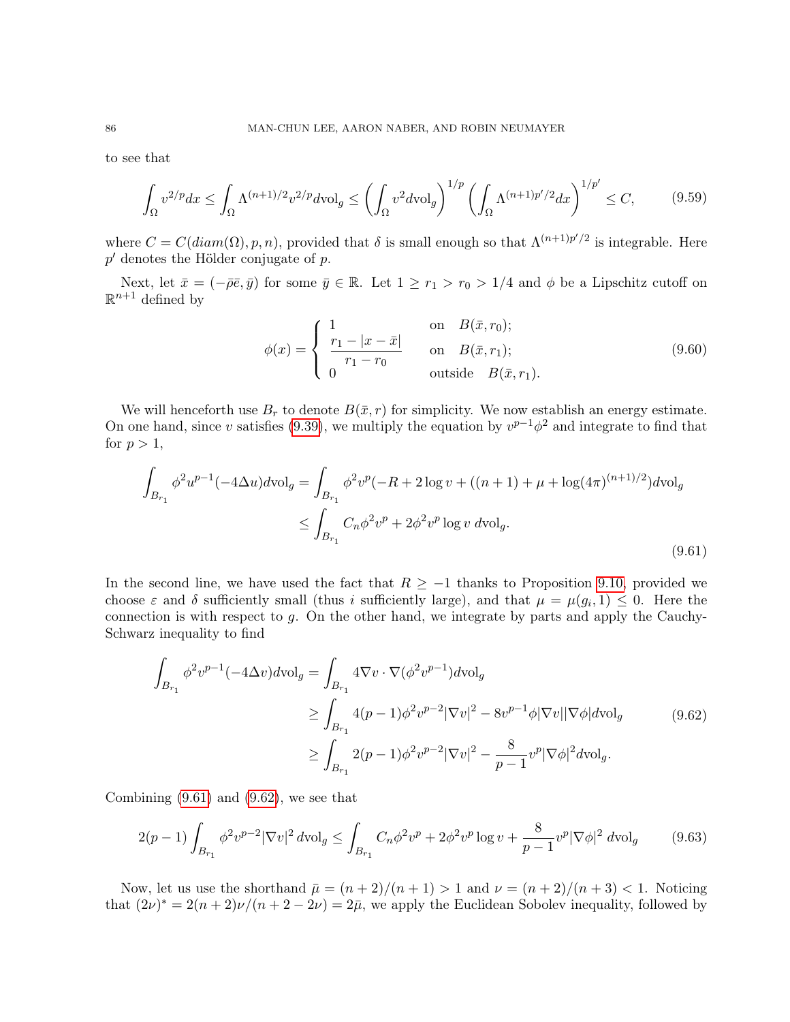<span id="page-85-3"></span>to see that

$$
\int_{\Omega} v^{2/p} dx \le \int_{\Omega} \Lambda^{(n+1)/2} v^{2/p} dv \, \mathrm{d}y \le \left( \int_{\Omega} v^2 dv \, \mathrm{d}y \right)^{1/p} \left( \int_{\Omega} \Lambda^{(n+1)p'/2} dx \right)^{1/p'} \le C,\tag{9.59}
$$

where  $C = C(diam(\Omega), p, n)$ , provided that  $\delta$  is small enough so that  $\Lambda^{(n+1)p'/2}$  is integrable. Here  $p'$  denotes the Hölder conjugate of  $p$ .

Next, let  $\bar{x} = (-\bar{\rho}\bar{e}, \bar{y})$  for some  $\bar{y} \in \mathbb{R}$ . Let  $1 \geq r_1 > r_0 > 1/4$  and  $\phi$  be a Lipschitz cutoff on  $\mathbb{R}^{n+1}$  defined by

$$
\phi(x) = \begin{cases} \n\frac{1}{r_1 - |x - \bar{x}|} & \text{on} \quad B(\bar{x}, r_0); \\
\frac{r_1 - r_0}{r_1 - r_0} & \text{on} \quad B(\bar{x}, r_1); \\
0 & \text{outside} \quad B(\bar{x}, r_1). \n\end{cases} \tag{9.60}
$$

We will henceforth use  $B_r$  to denote  $B(\bar{x}, r)$  for simplicity. We now establish an energy estimate. On one hand, since v satisfies [\(9.39\)](#page-80-2), we multiply the equation by  $v^{p-1}\phi^2$  and integrate to find that for  $p > 1$ ,

<span id="page-85-0"></span>
$$
\int_{B_{r_1}} \phi^2 u^{p-1} (-4\Delta u) d\text{vol}_g = \int_{B_{r_1}} \phi^2 v^p (-R + 2 \log v + ((n+1) + \mu + \log(4\pi)^{(n+1)/2}) d\text{vol}_g
$$
  

$$
\leq \int_{B_{r_1}} C_n \phi^2 v^p + 2\phi^2 v^p \log v \ d\text{vol}_g.
$$
\n(9.61)

In the second line, we have used the fact that  $R \ge -1$  thanks to Proposition [9.10,](#page-76-3) provided we choose  $\varepsilon$  and  $\delta$  sufficiently small (thus i sufficiently large), and that  $\mu = \mu(g_i, 1) \leq 0$ . Here the connection is with respect to  $g$ . On the other hand, we integrate by parts and apply the Cauchy-Schwarz inequality to find

<span id="page-85-1"></span>
$$
\int_{B_{r_1}} \phi^2 v^{p-1} (-4\Delta v) d\text{vol}_g = \int_{B_{r_1}} 4\nabla v \cdot \nabla (\phi^2 v^{p-1}) d\text{vol}_g
$$
\n
$$
\geq \int_{B_{r_1}} 4(p-1)\phi^2 v^{p-2} |\nabla v|^2 - 8v^{p-1}\phi |\nabla v| |\nabla \phi| d\text{vol}_g
$$
\n
$$
\geq \int_{B_{r_1}} 2(p-1)\phi^2 v^{p-2} |\nabla v|^2 - \frac{8}{p-1} v^p |\nabla \phi|^2 d\text{vol}_g.
$$
\n(9.62)

Combining [\(9.61\)](#page-85-0) and [\(9.62\)](#page-85-1), we see that

<span id="page-85-2"></span>
$$
2(p-1)\int_{B_{r_1}} \phi^2 v^{p-2} |\nabla v|^2 \, d\text{vol}_g \le \int_{B_{r_1}} C_n \phi^2 v^p + 2\phi^2 v^p \log v + \frac{8}{p-1} v^p |\nabla \phi|^2 \, d\text{vol}_g \tag{9.63}
$$

Now, let us use the shorthand  $\bar{\mu} = (n+2)/(n+1) > 1$  and  $\nu = (n+2)/(n+3) < 1$ . Noticing that  $(2\nu)^* = 2(n+2)\nu/(n+2-2\nu) = 2\overline{\mu}$ , we apply the Euclidean Sobolev inequality, followed by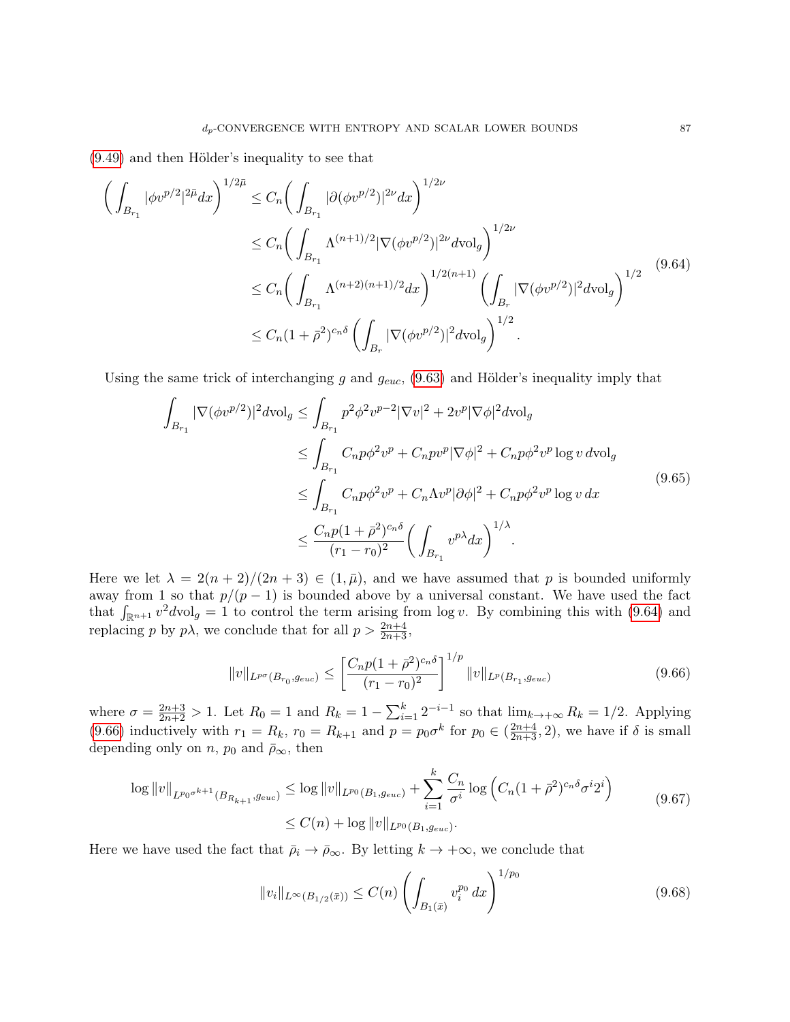[\(9.49\)](#page-83-2) and then Hölder's inequality to see that

<span id="page-86-0"></span>
$$
\left(\int_{B_{r_1}} |\phi v^{p/2}|^{2\bar{\mu}} dx\right)^{1/2\bar{\mu}} \leq C_n \left(\int_{B_{r_1}} |\partial (\phi v^{p/2})|^{2\nu} dx\right)^{1/2\nu}
$$
\n
$$
\leq C_n \left(\int_{B_{r_1}} \Lambda^{(n+1)/2} |\nabla (\phi v^{p/2})|^{2\nu} d\mathrm{vol}_g\right)^{1/2\nu}
$$
\n
$$
\leq C_n \left(\int_{B_{r_1}} \Lambda^{(n+2)(n+1)/2} dx\right)^{1/2(n+1)} \left(\int_{B_r} |\nabla (\phi v^{p/2})|^2 d\mathrm{vol}_g\right)^{1/2} \tag{9.64}
$$
\n
$$
\leq C_n (1+\bar{\rho}^2)^{c_n\delta} \left(\int_{B_r} |\nabla (\phi v^{p/2})|^2 d\mathrm{vol}_g\right)^{1/2}.
$$

Using the same trick of interchanging g and  $g_{euc}$ , [\(9.63\)](#page-85-2) and Hölder's inequality imply that

$$
\int_{B_{r_1}} |\nabla(\phi v^{p/2})|^2 dv \, d\mathbf{y} \le \int_{B_{r_1}} p^2 \phi^2 v^{p-2} |\nabla v|^2 + 2v^p |\nabla \phi|^2 dv \, d\mathbf{y}
$$
\n
$$
\le \int_{B_{r_1}} C_n p \phi^2 v^p + C_n p v^p |\nabla \phi|^2 + C_n p \phi^2 v^p \log v \, d\mathbf{y} \, d\mathbf{y}
$$
\n
$$
\le \int_{B_{r_1}} C_n p \phi^2 v^p + C_n \Lambda v^p |\partial \phi|^2 + C_n p \phi^2 v^p \log v \, dx
$$
\n
$$
\le \frac{C_n p (1 + \bar{\rho}^2)^{c_n \delta}}{(r_1 - r_0)^2} \left( \int_{B_{r_1}} v^{p\lambda} dx \right)^{1/\lambda}.
$$
\n(9.65)

Here we let  $\lambda = 2(n+2)/(2n+3) \in (1,\bar{\mu})$ , and we have assumed that p is bounded uniformly away from 1 so that  $p/(p-1)$  is bounded above by a universal constant. We have used the fact that  $\int_{\mathbb{R}^{n+1}} v^2 dv \circ d\mathbf{y} = 1$  to control the term arising from  $\log v$ . By combining this with [\(9.64\)](#page-86-0) and replacing p by  $p\lambda$ , we conclude that for all  $p > \frac{2n+4}{2n+3}$ ,

<span id="page-86-1"></span>
$$
||v||_{L^{p\sigma}(B_{r_0}, g_{euc})} \leq \left[\frac{C_n p(1+\bar{\rho}^2)^{c_n \delta}}{(r_1 - r_0)^2}\right]^{1/p} ||v||_{L^p(B_{r_1}, g_{euc})}
$$
(9.66)

where  $\sigma = \frac{2n+3}{2n+2} > 1$ . Let  $R_0 = 1$  and  $R_k = 1 - \sum_{i=1}^k 2^{-i-1}$  so that  $\lim_{k \to +\infty} R_k = 1/2$ . Applying [\(9.66\)](#page-86-1) inductively with  $r_1 = R_k$ ,  $r_0 = R_{k+1}$  and  $p = p_0 \sigma^k$  for  $p_0 \in (\frac{2n+4}{2n+3}, 2)$ , we have if  $\delta$  is small depending only on n,  $p_0$  and  $\bar{\rho}_{\infty}$ , then

$$
\log ||v||_{L^{p_0\sigma^{k+1}}(B_{R_{k+1}}, g_{euc})} \le \log ||v||_{L^{p_0}(B_1, g_{euc})} + \sum_{i=1}^k \frac{C_n}{\sigma^i} \log \left( C_n (1 + \bar{\rho}^2)^{c_n \delta} \sigma^i 2^i \right)
$$
  

$$
\le C(n) + \log ||v||_{L^{p_0}(B_1, g_{euc})}.
$$
 (9.67)

Here we have used the fact that  $\bar{\rho}_i \to \bar{\rho}_{\infty}$ . By letting  $k \to +\infty$ , we conclude that

$$
||v_i||_{L^{\infty}(B_{1/2}(\bar{x}))} \le C(n) \left( \int_{B_1(\bar{x})} v_i^{p_0} dx \right)^{1/p_0}
$$
\n(9.68)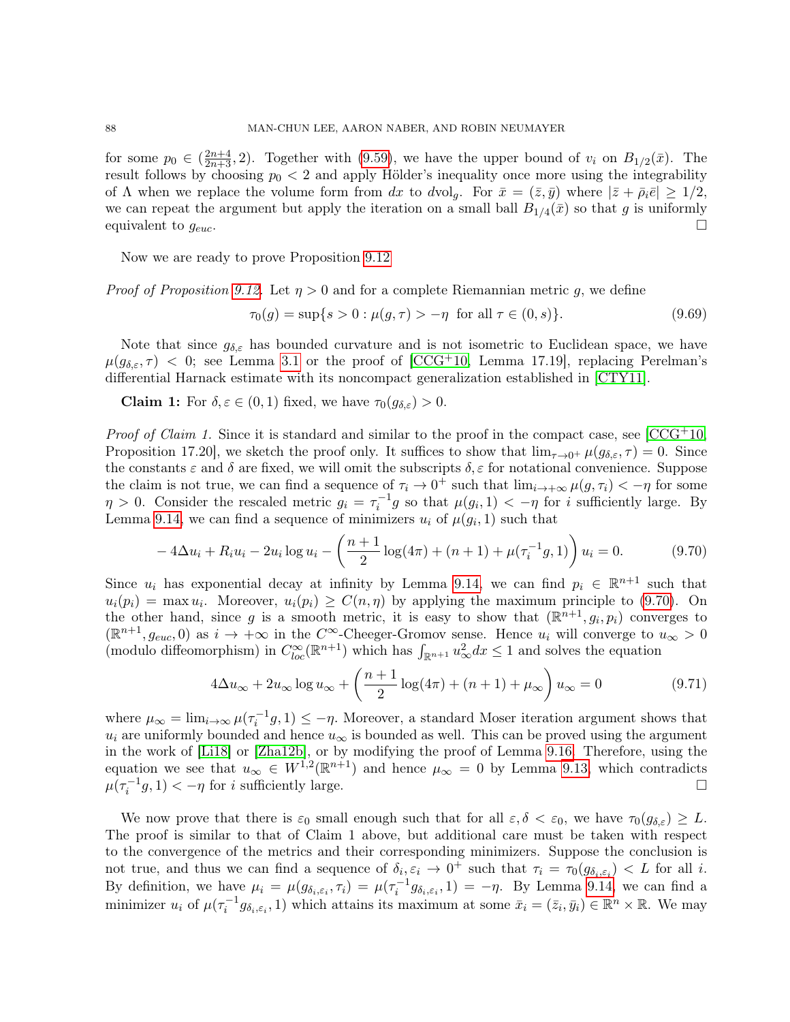for some  $p_0 \in (\frac{2n+4}{2n+3}, 2)$ . Together with [\(9.59\)](#page-85-3), we have the upper bound of  $v_i$  on  $B_{1/2}(\bar{x})$ . The result follows by choosing  $p_0 < 2$  and apply Hölder's inequality once more using the integrability of  $\Lambda$  when we replace the volume form from dx to dvol<sub>g</sub>. For  $\bar{x}=(\bar{z},\bar{y})$  where  $|\bar{z}+\bar{\rho}_i\bar{e}|\geq 1/2$ , we can repeat the argument but apply the iteration on a small ball  $B_{1/4}(\bar{x})$  so that g is uniformly equivalent to  $g_{euc}$ .

Now we are ready to prove Proposition [9.12](#page-80-1)

*Proof of Proposition [9.12.](#page-80-1)* Let  $\eta > 0$  and for a complete Riemannian metric g, we define

$$
\tau_0(g) = \sup\{s > 0 : \mu(g, \tau) > -\eta \text{ for all } \tau \in (0, s)\}.
$$
\n(9.69)

Note that since  $g_{\delta,\varepsilon}$  has bounded curvature and is not isometric to Euclidean space, we have  $\mu(g_{\delta,\varepsilon},\tau)$  < 0; see Lemma [3.1](#page-26-0) or the proof of  $[CCG^+10, \text{ Lemma 17.19}],$  $[CCG^+10, \text{ Lemma 17.19}],$  replacing Perelman's differential Harnack estimate with its noncompact generalization established in [\[CTY11\]](#page-90-2).

**Claim 1:** For  $\delta, \varepsilon \in (0, 1)$  fixed, we have  $\tau_0(g_{\delta, \varepsilon}) > 0$ .

*Proof of Claim 1.* Since it is standard and similar to the proof in the compact case, see  $[CCG+10,$  $[CCG+10,$ Proposition 17.20], we sketch the proof only. It suffices to show that  $\lim_{\tau \to 0^+} \mu(g_{\delta,\epsilon}, \tau) = 0$ . Since the constants  $\varepsilon$  and  $\delta$  are fixed, we will omit the subscripts  $\delta, \varepsilon$  for notational convenience. Suppose the claim is not true, we can find a sequence of  $\tau_i \to 0^+$  such that  $\lim_{i \to +\infty} \mu(g, \tau_i) < -\eta$  for some  $\eta > 0$ . Consider the rescaled metric  $g_i = \tau_i^{-1}g$  so that  $\mu(g_i, 1) < -\eta$  for i sufficiently large. By Lemma [9.14,](#page-81-4) we can find a sequence of minimizers  $u_i$  of  $\mu(g_i, 1)$  such that

<span id="page-87-0"></span>
$$
-4\Delta u_i + R_i u_i - 2u_i \log u_i - \left(\frac{n+1}{2}\log(4\pi) + (n+1) + \mu(\tau_i^{-1}g, 1)\right)u_i = 0.
$$
 (9.70)

Since  $u_i$  has exponential decay at infinity by Lemma [9.14,](#page-81-4) we can find  $p_i \in \mathbb{R}^{n+1}$  such that  $u_i(p_i) = \max u_i$ . Moreover,  $u_i(p_i) \ge C(n, \eta)$  by applying the maximum principle to [\(9.70\)](#page-87-0). On the other hand, since g is a smooth metric, it is easy to show that  $(\mathbb{R}^{n+1}, g_i, p_i)$  converges to  $(\mathbb{R}^{n+1}, g_{euc}, 0)$  as  $i \to +\infty$  in the  $C^{\infty}$ -Cheeger-Gromov sense. Hence  $u_i$  will converge to  $u_{\infty} > 0$ (modulo diffeomorphism) in  $C^{\infty}_{loc}(\mathbb{R}^{n+1})$  which has  $\int_{\mathbb{R}^{n+1}} u_{\infty}^2 dx \leq 1$  and solves the equation

$$
4\Delta u_{\infty} + 2u_{\infty}\log u_{\infty} + \left(\frac{n+1}{2}\log(4\pi) + (n+1) + \mu_{\infty}\right)u_{\infty} = 0
$$
\n(9.71)

where  $\mu_{\infty} = \lim_{i \to \infty} \mu(\tau_i^{-1}g, 1) \leq -\eta$ . Moreover, a standard Moser iteration argument shows that  $u_i$  are uniformly bounded and hence  $u_{\infty}$  is bounded as well. This can be proved using the argument in the work of [\[Li18\]](#page-90-1) or [\[Zha12b\]](#page-91-0), or by modifying the proof of Lemma [9.16.](#page-84-2) Therefore, using the equation we see that  $u_{\infty} \in W^{1,2}(\mathbb{R}^{n+1})$  and hence  $\mu_{\infty} = 0$  by Lemma [9.13,](#page-81-3) which contradicts  $\mu(\tau_i^{-1}g, 1) < -\eta$  for *i* sufficiently large.

We now prove that there is  $\varepsilon_0$  small enough such that for all  $\varepsilon, \delta < \varepsilon_0$ , we have  $\tau_0(g_{\delta,\varepsilon}) \geq L$ . The proof is similar to that of Claim 1 above, but additional care must be taken with respect to the convergence of the metrics and their corresponding minimizers. Suppose the conclusion is not true, and thus we can find a sequence of  $\delta_i, \varepsilon_i \to 0^+$  such that  $\tau_i = \tau_0(g_{\delta_i, \varepsilon_i}) < L$  for all i. By definition, we have  $\mu_i = \mu(g_{\delta_i, \varepsilon_i}, \tau_i) = \mu(\tau_i^{-1} g_{\delta_i, \varepsilon_i}, 1) = -\eta$ . By Lemma [9.14,](#page-81-4) we can find a minimizer  $u_i$  of  $\mu(\tau_i^{-1}g_{\delta_i,\varepsilon_i},1)$  which attains its maximum at some  $\bar{x}_i = (\bar{z}_i,\bar{y}_i) \in \mathbb{R}^n \times \mathbb{R}$ . We may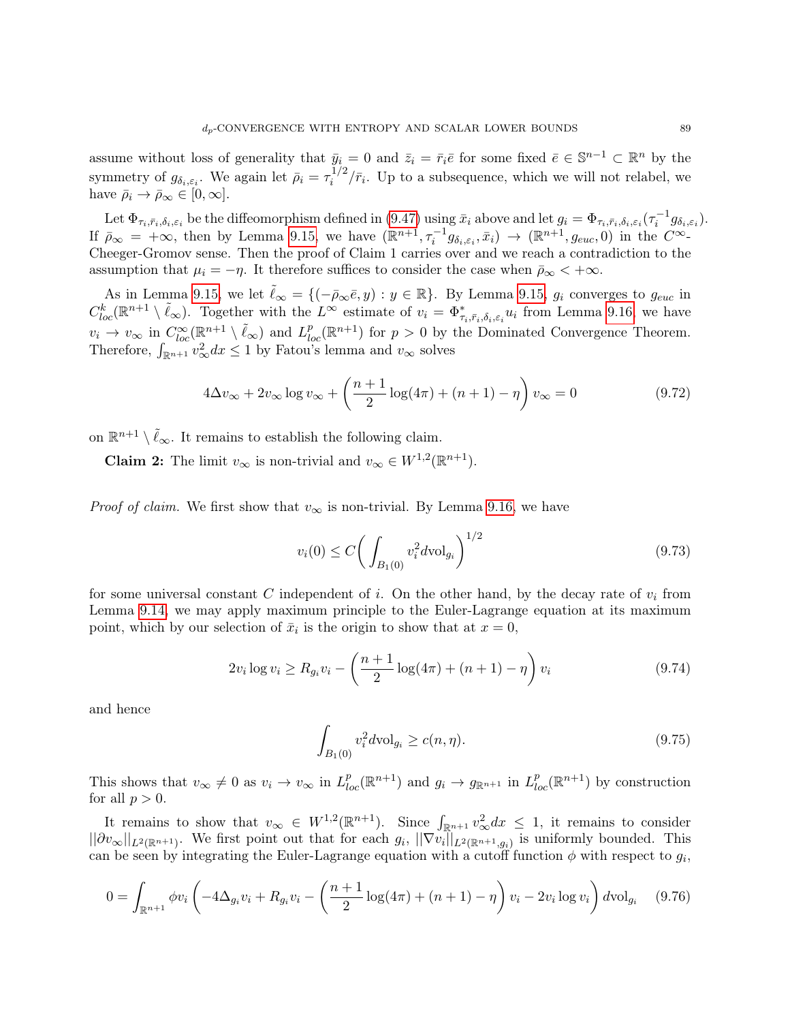assume without loss of generality that  $\bar{y}_i = 0$  and  $\bar{z}_i = \bar{r}_i \bar{e}$  for some fixed  $\bar{e} \in \mathbb{S}^{n-1} \subset \mathbb{R}^n$  by the symmetry of  $g_{\delta_i, \varepsilon_i}$ . We again let  $\bar{\rho}_i = \tau_i^{1/2}$  $i^{1/2}/\bar{r}_i$ . Up to a subsequence, which we will not relabel, we have  $\bar{\rho}_i \to \bar{\rho}_{\infty} \in [0, \infty]$ .

Let  $\Phi_{\tau_i,\bar{r}_i,\delta_i,\varepsilon_i}$  be the diffeomorphism defined in [\(9.47\)](#page-82-0) using  $\bar{x}_i$  above and let  $g_i = \Phi_{\tau_i,\bar{r}_i,\delta_i,\varepsilon_i}(\tau_i^{-1}g_{\delta_i,\varepsilon_i})$ . If  $\bar{\rho}_{\infty} = +\infty$ , then by Lemma [9.15,](#page-83-3) we have  $(\mathbb{R}^{n+1}, \tau_i^{-1} g_{\delta_i, \varepsilon_i}, \bar{x}_i) \to (\mathbb{R}^{n+1}, g_{euc}, 0)$  in the  $C^{\infty}$ -Cheeger-Gromov sense. Then the proof of Claim 1 carries over and we reach a contradiction to the assumption that  $\mu_i = -\eta$ . It therefore suffices to consider the case when  $\bar{p}_{\infty} < +\infty$ .

As in Lemma [9.15,](#page-83-3) we let  $\ell_{\infty} = \{(-\bar{\rho}_{\infty}\bar{e}, y) : y \in \mathbb{R}\}.$  By Lemma 9.15,  $g_i$  converges to  $g_{euc}$  in  $C^k_{loc}(\mathbb{R}^{n+1}\setminus \tilde{\ell}_{\infty})$ . Together with the  $L^{\infty}$  estimate of  $v_i = \Phi^*_{\tau_i,\bar{\tau}_i,\delta_i,\varepsilon_i}u_i$  from Lemma [9.16,](#page-84-2) we have  $v_i \to v_\infty$  in  $C_{loc}^\infty(\mathbb{R}^{n+1} \setminus \tilde{\ell}_\infty)$  and  $L_{loc}^p(\mathbb{R}^{n+1})$  for  $p > 0$  by the Dominated Convergence Theorem. Therefore,  $\int_{\mathbb{R}^{n+1}} v_{\infty}^2 dx \leq 1$  by Fatou's lemma and  $v_{\infty}$  solves

$$
4\Delta v_{\infty} + 2v_{\infty} \log v_{\infty} + \left(\frac{n+1}{2}\log(4\pi) + (n+1) - \eta\right) v_{\infty} = 0
$$
\n(9.72)

on  $\mathbb{R}^{n+1} \setminus \tilde{\ell}_{\infty}$ . It remains to establish the following claim.

**Claim 2:** The limit  $v_{\infty}$  is non-trivial and  $v_{\infty} \in W^{1,2}(\mathbb{R}^{n+1})$ .

*Proof of claim.* We first show that  $v_{\infty}$  is non-trivial. By Lemma [9.16,](#page-84-2) we have

$$
v_i(0) \le C \bigg( \int_{B_1(0)} v_i^2 d\text{vol}_{g_i} \bigg)^{1/2} \tag{9.73}
$$

for some universal constant C independent of i. On the other hand, by the decay rate of  $v_i$  from Lemma [9.14,](#page-81-4) we may apply maximum principle to the Euler-Lagrange equation at its maximum point, which by our selection of  $\bar{x}_i$  is the origin to show that at  $x = 0$ ,

$$
2v_i \log v_i \ge R_{g_i} v_i - \left(\frac{n+1}{2}\log(4\pi) + (n+1) - \eta\right) v_i \tag{9.74}
$$

and hence

$$
\int_{B_1(0)} v_i^2 d\text{vol}_{g_i} \ge c(n, \eta). \tag{9.75}
$$

This shows that  $v_{\infty} \neq 0$  as  $v_i \to v_{\infty}$  in  $L_{loc}^p(\mathbb{R}^{n+1})$  and  $g_i \to g_{\mathbb{R}^{n+1}}$  in  $L_{loc}^p(\mathbb{R}^{n+1})$  by construction for all  $p > 0$ .

It remains to show that  $v_{\infty} \in W^{1,2}(\mathbb{R}^{n+1})$ . Since  $\int_{\mathbb{R}^{n+1}} v_{\infty}^2 dx \leq 1$ , it remains to consider  $||\partial v_\infty||_{L^2(\mathbb{R}^{n+1})}$ . We first point out that for each  $g_i$ ,  $||\nabla v_i||_{L^2(\mathbb{R}^{n+1},g_i)}$  is uniformly bounded. This can be seen by integrating the Euler-Lagrange equation with a cutoff function  $\phi$  with respect to  $g_i$ ,

$$
0 = \int_{\mathbb{R}^{n+1}} \phi v_i \left( -4\Delta_{g_i} v_i + R_{g_i} v_i - \left( \frac{n+1}{2} \log(4\pi) + (n+1) - \eta \right) v_i - 2v_i \log v_i \right) d\text{vol}_{g_i} \tag{9.76}
$$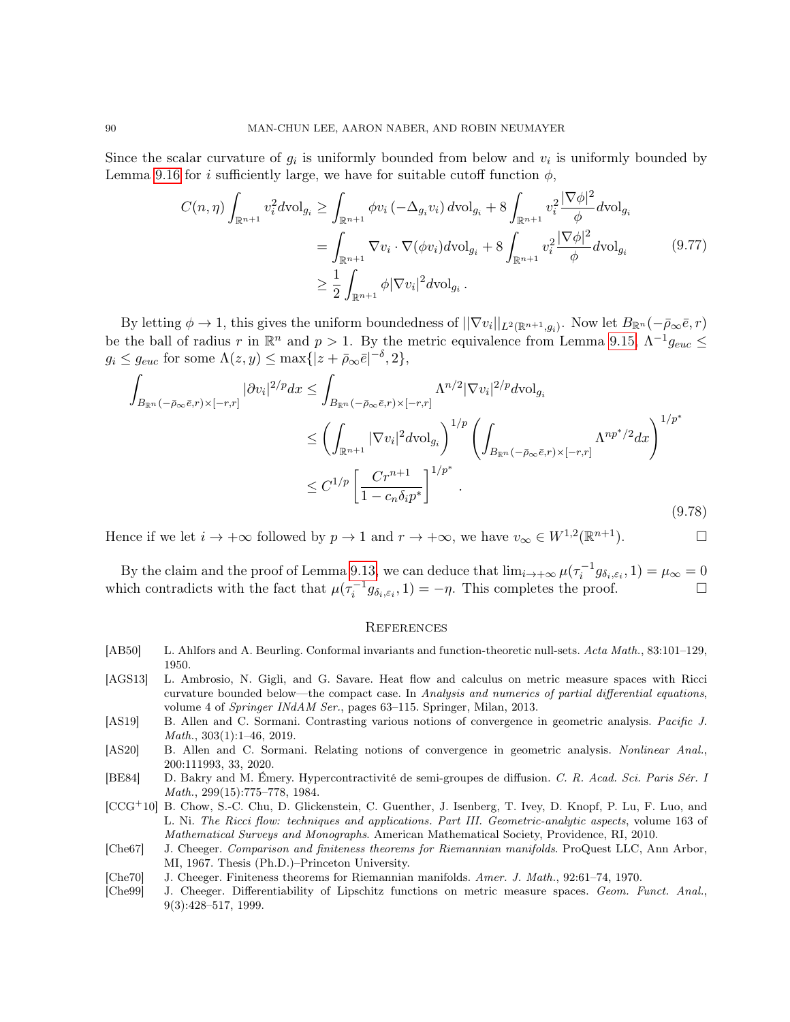Since the scalar curvature of  $g_i$  is uniformly bounded from below and  $v_i$  is uniformly bounded by Lemma [9.16](#page-84-2) for i sufficiently large, we have for suitable cutoff function  $\phi$ ,

$$
C(n,\eta) \int_{\mathbb{R}^{n+1}} v_i^2 d\mathrm{vol}_{g_i} \ge \int_{\mathbb{R}^{n+1}} \phi v_i \left( -\Delta_{g_i} v_i \right) d\mathrm{vol}_{g_i} + 8 \int_{\mathbb{R}^{n+1}} v_i^2 \frac{|\nabla \phi|^2}{\phi} d\mathrm{vol}_{g_i}
$$
  
= 
$$
\int_{\mathbb{R}^{n+1}} \nabla v_i \cdot \nabla(\phi v_i) d\mathrm{vol}_{g_i} + 8 \int_{\mathbb{R}^{n+1}} v_i^2 \frac{|\nabla \phi|^2}{\phi} d\mathrm{vol}_{g_i}
$$
(9.77)  

$$
\ge \frac{1}{2} \int_{\mathbb{R}^{n+1}} \phi |\nabla v_i|^2 d\mathrm{vol}_{g_i} .
$$

By letting  $\phi \to 1$ , this gives the uniform boundedness of  $\|\nabla v_i\|_{L^2(\mathbb{R}^{n+1},g_i)}$ . Now let  $B_{\mathbb{R}^n}(-\bar{\rho}_{\infty}\bar{e},r)$ be the ball of radius r in  $\mathbb{R}^n$  and  $p > 1$ . By the metric equivalence from Lemma [9.15,](#page-83-3)  $\Lambda^{-1} g_{euc} \leq$  $g_i \le g_{euc}$  for some  $\Lambda(z, y) \le \max\{|z + \bar{\rho}_{\infty}\bar{e}|^{-\delta}, 2\},\$ 

$$
\int_{B_{\mathbb{R}^n}(-\bar{\rho}_{\infty}\bar{e},r)\times[-r,r]} |\partial v_i|^{2/p} dx \le \int_{B_{\mathbb{R}^n}(-\bar{\rho}_{\infty}\bar{e},r)\times[-r,r]} \Lambda^{n/2} |\nabla v_i|^{2/p} d\mathrm{vol}_{g_i}
$$
\n
$$
\le \left( \int_{\mathbb{R}^{n+1}} |\nabla v_i|^2 d\mathrm{vol}_{g_i} \right)^{1/p} \left( \int_{B_{\mathbb{R}^n}(-\bar{\rho}_{\infty}\bar{e},r)\times[-r,r]} \Lambda^{np^*/2} dx \right)^{1/p^*}
$$
\n
$$
\le C^{1/p} \left[ \frac{Cr^{n+1}}{1 - c_n \delta_i p^*} \right]^{1/p^*} .
$$
\n(9.78)

Hence if we let  $i \to +\infty$  followed by  $p \to 1$  and  $r \to +\infty$ , we have  $v_{\infty} \in W^{1,2}(\mathbb{R}^{n+1})$ .

By the claim and the proof of Lemma [9.13,](#page-81-3) we can deduce that  $\lim_{i\to+\infty}\mu(\tau_i^{-1}g_{\delta_i,\varepsilon_i},1)=\mu_\infty=0$ which contradicts with the fact that  $\mu(\tau_i^{-1}g_{\delta_i,\varepsilon_i},1) = -\eta$ . This completes the proof.

## **REFERENCES**

- [AB50] L. Ahlfors and A. Beurling. Conformal invariants and function-theoretic null-sets. Acta Math., 83:101–129, 1950.
- [AGS13] L. Ambrosio, N. Gigli, and G. Savare. Heat flow and calculus on metric measure spaces with Ricci curvature bounded below—the compact case. In Analysis and numerics of partial differential equations, volume 4 of Springer INdAM Ser., pages 63–115. Springer, Milan, 2013.
- [AS19] B. Allen and C. Sormani. Contrasting various notions of convergence in geometric analysis. Pacific J. Math., 303(1):1-46, 2019.
- [AS20] B. Allen and C. Sormani. Relating notions of convergence in geometric analysis. Nonlinear Anal., 200:111993, 33, 2020.
- [BE84] D. Bakry and M. Émery. Hypercontractivité de semi-groupes de diffusion. C. R. Acad. Sci. Paris Sér. I Math., 299(15):775–778, 1984.
- <span id="page-89-0"></span>[CCG<sup>+</sup>10] B. Chow, S.-C. Chu, D. Glickenstein, C. Guenther, J. Isenberg, T. Ivey, D. Knopf, P. Lu, F. Luo, and L. Ni. The Ricci flow: techniques and applications. Part III. Geometric-analytic aspects, volume 163 of Mathematical Surveys and Monographs. American Mathematical Society, Providence, RI, 2010.
- [Che67] J. Cheeger. Comparison and finiteness theorems for Riemannian manifolds. ProQuest LLC, Ann Arbor, MI, 1967. Thesis (Ph.D.)–Princeton University.
- [Che70] J. Cheeger. Finiteness theorems for Riemannian manifolds. Amer. J. Math., 92:61–74, 1970.
- [Che99] J. Cheeger. Differentiability of Lipschitz functions on metric measure spaces. Geom. Funct. Anal., 9(3):428–517, 1999.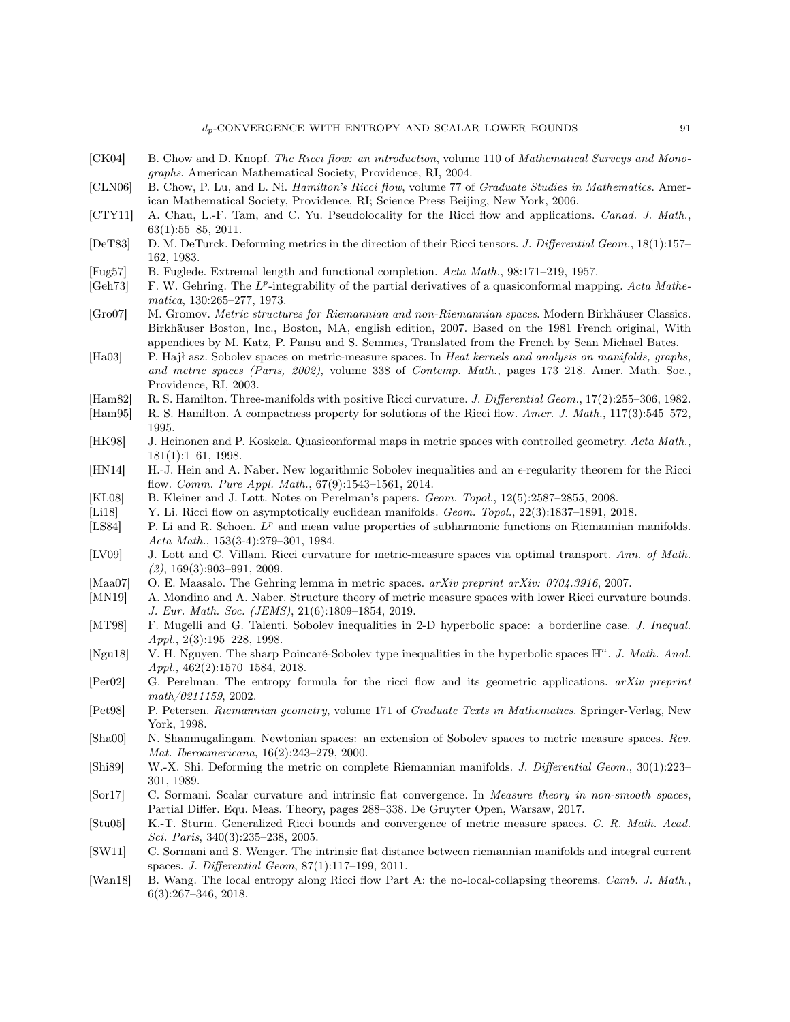- [CK04] B. Chow and D. Knopf. The Ricci flow: an introduction, volume 110 of Mathematical Surveys and Monographs. American Mathematical Society, Providence, RI, 2004.
- [CLN06] B. Chow, P. Lu, and L. Ni. Hamilton's Ricci flow, volume 77 of Graduate Studies in Mathematics. American Mathematical Society, Providence, RI; Science Press Beijing, New York, 2006.
- <span id="page-90-2"></span>[CTY11] A. Chau, L.-F. Tam, and C. Yu. Pseudolocality for the Ricci flow and applications. *Canad. J. Math.*,  $63(1):55-85, 2011.$
- [DeT83] D. M. DeTurck. Deforming metrics in the direction of their Ricci tensors. J. Differential Geom., 18(1):157– 162, 1983.
- [Fug57] B. Fuglede. Extremal length and functional completion. Acta Math., 98:171–219, 1957.
- $[Geh73]$  F. W. Gehring. The  $L^p$ -integrability of the partial derivatives of a quasiconformal mapping. Acta Mathematica, 130:265–277, 1973.
- [Gro07] M. Gromov. Metric structures for Riemannian and non-Riemannian spaces. Modern Birkhäuser Classics. Birkhäuser Boston, Inc., Boston, MA, english edition, 2007. Based on the 1981 French original, With appendices by M. Katz, P. Pansu and S. Semmes, Translated from the French by Sean Michael Bates.
- [Ha03] P. Hajł asz. Sobolev spaces on metric-measure spaces. In Heat kernels and analysis on manifolds, graphs, and metric spaces (Paris, 2002), volume 338 of Contemp. Math., pages 173–218. Amer. Math. Soc., Providence, RI, 2003.
- [Ham82] R. S. Hamilton. Three-manifolds with positive Ricci curvature. J. Differential Geom., 17(2):255–306, 1982.
- [Ham95] R. S. Hamilton. A compactness property for solutions of the Ricci flow. Amer. J. Math., 117(3):545–572, 1995.
- [HK98] J. Heinonen and P. Koskela. Quasiconformal maps in metric spaces with controlled geometry. Acta Math., 181(1):1–61, 1998.
- [HN14] H.-J. Hein and A. Naber. New logarithmic Sobolev inequalities and an  $\epsilon$ -regularity theorem for the Ricci flow. Comm. Pure Appl. Math., 67(9):1543–1561, 2014.
- [KL08] B. Kleiner and J. Lott. Notes on Perelman's papers. Geom. Topol., 12(5):2587–2855, 2008.
- <span id="page-90-1"></span>[Li18] Y. Li. Ricci flow on asymptotically euclidean manifolds. Geom. Topol., 22(3):1837–1891, 2018.
- [LS84] P. Li and R. Schoen.  $L^p$  and mean value properties of subharmonic functions on Riemannian manifolds. Acta Math., 153(3-4):279–301, 1984.
- [LV09] J. Lott and C. Villani. Ricci curvature for metric-measure spaces via optimal transport. Ann. of Math.  $(2), 169(3):903-991, 2009.$
- [Maa07] O. E. Maasalo. The Gehring lemma in metric spaces. arXiv preprint arXiv: 0704.3916, 2007.
- [MN19] A. Mondino and A. Naber. Structure theory of metric measure spaces with lower Ricci curvature bounds. J. Eur. Math. Soc. (JEMS), 21(6):1809–1854, 2019.
- [MT98] F. Mugelli and G. Talenti. Sobolev inequalities in 2-D hyperbolic space: a borderline case. J. Inequal. Appl., 2(3):195–228, 1998.
- [Ngu18] V. H. Nguyen. The sharp Poincaré-Sobolev type inequalities in the hyperbolic spaces  $\mathbb{H}^n$ . J. Math. Anal. Appl., 462(2):1570–1584, 2018.
- [Per02] G. Perelman. The entropy formula for the ricci flow and its geometric applications. arXiv preprint math/0211159, 2002.
- [Pet98] P. Petersen. Riemannian geometry, volume 171 of Graduate Texts in Mathematics. Springer-Verlag, New York, 1998.
- [Sha00] N. Shanmugalingam. Newtonian spaces: an extension of Sobolev spaces to metric measure spaces. Rev. Mat. Iberoamericana, 16(2):243–279, 2000.
- [Shi89] W.-X. Shi. Deforming the metric on complete Riemannian manifolds. J. Differential Geom., 30(1):223– 301, 1989.
- [Sor17] C. Sormani. Scalar curvature and intrinsic flat convergence. In Measure theory in non-smooth spaces, Partial Differ. Equ. Meas. Theory, pages 288–338. De Gruyter Open, Warsaw, 2017.
- [Stu05] K.-T. Sturm. Generalized Ricci bounds and convergence of metric measure spaces. C. R. Math. Acad. Sci. Paris, 340(3):235–238, 2005.
- <span id="page-90-0"></span>[SW11] C. Sormani and S. Wenger. The intrinsic flat distance between riemannian manifolds and integral current spaces. J. Differential Geom, 87(1):117–199, 2011.
- [Wan18] B. Wang. The local entropy along Ricci flow Part A: the no-local-collapsing theorems. Camb. J. Math., 6(3):267–346, 2018.